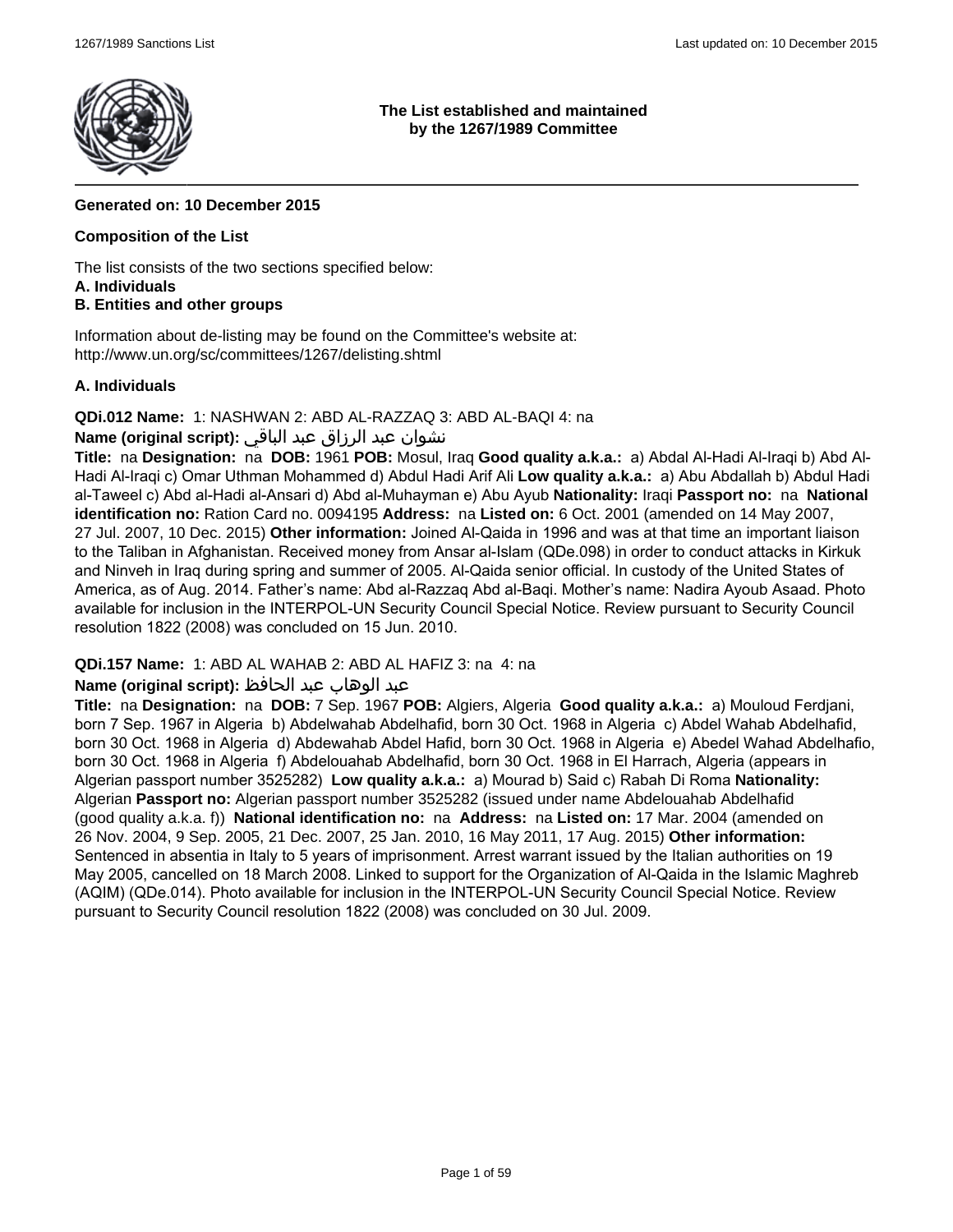

### **The List established and maintained by the 1267/1989 Committee**

# **Generated on: 10 December 2015**

### **Composition of the List**

The list consists of the two sections specified below:

#### **A. Individuals**

# **B. Entities and other groups**

Information about de-listing may be found on the Committee's website at: http://www.un.org/sc/committees/1267/delisting.shtml

### **A. Individuals**

**QDi.012 Name:** 1: NASHWAN 2: ABD AL-RAZZAQ 3: ABD AL-BAQI 4: na

# نشوان عبد الرزاق عبد الباقي **:(script original (Name**

**Title:** na **Designation:** na **DOB:** 1961 **POB:** Mosul, Iraq **Good quality a.k.a.:** a) Abdal Al-Hadi Al-Iraqi b) Abd Al-Hadi Al-Iraqi c) Omar Uthman Mohammed d) Abdul Hadi Arif Ali **Low quality a.k.a.:** a) Abu Abdallah b) Abdul Hadi al-Taweel c) Abd al-Hadi al-Ansari d) Abd al-Muhayman e) Abu Ayub **Nationality:** Iraqi **Passport no:** na **National identification no:** Ration Card no. 0094195 **Address:** na **Listed on:** 6 Oct. 2001 (amended on 14 May 2007, 27 Jul. 2007, 10 Dec. 2015) **Other information:** Joined Al-Qaida in 1996 and was at that time an important liaison to the Taliban in Afghanistan. Received money from Ansar al-Islam (QDe.098) in order to conduct attacks in Kirkuk and Ninveh in Iraq during spring and summer of 2005. Al-Qaida senior official. In custody of the United States of America, as of Aug. 2014. Father's name: Abd al-Razzaq Abd al-Baqi. Mother's name: Nadira Ayoub Asaad. Photo available for inclusion in the INTERPOL-UN Security Council Special Notice. Review pursuant to Security Council resolution 1822 (2008) was concluded on 15 Jun. 2010.

**QDi.157 Name:** 1: ABD AL WAHAB 2: ABD AL HAFIZ 3: na 4: na

### عبد الوهاب عبد الحافظ **:(script original (Name**

**Title:** na **Designation:** na **DOB:** 7 Sep. 1967 **POB:** Algiers, Algeria **Good quality a.k.a.:** a) Mouloud Ferdjani, born 7 Sep. 1967 in Algeria b) Abdelwahab Abdelhafid, born 30 Oct. 1968 in Algeria c) Abdel Wahab Abdelhafid, born 30 Oct. 1968 in Algeria d) Abdewahab Abdel Hafid, born 30 Oct. 1968 in Algeria e) Abedel Wahad Abdelhafio, born 30 Oct. 1968 in Algeria f) Abdelouahab Abdelhafid, born 30 Oct. 1968 in El Harrach, Algeria (appears in Algerian passport number 3525282) **Low quality a.k.a.:** a) Mourad b) Said c) Rabah Di Roma **Nationality:** Algerian **Passport no:** Algerian passport number 3525282 (issued under name Abdelouahab Abdelhafid (good quality a.k.a. f)) **National identification no:** na **Address:** na **Listed on:** 17 Mar. 2004 (amended on 26 Nov. 2004, 9 Sep. 2005, 21 Dec. 2007, 25 Jan. 2010, 16 May 2011, 17 Aug. 2015) **Other information:** Sentenced in absentia in Italy to 5 years of imprisonment. Arrest warrant issued by the Italian authorities on 19 May 2005, cancelled on 18 March 2008. Linked to support for the Organization of Al-Qaida in the Islamic Maghreb (AQIM) (QDe.014). Photo available for inclusion in the INTERPOL-UN Security Council Special Notice. Review pursuant to Security Council resolution 1822 (2008) was concluded on 30 Jul. 2009.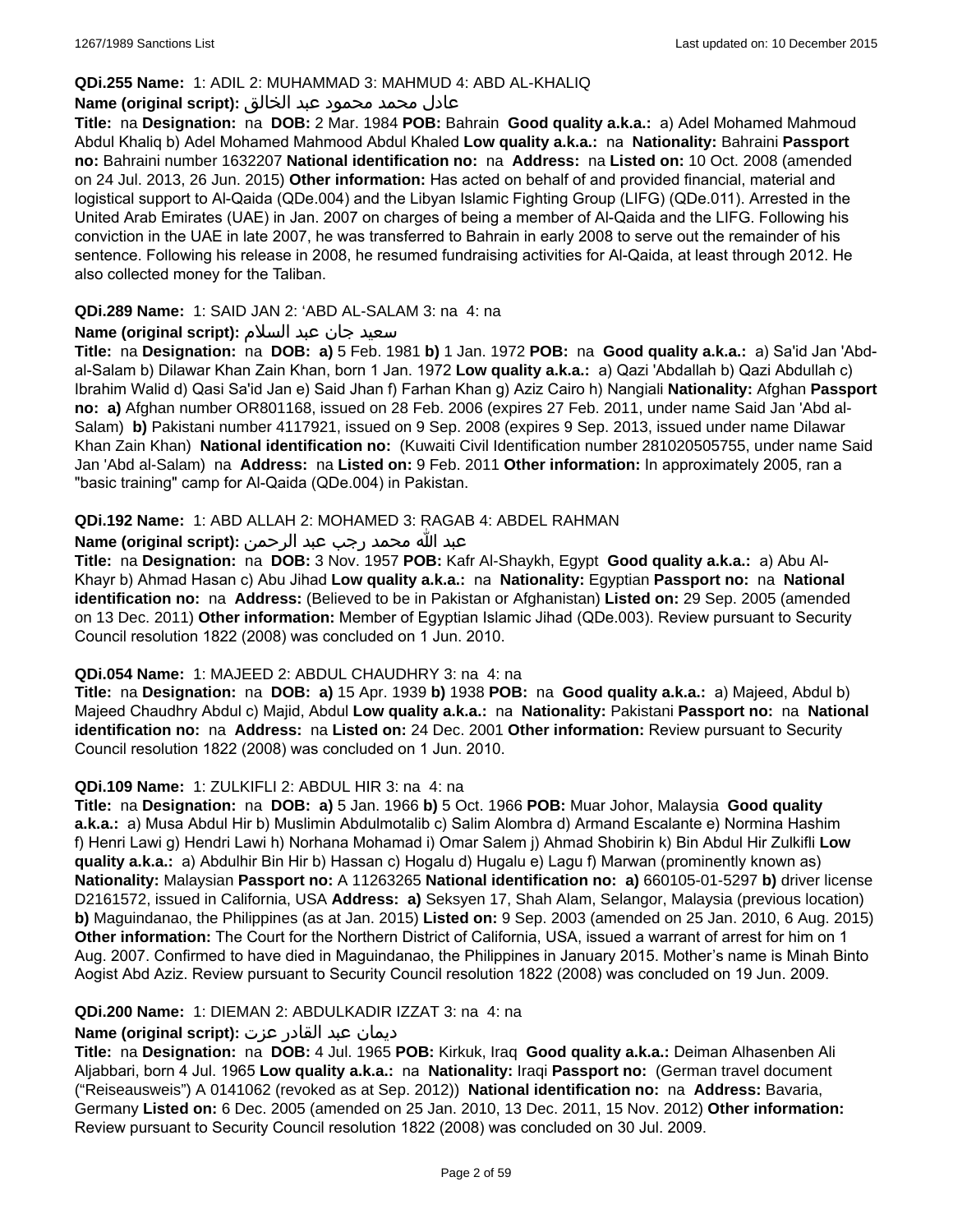### **QDi.255 Name:** 1: ADIL 2: MUHAMMAD 3: MAHMUD 4: ABD AL-KHALIQ

### عادل محمد محمود عبد الخالق **:(script original (Name**

**Title:** na **Designation:** na **DOB:** 2 Mar. 1984 **POB:** Bahrain **Good quality a.k.a.:** a) Adel Mohamed Mahmoud Abdul Khaliq b) Adel Mohamed Mahmood Abdul Khaled **Low quality a.k.a.:** na **Nationality:** Bahraini **Passport no:** Bahraini number 1632207 **National identification no:** na **Address:** na **Listed on:** 10 Oct. 2008 (amended on 24 Jul. 2013, 26 Jun. 2015) **Other information:** Has acted on behalf of and provided financial, material and logistical support to Al-Qaida (QDe.004) and the Libyan Islamic Fighting Group (LIFG) (QDe.011). Arrested in the United Arab Emirates (UAE) in Jan. 2007 on charges of being a member of Al-Qaida and the LIFG. Following his conviction in the UAE in late 2007, he was transferred to Bahrain in early 2008 to serve out the remainder of his sentence. Following his release in 2008, he resumed fundraising activities for Al-Qaida, at least through 2012. He also collected money for the Taliban.

#### **QDi.289 Name:** 1: SAID JAN 2: 'ABD AL-SALAM 3: na 4: na

### سعید جان عبد السلام **:(script original (Name**

**Title:** na **Designation:** na **DOB: a)** 5 Feb. 1981 **b)** 1 Jan. 1972 **POB:** na **Good quality a.k.a.:** a) Sa'id Jan 'Abdal-Salam b) Dilawar Khan Zain Khan, born 1 Jan. 1972 **Low quality a.k.a.:** a) Qazi 'Abdallah b) Qazi Abdullah c) Ibrahim Walid d) Qasi Sa'id Jan e) Said Jhan f) Farhan Khan g) Aziz Cairo h) Nangiali **Nationality:** Afghan **Passport no: a)** Afghan number OR801168, issued on 28 Feb. 2006 (expires 27 Feb. 2011, under name Said Jan 'Abd al-Salam) **b)** Pakistani number 4117921, issued on 9 Sep. 2008 (expires 9 Sep. 2013, issued under name Dilawar Khan Zain Khan) **National identification no:** (Kuwaiti Civil Identification number 281020505755, under name Said Jan 'Abd al-Salam) na **Address:** na **Listed on:** 9 Feb. 2011 **Other information:** In approximately 2005, ran a "basic training" camp for Al-Qaida (QDe.004) in Pakistan.

### **QDi.192 Name:** 1: ABD ALLAH 2: MOHAMED 3: RAGAB 4: ABDEL RAHMAN

### عبد الله محمد رجب عبد الرحمن **:(script original (Name**

**Title:** na **Designation:** na **DOB:** 3 Nov. 1957 **POB:** Kafr Al-Shaykh, Egypt **Good quality a.k.a.:** a) Abu Al-Khayr b) Ahmad Hasan c) Abu Jihad **Low quality a.k.a.:** na **Nationality:** Egyptian **Passport no:** na **National identification no:** na **Address:** (Believed to be in Pakistan or Afghanistan) **Listed on:** 29 Sep. 2005 (amended on 13 Dec. 2011) **Other information:** Member of Egyptian Islamic Jihad (QDe.003). Review pursuant to Security Council resolution 1822 (2008) was concluded on 1 Jun. 2010.

#### **QDi.054 Name:** 1: MAJEED 2: ABDUL CHAUDHRY 3: na 4: na

**Title:** na **Designation:** na **DOB: a)** 15 Apr. 1939 **b)** 1938 **POB:** na **Good quality a.k.a.:** a) Majeed, Abdul b) Majeed Chaudhry Abdul c) Majid, Abdul **Low quality a.k.a.:** na **Nationality:** Pakistani **Passport no:** na **National identification no:** na **Address:** na **Listed on:** 24 Dec. 2001 **Other information:** Review pursuant to Security Council resolution 1822 (2008) was concluded on 1 Jun. 2010.

#### **QDi.109 Name:** 1: ZULKIFLI 2: ABDUL HIR 3: na 4: na

**Title:** na **Designation:** na **DOB: a)** 5 Jan. 1966 **b)** 5 Oct. 1966 **POB:** Muar Johor, Malaysia **Good quality a.k.a.:** a) Musa Abdul Hir b) Muslimin Abdulmotalib c) Salim Alombra d) Armand Escalante e) Normina Hashim f) Henri Lawi g) Hendri Lawi h) Norhana Mohamad i) Omar Salem j) Ahmad Shobirin k) Bin Abdul Hir Zulkifli **Low quality a.k.a.:** a) Abdulhir Bin Hir b) Hassan c) Hogalu d) Hugalu e) Lagu f) Marwan (prominently known as) **Nationality:** Malaysian **Passport no:** A 11263265 **National identification no: a)** 660105-01-5297 **b)** driver license D2161572, issued in California, USA **Address: a)** Seksyen 17, Shah Alam, Selangor, Malaysia (previous location) **b)** Maguindanao, the Philippines (as at Jan. 2015) **Listed on:** 9 Sep. 2003 (amended on 25 Jan. 2010, 6 Aug. 2015) **Other information:** The Court for the Northern District of California, USA, issued a warrant of arrest for him on 1 Aug. 2007. Confirmed to have died in Maguindanao, the Philippines in January 2015. Mother's name is Minah Binto Aogist Abd Aziz. Review pursuant to Security Council resolution 1822 (2008) was concluded on 19 Jun. 2009.

#### **QDi.200 Name:** 1: DIEMAN 2: ABDULKADIR IZZAT 3: na 4: na

### ديمان عبد القادر عزت **:(script original (Name**

**Title:** na **Designation:** na **DOB:** 4 Jul. 1965 **POB:** Kirkuk, Iraq **Good quality a.k.a.:** Deiman Alhasenben Ali Aljabbari, born 4 Jul. 1965 **Low quality a.k.a.:** na **Nationality:** Iraqi **Passport no:** (German travel document ("Reiseausweis") A 0141062 (revoked as at Sep. 2012)) **National identification no:** na **Address:** Bavaria, Germany **Listed on:** 6 Dec. 2005 (amended on 25 Jan. 2010, 13 Dec. 2011, 15 Nov. 2012) **Other information:** Review pursuant to Security Council resolution 1822 (2008) was concluded on 30 Jul. 2009.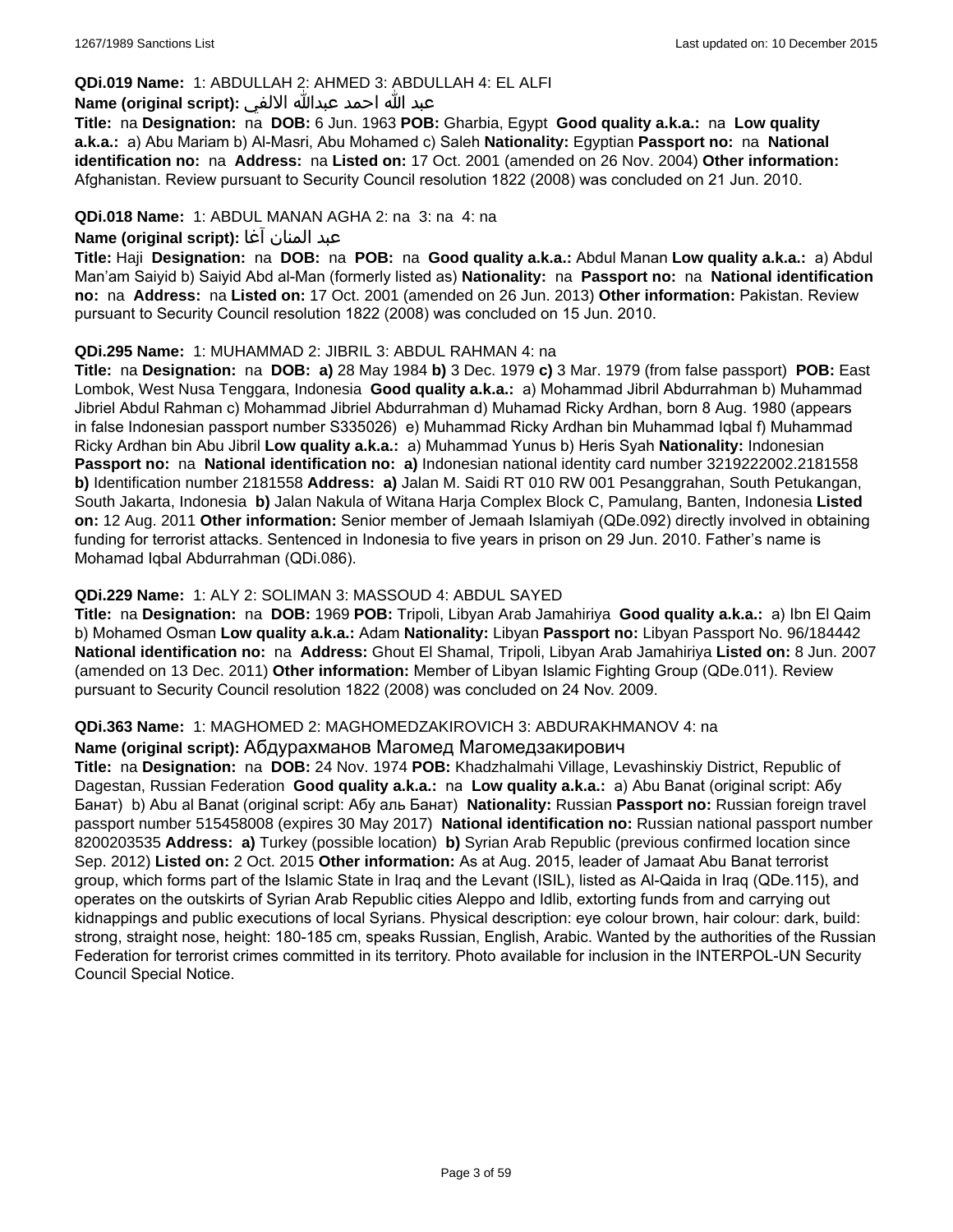### **QDi.019 Name:** 1: ABDULLAH 2: AHMED 3: ABDULLAH 4: EL ALFI

### عبد الله احمد عبدالله الالفي **:(script original (Name**

**Title:** na **Designation:** na **DOB:** 6 Jun. 1963 **POB:** Gharbia, Egypt **Good quality a.k.a.:** na **Low quality a.k.a.:** a) Abu Mariam b) Al-Masri, Abu Mohamed c) Saleh **Nationality:** Egyptian **Passport no:** na **National identification no:** na **Address:** na **Listed on:** 17 Oct. 2001 (amended on 26 Nov. 2004) **Other information:** Afghanistan. Review pursuant to Security Council resolution 1822 (2008) was concluded on 21 Jun. 2010.

### **QDi.018 Name:** 1: ABDUL MANAN AGHA 2: na 3: na 4: na

#### عبد المنان آغا **:(script original (Name**

**Title:** Haji **Designation:** na **DOB:** na **POB:** na **Good quality a.k.a.:** Abdul Manan **Low quality a.k.a.:** a) Abdul Man'am Saiyid b) Saiyid Abd al-Man (formerly listed as) **Nationality:** na **Passport no:** na **National identification no:** na **Address:** na **Listed on:** 17 Oct. 2001 (amended on 26 Jun. 2013) **Other information:** Pakistan. Review pursuant to Security Council resolution 1822 (2008) was concluded on 15 Jun. 2010.

### **QDi.295 Name:** 1: MUHAMMAD 2: JIBRIL 3: ABDUL RAHMAN 4: na

**Title:** na **Designation:** na **DOB: a)** 28 May 1984 **b)** 3 Dec. 1979 **c)** 3 Mar. 1979 (from false passport) **POB:** East Lombok, West Nusa Tenggara, Indonesia **Good quality a.k.a.:** a) Mohammad Jibril Abdurrahman b) Muhammad Jibriel Abdul Rahman c) Mohammad Jibriel Abdurrahman d) Muhamad Ricky Ardhan, born 8 Aug. 1980 (appears in false Indonesian passport number S335026) e) Muhammad Ricky Ardhan bin Muhammad Iqbal f) Muhammad Ricky Ardhan bin Abu Jibril **Low quality a.k.a.:** a) Muhammad Yunus b) Heris Syah **Nationality:** Indonesian **Passport no:** na **National identification no: a)** Indonesian national identity card number 3219222002.2181558 **b)** Identification number 2181558 **Address: a)** Jalan M. Saidi RT 010 RW 001 Pesanggrahan, South Petukangan, South Jakarta, Indonesia **b)** Jalan Nakula of Witana Harja Complex Block C, Pamulang, Banten, Indonesia **Listed on:** 12 Aug. 2011 **Other information:** Senior member of Jemaah Islamiyah (QDe.092) directly involved in obtaining funding for terrorist attacks. Sentenced in Indonesia to five years in prison on 29 Jun. 2010. Father's name is Mohamad Iqbal Abdurrahman (QDi.086).

### **QDi.229 Name:** 1: ALY 2: SOLIMAN 3: MASSOUD 4: ABDUL SAYED

**Title:** na **Designation:** na **DOB:** 1969 **POB:** Tripoli, Libyan Arab Jamahiriya **Good quality a.k.a.:** a) Ibn El Qaim b) Mohamed Osman **Low quality a.k.a.:** Adam **Nationality:** Libyan **Passport no:** Libyan Passport No. 96/184442 **National identification no:** na **Address:** Ghout El Shamal, Tripoli, Libyan Arab Jamahiriya **Listed on:** 8 Jun. 2007 (amended on 13 Dec. 2011) **Other information:** Member of Libyan Islamic Fighting Group (QDe.011). Review pursuant to Security Council resolution 1822 (2008) was concluded on 24 Nov. 2009.

#### **QDi.363 Name:** 1: MAGHOMED 2: MAGHOMEDZAKIROVICH 3: ABDURAKHMANOV 4: na

#### **Name (original script):** Абдурахманов Магомед Магомедзакирович

**Title:** na **Designation:** na **DOB:** 24 Nov. 1974 **POB:** Khadzhalmahi Village, Levashinskiy District, Republic of Dagestan, Russian Federation **Good quality a.k.a.:** na **Low quality a.k.a.:** a) Abu Banat (original script: Абу Банат) b) Abu al Banat (original script: Абу аль Банат) **Nationality:** Russian **Passport no:** Russian foreign travel passport number 515458008 (expires 30 May 2017) **National identification no:** Russian national passport number 8200203535 **Address: a)** Turkey (possible location) **b)** Syrian Arab Republic (previous confirmed location since Sep. 2012) **Listed on:** 2 Oct. 2015 **Other information:** As at Aug. 2015, leader of Jamaat Abu Banat terrorist group, which forms part of the Islamic State in Iraq and the Levant (ISIL), listed as Al-Qaida in Iraq (QDe.115), and operates on the outskirts of Syrian Arab Republic cities Aleppo and Idlib, extorting funds from and carrying out kidnappings and public executions of local Syrians. Physical description: eye colour brown, hair colour: dark, build: strong, straight nose, height: 180-185 cm, speaks Russian, English, Arabic. Wanted by the authorities of the Russian Federation for terrorist crimes committed in its territory. Photo available for inclusion in the INTERPOL-UN Security Council Special Notice.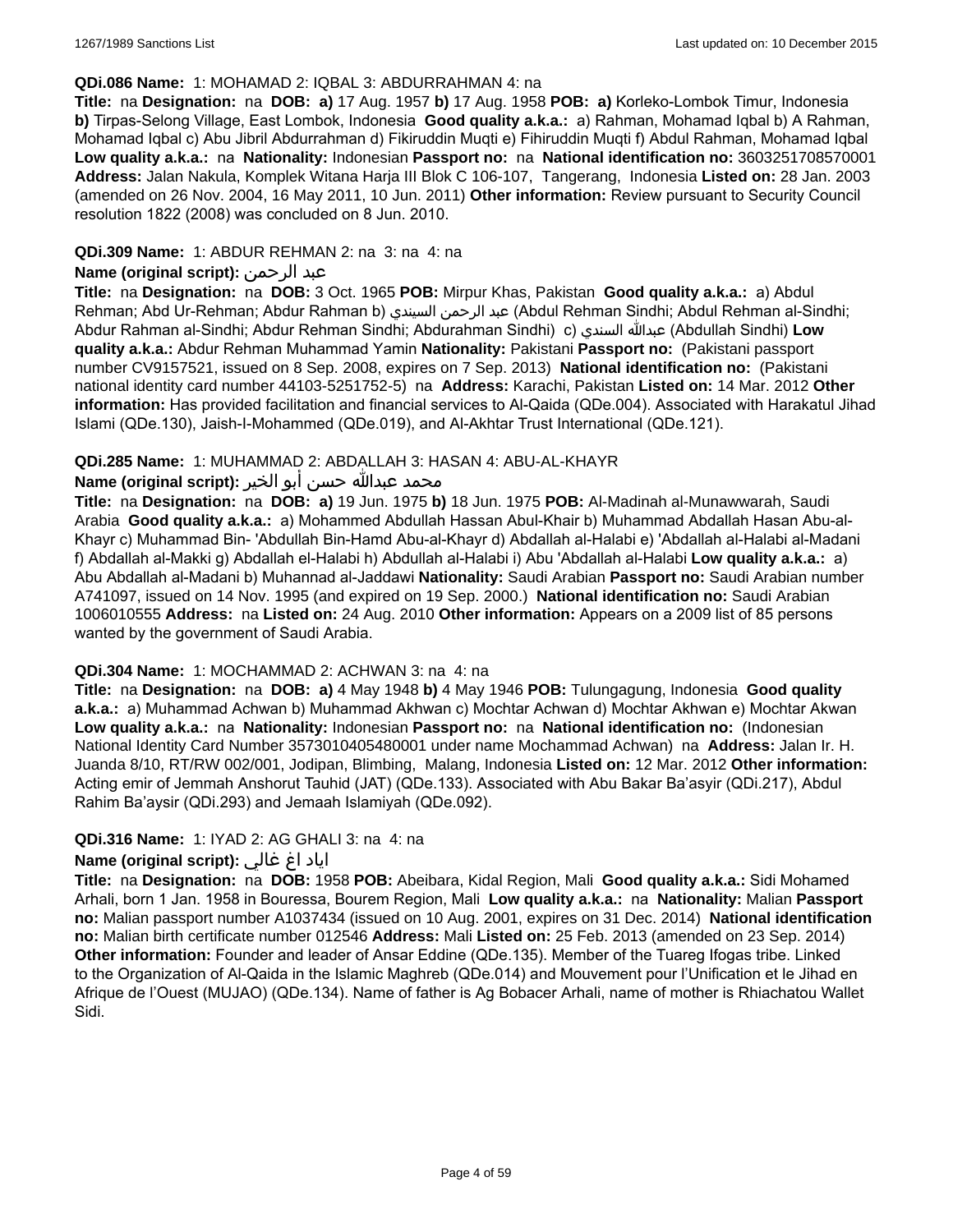#### **QDi.086 Name:** 1: MOHAMAD 2: IQBAL 3: ABDURRAHMAN 4: na

**Title:** na **Designation:** na **DOB: a)** 17 Aug. 1957 **b)** 17 Aug. 1958 **POB: a)** Korleko-Lombok Timur, Indonesia **b)** Tirpas-Selong Village, East Lombok, Indonesia **Good quality a.k.a.:** a) Rahman, Mohamad Iqbal b) A Rahman, Mohamad Iqbal c) Abu Jibril Abdurrahman d) Fikiruddin Muqti e) Fihiruddin Muqti f) Abdul Rahman, Mohamad Iqbal **Low quality a.k.a.:** na **Nationality:** Indonesian **Passport no:** na **National identification no:** 3603251708570001 **Address:** Jalan Nakula, Komplek Witana Harja III Blok C 106-107, Tangerang, Indonesia **Listed on:** 28 Jan. 2003 (amended on 26 Nov. 2004, 16 May 2011, 10 Jun. 2011) **Other information:** Review pursuant to Security Council resolution 1822 (2008) was concluded on 8 Jun. 2010.

### **QDi.309 Name:** 1: ABDUR REHMAN 2: na 3: na 4: na

### **Name (original script):** الرحمن عبد

**Title:** na **Designation:** na **DOB:** 3 Oct. 1965 **POB:** Mirpur Khas, Pakistan **Good quality a.k.a.:** a) Abdul Rehman; Abd Ur-Rehman; Abdur Rahman b) السيندي الرحمن عبد) Abdul Rehman Sindhi; Abdul Rehman al-Sindhi; Abdur Rahman al-Sindhi; Abdur Rehman Sindhi; Abdurahman Sindhi) c) السندي عبدالله) Abdullah Sindhi) **Low quality a.k.a.:** Abdur Rehman Muhammad Yamin **Nationality:** Pakistani **Passport no:** (Pakistani passport number CV9157521, issued on 8 Sep. 2008, expires on 7 Sep. 2013) **National identification no:** (Pakistani national identity card number 44103-5251752-5) na **Address:** Karachi, Pakistan **Listed on:** 14 Mar. 2012 **Other information:** Has provided facilitation and financial services to Al-Qaida (QDe.004). Associated with Harakatul Jihad Islami (QDe.130), Jaish-I-Mohammed (QDe.019), and Al-Akhtar Trust International (QDe.121).

### **QDi.285 Name:** 1: MUHAMMAD 2: ABDALLAH 3: HASAN 4: ABU-AL-KHAYR

### محمد عبدالله حسن أبو الخير **:Name (original script**)

**Title:** na **Designation:** na **DOB: a)** 19 Jun. 1975 **b)** 18 Jun. 1975 **POB:** Al-Madinah al-Munawwarah, Saudi Arabia **Good quality a.k.a.:** a) Mohammed Abdullah Hassan Abul-Khair b) Muhammad Abdallah Hasan Abu-al-Khayr c) Muhammad Bin- 'Abdullah Bin-Hamd Abu-al-Khayr d) Abdallah al-Halabi e) 'Abdallah al-Halabi al-Madani f) Abdallah al-Makki g) Abdallah el-Halabi h) Abdullah al-Halabi i) Abu 'Abdallah al-Halabi **Low quality a.k.a.:** a) Abu Abdallah al-Madani b) Muhannad al-Jaddawi **Nationality:** Saudi Arabian **Passport no:** Saudi Arabian number A741097, issued on 14 Nov. 1995 (and expired on 19 Sep. 2000.) **National identification no:** Saudi Arabian 1006010555 **Address:** na **Listed on:** 24 Aug. 2010 **Other information:** Appears on a 2009 list of 85 persons wanted by the government of Saudi Arabia.

#### **QDi.304 Name:** 1: MOCHAMMAD 2: ACHWAN 3: na 4: na

**Title:** na **Designation:** na **DOB: a)** 4 May 1948 **b)** 4 May 1946 **POB:** Tulungagung, Indonesia **Good quality a.k.a.:** a) Muhammad Achwan b) Muhammad Akhwan c) Mochtar Achwan d) Mochtar Akhwan e) Mochtar Akwan **Low quality a.k.a.:** na **Nationality:** Indonesian **Passport no:** na **National identification no:** (Indonesian National Identity Card Number 3573010405480001 under name Mochammad Achwan) na **Address:** Jalan Ir. H. Juanda 8/10, RT/RW 002/001, Jodipan, Blimbing, Malang, Indonesia **Listed on:** 12 Mar. 2012 **Other information:** Acting emir of Jemmah Anshorut Tauhid (JAT) (QDe.133). Associated with Abu Bakar Ba'asyir (QDi.217), Abdul Rahim Ba'aysir (QDi.293) and Jemaah Islamiyah (QDe.092).

### **QDi.316 Name:** 1: IYAD 2: AG GHALI 3: na 4: na

### اياد اغ غالي **:(script original (Name**

**Title:** na **Designation:** na **DOB:** 1958 **POB:** Abeibara, Kidal Region, Mali **Good quality a.k.a.:** Sidi Mohamed Arhali, born 1 Jan. 1958 in Bouressa, Bourem Region, Mali **Low quality a.k.a.:** na **Nationality:** Malian **Passport no:** Malian passport number A1037434 (issued on 10 Aug. 2001, expires on 31 Dec. 2014) **National identification no:** Malian birth certificate number 012546 **Address:** Mali **Listed on:** 25 Feb. 2013 (amended on 23 Sep. 2014) **Other information:** Founder and leader of Ansar Eddine (QDe.135). Member of the Tuareg Ifogas tribe. Linked to the Organization of Al-Qaida in the Islamic Maghreb (QDe.014) and Mouvement pour l'Unification et le Jihad en Afrique de l'Ouest (MUJAO) (QDe.134). Name of father is Ag Bobacer Arhali, name of mother is Rhiachatou Wallet Sidi.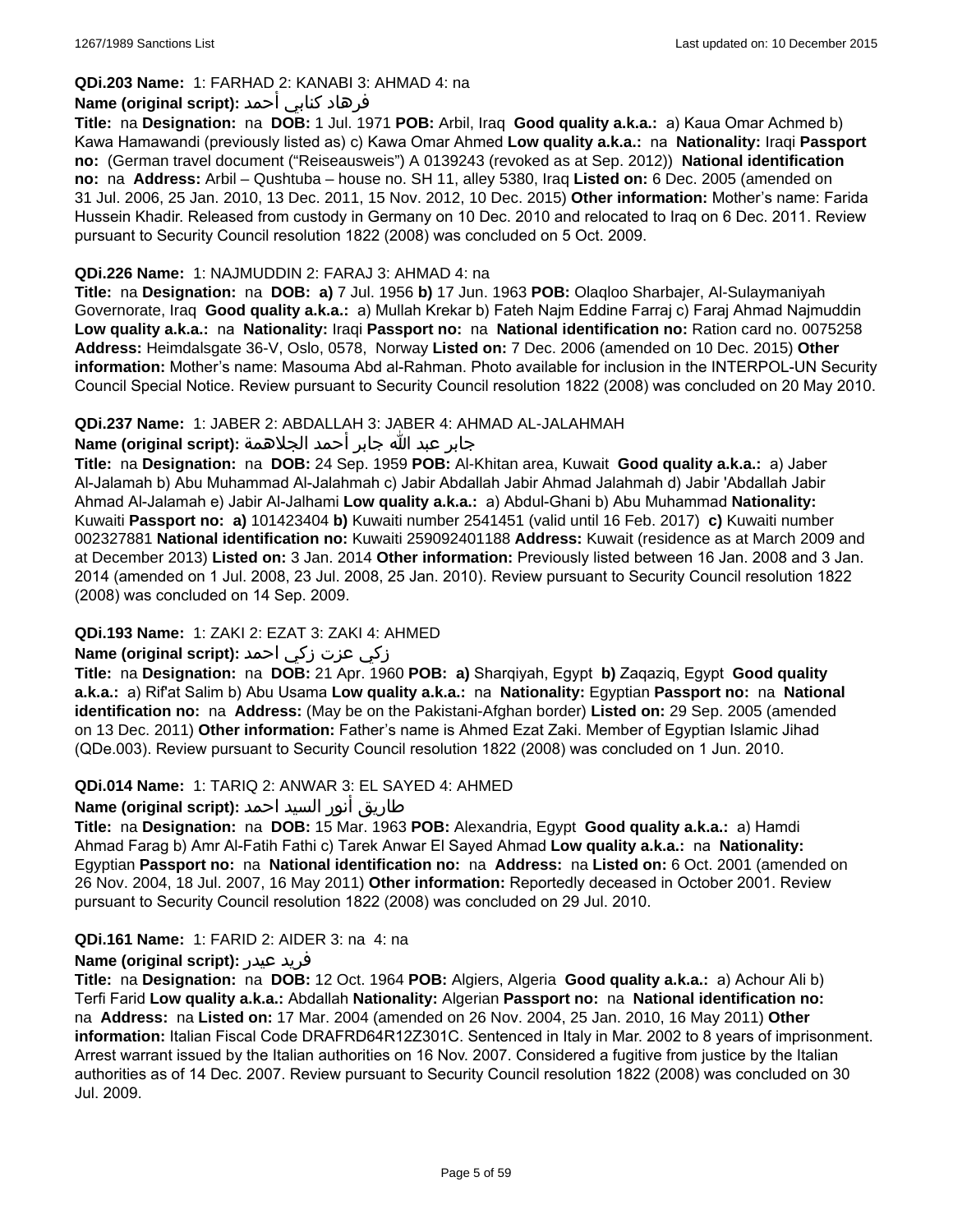# **QDi.203 Name:** 1: FARHAD 2: KANABI 3: AHMAD 4: na

### فرهاد كنابي أحمد **:Name (original script)**

**Title:** na **Designation:** na **DOB:** 1 Jul. 1971 **POB:** Arbil, Iraq **Good quality a.k.a.:** a) Kaua Omar Achmed b) Kawa Hamawandi (previously listed as) c) Kawa Omar Ahmed **Low quality a.k.a.:** na **Nationality:** Iraqi **Passport no:** (German travel document ("Reiseausweis") A 0139243 (revoked as at Sep. 2012)) **National identification no:** na **Address:** Arbil – Qushtuba – house no. SH 11, alley 5380, Iraq **Listed on:** 6 Dec. 2005 (amended on 31 Jul. 2006, 25 Jan. 2010, 13 Dec. 2011, 15 Nov. 2012, 10 Dec. 2015) **Other information:** Mother's name: Farida Hussein Khadir. Released from custody in Germany on 10 Dec. 2010 and relocated to Iraq on 6 Dec. 2011. Review pursuant to Security Council resolution 1822 (2008) was concluded on 5 Oct. 2009.

### **QDi.226 Name:** 1: NAJMUDDIN 2: FARAJ 3: AHMAD 4: na

**Title:** na **Designation:** na **DOB: a)** 7 Jul. 1956 **b)** 17 Jun. 1963 **POB:** Olaqloo Sharbajer, Al-Sulaymaniyah Governorate, Iraq **Good quality a.k.a.:** a) Mullah Krekar b) Fateh Najm Eddine Farraj c) Faraj Ahmad Najmuddin **Low quality a.k.a.:** na **Nationality:** Iraqi **Passport no:** na **National identification no:** Ration card no. 0075258 **Address:** Heimdalsgate 36-V, Oslo, 0578, Norway **Listed on:** 7 Dec. 2006 (amended on 10 Dec. 2015) **Other information:** Mother's name: Masouma Abd al-Rahman. Photo available for inclusion in the INTERPOL-UN Security Council Special Notice. Review pursuant to Security Council resolution 1822 (2008) was concluded on 20 May 2010.

### **QDi.237 Name:** 1: JABER 2: ABDALLAH 3: JABER 4: AHMAD AL-JALAHMAH

# جابر عبد الله جابر أحمد الجلاهمة **:(script original (Name**

**Title:** na **Designation:** na **DOB:** 24 Sep. 1959 **POB:** Al-Khitan area, Kuwait **Good quality a.k.a.:** a) Jaber Al-Jalamah b) Abu Muhammad Al-Jalahmah c) Jabir Abdallah Jabir Ahmad Jalahmah d) Jabir 'Abdallah Jabir Ahmad Al-Jalamah e) Jabir Al-Jalhami **Low quality a.k.a.:** a) Abdul-Ghani b) Abu Muhammad **Nationality:** Kuwaiti **Passport no: a)** 101423404 **b)** Kuwaiti number 2541451 (valid until 16 Feb. 2017) **c)** Kuwaiti number 002327881 **National identification no:** Kuwaiti 259092401188 **Address:** Kuwait (residence as at March 2009 and at December 2013) **Listed on:** 3 Jan. 2014 **Other information:** Previously listed between 16 Jan. 2008 and 3 Jan. 2014 (amended on 1 Jul. 2008, 23 Jul. 2008, 25 Jan. 2010). Review pursuant to Security Council resolution 1822 (2008) was concluded on 14 Sep. 2009.

### **QDi.193 Name:** 1: ZAKI 2: EZAT 3: ZAKI 4: AHMED

# زكي عزت زكي احمد **:(script original (Name**

**Title:** na **Designation:** na **DOB:** 21 Apr. 1960 **POB: a)** Sharqiyah, Egypt **b)** Zaqaziq, Egypt **Good quality a.k.a.:** a) Rif'at Salim b) Abu Usama **Low quality a.k.a.:** na **Nationality:** Egyptian **Passport no:** na **National identification no:** na **Address:** (May be on the Pakistani-Afghan border) **Listed on:** 29 Sep. 2005 (amended on 13 Dec. 2011) **Other information:** Father's name is Ahmed Ezat Zaki. Member of Egyptian Islamic Jihad (QDe.003). Review pursuant to Security Council resolution 1822 (2008) was concluded on 1 Jun. 2010.

### **QDi.014 Name:** 1: TARIQ 2: ANWAR 3: EL SAYED 4: AHMED

# طاريق أنور السيد احمد **:(script original (Name**

**Title:** na **Designation:** na **DOB:** 15 Mar. 1963 **POB:** Alexandria, Egypt **Good quality a.k.a.:** a) Hamdi Ahmad Farag b) Amr Al-Fatih Fathi c) Tarek Anwar El Sayed Ahmad **Low quality a.k.a.:** na **Nationality:** Egyptian **Passport no:** na **National identification no:** na **Address:** na **Listed on:** 6 Oct. 2001 (amended on 26 Nov. 2004, 18 Jul. 2007, 16 May 2011) **Other information:** Reportedly deceased in October 2001. Review pursuant to Security Council resolution 1822 (2008) was concluded on 29 Jul. 2010.

### **QDi.161 Name:** 1: FARID 2: AIDER 3: na 4: na

### **Name (original script):** عيدر فريد

**Title:** na **Designation:** na **DOB:** 12 Oct. 1964 **POB:** Algiers, Algeria **Good quality a.k.a.:** a) Achour Ali b) Terfi Farid **Low quality a.k.a.:** Abdallah **Nationality:** Algerian **Passport no:** na **National identification no:**  na **Address:** na **Listed on:** 17 Mar. 2004 (amended on 26 Nov. 2004, 25 Jan. 2010, 16 May 2011) **Other information:** Italian Fiscal Code DRAFRD64R12Z301C. Sentenced in Italy in Mar. 2002 to 8 years of imprisonment. Arrest warrant issued by the Italian authorities on 16 Nov. 2007. Considered a fugitive from justice by the Italian authorities as of 14 Dec. 2007. Review pursuant to Security Council resolution 1822 (2008) was concluded on 30 Jul. 2009.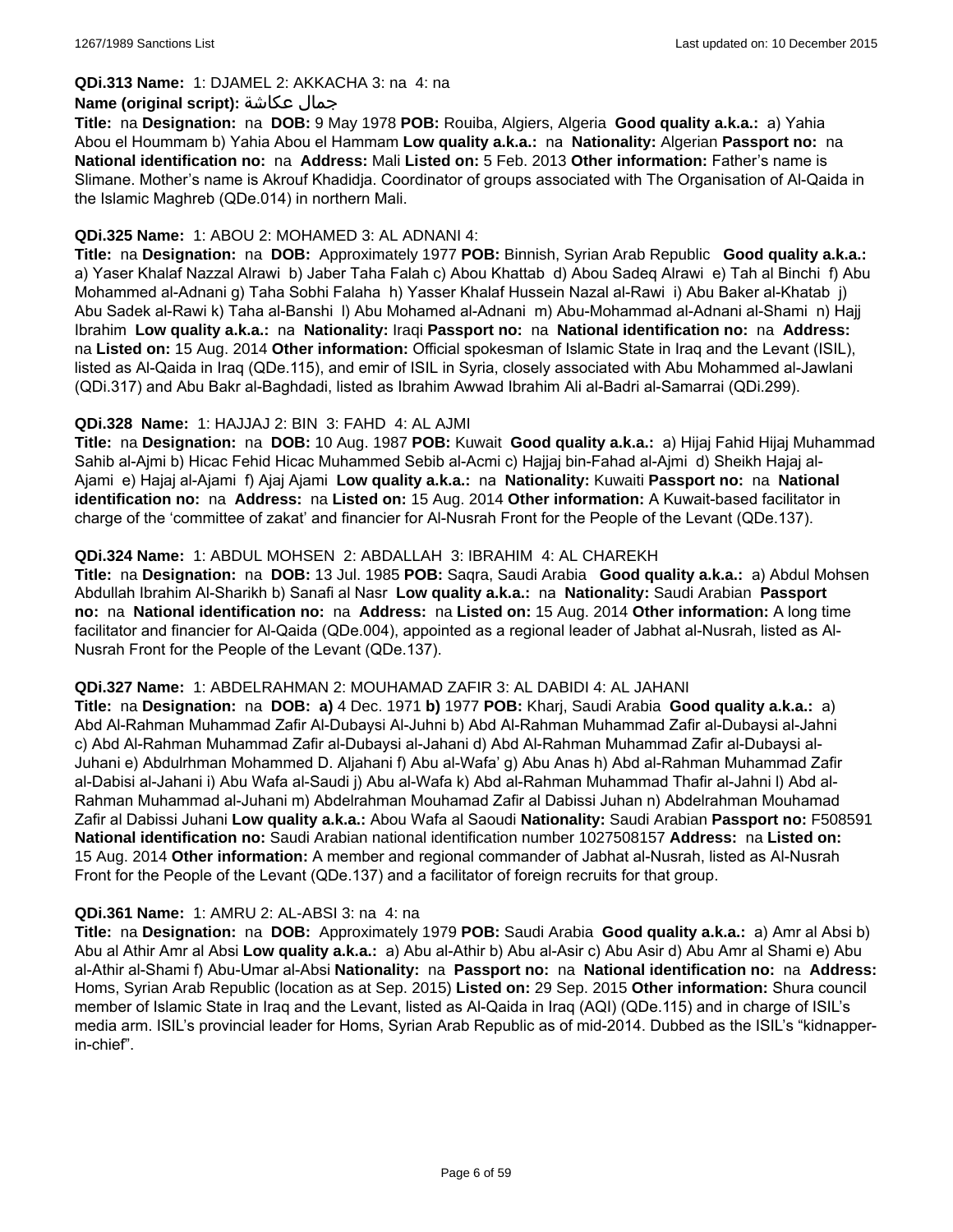#### **QDi.313 Name:** 1: DJAMEL 2: AKKACHA 3: na 4: na

#### **Name (original script):** عكاشة جمال

**Title:** na **Designation:** na **DOB:** 9 May 1978 **POB:** Rouiba, Algiers, Algeria **Good quality a.k.a.:** a) Yahia Abou el Hoummam b) Yahia Abou el Hammam **Low quality a.k.a.:** na **Nationality:** Algerian **Passport no:** na **National identification no:** na **Address:** Mali **Listed on:** 5 Feb. 2013 **Other information:** Father's name is Slimane. Mother's name is Akrouf Khadidja. Coordinator of groups associated with The Organisation of Al-Qaida in the Islamic Maghreb (QDe.014) in northern Mali.

#### **QDi.325 Name:** 1: ABOU 2: MOHAMED 3: AL ADNANI 4:

**Title:** na **Designation:** na **DOB:** Approximately 1977 **POB:** Binnish, Syrian Arab Republic **Good quality a.k.a.:**  a) Yaser Khalaf Nazzal Alrawi b) Jaber Taha Falah c) Abou Khattab d) Abou Sadeq Alrawi e) Tah al Binchi f) Abu Mohammed al-Adnani g) Taha Sobhi Falaha h) Yasser Khalaf Hussein Nazal al-Rawi i) Abu Baker al-Khatab j) Abu Sadek al-Rawi k) Taha al-Banshi l) Abu Mohamed al-Adnani m) Abu-Mohammad al-Adnani al-Shami n) Hajj Ibrahim **Low quality a.k.a.:** na **Nationality:** Iraqi **Passport no:** na **National identification no:** na **Address:**  na **Listed on:** 15 Aug. 2014 **Other information:** Official spokesman of Islamic State in Iraq and the Levant (ISIL), listed as Al-Qaida in Iraq (QDe.115), and emir of ISIL in Syria, closely associated with Abu Mohammed al-Jawlani (QDi.317) and Abu Bakr al-Baghdadi, listed as Ibrahim Awwad Ibrahim Ali al-Badri al-Samarrai (QDi.299).

### **QDi.328 Name:** 1: HAJJAJ 2: BIN 3: FAHD 4: AL AJMI

**Title:** na **Designation:** na **DOB:** 10 Aug. 1987 **POB:** Kuwait **Good quality a.k.a.:** a) Hijaj Fahid Hijaj Muhammad Sahib al-Ajmi b) Hicac Fehid Hicac Muhammed Sebib al-Acmi c) Hajjaj bin-Fahad al-Ajmi d) Sheikh Hajaj al-Ajami e) Hajaj al-Ajami f) Ajaj Ajami **Low quality a.k.a.:** na **Nationality:** Kuwaiti **Passport no:** na **National identification no:** na **Address:** na **Listed on:** 15 Aug. 2014 **Other information:** A Kuwait-based facilitator in charge of the 'committee of zakat' and financier for Al-Nusrah Front for the People of the Levant (QDe.137).

### **QDi.324 Name:** 1: ABDUL MOHSEN 2: ABDALLAH 3: IBRAHIM 4: AL CHAREKH

**Title:** na **Designation:** na **DOB:** 13 Jul. 1985 **POB:** Saqra, Saudi Arabia **Good quality a.k.a.:** a) Abdul Mohsen Abdullah Ibrahim Al-Sharikh b) Sanafi al Nasr **Low quality a.k.a.:** na **Nationality:** Saudi Arabian **Passport no:** na **National identification no:** na **Address:** na **Listed on:** 15 Aug. 2014 **Other information:** A long time facilitator and financier for Al-Qaida (QDe.004), appointed as a regional leader of Jabhat al-Nusrah, listed as Al-Nusrah Front for the People of the Levant (QDe.137).

#### **QDi.327 Name:** 1: ABDELRAHMAN 2: MOUHAMAD ZAFIR 3: AL DABIDI 4: AL JAHANI

**Title:** na **Designation:** na **DOB: a)** 4 Dec. 1971 **b)** 1977 **POB:** Kharj, Saudi Arabia **Good quality a.k.a.:** a) Abd Al-Rahman Muhammad Zafir Al-Dubaysi Al-Juhni b) Abd Al-Rahman Muhammad Zafir al-Dubaysi al-Jahni c) Abd Al-Rahman Muhammad Zafir al-Dubaysi al-Jahani d) Abd Al-Rahman Muhammad Zafir al-Dubaysi al-Juhani e) Abdulrhman Mohammed D. Aljahani f) Abu al-Wafa' g) Abu Anas h) Abd al-Rahman Muhammad Zafir al-Dabisi al-Jahani i) Abu Wafa al-Saudi j) Abu al-Wafa k) Abd al-Rahman Muhammad Thafir al-Jahni l) Abd al-Rahman Muhammad al-Juhani m) Abdelrahman Mouhamad Zafir al Dabissi Juhan n) Abdelrahman Mouhamad Zafir al Dabissi Juhani **Low quality a.k.a.:** Abou Wafa al Saoudi **Nationality:** Saudi Arabian **Passport no:** F508591 **National identification no:** Saudi Arabian national identification number 1027508157 **Address:** na **Listed on:** 15 Aug. 2014 **Other information:** A member and regional commander of Jabhat al-Nusrah, listed as Al-Nusrah Front for the People of the Levant (QDe.137) and a facilitator of foreign recruits for that group.

#### **QDi.361 Name:** 1: AMRU 2: AL-ABSI 3: na 4: na

**Title:** na **Designation:** na **DOB:** Approximately 1979 **POB:** Saudi Arabia **Good quality a.k.a.:** a) Amr al Absi b) Abu al Athir Amr al Absi **Low quality a.k.a.:** a) Abu al-Athir b) Abu al-Asir c) Abu Asir d) Abu Amr al Shami e) Abu al-Athir al-Shami f) Abu-Umar al-Absi **Nationality:** na **Passport no:** na **National identification no:** na **Address:** Homs, Syrian Arab Republic (location as at Sep. 2015) **Listed on:** 29 Sep. 2015 **Other information:** Shura council member of Islamic State in Iraq and the Levant, listed as Al-Qaida in Iraq (AQI) (QDe.115) and in charge of ISIL's media arm. ISIL's provincial leader for Homs, Syrian Arab Republic as of mid-2014. Dubbed as the ISIL's "kidnapperin-chief".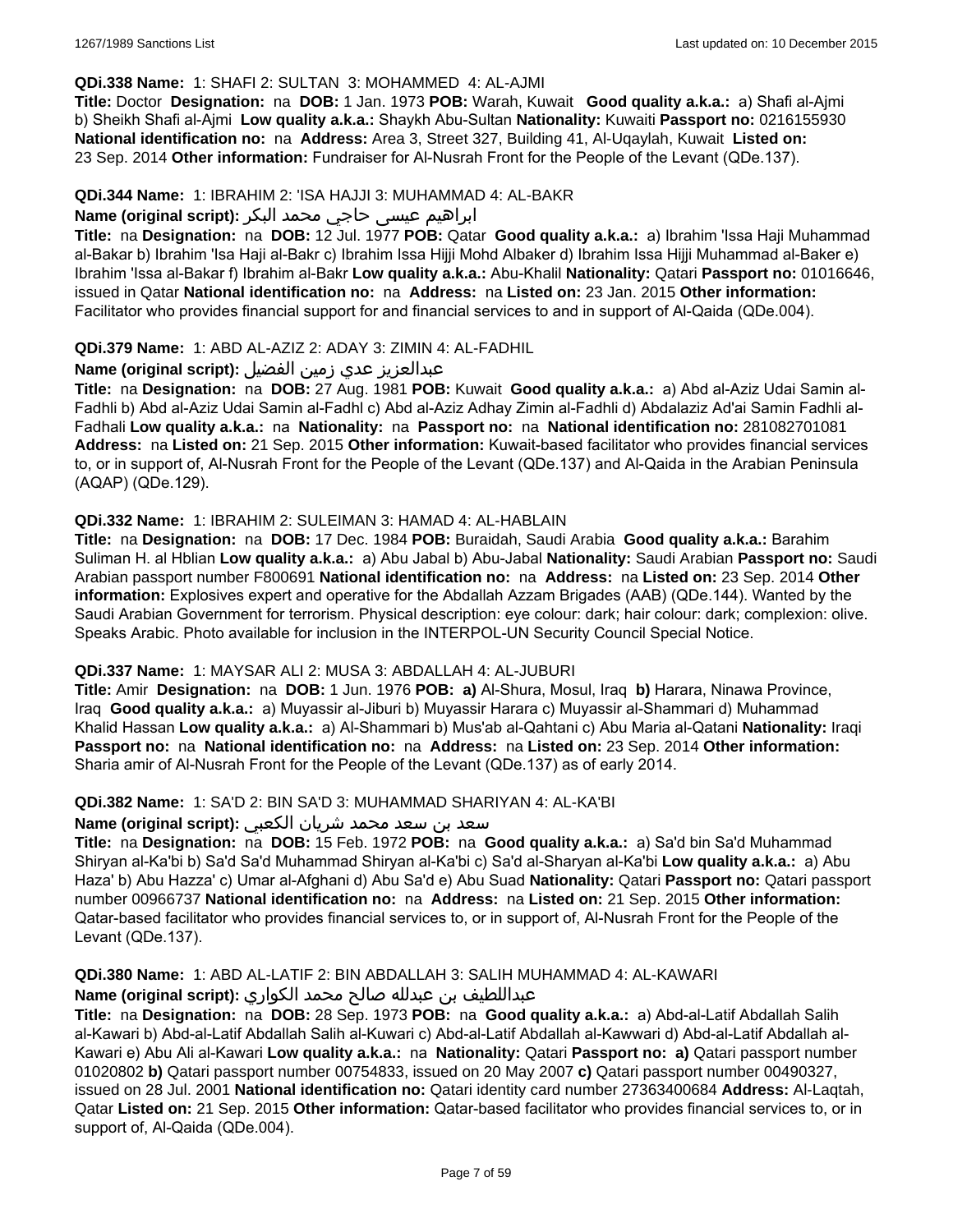### **QDi.338 Name:** 1: SHAFI 2: SULTAN 3: MOHAMMED 4: AL-AJMI

**Title:** Doctor **Designation:** na **DOB:** 1 Jan. 1973 **POB:** Warah, Kuwait **Good quality a.k.a.:** a) Shafi al-Ajmi b) Sheikh Shafi al-Ajmi **Low quality a.k.a.:** Shaykh Abu-Sultan **Nationality:** Kuwaiti **Passport no:** 0216155930 **National identification no:** na **Address:** Area 3, Street 327, Building 41, Al-Uqaylah, Kuwait **Listed on:** 23 Sep. 2014 **Other information:** Fundraiser for Al-Nusrah Front for the People of the Levant (QDe.137).

### **QDi.344 Name:** 1: IBRAHIM 2: 'ISA HAJJI 3: MUHAMMAD 4: AL-BAKR

# ابراهیم عیسی حاجي محمد البکر **:(script original (Name**

**Title:** na **Designation:** na **DOB:** 12 Jul. 1977 **POB:** Qatar **Good quality a.k.a.:** a) Ibrahim 'Issa Haji Muhammad al-Bakar b) Ibrahim 'Isa Haji al-Bakr c) Ibrahim Issa Hijji Mohd Albaker d) Ibrahim Issa Hijji Muhammad al-Baker e) Ibrahim 'Issa al-Bakar f) Ibrahim al-Bakr **Low quality a.k.a.:** Abu-Khalil **Nationality:** Qatari **Passport no:** 01016646, issued in Qatar **National identification no:** na **Address:** na **Listed on:** 23 Jan. 2015 **Other information:** Facilitator who provides financial support for and financial services to and in support of Al-Qaida (QDe.004).

### **QDi.379 Name:** 1: ABD AL-AZIZ 2: ADAY 3: ZIMIN 4: AL-FADHIL

### عبدالعزیز عدي زمین الفضیل **:(script original (Name**

**Title:** na **Designation:** na **DOB:** 27 Aug. 1981 **POB:** Kuwait **Good quality a.k.a.:** a) Abd al-Aziz Udai Samin al-Fadhli b) Abd al-Aziz Udai Samin al-Fadhl c) Abd al-Aziz Adhay Zimin al-Fadhli d) Abdalaziz Ad'ai Samin Fadhli al-Fadhali **Low quality a.k.a.:** na **Nationality:** na **Passport no:** na **National identification no:** 281082701081 **Address:** na **Listed on:** 21 Sep. 2015 **Other information:** Kuwait-based facilitator who provides financial services to, or in support of, Al-Nusrah Front for the People of the Levant (QDe.137) and Al-Qaida in the Arabian Peninsula (AQAP) (QDe.129).

### **QDi.332 Name:** 1: IBRAHIM 2: SULEIMAN 3: HAMAD 4: AL-HABLAIN

**Title:** na **Designation:** na **DOB:** 17 Dec. 1984 **POB:** Buraidah, Saudi Arabia **Good quality a.k.a.:** Barahim Suliman H. al Hblian **Low quality a.k.a.:** a) Abu Jabal b) Abu-Jabal **Nationality:** Saudi Arabian **Passport no:** Saudi Arabian passport number F800691 **National identification no:** na **Address:** na **Listed on:** 23 Sep. 2014 **Other information:** Explosives expert and operative for the Abdallah Azzam Brigades (AAB) (QDe.144). Wanted by the Saudi Arabian Government for terrorism. Physical description: eye colour: dark; hair colour: dark; complexion: olive. Speaks Arabic. Photo available for inclusion in the INTERPOL-UN Security Council Special Notice.

### **QDi.337 Name:** 1: MAYSAR ALI 2: MUSA 3: ABDALLAH 4: AL-JUBURI

**Title:** Amir **Designation:** na **DOB:** 1 Jun. 1976 **POB: a)** Al-Shura, Mosul, Iraq **b)** Harara, Ninawa Province, Iraq **Good quality a.k.a.:** a) Muyassir al-Jiburi b) Muyassir Harara c) Muyassir al-Shammari d) Muhammad Khalid Hassan **Low quality a.k.a.:** a) Al-Shammari b) Mus'ab al-Qahtani c) Abu Maria al-Qatani **Nationality:** Iraqi **Passport no:** na **National identification no:** na **Address:** na **Listed on:** 23 Sep. 2014 **Other information:** Sharia amir of Al-Nusrah Front for the People of the Levant (QDe.137) as of early 2014.

#### **QDi.382 Name:** 1: SA'D 2: BIN SA'D 3: MUHAMMAD SHARIYAN 4: AL-KA'BI

### سعد بن سعد محمد شریان الكعبي **:(script original (Name**

**Title:** na **Designation:** na **DOB:** 15 Feb. 1972 **POB:** na **Good quality a.k.a.:** a) Sa'd bin Sa'd Muhammad Shiryan al-Ka'bi b) Sa'd Sa'd Muhammad Shiryan al-Ka'bi c) Sa'd al-Sharyan al-Ka'bi **Low quality a.k.a.:** a) Abu Haza' b) Abu Hazza' c) Umar al-Afghani d) Abu Sa'd e) Abu Suad **Nationality:** Qatari **Passport no:** Qatari passport number 00966737 **National identification no:** na **Address:** na **Listed on:** 21 Sep. 2015 **Other information:** Qatar-based facilitator who provides financial services to, or in support of, Al-Nusrah Front for the People of the Levant (QDe.137).

# **QDi.380 Name:** 1: ABD AL-LATIF 2: BIN ABDALLAH 3: SALIH MUHAMMAD 4: AL-KAWARI

### عبداللطیف بن عبدلله صالح محمد الكواري **:(script original (Name**

**Title:** na **Designation:** na **DOB:** 28 Sep. 1973 **POB:** na **Good quality a.k.a.:** a) Abd-al-Latif Abdallah Salih al-Kawari b) Abd-al-Latif Abdallah Salih al-Kuwari c) Abd-al-Latif Abdallah al-Kawwari d) Abd-al-Latif Abdallah al-Kawari e) Abu Ali al-Kawari **Low quality a.k.a.:** na **Nationality:** Qatari **Passport no: a)** Qatari passport number 01020802 **b)** Qatari passport number 00754833, issued on 20 May 2007 **c)** Qatari passport number 00490327, issued on 28 Jul. 2001 **National identification no:** Qatari identity card number 27363400684 **Address:** Al-Laqtah, Qatar **Listed on:** 21 Sep. 2015 **Other information:** Qatar-based facilitator who provides financial services to, or in support of, Al-Qaida (QDe.004).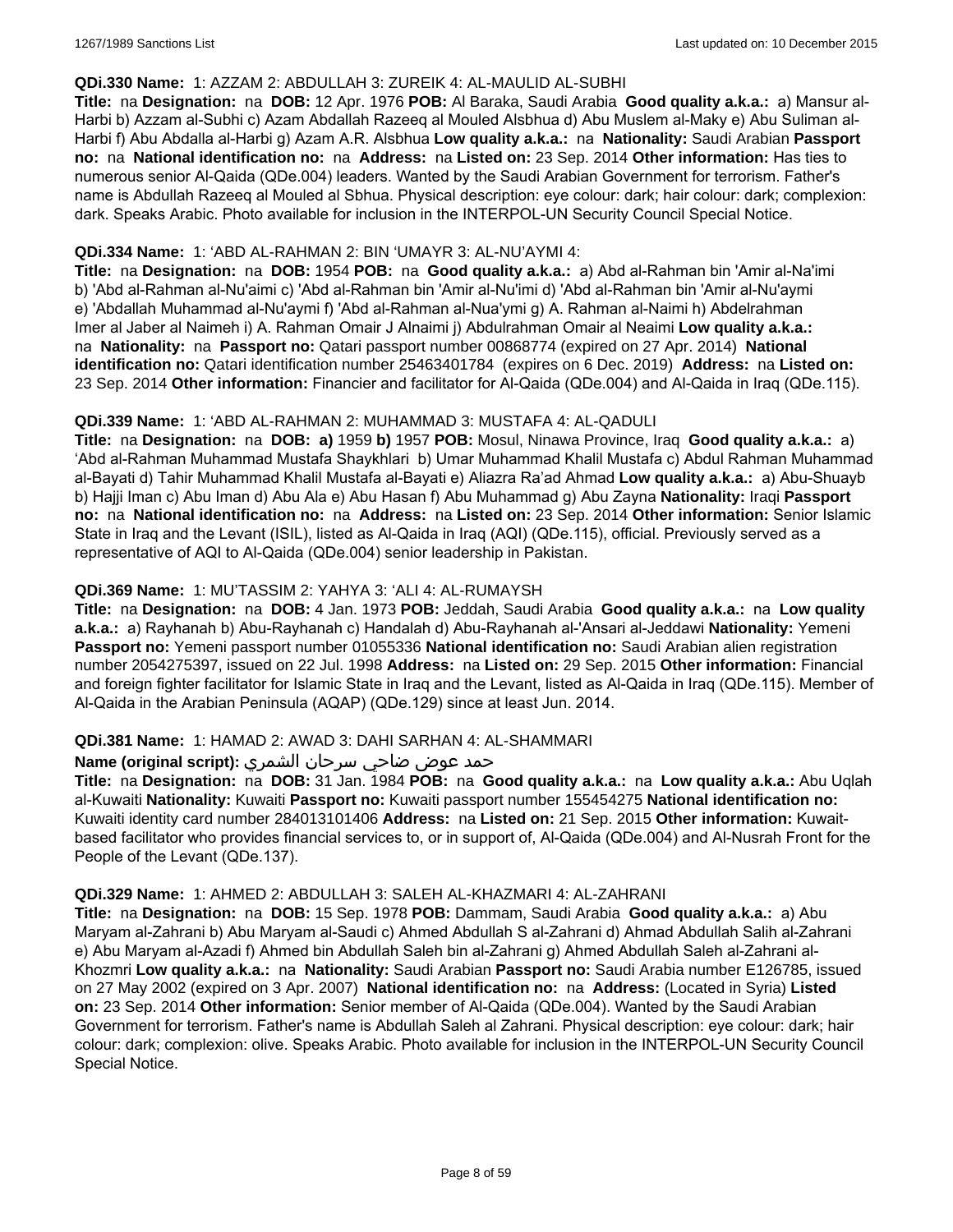#### **QDi.330 Name:** 1: AZZAM 2: ABDULLAH 3: ZUREIK 4: AL-MAULID AL-SUBHI

**Title:** na **Designation:** na **DOB:** 12 Apr. 1976 **POB:** Al Baraka, Saudi Arabia **Good quality a.k.a.:** a) Mansur al-Harbi b) Azzam al-Subhi c) Azam Abdallah Razeeq al Mouled Alsbhua d) Abu Muslem al-Maky e) Abu Suliman al-Harbi f) Abu Abdalla al-Harbi g) Azam A.R. Alsbhua **Low quality a.k.a.:** na **Nationality:** Saudi Arabian **Passport no:** na **National identification no:** na **Address:** na **Listed on:** 23 Sep. 2014 **Other information:** Has ties to numerous senior Al-Qaida (QDe.004) leaders. Wanted by the Saudi Arabian Government for terrorism. Father's name is Abdullah Razeeq al Mouled al Sbhua. Physical description: eye colour: dark; hair colour: dark; complexion: dark. Speaks Arabic. Photo available for inclusion in the INTERPOL-UN Security Council Special Notice.

### **QDi.334 Name:** 1: 'ABD AL-RAHMAN 2: BIN 'UMAYR 3: AL-NU'AYMI 4:

**Title:** na **Designation:** na **DOB:** 1954 **POB:** na **Good quality a.k.a.:** a) Abd al-Rahman bin 'Amir al-Na'imi b) 'Abd al-Rahman al-Nu'aimi c) 'Abd al-Rahman bin 'Amir al-Nu'imi d) 'Abd al-Rahman bin 'Amir al-Nu'aymi e) 'Abdallah Muhammad al-Nu'aymi f) 'Abd al-Rahman al-Nua'ymi g) A. Rahman al-Naimi h) Abdelrahman Imer al Jaber al Naimeh i) A. Rahman Omair J Alnaimi j) Abdulrahman Omair al Neaimi **Low quality a.k.a.:**  na **Nationality:** na **Passport no:** Qatari passport number 00868774 (expired on 27 Apr. 2014) **National identification no:** Qatari identification number 25463401784 (expires on 6 Dec. 2019) **Address:** na **Listed on:** 23 Sep. 2014 **Other information:** Financier and facilitator for Al-Qaida (QDe.004) and Al-Qaida in Iraq (QDe.115).

### **QDi.339 Name:** 1: 'ABD AL-RAHMAN 2: MUHAMMAD 3: MUSTAFA 4: AL-QADULI

**Title:** na **Designation:** na **DOB: a)** 1959 **b)** 1957 **POB:** Mosul, Ninawa Province, Iraq **Good quality a.k.a.:** a) 'Abd al-Rahman Muhammad Mustafa Shaykhlari b) Umar Muhammad Khalil Mustafa c) Abdul Rahman Muhammad al-Bayati d) Tahir Muhammad Khalil Mustafa al-Bayati e) Aliazra Ra'ad Ahmad **Low quality a.k.a.:** a) Abu-Shuayb b) Hajji Iman c) Abu Iman d) Abu Ala e) Abu Hasan f) Abu Muhammad g) Abu Zayna **Nationality:** Iraqi **Passport no:** na **National identification no:** na **Address:** na **Listed on:** 23 Sep. 2014 **Other information:** Senior Islamic State in Iraq and the Levant (ISIL), listed as Al-Qaida in Iraq (AQI) (QDe.115), official. Previously served as a representative of AQI to Al-Qaida (QDe.004) senior leadership in Pakistan.

### **QDi.369 Name:** 1: MU'TASSIM 2: YAHYA 3: 'ALI 4: AL-RUMAYSH

**Title:** na **Designation:** na **DOB:** 4 Jan. 1973 **POB:** Jeddah, Saudi Arabia **Good quality a.k.a.:** na **Low quality a.k.a.:** a) Rayhanah b) Abu-Rayhanah c) Handalah d) Abu-Rayhanah al-'Ansari al-Jeddawi **Nationality:** Yemeni **Passport no:** Yemeni passport number 01055336 **National identification no:** Saudi Arabian alien registration number 2054275397, issued on 22 Jul. 1998 **Address:** na **Listed on:** 29 Sep. 2015 **Other information:** Financial and foreign fighter facilitator for Islamic State in Iraq and the Levant, listed as Al-Qaida in Iraq (QDe.115). Member of Al-Qaida in the Arabian Peninsula (AQAP) (QDe.129) since at least Jun. 2014.

#### **QDi.381 Name:** 1: HAMAD 2: AWAD 3: DAHI SARHAN 4: AL-SHAMMARI

### حمد عوض ضاحي سرحان الشمري **:(script original (Name**

**Title:** na **Designation:** na **DOB:** 31 Jan. 1984 **POB:** na **Good quality a.k.a.:** na **Low quality a.k.a.:** Abu Uqlah al-Kuwaiti **Nationality:** Kuwaiti **Passport no:** Kuwaiti passport number 155454275 **National identification no:** Kuwaiti identity card number 284013101406 **Address:** na **Listed on:** 21 Sep. 2015 **Other information:** Kuwaitbased facilitator who provides financial services to, or in support of, Al-Qaida (QDe.004) and Al-Nusrah Front for the People of the Levant (QDe.137).

#### **QDi.329 Name:** 1: AHMED 2: ABDULLAH 3: SALEH AL-KHAZMARI 4: AL-ZAHRANI

**Title:** na **Designation:** na **DOB:** 15 Sep. 1978 **POB:** Dammam, Saudi Arabia **Good quality a.k.a.:** a) Abu Maryam al-Zahrani b) Abu Maryam al-Saudi c) Ahmed Abdullah S al-Zahrani d) Ahmad Abdullah Salih al-Zahrani e) Abu Maryam al-Azadi f) Ahmed bin Abdullah Saleh bin al-Zahrani g) Ahmed Abdullah Saleh al-Zahrani al-Khozmri **Low quality a.k.a.:** na **Nationality:** Saudi Arabian **Passport no:** Saudi Arabia number E126785, issued on 27 May 2002 (expired on 3 Apr. 2007) **National identification no:** na **Address:** (Located in Syria) **Listed on:** 23 Sep. 2014 **Other information:** Senior member of Al-Qaida (QDe.004). Wanted by the Saudi Arabian Government for terrorism. Father's name is Abdullah Saleh al Zahrani. Physical description: eye colour: dark; hair colour: dark; complexion: olive. Speaks Arabic. Photo available for inclusion in the INTERPOL-UN Security Council Special Notice.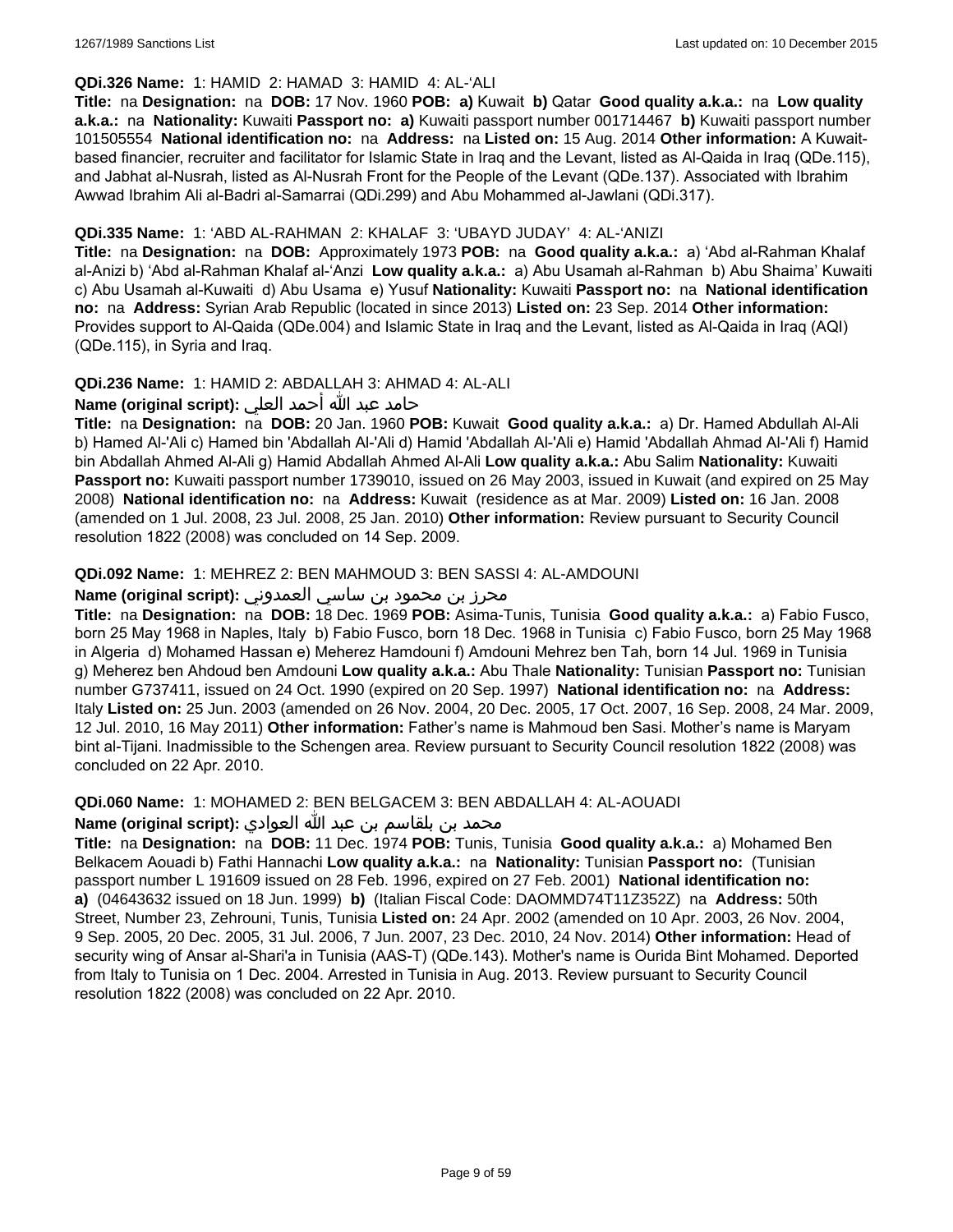### **QDi.326 Name:** 1: HAMID 2: HAMAD 3: HAMID 4: AL-'ALI

**Title:** na **Designation:** na **DOB:** 17 Nov. 1960 **POB: a)** Kuwait **b)** Qatar **Good quality a.k.a.:** na **Low quality a.k.a.:** na **Nationality:** Kuwaiti **Passport no: a)** Kuwaiti passport number 001714467 **b)** Kuwaiti passport number 101505554 **National identification no:** na **Address:** na **Listed on:** 15 Aug. 2014 **Other information:** A Kuwaitbased financier, recruiter and facilitator for Islamic State in Iraq and the Levant, listed as Al-Qaida in Iraq (QDe.115), and Jabhat al-Nusrah, listed as Al-Nusrah Front for the People of the Levant (QDe.137). Associated with Ibrahim Awwad Ibrahim Ali al-Badri al-Samarrai (QDi.299) and Abu Mohammed al-Jawlani (QDi.317).

### **QDi.335 Name:** 1: 'ABD AL-RAHMAN 2: KHALAF 3: 'UBAYD JUDAY' 4: AL-'ANIZI

**Title:** na **Designation:** na **DOB:** Approximately 1973 **POB:** na **Good quality a.k.a.:** a) 'Abd al-Rahman Khalaf al-Anizi b) 'Abd al-Rahman Khalaf al-'Anzi **Low quality a.k.a.:** a) Abu Usamah al-Rahman b) Abu Shaima' Kuwaiti c) Abu Usamah al-Kuwaiti d) Abu Usama e) Yusuf **Nationality:** Kuwaiti **Passport no:** na **National identification no:** na **Address:** Syrian Arab Republic (located in since 2013) **Listed on:** 23 Sep. 2014 **Other information:** Provides support to Al-Qaida (QDe.004) and Islamic State in Iraq and the Levant, listed as Al-Qaida in Iraq (AQI) (QDe.115), in Syria and Iraq.

### **QDi.236 Name:** 1: HAMID 2: ABDALLAH 3: AHMAD 4: AL-ALI

حامد عبد الله أحمد العلي **:(script original (Name**

**Title:** na **Designation:** na **DOB:** 20 Jan. 1960 **POB:** Kuwait **Good quality a.k.a.:** a) Dr. Hamed Abdullah Al-Ali b) Hamed Al-'Ali c) Hamed bin 'Abdallah Al-'Ali d) Hamid 'Abdallah Al-'Ali e) Hamid 'Abdallah Ahmad Al-'Ali f) Hamid bin Abdallah Ahmed Al-Ali g) Hamid Abdallah Ahmed Al-Ali **Low quality a.k.a.:** Abu Salim **Nationality:** Kuwaiti **Passport no:** Kuwaiti passport number 1739010, issued on 26 May 2003, issued in Kuwait (and expired on 25 May 2008) **National identification no:** na **Address:** Kuwait (residence as at Mar. 2009) **Listed on:** 16 Jan. 2008 (amended on 1 Jul. 2008, 23 Jul. 2008, 25 Jan. 2010) **Other information:** Review pursuant to Security Council resolution 1822 (2008) was concluded on 14 Sep. 2009.

### **QDi.092 Name:** 1: MEHREZ 2: BEN MAHMOUD 3: BEN SASSI 4: AL-AMDOUNI

### محرز بن محمود بن ساسي العمدوني **:Name (original script)**

**Title:** na **Designation:** na **DOB:** 18 Dec. 1969 **POB:** Asima-Tunis, Tunisia **Good quality a.k.a.:** a) Fabio Fusco, born 25 May 1968 in Naples, Italy b) Fabio Fusco, born 18 Dec. 1968 in Tunisia c) Fabio Fusco, born 25 May 1968 in Algeria d) Mohamed Hassan e) Meherez Hamdouni f) Amdouni Mehrez ben Tah, born 14 Jul. 1969 in Tunisia g) Meherez ben Ahdoud ben Amdouni **Low quality a.k.a.:** Abu Thale **Nationality:** Tunisian **Passport no:** Tunisian number G737411, issued on 24 Oct. 1990 (expired on 20 Sep. 1997) **National identification no:** na **Address:** Italy **Listed on:** 25 Jun. 2003 (amended on 26 Nov. 2004, 20 Dec. 2005, 17 Oct. 2007, 16 Sep. 2008, 24 Mar. 2009, 12 Jul. 2010, 16 May 2011) **Other information:** Father's name is Mahmoud ben Sasi. Mother's name is Maryam bint al-Tijani. Inadmissible to the Schengen area. Review pursuant to Security Council resolution 1822 (2008) was concluded on 22 Apr. 2010.

**QDi.060 Name:** 1: MOHAMED 2: BEN BELGACEM 3: BEN ABDALLAH 4: AL-AOUADI

محمد بن بلقاسم بن عبد الله العوادي **:Name (original script**)

**Title:** na **Designation:** na **DOB:** 11 Dec. 1974 **POB:** Tunis, Tunisia **Good quality a.k.a.:** a) Mohamed Ben Belkacem Aouadi b) Fathi Hannachi **Low quality a.k.a.:** na **Nationality:** Tunisian **Passport no:** (Tunisian passport number L 191609 issued on 28 Feb. 1996, expired on 27 Feb. 2001) **National identification no: a)** (04643632 issued on 18 Jun. 1999) **b)** (Italian Fiscal Code: DAOMMD74T11Z352Z) na **Address:** 50th Street, Number 23, Zehrouni, Tunis, Tunisia **Listed on:** 24 Apr. 2002 (amended on 10 Apr. 2003, 26 Nov. 2004, 9 Sep. 2005, 20 Dec. 2005, 31 Jul. 2006, 7 Jun. 2007, 23 Dec. 2010, 24 Nov. 2014) **Other information:** Head of security wing of Ansar al-Shari'a in Tunisia (AAS-T) (QDe.143). Mother's name is Ourida Bint Mohamed. Deported from Italy to Tunisia on 1 Dec. 2004. Arrested in Tunisia in Aug. 2013. Review pursuant to Security Council resolution 1822 (2008) was concluded on 22 Apr. 2010.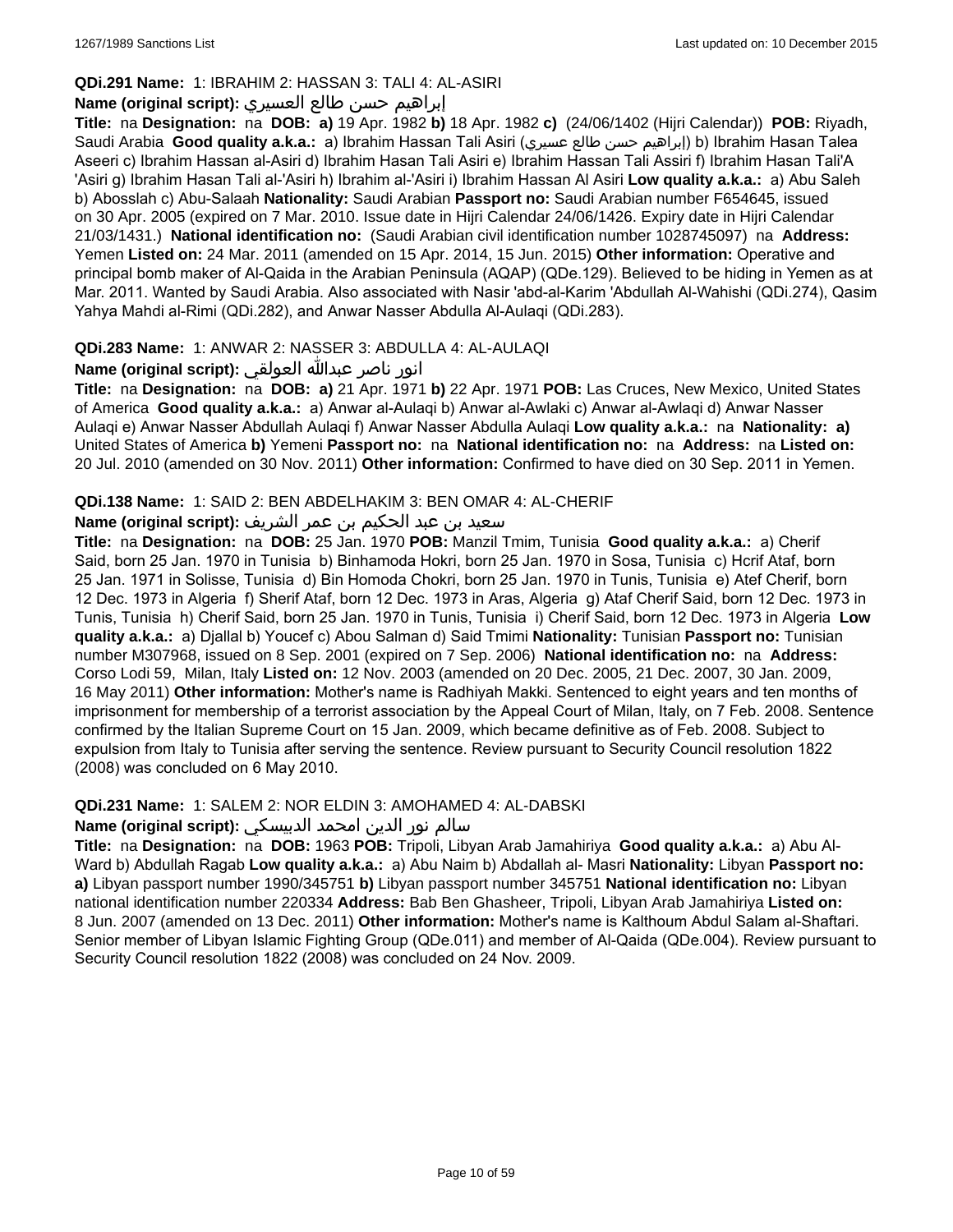### **QDi.291 Name:** 1: IBRAHIM 2: HASSAN 3: TALI 4: AL-ASIRI

# إبراهيم حسن طالع العسيري **:(script original (Name**

**Title:** na **Designation:** na **DOB: a)** 19 Apr. 1982 **b)** 18 Apr. 1982 **c)** (24/06/1402 (Hijri Calendar)) **POB:** Riyadh, Saudi Arabia **Good quality a.k.a.:** a) Ibrahim Hassan Tali Asiri (عسيري طالع حسن إبراهيم (b) Ibrahim Hasan Talea Aseeri c) Ibrahim Hassan al-Asiri d) Ibrahim Hasan Tali Asiri e) Ibrahim Hassan Tali Assiri f) Ibrahim Hasan Tali'A 'Asiri g) Ibrahim Hasan Tali al-'Asiri h) Ibrahim al-'Asiri i) Ibrahim Hassan Al Asiri **Low quality a.k.a.:** a) Abu Saleh b) Abosslah c) Abu-Salaah **Nationality:** Saudi Arabian **Passport no:** Saudi Arabian number F654645, issued on 30 Apr. 2005 (expired on 7 Mar. 2010. Issue date in Hijri Calendar 24/06/1426. Expiry date in Hijri Calendar 21/03/1431.) **National identification no:** (Saudi Arabian civil identification number 1028745097) na **Address:** Yemen **Listed on:** 24 Mar. 2011 (amended on 15 Apr. 2014, 15 Jun. 2015) **Other information:** Operative and principal bomb maker of Al-Qaida in the Arabian Peninsula (AQAP) (QDe.129). Believed to be hiding in Yemen as at Mar. 2011. Wanted by Saudi Arabia. Also associated with Nasir 'abd-al-Karim 'Abdullah Al-Wahishi (QDi.274), Qasim Yahya Mahdi al-Rimi (QDi.282), and Anwar Nasser Abdulla Al-Aulaqi (QDi.283).

### **QDi.283 Name:** 1: ANWAR 2: NASSER 3: ABDULLA 4: AL-AULAQI

انور ناصر عبدالله العولقي **:(script original (Name**

**Title:** na **Designation:** na **DOB: a)** 21 Apr. 1971 **b)** 22 Apr. 1971 **POB:** Las Cruces, New Mexico, United States of America **Good quality a.k.a.:** a) Anwar al-Aulaqi b) Anwar al-Awlaki c) Anwar al-Awlaqi d) Anwar Nasser Aulaqi e) Anwar Nasser Abdullah Aulaqi f) Anwar Nasser Abdulla Aulaqi **Low quality a.k.a.:** na **Nationality: a)** United States of America **b)** Yemeni **Passport no:** na **National identification no:** na **Address:** na **Listed on:** 20 Jul. 2010 (amended on 30 Nov. 2011) **Other information:** Confirmed to have died on 30 Sep. 2011 in Yemen.

### **QDi.138 Name:** 1: SAID 2: BEN ABDELHAKIM 3: BEN OMAR 4: AL-CHERIF

### سعيد بن عبد الحكيم بن عمر الشريف **:(script original (Name**

**Title:** na **Designation:** na **DOB:** 25 Jan. 1970 **POB:** Manzil Tmim, Tunisia **Good quality a.k.a.:** a) Cherif Said, born 25 Jan. 1970 in Tunisia b) Binhamoda Hokri, born 25 Jan. 1970 in Sosa, Tunisia c) Hcrif Ataf, born 25 Jan. 1971 in Solisse, Tunisia d) Bin Homoda Chokri, born 25 Jan. 1970 in Tunis, Tunisia e) Atef Cherif, born 12 Dec. 1973 in Algeria f) Sherif Ataf, born 12 Dec. 1973 in Aras, Algeria g) Ataf Cherif Said, born 12 Dec. 1973 in Tunis, Tunisia h) Cherif Said, born 25 Jan. 1970 in Tunis, Tunisia i) Cherif Said, born 12 Dec. 1973 in Algeria **Low quality a.k.a.:** a) Djallal b) Youcef c) Abou Salman d) Said Tmimi **Nationality:** Tunisian **Passport no:** Tunisian number M307968, issued on 8 Sep. 2001 (expired on 7 Sep. 2006) **National identification no:** na **Address:** Corso Lodi 59, Milan, Italy **Listed on:** 12 Nov. 2003 (amended on 20 Dec. 2005, 21 Dec. 2007, 30 Jan. 2009, 16 May 2011) **Other information:** Mother's name is Radhiyah Makki. Sentenced to eight years and ten months of imprisonment for membership of a terrorist association by the Appeal Court of Milan, Italy, on 7 Feb. 2008. Sentence confirmed by the Italian Supreme Court on 15 Jan. 2009, which became definitive as of Feb. 2008. Subject to expulsion from Italy to Tunisia after serving the sentence. Review pursuant to Security Council resolution 1822 (2008) was concluded on 6 May 2010.

### **QDi.231 Name:** 1: SALEM 2: NOR ELDIN 3: AMOHAMED 4: AL-DABSKI

### سالم نور الدين امحمد الدبيسكي **:Name (original script)**

**Title:** na **Designation:** na **DOB:** 1963 **POB:** Tripoli, Libyan Arab Jamahiriya **Good quality a.k.a.:** a) Abu Al-Ward b) Abdullah Ragab **Low quality a.k.a.:** a) Abu Naim b) Abdallah al- Masri **Nationality:** Libyan **Passport no: a)** Libyan passport number 1990/345751 **b)** Libyan passport number 345751 **National identification no:** Libyan national identification number 220334 **Address:** Bab Ben Ghasheer, Tripoli, Libyan Arab Jamahiriya **Listed on:** 8 Jun. 2007 (amended on 13 Dec. 2011) **Other information:** Mother's name is Kalthoum Abdul Salam al-Shaftari. Senior member of Libyan Islamic Fighting Group (QDe.011) and member of Al-Qaida (QDe.004). Review pursuant to Security Council resolution 1822 (2008) was concluded on 24 Nov. 2009.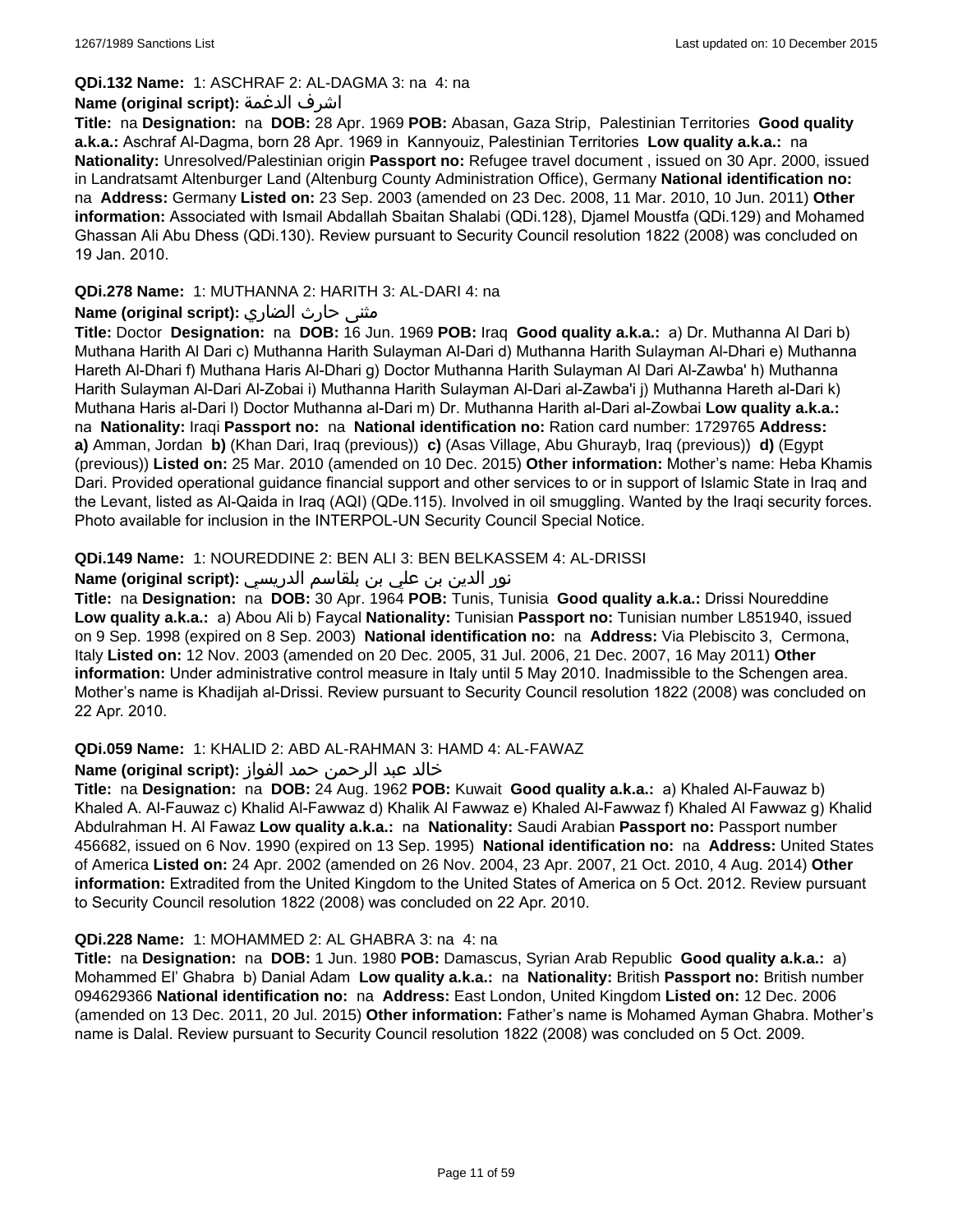#### **QDi.132 Name:** 1: ASCHRAF 2: AL-DAGMA 3: na 4: na

#### **Name (original script):** الدغمة اشرف

**Title:** na **Designation:** na **DOB:** 28 Apr. 1969 **POB:** Abasan, Gaza Strip, Palestinian Territories **Good quality a.k.a.:** Aschraf Al-Dagma, born 28 Apr. 1969 in Kannyouiz, Palestinian Territories **Low quality a.k.a.:** na **Nationality:** Unresolved/Palestinian origin **Passport no:** Refugee travel document , issued on 30 Apr. 2000, issued in Landratsamt Altenburger Land (Altenburg County Administration Office), Germany **National identification no:**  na **Address:** Germany **Listed on:** 23 Sep. 2003 (amended on 23 Dec. 2008, 11 Mar. 2010, 10 Jun. 2011) **Other information:** Associated with Ismail Abdallah Sbaitan Shalabi (QDi.128), Djamel Moustfa (QDi.129) and Mohamed Ghassan Ali Abu Dhess (QDi.130). Review pursuant to Security Council resolution 1822 (2008) was concluded on 19 Jan. 2010.

### **QDi.278 Name:** 1: MUTHANNA 2: HARITH 3: AL-DARI 4: na

### **مثنى حارث الضاري :(Name (original script**

**Title:** Doctor **Designation:** na **DOB:** 16 Jun. 1969 **POB:** Iraq **Good quality a.k.a.:** a) Dr. Muthanna Al Dari b) Muthana Harith Al Dari c) Muthanna Harith Sulayman Al-Dari d) Muthanna Harith Sulayman Al-Dhari e) Muthanna Hareth Al-Dhari f) Muthana Haris Al-Dhari g) Doctor Muthanna Harith Sulayman Al Dari Al-Zawba' h) Muthanna Harith Sulayman Al-Dari Al-Zobai i) Muthanna Harith Sulayman Al-Dari al-Zawba'i j) Muthanna Hareth al-Dari k) Muthana Haris al-Dari l) Doctor Muthanna al-Dari m) Dr. Muthanna Harith al-Dari al-Zowbai **Low quality a.k.a.:**  na **Nationality:** Iraqi **Passport no:** na **National identification no:** Ration card number: 1729765 **Address: a)** Amman, Jordan **b)** (Khan Dari, Iraq (previous)) **c)** (Asas Village, Abu Ghurayb, Iraq (previous)) **d)** (Egypt (previous)) **Listed on:** 25 Mar. 2010 (amended on 10 Dec. 2015) **Other information:** Mother's name: Heba Khamis Dari. Provided operational guidance financial support and other services to or in support of Islamic State in Iraq and the Levant, listed as Al-Qaida in Iraq (AQI) (QDe.115). Involved in oil smuggling. Wanted by the Iraqi security forces. Photo available for inclusion in the INTERPOL-UN Security Council Special Notice.

### **QDi.149 Name:** 1: NOUREDDINE 2: BEN ALI 3: BEN BELKASSEM 4: AL-DRISSI

### نور الدين بن علي بن بلقاسم الدريسي **:Name (original script)**

**Title:** na **Designation:** na **DOB:** 30 Apr. 1964 **POB:** Tunis, Tunisia **Good quality a.k.a.:** Drissi Noureddine **Low quality a.k.a.:** a) Abou Ali b) Faycal **Nationality:** Tunisian **Passport no:** Tunisian number L851940, issued on 9 Sep. 1998 (expired on 8 Sep. 2003) **National identification no:** na **Address:** Via Plebiscito 3, Cermona, Italy **Listed on:** 12 Nov. 2003 (amended on 20 Dec. 2005, 31 Jul. 2006, 21 Dec. 2007, 16 May 2011) **Other information:** Under administrative control measure in Italy until 5 May 2010. Inadmissible to the Schengen area. Mother's name is Khadijah al-Drissi. Review pursuant to Security Council resolution 1822 (2008) was concluded on 22 Apr. 2010.

### **QDi.059 Name:** 1: KHALID 2: ABD AL-RAHMAN 3: HAMD 4: AL-FAWAZ

#### خالد عبد الرحمن حمد الفواز **:(script original (Name**

**Title:** na **Designation:** na **DOB:** 24 Aug. 1962 **POB:** Kuwait **Good quality a.k.a.:** a) Khaled Al-Fauwaz b) Khaled A. Al-Fauwaz c) Khalid Al-Fawwaz d) Khalik Al Fawwaz e) Khaled Al-Fawwaz f) Khaled Al Fawwaz g) Khalid Abdulrahman H. Al Fawaz **Low quality a.k.a.:** na **Nationality:** Saudi Arabian **Passport no:** Passport number 456682, issued on 6 Nov. 1990 (expired on 13 Sep. 1995) **National identification no:** na **Address:** United States of America **Listed on:** 24 Apr. 2002 (amended on 26 Nov. 2004, 23 Apr. 2007, 21 Oct. 2010, 4 Aug. 2014) **Other information:** Extradited from the United Kingdom to the United States of America on 5 Oct. 2012. Review pursuant to Security Council resolution 1822 (2008) was concluded on 22 Apr. 2010.

#### **QDi.228 Name:** 1: MOHAMMED 2: AL GHABRA 3: na 4: na

**Title:** na **Designation:** na **DOB:** 1 Jun. 1980 **POB:** Damascus, Syrian Arab Republic **Good quality a.k.a.:** a) Mohammed El' Ghabra b) Danial Adam **Low quality a.k.a.:** na **Nationality:** British **Passport no:** British number 094629366 **National identification no:** na **Address:** East London, United Kingdom **Listed on:** 12 Dec. 2006 (amended on 13 Dec. 2011, 20 Jul. 2015) **Other information:** Father's name is Mohamed Ayman Ghabra. Mother's name is Dalal. Review pursuant to Security Council resolution 1822 (2008) was concluded on 5 Oct. 2009.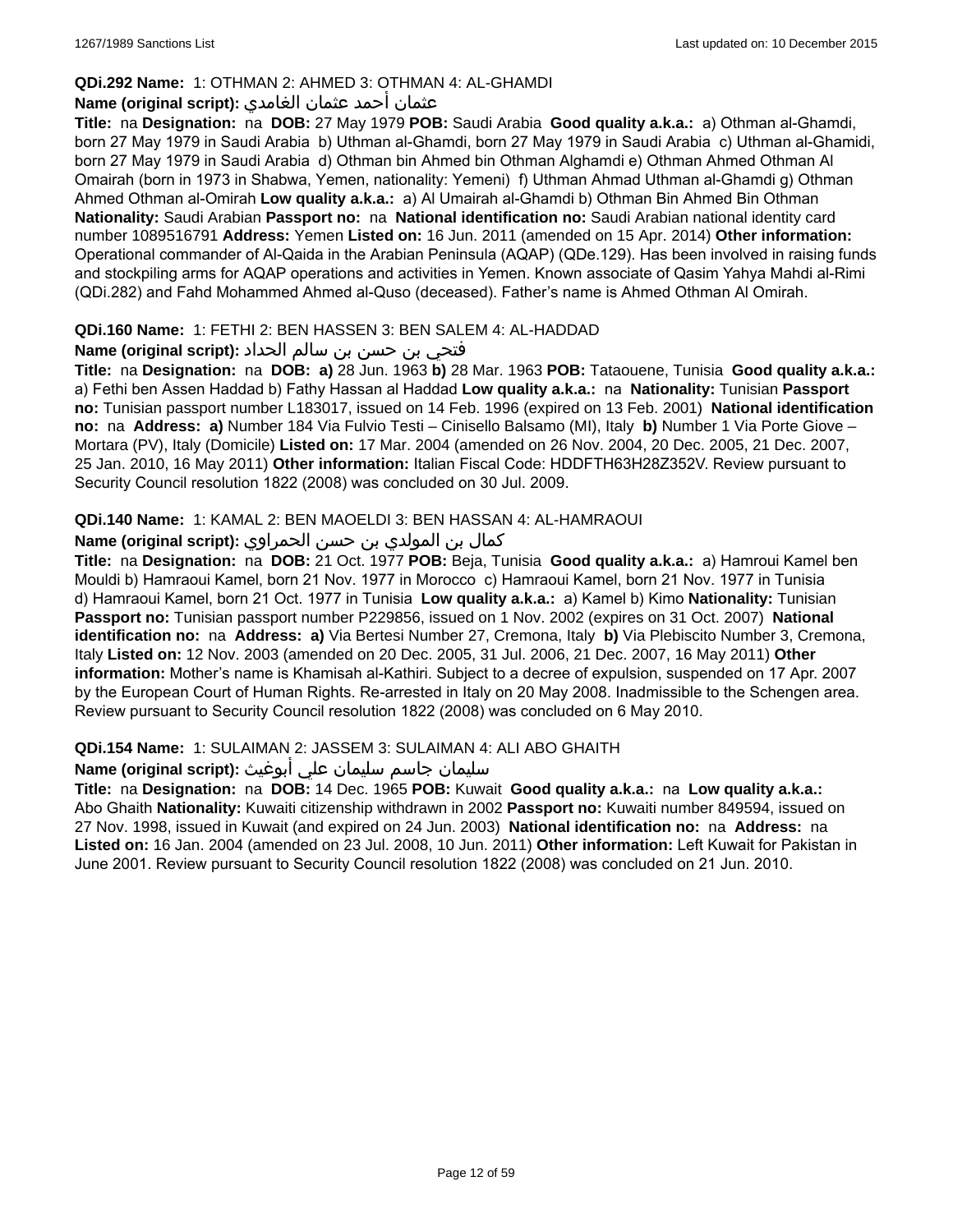### **QDi.292 Name:** 1: OTHMAN 2: AHMED 3: OTHMAN 4: AL-GHAMDI

# عثمان أحمد عثمان الغامدي **:(script original (Name**

**Title:** na **Designation:** na **DOB:** 27 May 1979 **POB:** Saudi Arabia **Good quality a.k.a.:** a) Othman al-Ghamdi, born 27 May 1979 in Saudi Arabia b) Uthman al-Ghamdi, born 27 May 1979 in Saudi Arabia c) Uthman al-Ghamidi, born 27 May 1979 in Saudi Arabia d) Othman bin Ahmed bin Othman Alghamdi e) Othman Ahmed Othman Al Omairah (born in 1973 in Shabwa, Yemen, nationality: Yemeni) f) Uthman Ahmad Uthman al-Ghamdi g) Othman Ahmed Othman al-Omirah **Low quality a.k.a.:** a) Al Umairah al-Ghamdi b) Othman Bin Ahmed Bin Othman **Nationality:** Saudi Arabian **Passport no:** na **National identification no:** Saudi Arabian national identity card number 1089516791 **Address:** Yemen **Listed on:** 16 Jun. 2011 (amended on 15 Apr. 2014) **Other information:** Operational commander of Al-Qaida in the Arabian Peninsula (AQAP) (QDe.129). Has been involved in raising funds and stockpiling arms for AQAP operations and activities in Yemen. Known associate of Qasim Yahya Mahdi al-Rimi (QDi.282) and Fahd Mohammed Ahmed al-Quso (deceased). Father's name is Ahmed Othman Al Omirah.

### **QDi.160 Name:** 1: FETHI 2: BEN HASSEN 3: BEN SALEM 4: AL-HADDAD

# فتحي بن حسن بن سالم الحداد **:(script original (Name**

**Title:** na **Designation:** na **DOB: a)** 28 Jun. 1963 **b)** 28 Mar. 1963 **POB:** Tataouene, Tunisia **Good quality a.k.a.:** a) Fethi ben Assen Haddad b) Fathy Hassan al Haddad **Low quality a.k.a.:** na **Nationality:** Tunisian **Passport no:** Tunisian passport number L183017, issued on 14 Feb. 1996 (expired on 13 Feb. 2001) **National identification no:** na **Address: a)** Number 184 Via Fulvio Testi – Cinisello Balsamo (MI), Italy **b)** Number 1 Via Porte Giove – Mortara (PV), Italy (Domicile) **Listed on:** 17 Mar. 2004 (amended on 26 Nov. 2004, 20 Dec. 2005, 21 Dec. 2007, 25 Jan. 2010, 16 May 2011) **Other information:** Italian Fiscal Code: HDDFTH63H28Z352V. Review pursuant to Security Council resolution 1822 (2008) was concluded on 30 Jul. 2009.

### **QDi.140 Name:** 1: KAMAL 2: BEN MAOELDI 3: BEN HASSAN 4: AL-HAMRAOUI

### كمال بن المولدي بن حسن الحمراوي **:Name (original script)**

**Title:** na **Designation:** na **DOB:** 21 Oct. 1977 **POB:** Beja, Tunisia **Good quality a.k.a.:** a) Hamroui Kamel ben Mouldi b) Hamraoui Kamel, born 21 Nov. 1977 in Morocco c) Hamraoui Kamel, born 21 Nov. 1977 in Tunisia d) Hamraoui Kamel, born 21 Oct. 1977 in Tunisia **Low quality a.k.a.:** a) Kamel b) Kimo **Nationality:** Tunisian **Passport no:** Tunisian passport number P229856, issued on 1 Nov. 2002 (expires on 31 Oct. 2007) **National identification no:** na **Address: a)** Via Bertesi Number 27, Cremona, Italy **b)** Via Plebiscito Number 3, Cremona, Italy **Listed on:** 12 Nov. 2003 (amended on 20 Dec. 2005, 31 Jul. 2006, 21 Dec. 2007, 16 May 2011) **Other information:** Mother's name is Khamisah al-Kathiri. Subject to a decree of expulsion, suspended on 17 Apr. 2007 by the European Court of Human Rights. Re-arrested in Italy on 20 May 2008. Inadmissible to the Schengen area. Review pursuant to Security Council resolution 1822 (2008) was concluded on 6 May 2010.

### **QDi.154 Name:** 1: SULAIMAN 2: JASSEM 3: SULAIMAN 4: ALI ABO GHAITH

### سليمان جاسم سليمان علي أبوغيث **:(script original (Name**

**Title:** na **Designation:** na **DOB:** 14 Dec. 1965 **POB:** Kuwait **Good quality a.k.a.:** na **Low quality a.k.a.:** Abo Ghaith **Nationality:** Kuwaiti citizenship withdrawn in 2002 **Passport no:** Kuwaiti number 849594, issued on 27 Nov. 1998, issued in Kuwait (and expired on 24 Jun. 2003) **National identification no:** na **Address:** na **Listed on:** 16 Jan. 2004 (amended on 23 Jul. 2008, 10 Jun. 2011) **Other information:** Left Kuwait for Pakistan in June 2001. Review pursuant to Security Council resolution 1822 (2008) was concluded on 21 Jun. 2010.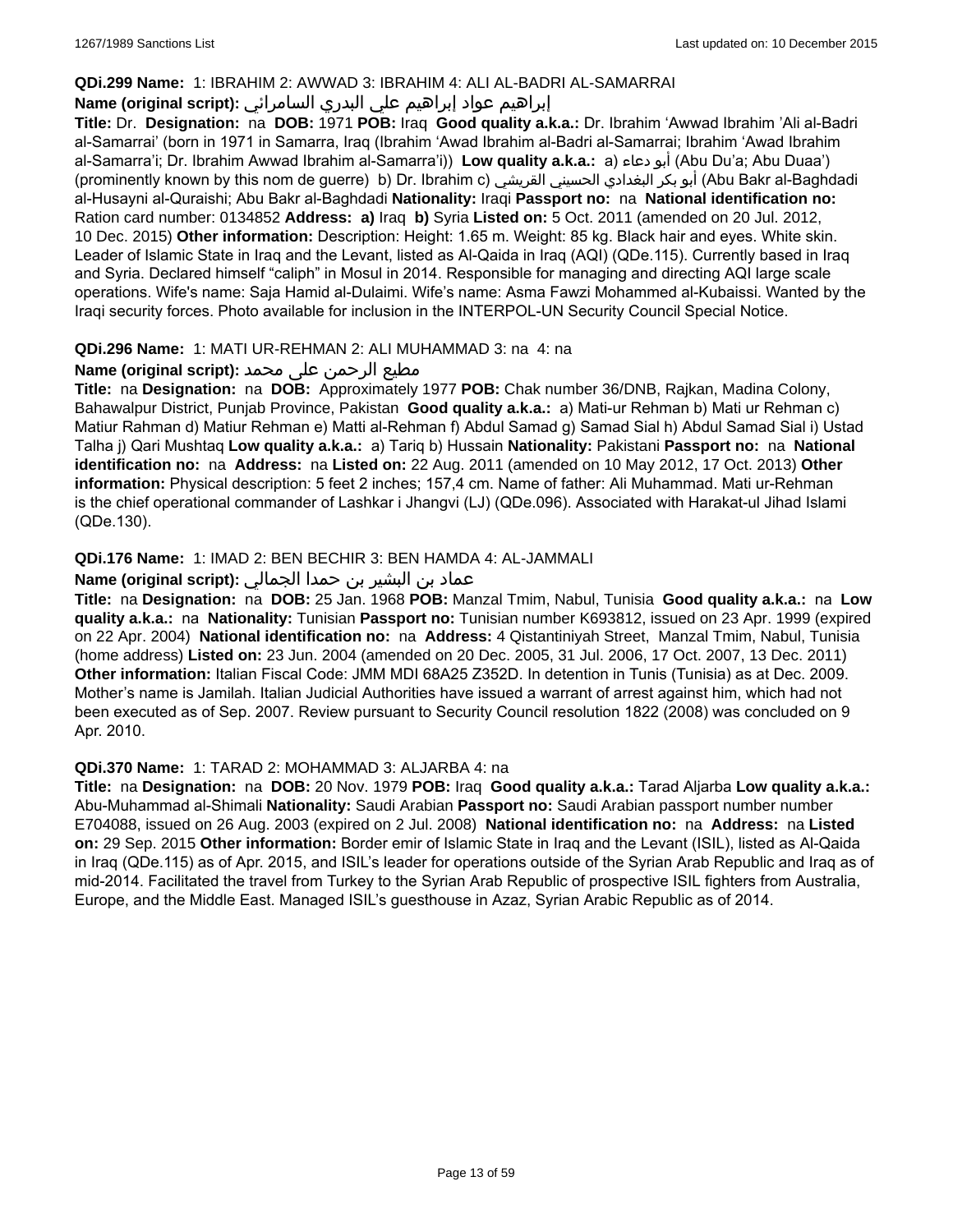### **QDi.299 Name:** 1: IBRAHIM 2: AWWAD 3: IBRAHIM 4: ALI AL-BADRI AL-SAMARRAI

### إبراهيم عواد إبراهيم علي البدري السامرائي **:(script original (Name**

**Title:** Dr. **Designation:** na **DOB:** 1971 **POB:** Iraq **Good quality a.k.a.:** Dr. Ibrahim 'Awwad Ibrahim 'Ali al-Badri al-Samarrai' (born in 1971 in Samarra, Iraq (Ibrahim 'Awad Ibrahim al-Badri al-Samarrai; Ibrahim 'Awad Ibrahim al-Samarra'i; Dr. Ibrahim Awwad Ibrahim al-Samarra'i)) **Low quality a.k.a.:** a) دعاء أبو) Abu Du'a; Abu Duaa') (prominently known by this nom de guerre) b) Dr. Ibrahim c) القريشي الحسيني البغدادي بكر أبو) Abu Bakr al-Baghdadi al-Husayni al-Quraishi; Abu Bakr al-Baghdadi **Nationality:** Iraqi **Passport no:** na **National identification no:** Ration card number: 0134852 **Address: a)** Iraq **b)** Syria **Listed on:** 5 Oct. 2011 (amended on 20 Jul. 2012, 10 Dec. 2015) **Other information:** Description: Height: 1.65 m. Weight: 85 kg. Black hair and eyes. White skin. Leader of Islamic State in Iraq and the Levant, listed as Al-Qaida in Iraq (AQI) (QDe.115). Currently based in Iraq and Syria. Declared himself "caliph" in Mosul in 2014. Responsible for managing and directing AQI large scale operations. Wife's name: Saja Hamid al-Dulaimi. Wife's name: Asma Fawzi Mohammed al-Kubaissi. Wanted by the Iraqi security forces. Photo available for inclusion in the INTERPOL-UN Security Council Special Notice.

### **QDi.296 Name:** 1: MATI UR-REHMAN 2: ALI MUHAMMAD 3: na 4: na

### مطیع الرحمن علی محمد **:Name (original script)**

**Title:** na **Designation:** na **DOB:** Approximately 1977 **POB:** Chak number 36/DNB, Rajkan, Madina Colony, Bahawalpur District, Punjab Province, Pakistan **Good quality a.k.a.:** a) Mati-ur Rehman b) Mati ur Rehman c) Matiur Rahman d) Matiur Rehman e) Matti al-Rehman f) Abdul Samad g) Samad Sial h) Abdul Samad Sial i) Ustad Talha j) Qari Mushtaq **Low quality a.k.a.:** a) Tariq b) Hussain **Nationality:** Pakistani **Passport no:** na **National identification no:** na **Address:** na **Listed on:** 22 Aug. 2011 (amended on 10 May 2012, 17 Oct. 2013) **Other information:** Physical description: 5 feet 2 inches; 157,4 cm. Name of father: Ali Muhammad. Mati ur-Rehman is the chief operational commander of Lashkar i Jhangvi (LJ) (QDe.096). Associated with Harakat-ul Jihad Islami (QDe.130).

### **QDi.176 Name:** 1: IMAD 2: BEN BECHIR 3: BEN HAMDA 4: AL-JAMMALI

### عماد بن البشير بن حمدا الجمالي **:(script original (Name**

**Title:** na **Designation:** na **DOB:** 25 Jan. 1968 **POB:** Manzal Tmim, Nabul, Tunisia **Good quality a.k.a.:** na **Low quality a.k.a.:** na **Nationality:** Tunisian **Passport no:** Tunisian number K693812, issued on 23 Apr. 1999 (expired on 22 Apr. 2004) **National identification no:** na **Address:** 4 Qistantiniyah Street, Manzal Tmim, Nabul, Tunisia (home address) **Listed on:** 23 Jun. 2004 (amended on 20 Dec. 2005, 31 Jul. 2006, 17 Oct. 2007, 13 Dec. 2011) **Other information:** Italian Fiscal Code: JMM MDI 68A25 Z352D. In detention in Tunis (Tunisia) as at Dec. 2009. Mother's name is Jamilah. Italian Judicial Authorities have issued a warrant of arrest against him, which had not been executed as of Sep. 2007. Review pursuant to Security Council resolution 1822 (2008) was concluded on 9 Apr. 2010.

#### **QDi.370 Name:** 1: TARAD 2: MOHAMMAD 3: ALJARBA 4: na

**Title:** na **Designation:** na **DOB:** 20 Nov. 1979 **POB:** Iraq **Good quality a.k.a.:** Tarad Aljarba **Low quality a.k.a.:** Abu-Muhammad al-Shimali **Nationality:** Saudi Arabian **Passport no:** Saudi Arabian passport number number E704088, issued on 26 Aug. 2003 (expired on 2 Jul. 2008) **National identification no:** na **Address:** na **Listed on:** 29 Sep. 2015 **Other information:** Border emir of Islamic State in Iraq and the Levant (ISIL), listed as Al-Qaida in Iraq (QDe.115) as of Apr. 2015, and ISIL's leader for operations outside of the Syrian Arab Republic and Iraq as of mid-2014. Facilitated the travel from Turkey to the Syrian Arab Republic of prospective ISIL fighters from Australia, Europe, and the Middle East. Managed ISIL's guesthouse in Azaz, Syrian Arabic Republic as of 2014.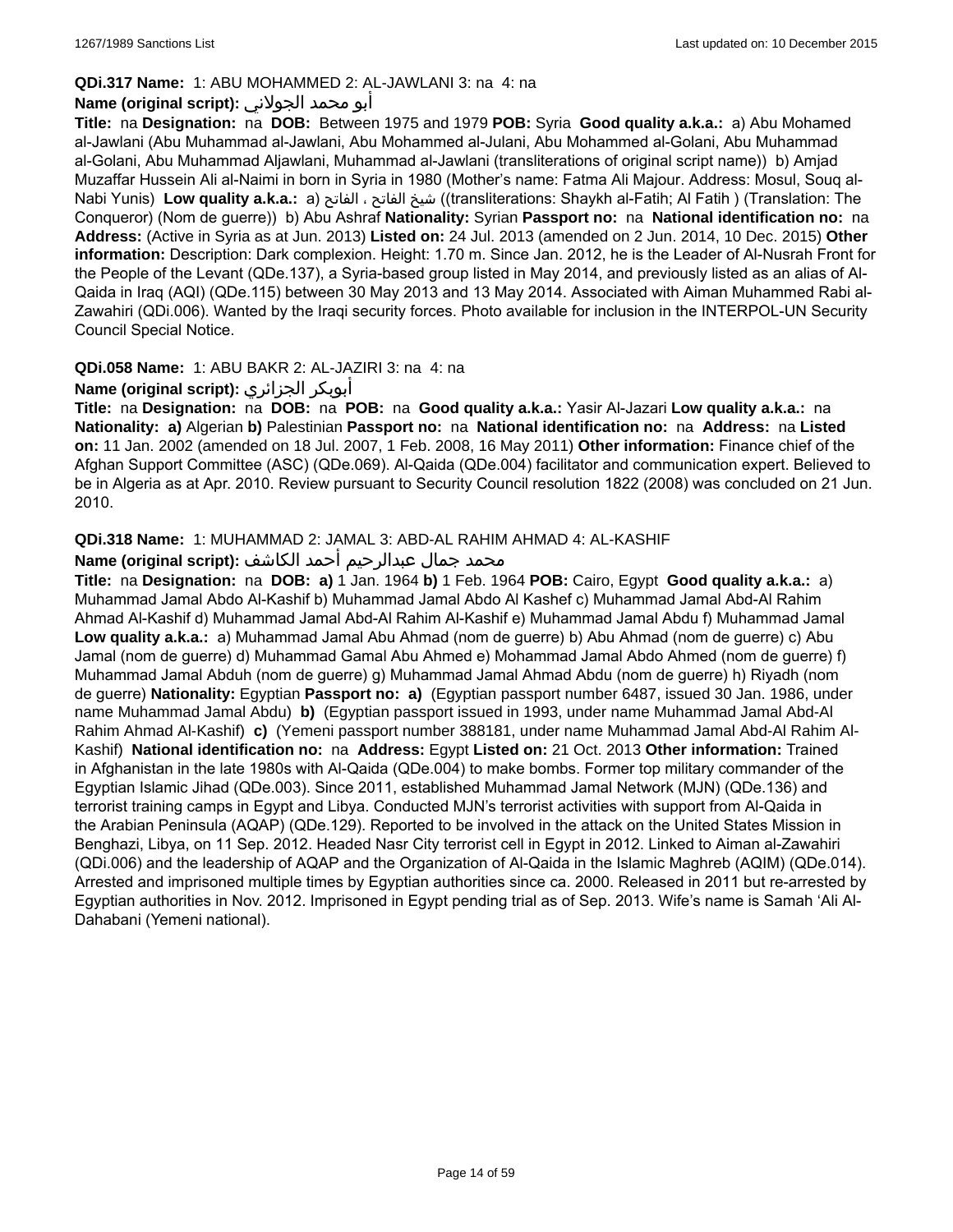### **QDi.317 Name:** 1: ABU MOHAMMED 2: AL-JAWLANI 3: na 4: na

### أبو محمد الجولاني **:(script original (Name**

**Title:** na **Designation:** na **DOB:** Between 1975 and 1979 **POB:** Syria **Good quality a.k.a.:** a) Abu Mohamed al-Jawlani (Abu Muhammad al-Jawlani, Abu Mohammed al-Julani, Abu Mohammed al-Golani, Abu Muhammad al-Golani, Abu Muhammad Aljawlani, Muhammad al-Jawlani (transliterations of original script name)) b) Amjad Muzaffar Hussein Ali al-Naimi in born in Syria in 1980 (Mother's name: Fatma Ali Majour. Address: Mosul, Souq al-Nabi Yunis) **Low quality a.k.a.:** a) الفاتح ، الفاتح شيخ)) transliterations: Shaykh al-Fatih; Al Fatih ) (Translation: The Conqueror) (Nom de guerre)) b) Abu Ashraf **Nationality:** Syrian **Passport no:** na **National identification no:** na **Address:** (Active in Syria as at Jun. 2013) **Listed on:** 24 Jul. 2013 (amended on 2 Jun. 2014, 10 Dec. 2015) **Other information:** Description: Dark complexion. Height: 1.70 m. Since Jan. 2012, he is the Leader of Al-Nusrah Front for the People of the Levant (QDe.137), a Syria-based group listed in May 2014, and previously listed as an alias of Al-Qaida in Iraq (AQI) (QDe.115) between 30 May 2013 and 13 May 2014. Associated with Aiman Muhammed Rabi al-Zawahiri (QDi.006). Wanted by the Iraqi security forces. Photo available for inclusion in the INTERPOL-UN Security Council Special Notice.

### **QDi.058 Name:** 1: ABU BAKR 2: AL-JAZIRI 3: na 4: na

### **Name (original script):** الجزائري أبوبكر

**Title:** na **Designation:** na **DOB:** na **POB:** na **Good quality a.k.a.:** Yasir Al-Jazari **Low quality a.k.a.:** na **Nationality: a)** Algerian **b)** Palestinian **Passport no:** na **National identification no:** na **Address:** na **Listed on:** 11 Jan. 2002 (amended on 18 Jul. 2007, 1 Feb. 2008, 16 May 2011) **Other information:** Finance chief of the Afghan Support Committee (ASC) (QDe.069). Al-Qaida (QDe.004) facilitator and communication expert. Believed to be in Algeria as at Apr. 2010. Review pursuant to Security Council resolution 1822 (2008) was concluded on 21 Jun. 2010.

### **QDi.318 Name:** 1: MUHAMMAD 2: JAMAL 3: ABD-AL RAHIM AHMAD 4: AL-KASHIF

### محمد جمال عبدالرحيم أحمد الكاشف **:Name (original script**)

**Title:** na **Designation:** na **DOB: a)** 1 Jan. 1964 **b)** 1 Feb. 1964 **POB:** Cairo, Egypt **Good quality a.k.a.:** a) Muhammad Jamal Abdo Al-Kashif b) Muhammad Jamal Abdo Al Kashef c) Muhammad Jamal Abd-Al Rahim Ahmad Al-Kashif d) Muhammad Jamal Abd-Al Rahim Al-Kashif e) Muhammad Jamal Abdu f) Muhammad Jamal **Low quality a.k.a.:** a) Muhammad Jamal Abu Ahmad (nom de guerre) b) Abu Ahmad (nom de guerre) c) Abu Jamal (nom de guerre) d) Muhammad Gamal Abu Ahmed e) Mohammad Jamal Abdo Ahmed (nom de guerre) f) Muhammad Jamal Abduh (nom de guerre) g) Muhammad Jamal Ahmad Abdu (nom de guerre) h) Riyadh (nom de guerre) **Nationality:** Egyptian **Passport no: a)** (Egyptian passport number 6487, issued 30 Jan. 1986, under name Muhammad Jamal Abdu) **b)** (Egyptian passport issued in 1993, under name Muhammad Jamal Abd-Al Rahim Ahmad Al-Kashif) **c)** (Yemeni passport number 388181, under name Muhammad Jamal Abd-Al Rahim Al-Kashif) **National identification no:** na **Address:** Egypt **Listed on:** 21 Oct. 2013 **Other information:** Trained in Afghanistan in the late 1980s with Al-Qaida (QDe.004) to make bombs. Former top military commander of the Egyptian Islamic Jihad (QDe.003). Since 2011, established Muhammad Jamal Network (MJN) (QDe.136) and terrorist training camps in Egypt and Libya. Conducted MJN's terrorist activities with support from Al-Qaida in the Arabian Peninsula (AQAP) (QDe.129). Reported to be involved in the attack on the United States Mission in Benghazi, Libya, on 11 Sep. 2012. Headed Nasr City terrorist cell in Egypt in 2012. Linked to Aiman al-Zawahiri (QDi.006) and the leadership of AQAP and the Organization of Al-Qaida in the Islamic Maghreb (AQIM) (QDe.014). Arrested and imprisoned multiple times by Egyptian authorities since ca. 2000. Released in 2011 but re-arrested by Egyptian authorities in Nov. 2012. Imprisoned in Egypt pending trial as of Sep. 2013. Wife's name is Samah 'Ali Al-Dahabani (Yemeni national).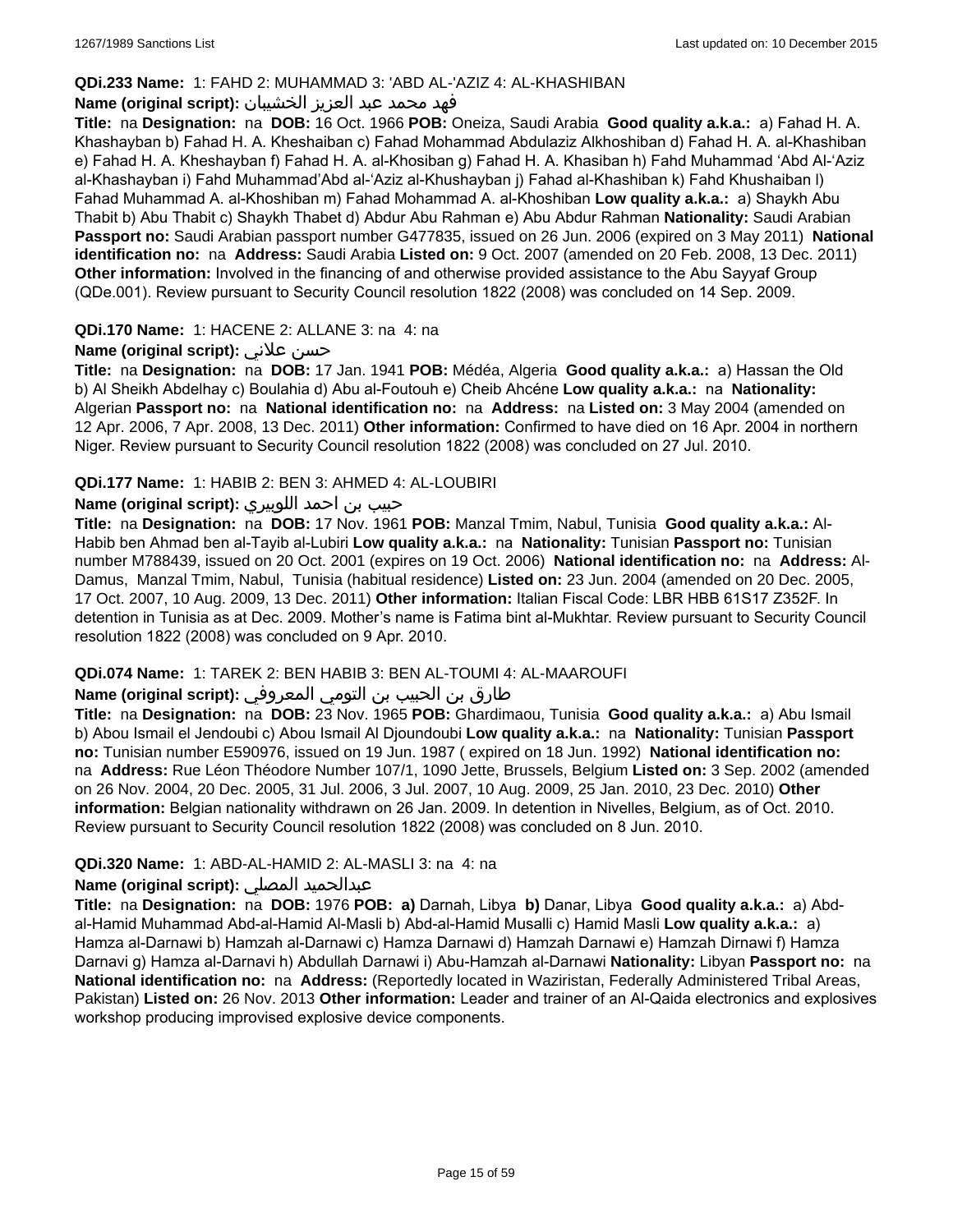### **QDi.233 Name:** 1: FAHD 2: MUHAMMAD 3: 'ABD AL-'AZIZ 4: AL-KHASHIBAN

### فهد محمد عبد العزيز الخشيبان **:(script original (Name**

**Title:** na **Designation:** na **DOB:** 16 Oct. 1966 **POB:** Oneiza, Saudi Arabia **Good quality a.k.a.:** a) Fahad H. A. Khashayban b) Fahad H. A. Kheshaiban c) Fahad Mohammad Abdulaziz Alkhoshiban d) Fahad H. A. al-Khashiban e) Fahad H. A. Kheshayban f) Fahad H. A. al-Khosiban g) Fahad H. A. Khasiban h) Fahd Muhammad 'Abd Al-'Aziz al-Khashayban i) Fahd Muhammad'Abd al-'Aziz al-Khushayban j) Fahad al-Khashiban k) Fahd Khushaiban l) Fahad Muhammad A. al-Khoshiban m) Fahad Mohammad A. al-Khoshiban **Low quality a.k.a.:** a) Shaykh Abu Thabit b) Abu Thabit c) Shaykh Thabet d) Abdur Abu Rahman e) Abu Abdur Rahman **Nationality:** Saudi Arabian **Passport no:** Saudi Arabian passport number G477835, issued on 26 Jun. 2006 (expired on 3 May 2011) **National identification no:** na **Address:** Saudi Arabia **Listed on:** 9 Oct. 2007 (amended on 20 Feb. 2008, 13 Dec. 2011) **Other information:** Involved in the financing of and otherwise provided assistance to the Abu Sayyaf Group (QDe.001). Review pursuant to Security Council resolution 1822 (2008) was concluded on 14 Sep. 2009.

### **QDi.170 Name:** 1: HACENE 2: ALLANE 3: na 4: na

### **Name (original script):** علاني حسن

**Title:** na **Designation:** na **DOB:** 17 Jan. 1941 **POB:** Médéa, Algeria **Good quality a.k.a.:** a) Hassan the Old b) Al Sheikh Abdelhay c) Boulahia d) Abu al-Foutouh e) Cheib Ahcéne **Low quality a.k.a.:** na **Nationality:** Algerian **Passport no:** na **National identification no:** na **Address:** na **Listed on:** 3 May 2004 (amended on 12 Apr. 2006, 7 Apr. 2008, 13 Dec. 2011) **Other information:** Confirmed to have died on 16 Apr. 2004 in northern Niger. Review pursuant to Security Council resolution 1822 (2008) was concluded on 27 Jul. 2010.

### **QDi.177 Name:** 1: HABIB 2: BEN 3: AHMED 4: AL-LOUBIRI

# حبيب بن احمد اللوبيري **:(script original (Name**

**Title:** na **Designation:** na **DOB:** 17 Nov. 1961 **POB:** Manzal Tmim, Nabul, Tunisia **Good quality a.k.a.:** Al-Habib ben Ahmad ben al-Tayib al-Lubiri **Low quality a.k.a.:** na **Nationality:** Tunisian **Passport no:** Tunisian number M788439, issued on 20 Oct. 2001 (expires on 19 Oct. 2006) **National identification no:** na **Address:** Al-Damus, Manzal Tmim, Nabul, Tunisia (habitual residence) **Listed on:** 23 Jun. 2004 (amended on 20 Dec. 2005, 17 Oct. 2007, 10 Aug. 2009, 13 Dec. 2011) **Other information:** Italian Fiscal Code: LBR HBB 61S17 Z352F. In detention in Tunisia as at Dec. 2009. Mother's name is Fatima bint al-Mukhtar. Review pursuant to Security Council resolution 1822 (2008) was concluded on 9 Apr. 2010.

#### **QDi.074 Name:** 1: TAREK 2: BEN HABIB 3: BEN AL-TOUMI 4: AL-MAAROUFI

#### طارق بن الحبيب بن التومي المعروفي **:Name (original script)**

**Title:** na **Designation:** na **DOB:** 23 Nov. 1965 **POB:** Ghardimaou, Tunisia **Good quality a.k.a.:** a) Abu Ismail b) Abou Ismail el Jendoubi c) Abou Ismail Al Djoundoubi **Low quality a.k.a.:** na **Nationality:** Tunisian **Passport no:** Tunisian number E590976, issued on 19 Jun. 1987 ( expired on 18 Jun. 1992) **National identification no:**  na **Address:** Rue Léon Théodore Number 107/1, 1090 Jette, Brussels, Belgium **Listed on:** 3 Sep. 2002 (amended on 26 Nov. 2004, 20 Dec. 2005, 31 Jul. 2006, 3 Jul. 2007, 10 Aug. 2009, 25 Jan. 2010, 23 Dec. 2010) **Other information:** Belgian nationality withdrawn on 26 Jan. 2009. In detention in Nivelles, Belgium, as of Oct. 2010. Review pursuant to Security Council resolution 1822 (2008) was concluded on 8 Jun. 2010.

### **QDi.320 Name:** 1: ABD-AL-HAMID 2: AL-MASLI 3: na 4: na

#### **Name (original script):** المصلي عبدالحميد

**Title:** na **Designation:** na **DOB:** 1976 **POB: a)** Darnah, Libya **b)** Danar, Libya **Good quality a.k.a.:** a) Abdal-Hamid Muhammad Abd-al-Hamid Al-Masli b) Abd-al-Hamid Musalli c) Hamid Masli **Low quality a.k.a.:** a) Hamza al-Darnawi b) Hamzah al-Darnawi c) Hamza Darnawi d) Hamzah Darnawi e) Hamzah Dirnawi f) Hamza Darnavi g) Hamza al-Darnavi h) Abdullah Darnawi i) Abu-Hamzah al-Darnawi **Nationality:** Libyan **Passport no:** na **National identification no:** na **Address:** (Reportedly located in Waziristan, Federally Administered Tribal Areas, Pakistan) **Listed on:** 26 Nov. 2013 **Other information:** Leader and trainer of an Al-Qaida electronics and explosives workshop producing improvised explosive device components.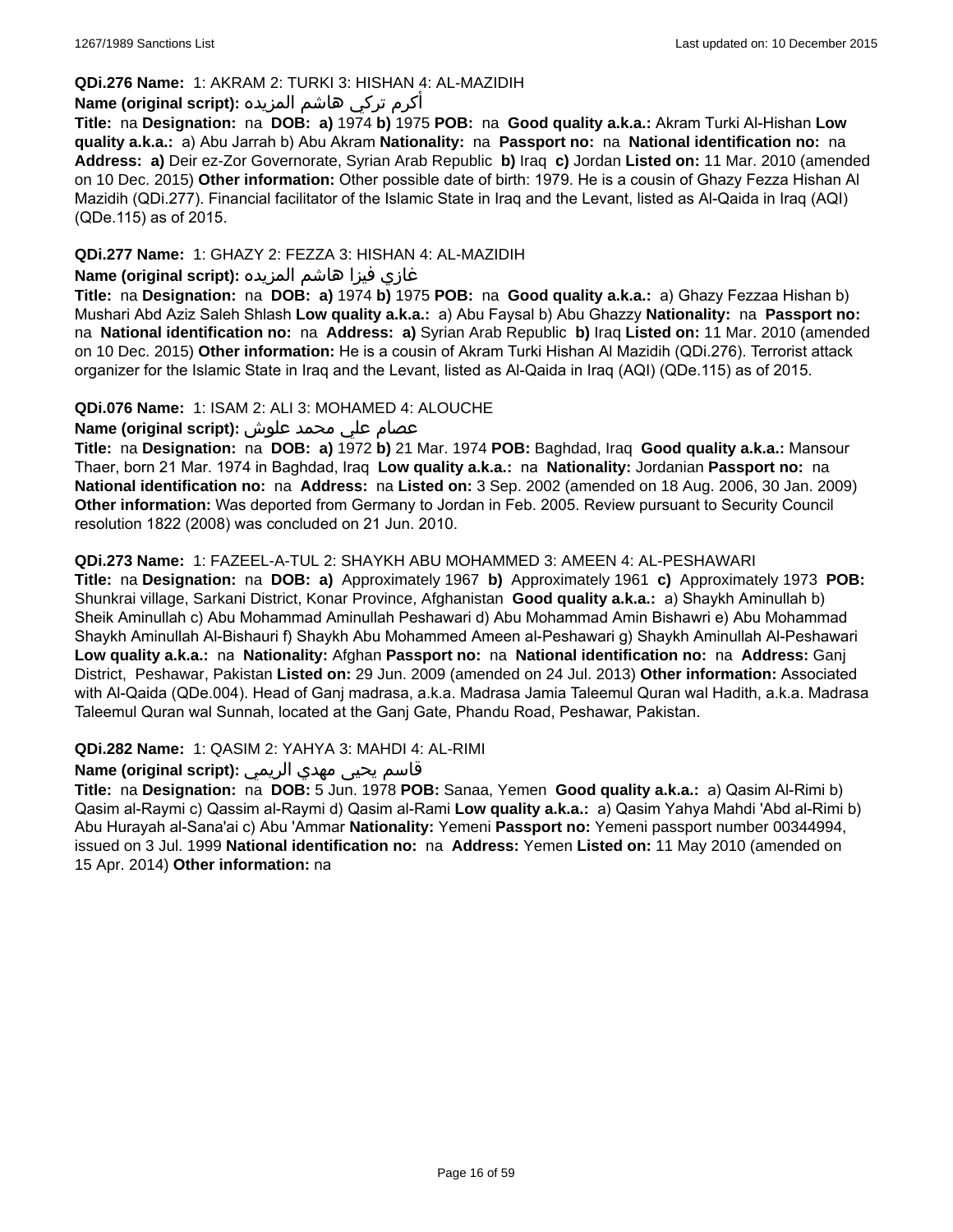### **QDi.276 Name:** 1: AKRAM 2: TURKI 3: HISHAN 4: AL-MAZIDIH

# أكرم تركي هاشم المزيده **:(script original (Name**

**Title:** na **Designation:** na **DOB: a)** 1974 **b)** 1975 **POB:** na **Good quality a.k.a.:** Akram Turki Al-Hishan **Low quality a.k.a.:** a) Abu Jarrah b) Abu Akram **Nationality:** na **Passport no:** na **National identification no:** na **Address: a)** Deir ez-Zor Governorate, Syrian Arab Republic **b)** Iraq **c)** Jordan **Listed on:** 11 Mar. 2010 (amended on 10 Dec. 2015) **Other information:** Other possible date of birth: 1979. He is a cousin of Ghazy Fezza Hishan Al Mazidih (QDi.277). Financial facilitator of the Islamic State in Iraq and the Levant, listed as Al-Qaida in Iraq (AQI) (QDe.115) as of 2015.

### **QDi.277 Name:** 1: GHAZY 2: FEZZA 3: HISHAN 4: AL-MAZIDIH

# غازي فيزا هاشم المزيده **:(script original (Name**

**Title:** na **Designation:** na **DOB: a)** 1974 **b)** 1975 **POB:** na **Good quality a.k.a.:** a) Ghazy Fezzaa Hishan b) Mushari Abd Aziz Saleh Shlash **Low quality a.k.a.:** a) Abu Faysal b) Abu Ghazzy **Nationality:** na **Passport no:**  na **National identification no:** na **Address: a)** Syrian Arab Republic **b)** Iraq **Listed on:** 11 Mar. 2010 (amended on 10 Dec. 2015) **Other information:** He is a cousin of Akram Turki Hishan Al Mazidih (QDi.276). Terrorist attack organizer for the Islamic State in Iraq and the Levant, listed as Al-Qaida in Iraq (AQI) (QDe.115) as of 2015.

### **QDi.076 Name:** 1: ISAM 2: ALI 3: MOHAMED 4: ALOUCHE

### عصام علي محمد علوش **:(script original (Name**

**Title:** na **Designation:** na **DOB: a)** 1972 **b)** 21 Mar. 1974 **POB:** Baghdad, Iraq **Good quality a.k.a.:** Mansour Thaer, born 21 Mar. 1974 in Baghdad, Iraq **Low quality a.k.a.:** na **Nationality:** Jordanian **Passport no:** na **National identification no:** na **Address:** na **Listed on:** 3 Sep. 2002 (amended on 18 Aug. 2006, 30 Jan. 2009) **Other information:** Was deported from Germany to Jordan in Feb. 2005. Review pursuant to Security Council resolution 1822 (2008) was concluded on 21 Jun. 2010.

### **QDi.273 Name:** 1: FAZEEL-A-TUL 2: SHAYKH ABU MOHAMMED 3: AMEEN 4: AL-PESHAWARI

**Title:** na **Designation:** na **DOB: a)** Approximately 1967 **b)** Approximately 1961 **c)** Approximately 1973 **POB:** Shunkrai village, Sarkani District, Konar Province, Afghanistan **Good quality a.k.a.:** a) Shaykh Aminullah b) Sheik Aminullah c) Abu Mohammad Aminullah Peshawari d) Abu Mohammad Amin Bishawri e) Abu Mohammad Shaykh Aminullah Al-Bishauri f) Shaykh Abu Mohammed Ameen al-Peshawari g) Shaykh Aminullah Al-Peshawari **Low quality a.k.a.:** na **Nationality:** Afghan **Passport no:** na **National identification no:** na **Address:** Ganj District, Peshawar, Pakistan **Listed on:** 29 Jun. 2009 (amended on 24 Jul. 2013) **Other information:** Associated with Al-Qaida (QDe.004). Head of Ganj madrasa, a.k.a. Madrasa Jamia Taleemul Quran wal Hadith, a.k.a. Madrasa Taleemul Quran wal Sunnah, located at the Ganj Gate, Phandu Road, Peshawar, Pakistan.

**QDi.282 Name:** 1: QASIM 2: YAHYA 3: MAHDI 4: AL-RIMI

### قاسم يحيى مهدي الريمي **:(script original (Name**

**Title:** na **Designation:** na **DOB:** 5 Jun. 1978 **POB:** Sanaa, Yemen **Good quality a.k.a.:** a) Qasim Al-Rimi b) Qasim al-Raymi c) Qassim al-Raymi d) Qasim al-Rami **Low quality a.k.a.:** a) Qasim Yahya Mahdi 'Abd al-Rimi b) Abu Hurayah al-Sana'ai c) Abu 'Ammar **Nationality:** Yemeni **Passport no:** Yemeni passport number 00344994, issued on 3 Jul. 1999 **National identification no:** na **Address:** Yemen **Listed on:** 11 May 2010 (amended on 15 Apr. 2014) **Other information:** na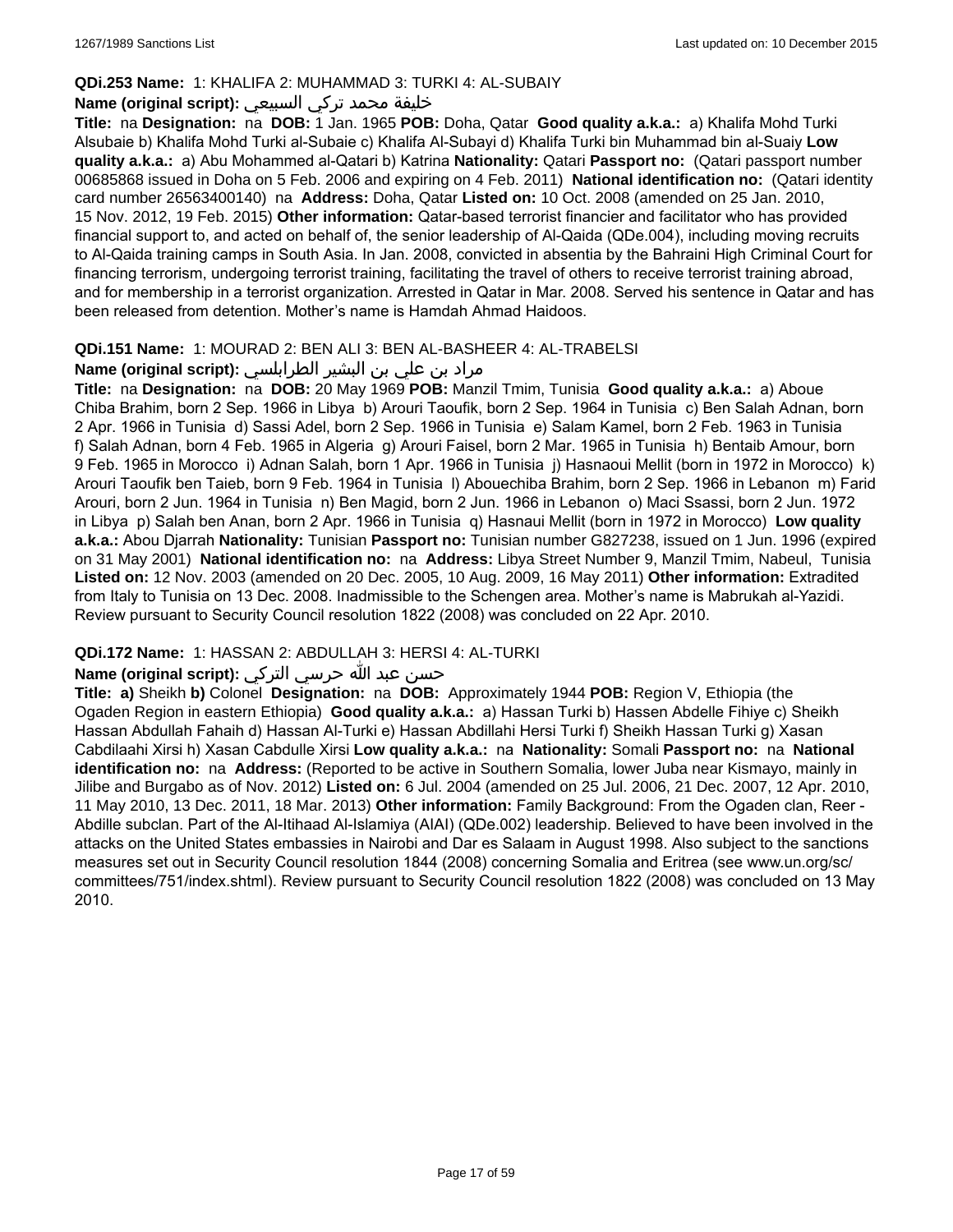### **QDi.253 Name:** 1: KHALIFA 2: MUHAMMAD 3: TURKI 4: AL-SUBAIY

### خليفة محمد تركي السبيعي **:(script original (Name**

**Title:** na **Designation:** na **DOB:** 1 Jan. 1965 **POB:** Doha, Qatar **Good quality a.k.a.:** a) Khalifa Mohd Turki Alsubaie b) Khalifa Mohd Turki al-Subaie c) Khalifa Al-Subayi d) Khalifa Turki bin Muhammad bin al-Suaiy **Low quality a.k.a.:** a) Abu Mohammed al-Qatari b) Katrina **Nationality:** Qatari **Passport no:** (Qatari passport number 00685868 issued in Doha on 5 Feb. 2006 and expiring on 4 Feb. 2011) **National identification no:** (Qatari identity card number 26563400140) na **Address:** Doha, Qatar **Listed on:** 10 Oct. 2008 (amended on 25 Jan. 2010, 15 Nov. 2012, 19 Feb. 2015) **Other information:** Qatar-based terrorist financier and facilitator who has provided financial support to, and acted on behalf of, the senior leadership of Al-Qaida (QDe.004), including moving recruits to Al-Qaida training camps in South Asia. In Jan. 2008, convicted in absentia by the Bahraini High Criminal Court for financing terrorism, undergoing terrorist training, facilitating the travel of others to receive terrorist training abroad, and for membership in a terrorist organization. Arrested in Qatar in Mar. 2008. Served his sentence in Qatar and has been released from detention. Mother's name is Hamdah Ahmad Haidoos.

### **QDi.151 Name:** 1: MOURAD 2: BEN ALI 3: BEN AL-BASHEER 4: AL-TRABELSI

# مراد بن علي بن البشير الطرابلسي **:(script original (Name**

**Title:** na **Designation:** na **DOB:** 20 May 1969 **POB:** Manzil Tmim, Tunisia **Good quality a.k.a.:** a) Aboue Chiba Brahim, born 2 Sep. 1966 in Libya b) Arouri Taoufik, born 2 Sep. 1964 in Tunisia c) Ben Salah Adnan, born 2 Apr. 1966 in Tunisia d) Sassi Adel, born 2 Sep. 1966 in Tunisia e) Salam Kamel, born 2 Feb. 1963 in Tunisia f) Salah Adnan, born 4 Feb. 1965 in Algeria g) Arouri Faisel, born 2 Mar. 1965 in Tunisia h) Bentaib Amour, born 9 Feb. 1965 in Morocco i) Adnan Salah, born 1 Apr. 1966 in Tunisia j) Hasnaoui Mellit (born in 1972 in Morocco) k) Arouri Taoufik ben Taieb, born 9 Feb. 1964 in Tunisia l) Abouechiba Brahim, born 2 Sep. 1966 in Lebanon m) Farid Arouri, born 2 Jun. 1964 in Tunisia n) Ben Magid, born 2 Jun. 1966 in Lebanon o) Maci Ssassi, born 2 Jun. 1972 in Libya p) Salah ben Anan, born 2 Apr. 1966 in Tunisia q) Hasnaui Mellit (born in 1972 in Morocco) **Low quality a.k.a.:** Abou Djarrah **Nationality:** Tunisian **Passport no:** Tunisian number G827238, issued on 1 Jun. 1996 (expired on 31 May 2001) **National identification no:** na **Address:** Libya Street Number 9, Manzil Tmim, Nabeul, Tunisia **Listed on:** 12 Nov. 2003 (amended on 20 Dec. 2005, 10 Aug. 2009, 16 May 2011) **Other information:** Extradited from Italy to Tunisia on 13 Dec. 2008. Inadmissible to the Schengen area. Mother's name is Mabrukah al-Yazidi. Review pursuant to Security Council resolution 1822 (2008) was concluded on 22 Apr. 2010.

### **QDi.172 Name:** 1: HASSAN 2: ABDULLAH 3: HERSI 4: AL-TURKI

# حسن عبد الله حرسي التركي **:(script original (Name**

**Title: a)** Sheikh **b)** Colonel **Designation:** na **DOB:** Approximately 1944 **POB:** Region V, Ethiopia (the Ogaden Region in eastern Ethiopia) **Good quality a.k.a.:** a) Hassan Turki b) Hassen Abdelle Fihiye c) Sheikh Hassan Abdullah Fahaih d) Hassan Al-Turki e) Hassan Abdillahi Hersi Turki f) Sheikh Hassan Turki g) Xasan Cabdilaahi Xirsi h) Xasan Cabdulle Xirsi **Low quality a.k.a.:** na **Nationality:** Somali **Passport no:** na **National identification no:** na **Address:** (Reported to be active in Southern Somalia, lower Juba near Kismayo, mainly in Jilibe and Burgabo as of Nov. 2012) **Listed on:** 6 Jul. 2004 (amended on 25 Jul. 2006, 21 Dec. 2007, 12 Apr. 2010, 11 May 2010, 13 Dec. 2011, 18 Mar. 2013) **Other information:** Family Background: From the Ogaden clan, Reer - Abdille subclan. Part of the Al-Itihaad Al-Islamiya (AIAI) (QDe.002) leadership. Believed to have been involved in the attacks on the United States embassies in Nairobi and Dar es Salaam in August 1998. Also subject to the sanctions measures set out in Security Council resolution 1844 (2008) concerning Somalia and Eritrea (see www.un.org/sc/ committees/751/index.shtml). Review pursuant to Security Council resolution 1822 (2008) was concluded on 13 May 2010.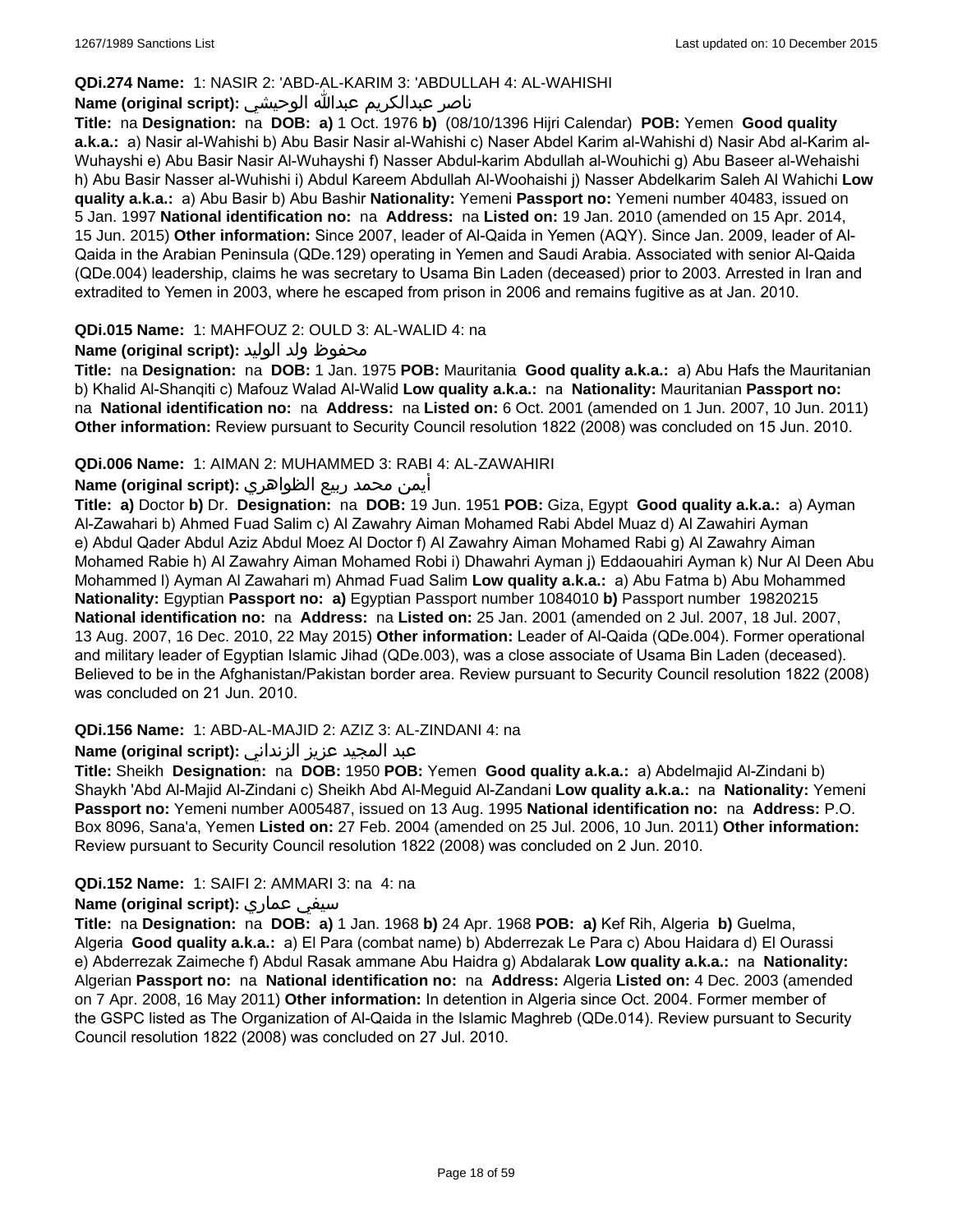### **QDi.274 Name:** 1: NASIR 2: 'ABD-AL-KARIM 3: 'ABDULLAH 4: AL-WAHISHI

# ناصر عبدالكريم عبدالله الوحيشي **:(script original (Name**

**Title:** na **Designation:** na **DOB: a)** 1 Oct. 1976 **b)** (08/10/1396 Hijri Calendar) **POB:** Yemen **Good quality a.k.a.:** a) Nasir al-Wahishi b) Abu Basir Nasir al-Wahishi c) Naser Abdel Karim al-Wahishi d) Nasir Abd al-Karim al-Wuhayshi e) Abu Basir Nasir Al-Wuhayshi f) Nasser Abdul-karim Abdullah al-Wouhichi g) Abu Baseer al-Wehaishi h) Abu Basir Nasser al-Wuhishi i) Abdul Kareem Abdullah Al-Woohaishi j) Nasser Abdelkarim Saleh Al Wahichi **Low quality a.k.a.:** a) Abu Basir b) Abu Bashir **Nationality:** Yemeni **Passport no:** Yemeni number 40483, issued on 5 Jan. 1997 **National identification no:** na **Address:** na **Listed on:** 19 Jan. 2010 (amended on 15 Apr. 2014, 15 Jun. 2015) **Other information:** Since 2007, leader of Al-Qaida in Yemen (AQY). Since Jan. 2009, leader of Al-Qaida in the Arabian Peninsula (QDe.129) operating in Yemen and Saudi Arabia. Associated with senior Al-Qaida (QDe.004) leadership, claims he was secretary to Usama Bin Laden (deceased) prior to 2003. Arrested in Iran and extradited to Yemen in 2003, where he escaped from prison in 2006 and remains fugitive as at Jan. 2010.

### **QDi.015 Name:** 1: MAHFOUZ 2: OULD 3: AL-WALID 4: na

### محفوظ ولد الوليد **:**(Name (original script

**Title:** na **Designation:** na **DOB:** 1 Jan. 1975 **POB:** Mauritania **Good quality a.k.a.:** a) Abu Hafs the Mauritanian b) Khalid Al-Shanqiti c) Mafouz Walad Al-Walid **Low quality a.k.a.:** na **Nationality:** Mauritanian **Passport no:**  na **National identification no:** na **Address:** na **Listed on:** 6 Oct. 2001 (amended on 1 Jun. 2007, 10 Jun. 2011) **Other information:** Review pursuant to Security Council resolution 1822 (2008) was concluded on 15 Jun. 2010.

### **QDi.006 Name:** 1: AIMAN 2: MUHAMMED 3: RABI 4: AL-ZAWAHIRI

### أيمن محمد ربيع الظواهري **:(script original (Name**

**Title: a)** Doctor **b)** Dr. **Designation:** na **DOB:** 19 Jun. 1951 **POB:** Giza, Egypt **Good quality a.k.a.:** a) Ayman Al-Zawahari b) Ahmed Fuad Salim c) Al Zawahry Aiman Mohamed Rabi Abdel Muaz d) Al Zawahiri Ayman e) Abdul Qader Abdul Aziz Abdul Moez Al Doctor f) Al Zawahry Aiman Mohamed Rabi g) Al Zawahry Aiman Mohamed Rabie h) Al Zawahry Aiman Mohamed Robi i) Dhawahri Ayman j) Eddaouahiri Ayman k) Nur Al Deen Abu Mohammed l) Ayman Al Zawahari m) Ahmad Fuad Salim **Low quality a.k.a.:** a) Abu Fatma b) Abu Mohammed **Nationality:** Egyptian **Passport no: a)** Egyptian Passport number 1084010 **b)** Passport number 19820215 **National identification no:** na **Address:** na **Listed on:** 25 Jan. 2001 (amended on 2 Jul. 2007, 18 Jul. 2007, 13 Aug. 2007, 16 Dec. 2010, 22 May 2015) **Other information:** Leader of Al-Qaida (QDe.004). Former operational and military leader of Egyptian Islamic Jihad (QDe.003), was a close associate of Usama Bin Laden (deceased). Believed to be in the Afghanistan/Pakistan border area. Review pursuant to Security Council resolution 1822 (2008) was concluded on 21 Jun. 2010.

### **QDi.156 Name:** 1: ABD-AL-MAJID 2: AZIZ 3: AL-ZINDANI 4: na

### عبد المجيد عزيز الزنداني **:(script original (Name**

**Title:** Sheikh **Designation:** na **DOB:** 1950 **POB:** Yemen **Good quality a.k.a.:** a) Abdelmajid Al-Zindani b) Shaykh 'Abd Al-Majid Al-Zindani c) Sheikh Abd Al-Meguid Al-Zandani **Low quality a.k.a.:** na **Nationality:** Yemeni **Passport no:** Yemeni number A005487, issued on 13 Aug. 1995 **National identification no:** na **Address:** P.O. Box 8096, Sana'a, Yemen **Listed on:** 27 Feb. 2004 (amended on 25 Jul. 2006, 10 Jun. 2011) **Other information:** Review pursuant to Security Council resolution 1822 (2008) was concluded on 2 Jun. 2010.

#### **QDi.152 Name:** 1: SAIFI 2: AMMARI 3: na 4: na

#### **Name (original script):** عماري سيفي

**Title:** na **Designation:** na **DOB: a)** 1 Jan. 1968 **b)** 24 Apr. 1968 **POB: a)** Kef Rih, Algeria **b)** Guelma, Algeria **Good quality a.k.a.:** a) El Para (combat name) b) Abderrezak Le Para c) Abou Haidara d) El Ourassi e) Abderrezak Zaimeche f) Abdul Rasak ammane Abu Haidra g) Abdalarak **Low quality a.k.a.:** na **Nationality:** Algerian **Passport no:** na **National identification no:** na **Address:** Algeria **Listed on:** 4 Dec. 2003 (amended on 7 Apr. 2008, 16 May 2011) **Other information:** In detention in Algeria since Oct. 2004. Former member of the GSPC listed as The Organization of Al-Qaida in the Islamic Maghreb (QDe.014). Review pursuant to Security Council resolution 1822 (2008) was concluded on 27 Jul. 2010.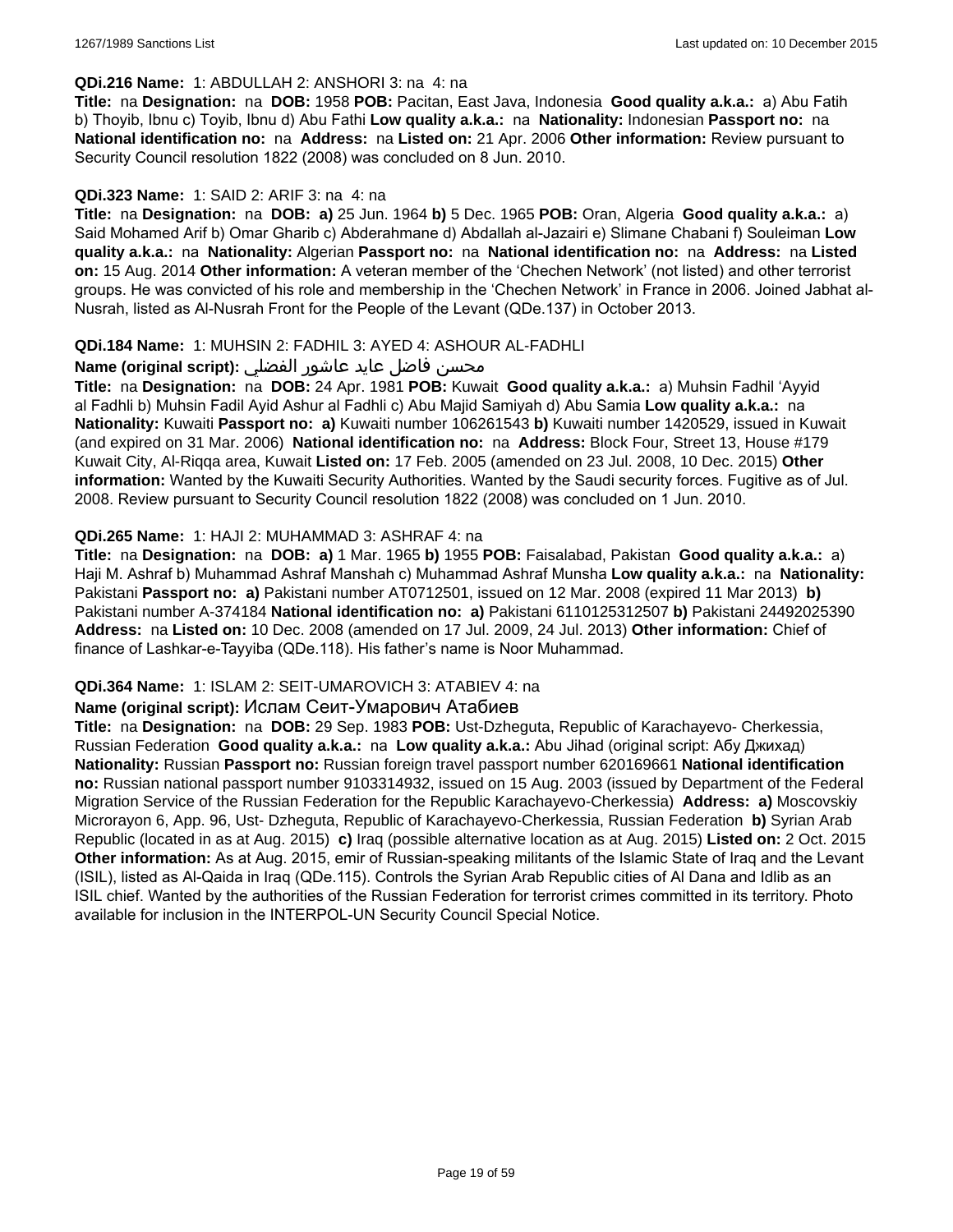#### **QDi.216 Name:** 1: ABDULLAH 2: ANSHORI 3: na 4: na

**Title:** na **Designation:** na **DOB:** 1958 **POB:** Pacitan, East Java, Indonesia **Good quality a.k.a.:** a) Abu Fatih b) Thoyib, Ibnu c) Toyib, Ibnu d) Abu Fathi **Low quality a.k.a.:** na **Nationality:** Indonesian **Passport no:** na **National identification no:** na **Address:** na **Listed on:** 21 Apr. 2006 **Other information:** Review pursuant to Security Council resolution 1822 (2008) was concluded on 8 Jun. 2010.

### **QDi.323 Name:** 1: SAID 2: ARIF 3: na 4: na

**Title:** na **Designation:** na **DOB: a)** 25 Jun. 1964 **b)** 5 Dec. 1965 **POB:** Oran, Algeria **Good quality a.k.a.:** a) Said Mohamed Arif b) Omar Gharib c) Abderahmane d) Abdallah al-Jazairi e) Slimane Chabani f) Souleiman **Low quality a.k.a.:** na **Nationality:** Algerian **Passport no:** na **National identification no:** na **Address:** na **Listed on:** 15 Aug. 2014 **Other information:** A veteran member of the 'Chechen Network' (not listed) and other terrorist groups. He was convicted of his role and membership in the 'Chechen Network' in France in 2006. Joined Jabhat al-Nusrah, listed as Al-Nusrah Front for the People of the Levant (QDe.137) in October 2013.

### **QDi.184 Name:** 1: MUHSIN 2: FADHIL 3: AYED 4: ASHOUR AL-FADHLI

### محسن فاضل عايد عاشور الفضلي **:Name (original script**)

**Title:** na **Designation:** na **DOB:** 24 Apr. 1981 **POB:** Kuwait **Good quality a.k.a.:** a) Muhsin Fadhil 'Ayyid al Fadhli b) Muhsin Fadil Ayid Ashur al Fadhli c) Abu Majid Samiyah d) Abu Samia **Low quality a.k.a.:** na **Nationality:** Kuwaiti **Passport no: a)** Kuwaiti number 106261543 **b)** Kuwaiti number 1420529, issued in Kuwait (and expired on 31 Mar. 2006) **National identification no:** na **Address:** Block Four, Street 13, House #179 Kuwait City, Al-Riqqa area, Kuwait **Listed on:** 17 Feb. 2005 (amended on 23 Jul. 2008, 10 Dec. 2015) **Other information:** Wanted by the Kuwaiti Security Authorities. Wanted by the Saudi security forces. Fugitive as of Jul. 2008. Review pursuant to Security Council resolution 1822 (2008) was concluded on 1 Jun. 2010.

### **QDi.265 Name:** 1: HAJI 2: MUHAMMAD 3: ASHRAF 4: na

**Title:** na **Designation:** na **DOB: a)** 1 Mar. 1965 **b)** 1955 **POB:** Faisalabad, Pakistan **Good quality a.k.a.:** a) Haji M. Ashraf b) Muhammad Ashraf Manshah c) Muhammad Ashraf Munsha **Low quality a.k.a.:** na **Nationality:** Pakistani **Passport no: a)** Pakistani number AT0712501, issued on 12 Mar. 2008 (expired 11 Mar 2013) **b)** Pakistani number A-374184 **National identification no: a)** Pakistani 6110125312507 **b)** Pakistani 24492025390 **Address:** na **Listed on:** 10 Dec. 2008 (amended on 17 Jul. 2009, 24 Jul. 2013) **Other information:** Chief of finance of Lashkar-e-Tayyiba (QDe.118). His father's name is Noor Muhammad.

#### **QDi.364 Name:** 1: ISLAM 2: SEIT-UMAROVICH 3: ATABIEV 4: na

#### **Name (original script):** Ислам Сеит-Умарович Атабиев

**Title:** na **Designation:** na **DOB:** 29 Sep. 1983 **POB:** Ust-Dzheguta, Republic of Karachayevo- Cherkessia, Russian Federation **Good quality a.k.a.:** na **Low quality a.k.a.:** Abu Jihad (original script: Абу Джихад) **Nationality:** Russian **Passport no:** Russian foreign travel passport number 620169661 **National identification no:** Russian national passport number 9103314932, issued on 15 Aug. 2003 (issued by Department of the Federal Migration Service of the Russian Federation for the Republic Karachayevo-Cherkessia) **Address: a)** Moscovskiy Microrayon 6, App. 96, Ust- Dzheguta, Republic of Karachayevo-Cherkessia, Russian Federation **b)** Syrian Arab Republic (located in as at Aug. 2015) **c)** Iraq (possible alternative location as at Aug. 2015) **Listed on:** 2 Oct. 2015 **Other information:** As at Aug. 2015, emir of Russian-speaking militants of the Islamic State of Iraq and the Levant (ISIL), listed as Al-Qaida in Iraq (QDe.115). Controls the Syrian Arab Republic cities of Al Dana and Idlib as an ISIL chief. Wanted by the authorities of the Russian Federation for terrorist crimes committed in its territory. Photo available for inclusion in the INTERPOL-UN Security Council Special Notice.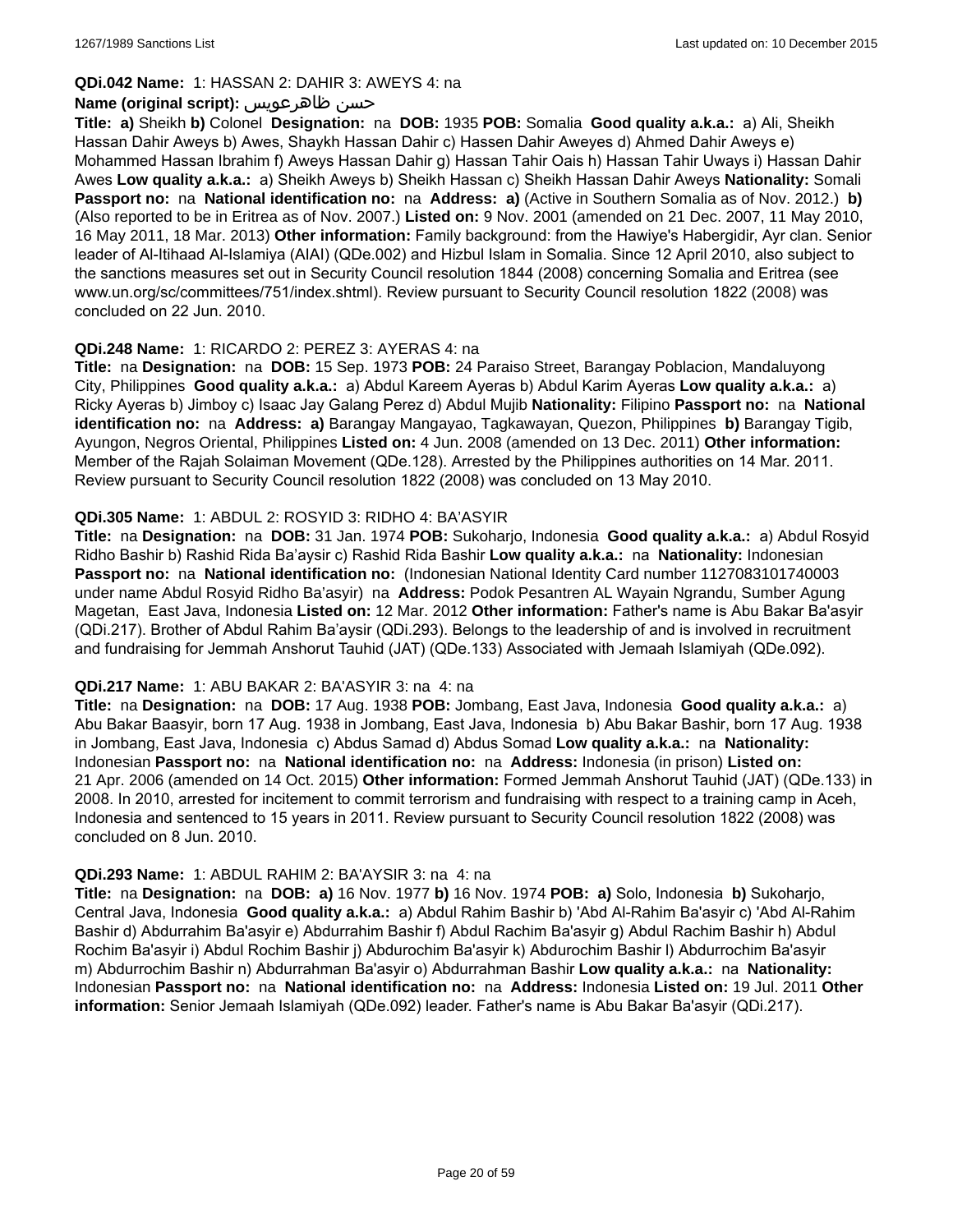### **QDi.042 Name:** 1: HASSAN 2: DAHIR 3: AWEYS 4: na

### **Name (original script):** ظاهرعويس حسن

**Title: a)** Sheikh **b)** Colonel **Designation:** na **DOB:** 1935 **POB:** Somalia **Good quality a.k.a.:** a) Ali, Sheikh Hassan Dahir Aweys b) Awes, Shaykh Hassan Dahir c) Hassen Dahir Aweyes d) Ahmed Dahir Aweys e) Mohammed Hassan Ibrahim f) Aweys Hassan Dahir g) Hassan Tahir Oais h) Hassan Tahir Uways i) Hassan Dahir Awes **Low quality a.k.a.:** a) Sheikh Aweys b) Sheikh Hassan c) Sheikh Hassan Dahir Aweys **Nationality:** Somali **Passport no:** na **National identification no:** na **Address: a)** (Active in Southern Somalia as of Nov. 2012.) **b)** (Also reported to be in Eritrea as of Nov. 2007.) **Listed on:** 9 Nov. 2001 (amended on 21 Dec. 2007, 11 May 2010, 16 May 2011, 18 Mar. 2013) **Other information:** Family background: from the Hawiye's Habergidir, Ayr clan. Senior leader of Al-Itihaad Al-Islamiya (AIAI) (QDe.002) and Hizbul Islam in Somalia. Since 12 April 2010, also subject to the sanctions measures set out in Security Council resolution 1844 (2008) concerning Somalia and Eritrea (see www.un.org/sc/committees/751/index.shtml). Review pursuant to Security Council resolution 1822 (2008) was concluded on 22 Jun. 2010.

### **QDi.248 Name:** 1: RICARDO 2: PEREZ 3: AYERAS 4: na

**Title:** na **Designation:** na **DOB:** 15 Sep. 1973 **POB:** 24 Paraiso Street, Barangay Poblacion, Mandaluyong City, Philippines **Good quality a.k.a.:** a) Abdul Kareem Ayeras b) Abdul Karim Ayeras **Low quality a.k.a.:** a) Ricky Ayeras b) Jimboy c) Isaac Jay Galang Perez d) Abdul Mujib **Nationality:** Filipino **Passport no:** na **National identification no:** na **Address: a)** Barangay Mangayao, Tagkawayan, Quezon, Philippines **b)** Barangay Tigib, Ayungon, Negros Oriental, Philippines **Listed on:** 4 Jun. 2008 (amended on 13 Dec. 2011) **Other information:** Member of the Rajah Solaiman Movement (QDe.128). Arrested by the Philippines authorities on 14 Mar. 2011. Review pursuant to Security Council resolution 1822 (2008) was concluded on 13 May 2010.

### **QDi.305 Name:** 1: ABDUL 2: ROSYID 3: RIDHO 4: BA'ASYIR

**Title:** na **Designation:** na **DOB:** 31 Jan. 1974 **POB:** Sukoharjo, Indonesia **Good quality a.k.a.:** a) Abdul Rosyid Ridho Bashir b) Rashid Rida Ba'aysir c) Rashid Rida Bashir **Low quality a.k.a.:** na **Nationality:** Indonesian **Passport no:** na **National identification no:** (Indonesian National Identity Card number 1127083101740003 under name Abdul Rosyid Ridho Ba'asyir) na **Address:** Podok Pesantren AL Wayain Ngrandu, Sumber Agung Magetan, East Java, Indonesia **Listed on:** 12 Mar. 2012 **Other information:** Father's name is Abu Bakar Ba'asyir (QDi.217). Brother of Abdul Rahim Ba'aysir (QDi.293). Belongs to the leadership of and is involved in recruitment and fundraising for Jemmah Anshorut Tauhid (JAT) (QDe.133) Associated with Jemaah Islamiyah (QDe.092).

#### **QDi.217 Name:** 1: ABU BAKAR 2: BA'ASYIR 3: na 4: na

**Title:** na **Designation:** na **DOB:** 17 Aug. 1938 **POB:** Jombang, East Java, Indonesia **Good quality a.k.a.:** a) Abu Bakar Baasyir, born 17 Aug. 1938 in Jombang, East Java, Indonesia b) Abu Bakar Bashir, born 17 Aug. 1938 in Jombang, East Java, Indonesia c) Abdus Samad d) Abdus Somad **Low quality a.k.a.:** na **Nationality:** Indonesian **Passport no:** na **National identification no:** na **Address:** Indonesia (in prison) **Listed on:** 21 Apr. 2006 (amended on 14 Oct. 2015) **Other information:** Formed Jemmah Anshorut Tauhid (JAT) (QDe.133) in 2008. In 2010, arrested for incitement to commit terrorism and fundraising with respect to a training camp in Aceh, Indonesia and sentenced to 15 years in 2011. Review pursuant to Security Council resolution 1822 (2008) was concluded on 8 Jun. 2010.

### **QDi.293 Name:** 1: ABDUL RAHIM 2: BA'AYSIR 3: na 4: na

**Title:** na **Designation:** na **DOB: a)** 16 Nov. 1977 **b)** 16 Nov. 1974 **POB: a)** Solo, Indonesia **b)** Sukoharjo, Central Java, Indonesia **Good quality a.k.a.:** a) Abdul Rahim Bashir b) 'Abd Al-Rahim Ba'asyir c) 'Abd Al-Rahim Bashir d) Abdurrahim Ba'asyir e) Abdurrahim Bashir f) Abdul Rachim Ba'asyir g) Abdul Rachim Bashir h) Abdul Rochim Ba'asyir i) Abdul Rochim Bashir j) Abdurochim Ba'asyir k) Abdurochim Bashir l) Abdurrochim Ba'asyir m) Abdurrochim Bashir n) Abdurrahman Ba'asyir o) Abdurrahman Bashir **Low quality a.k.a.:** na **Nationality:** Indonesian **Passport no:** na **National identification no:** na **Address:** Indonesia **Listed on:** 19 Jul. 2011 **Other information:** Senior Jemaah Islamiyah (QDe.092) leader. Father's name is Abu Bakar Ba'asyir (QDi.217).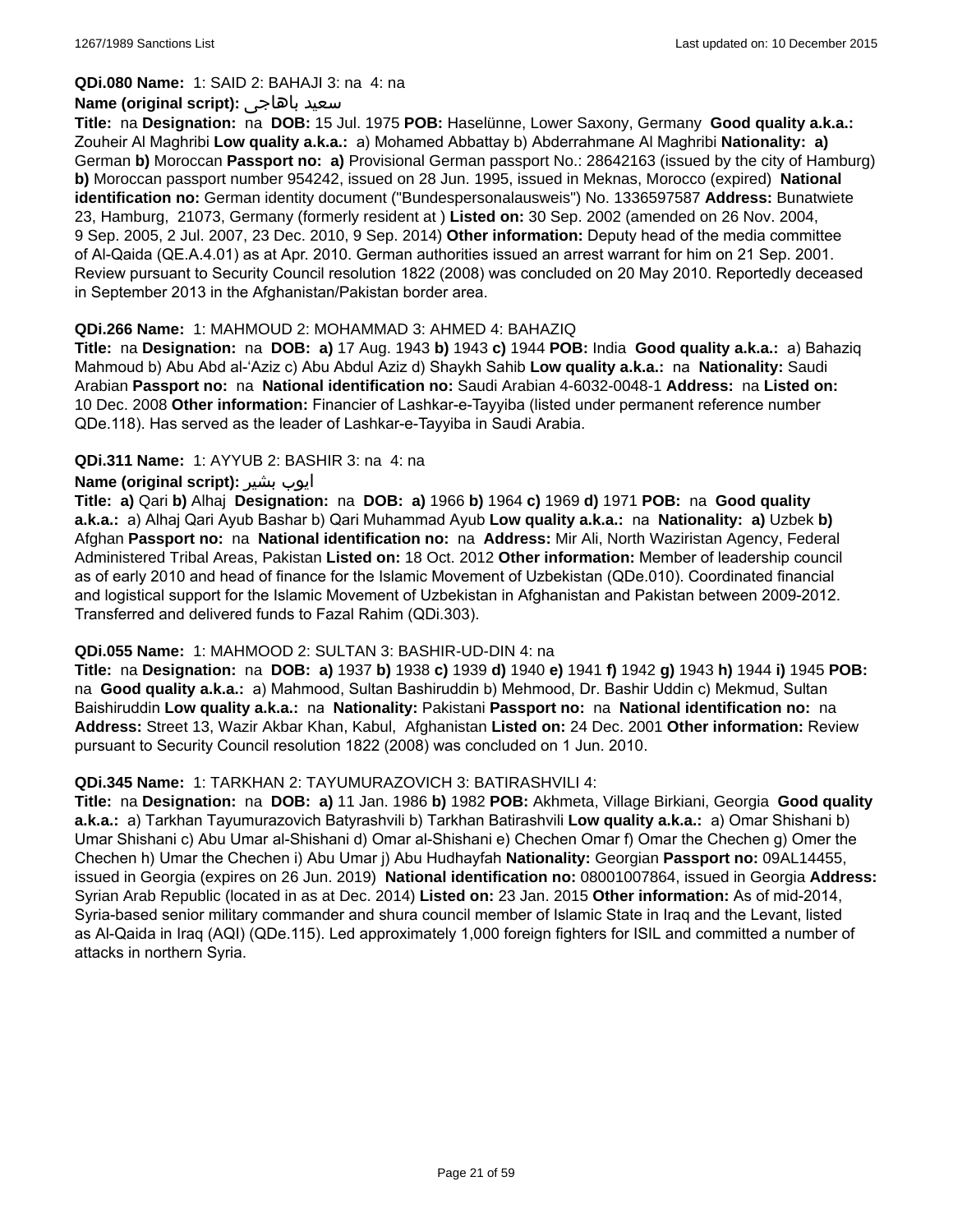#### **QDi.080 Name:** 1: SAID 2: BAHAJI 3: na 4: na

#### **Name (original script):** باهاجى سعيد

**Title:** na **Designation:** na **DOB:** 15 Jul. 1975 **POB:** Haselünne, Lower Saxony, Germany **Good quality a.k.a.:** Zouheir Al Maghribi **Low quality a.k.a.:** a) Mohamed Abbattay b) Abderrahmane Al Maghribi **Nationality: a)** German **b)** Moroccan **Passport no: a)** Provisional German passport No.: 28642163 (issued by the city of Hamburg) **b)** Moroccan passport number 954242, issued on 28 Jun. 1995, issued in Meknas, Morocco (expired) **National identification no:** German identity document ("Bundespersonalausweis") No. 1336597587 **Address:** Bunatwiete 23, Hamburg, 21073, Germany (formerly resident at ) **Listed on:** 30 Sep. 2002 (amended on 26 Nov. 2004, 9 Sep. 2005, 2 Jul. 2007, 23 Dec. 2010, 9 Sep. 2014) **Other information:** Deputy head of the media committee of Al-Qaida (QE.A.4.01) as at Apr. 2010. German authorities issued an arrest warrant for him on 21 Sep. 2001. Review pursuant to Security Council resolution 1822 (2008) was concluded on 20 May 2010. Reportedly deceased in September 2013 in the Afghanistan/Pakistan border area.

### **QDi.266 Name:** 1: MAHMOUD 2: MOHAMMAD 3: AHMED 4: BAHAZIQ

**Title:** na **Designation:** na **DOB: a)** 17 Aug. 1943 **b)** 1943 **c)** 1944 **POB:** India **Good quality a.k.a.:** a) Bahaziq Mahmoud b) Abu Abd al-'Aziz c) Abu Abdul Aziz d) Shaykh Sahib **Low quality a.k.a.:** na **Nationality:** Saudi Arabian **Passport no:** na **National identification no:** Saudi Arabian 4-6032-0048-1 **Address:** na **Listed on:** 10 Dec. 2008 **Other information:** Financier of Lashkar-e-Tayyiba (listed under permanent reference number QDe.118). Has served as the leader of Lashkar-e-Tayyiba in Saudi Arabia.

### **QDi.311 Name:** 1: AYYUB 2: BASHIR 3: na 4: na

### **Name (original script):** بشیر ایوب

**Title: a)** Qari **b)** Alhaj **Designation:** na **DOB: a)** 1966 **b)** 1964 **c)** 1969 **d)** 1971 **POB:** na **Good quality a.k.a.:** a) Alhaj Qari Ayub Bashar b) Qari Muhammad Ayub **Low quality a.k.a.:** na **Nationality: a)** Uzbek **b)** Afghan **Passport no:** na **National identification no:** na **Address:** Mir Ali, North Waziristan Agency, Federal Administered Tribal Areas, Pakistan **Listed on:** 18 Oct. 2012 **Other information:** Member of leadership council as of early 2010 and head of finance for the Islamic Movement of Uzbekistan (QDe.010). Coordinated financial and logistical support for the Islamic Movement of Uzbekistan in Afghanistan and Pakistan between 2009-2012. Transferred and delivered funds to Fazal Rahim (QDi.303).

#### **QDi.055 Name:** 1: MAHMOOD 2: SULTAN 3: BASHIR-UD-DIN 4: na

**Title:** na **Designation:** na **DOB: a)** 1937 **b)** 1938 **c)** 1939 **d)** 1940 **e)** 1941 **f)** 1942 **g)** 1943 **h)** 1944 **i)** 1945 **POB:**  na **Good quality a.k.a.:** a) Mahmood, Sultan Bashiruddin b) Mehmood, Dr. Bashir Uddin c) Mekmud, Sultan Baishiruddin **Low quality a.k.a.:** na **Nationality:** Pakistani **Passport no:** na **National identification no:** na **Address:** Street 13, Wazir Akbar Khan, Kabul, Afghanistan **Listed on:** 24 Dec. 2001 **Other information:** Review pursuant to Security Council resolution 1822 (2008) was concluded on 1 Jun. 2010.

#### **QDi.345 Name:** 1: TARKHAN 2: TAYUMURAZOVICH 3: BATIRASHVILI 4:

**Title:** na **Designation:** na **DOB: a)** 11 Jan. 1986 **b)** 1982 **POB:** Akhmeta, Village Birkiani, Georgia **Good quality a.k.a.:** a) Tarkhan Tayumurazovich Batyrashvili b) Tarkhan Batirashvili **Low quality a.k.a.:** a) Omar Shishani b) Umar Shishani c) Abu Umar al-Shishani d) Omar al-Shishani e) Chechen Omar f) Omar the Chechen g) Omer the Chechen h) Umar the Chechen i) Abu Umar j) Abu Hudhayfah **Nationality:** Georgian **Passport no:** 09AL14455, issued in Georgia (expires on 26 Jun. 2019) **National identification no:** 08001007864, issued in Georgia **Address:** Syrian Arab Republic (located in as at Dec. 2014) **Listed on:** 23 Jan. 2015 **Other information:** As of mid-2014, Syria-based senior military commander and shura council member of Islamic State in Iraq and the Levant, listed as Al-Qaida in Iraq (AQI) (QDe.115). Led approximately 1,000 foreign fighters for ISIL and committed a number of attacks in northern Syria.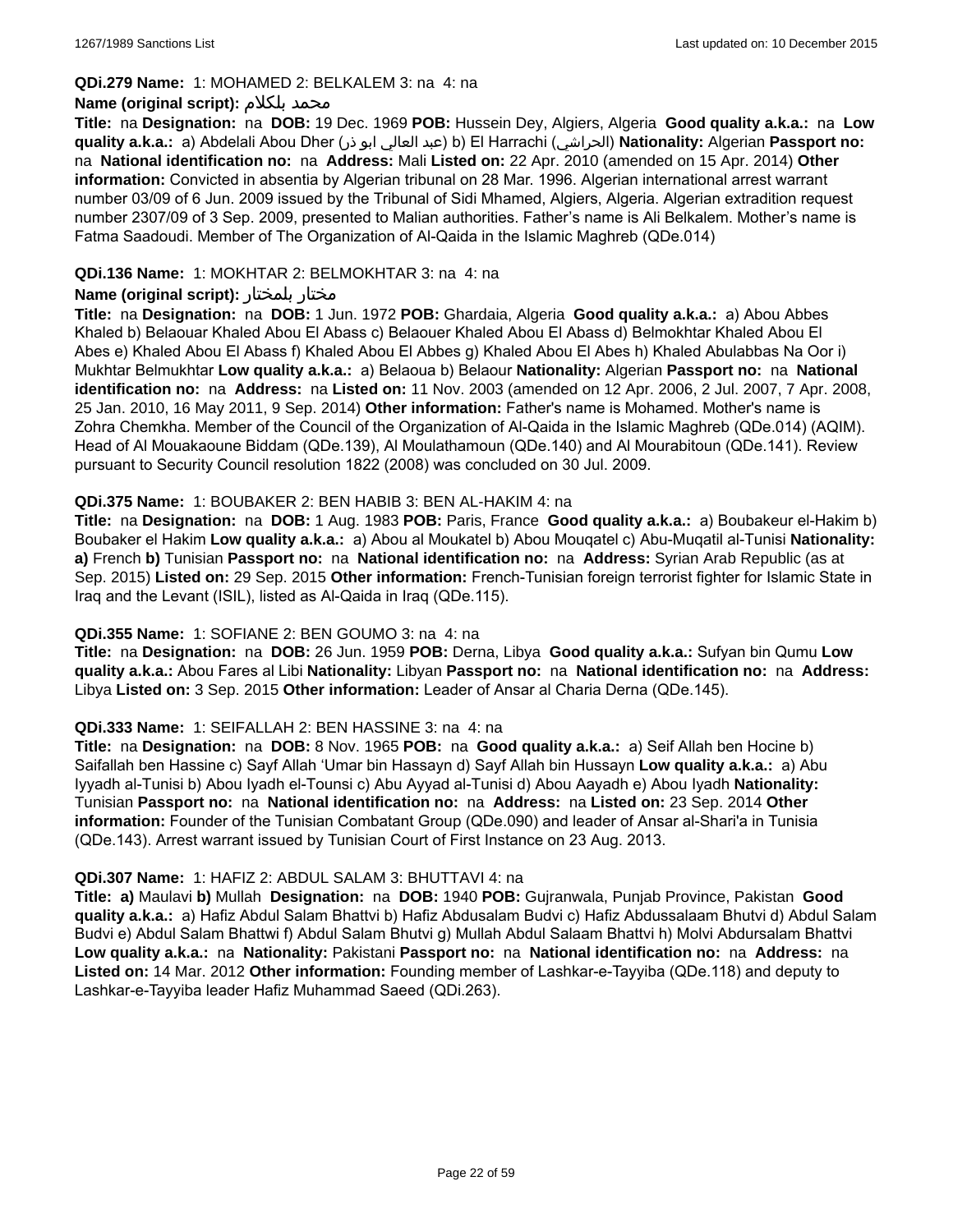#### **QDi.279 Name:** 1: MOHAMED 2: BELKALEM 3: na 4: na

### **Name (original script):** بلكلام محمد

**Title:** na **Designation:** na **DOB:** 19 Dec. 1969 **POB:** Hussein Dey, Algiers, Algeria **Good quality a.k.a.:** na **Low quality a.k.a.:** a) Abdelali Abou Dher (ذر ابو العالي عبد (b) El Harrachi (الحراشي(**Nationality:** Algerian **Passport no:**  na **National identification no:** na **Address:** Mali **Listed on:** 22 Apr. 2010 (amended on 15 Apr. 2014) **Other information:** Convicted in absentia by Algerian tribunal on 28 Mar. 1996. Algerian international arrest warrant number 03/09 of 6 Jun. 2009 issued by the Tribunal of Sidi Mhamed, Algiers, Algeria. Algerian extradition request number 2307/09 of 3 Sep. 2009, presented to Malian authorities. Father's name is Ali Belkalem. Mother's name is Fatma Saadoudi. Member of The Organization of Al-Qaida in the Islamic Maghreb (QDe.014)

### **QDi.136 Name:** 1: MOKHTAR 2: BELMOKHTAR 3: na 4: na

### **Name (original script):** بلمختار مختار

**Title:** na **Designation:** na **DOB:** 1 Jun. 1972 **POB:** Ghardaia, Algeria **Good quality a.k.a.:** a) Abou Abbes Khaled b) Belaouar Khaled Abou El Abass c) Belaouer Khaled Abou El Abass d) Belmokhtar Khaled Abou El Abes e) Khaled Abou El Abass f) Khaled Abou El Abbes g) Khaled Abou El Abes h) Khaled Abulabbas Na Oor i) Mukhtar Belmukhtar **Low quality a.k.a.:** a) Belaoua b) Belaour **Nationality:** Algerian **Passport no:** na **National identification no:** na **Address:** na **Listed on:** 11 Nov. 2003 (amended on 12 Apr. 2006, 2 Jul. 2007, 7 Apr. 2008, 25 Jan. 2010, 16 May 2011, 9 Sep. 2014) **Other information:** Father's name is Mohamed. Mother's name is Zohra Chemkha. Member of the Council of the Organization of Al-Qaida in the Islamic Maghreb (QDe.014) (AQIM). Head of Al Mouakaoune Biddam (QDe.139), Al Moulathamoun (QDe.140) and Al Mourabitoun (QDe.141). Review pursuant to Security Council resolution 1822 (2008) was concluded on 30 Jul. 2009.

### **QDi.375 Name:** 1: BOUBAKER 2: BEN HABIB 3: BEN AL-HAKIM 4: na

**Title:** na **Designation:** na **DOB:** 1 Aug. 1983 **POB:** Paris, France **Good quality a.k.a.:** a) Boubakeur el-Hakim b) Boubaker el Hakim **Low quality a.k.a.:** a) Abou al Moukatel b) Abou Mouqatel c) Abu-Muqatil al-Tunisi **Nationality: a)** French **b)** Tunisian **Passport no:** na **National identification no:** na **Address:** Syrian Arab Republic (as at Sep. 2015) **Listed on:** 29 Sep. 2015 **Other information:** French-Tunisian foreign terrorist fighter for Islamic State in Iraq and the Levant (ISIL), listed as Al-Qaida in Iraq (QDe.115).

#### **QDi.355 Name:** 1: SOFIANE 2: BEN GOUMO 3: na 4: na

**Title:** na **Designation:** na **DOB:** 26 Jun. 1959 **POB:** Derna, Libya **Good quality a.k.a.:** Sufyan bin Qumu **Low quality a.k.a.:** Abou Fares al Libi **Nationality:** Libyan **Passport no:** na **National identification no:** na **Address:** Libya **Listed on:** 3 Sep. 2015 **Other information:** Leader of Ansar al Charia Derna (QDe.145).

#### **QDi.333 Name:** 1: SEIFALLAH 2: BEN HASSINE 3: na 4: na

**Title:** na **Designation:** na **DOB:** 8 Nov. 1965 **POB:** na **Good quality a.k.a.:** a) Seif Allah ben Hocine b) Saifallah ben Hassine c) Sayf Allah 'Umar bin Hassayn d) Sayf Allah bin Hussayn **Low quality a.k.a.:** a) Abu Iyyadh al-Tunisi b) Abou Iyadh el-Tounsi c) Abu Ayyad al-Tunisi d) Abou Aayadh e) Abou Iyadh **Nationality:** Tunisian **Passport no:** na **National identification no:** na **Address:** na **Listed on:** 23 Sep. 2014 **Other information:** Founder of the Tunisian Combatant Group (QDe.090) and leader of Ansar al-Shari'a in Tunisia (QDe.143). Arrest warrant issued by Tunisian Court of First Instance on 23 Aug. 2013.

#### **QDi.307 Name:** 1: HAFIZ 2: ABDUL SALAM 3: BHUTTAVI 4: na

**Title: a)** Maulavi **b)** Mullah **Designation:** na **DOB:** 1940 **POB:** Gujranwala, Punjab Province, Pakistan **Good quality a.k.a.:** a) Hafiz Abdul Salam Bhattvi b) Hafiz Abdusalam Budvi c) Hafiz Abdussalaam Bhutvi d) Abdul Salam Budvi e) Abdul Salam Bhattwi f) Abdul Salam Bhutvi g) Mullah Abdul Salaam Bhattvi h) Molvi Abdursalam Bhattvi **Low quality a.k.a.:** na **Nationality:** Pakistani **Passport no:** na **National identification no:** na **Address:** na **Listed on:** 14 Mar. 2012 **Other information:** Founding member of Lashkar-e-Tayyiba (QDe.118) and deputy to Lashkar-e-Tayyiba leader Hafiz Muhammad Saeed (QDi.263).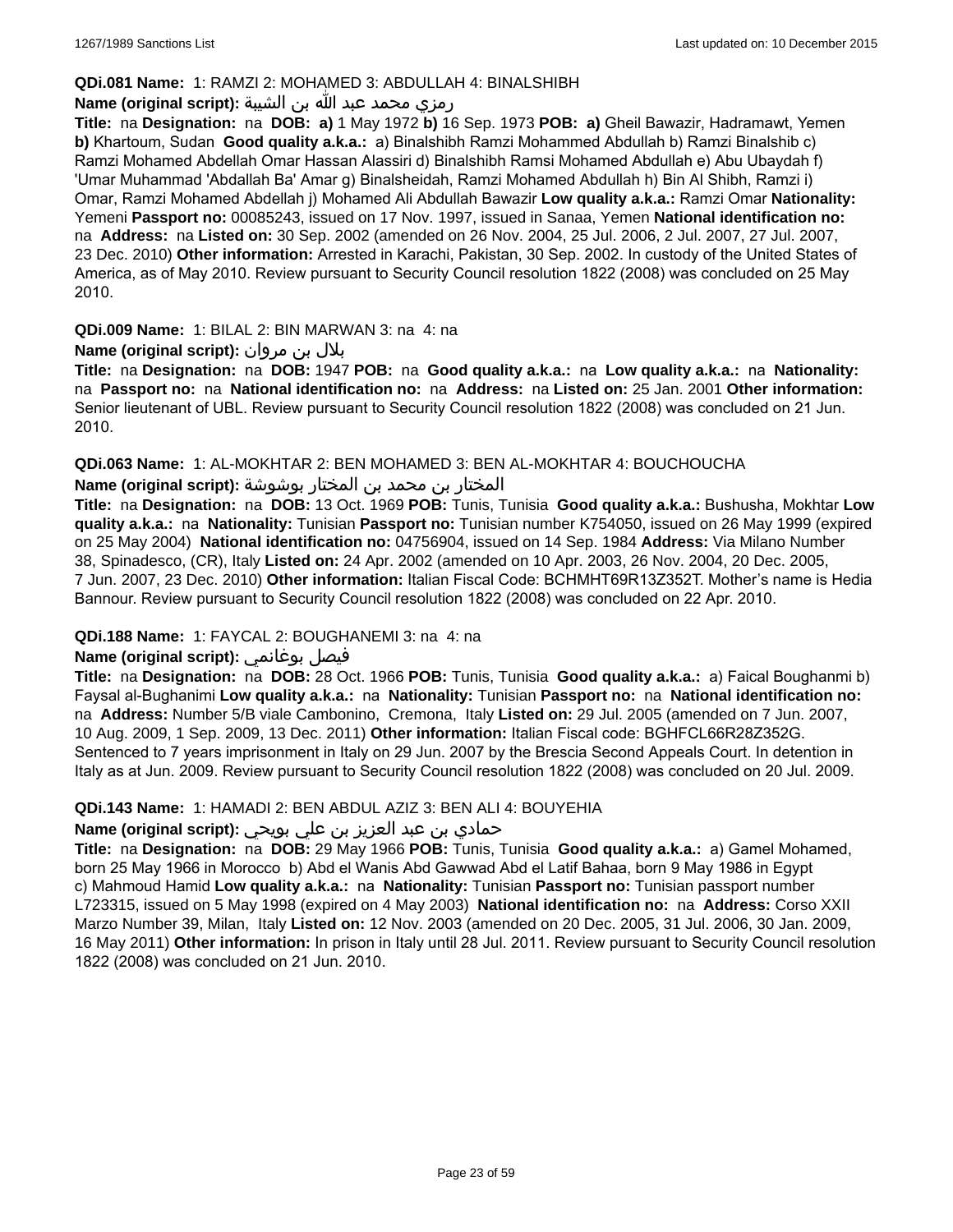### **QDi.081 Name:** 1: RAMZI 2: MOHAMED 3: ABDULLAH 4: BINALSHIBH

### رمزي محمد عبد الله بن الشيبة **:(script original (Name**

**Title:** na **Designation:** na **DOB: a)** 1 May 1972 **b)** 16 Sep. 1973 **POB: a)** Gheil Bawazir, Hadramawt, Yemen **b)** Khartoum, Sudan **Good quality a.k.a.:** a) Binalshibh Ramzi Mohammed Abdullah b) Ramzi Binalshib c) Ramzi Mohamed Abdellah Omar Hassan Alassiri d) Binalshibh Ramsi Mohamed Abdullah e) Abu Ubaydah f) 'Umar Muhammad 'Abdallah Ba' Amar g) Binalsheidah, Ramzi Mohamed Abdullah h) Bin Al Shibh, Ramzi i) Omar, Ramzi Mohamed Abdellah j) Mohamed Ali Abdullah Bawazir **Low quality a.k.a.:** Ramzi Omar **Nationality:** Yemeni **Passport no:** 00085243, issued on 17 Nov. 1997, issued in Sanaa, Yemen **National identification no:**  na **Address:** na **Listed on:** 30 Sep. 2002 (amended on 26 Nov. 2004, 25 Jul. 2006, 2 Jul. 2007, 27 Jul. 2007, 23 Dec. 2010) **Other information:** Arrested in Karachi, Pakistan, 30 Sep. 2002. In custody of the United States of America, as of May 2010. Review pursuant to Security Council resolution 1822 (2008) was concluded on 25 May 2010.

**QDi.009 Name:** 1: BILAL 2: BIN MARWAN 3: na 4: na

### بلال بن مروان **:(script original (Name**

**Title:** na **Designation:** na **DOB:** 1947 **POB:** na **Good quality a.k.a.:** na **Low quality a.k.a.:** na **Nationality:**  na **Passport no:** na **National identification no:** na **Address:** na **Listed on:** 25 Jan. 2001 **Other information:** Senior lieutenant of UBL. Review pursuant to Security Council resolution 1822 (2008) was concluded on 21 Jun. 2010.

**QDi.063 Name:** 1: AL-MOKHTAR 2: BEN MOHAMED 3: BEN AL-MOKHTAR 4: BOUCHOUCHA

المختار بن محمد بن المختار بوشوشة **:Name (original script)** 

**Title:** na **Designation:** na **DOB:** 13 Oct. 1969 **POB:** Tunis, Tunisia **Good quality a.k.a.:** Bushusha, Mokhtar **Low quality a.k.a.:** na **Nationality:** Tunisian **Passport no:** Tunisian number K754050, issued on 26 May 1999 (expired on 25 May 2004) **National identification no:** 04756904, issued on 14 Sep. 1984 **Address:** Via Milano Number 38, Spinadesco, (CR), Italy **Listed on:** 24 Apr. 2002 (amended on 10 Apr. 2003, 26 Nov. 2004, 20 Dec. 2005, 7 Jun. 2007, 23 Dec. 2010) **Other information:** Italian Fiscal Code: BCHMHT69R13Z352T. Mother's name is Hedia Bannour. Review pursuant to Security Council resolution 1822 (2008) was concluded on 22 Apr. 2010.

### **QDi.188 Name:** 1: FAYCAL 2: BOUGHANEMI 3: na 4: na

# **Name (original script):** بوغانمي فيصل

**Title:** na **Designation:** na **DOB:** 28 Oct. 1966 **POB:** Tunis, Tunisia **Good quality a.k.a.:** a) Faical Boughanmi b) Faysal al-Bughanimi **Low quality a.k.a.:** na **Nationality:** Tunisian **Passport no:** na **National identification no:**  na **Address:** Number 5/B viale Cambonino, Cremona, Italy **Listed on:** 29 Jul. 2005 (amended on 7 Jun. 2007, 10 Aug. 2009, 1 Sep. 2009, 13 Dec. 2011) **Other information:** Italian Fiscal code: BGHFCL66R28Z352G. Sentenced to 7 years imprisonment in Italy on 29 Jun. 2007 by the Brescia Second Appeals Court. In detention in Italy as at Jun. 2009. Review pursuant to Security Council resolution 1822 (2008) was concluded on 20 Jul. 2009.

#### **QDi.143 Name:** 1: HAMADI 2: BEN ABDUL AZIZ 3: BEN ALI 4: BOUYEHIA

# حمادي بن عبد العزيز بن علي بويحي **:(script original (Name**

**Title:** na **Designation:** na **DOB:** 29 May 1966 **POB:** Tunis, Tunisia **Good quality a.k.a.:** a) Gamel Mohamed, born 25 May 1966 in Morocco b) Abd el Wanis Abd Gawwad Abd el Latif Bahaa, born 9 May 1986 in Egypt c) Mahmoud Hamid **Low quality a.k.a.:** na **Nationality:** Tunisian **Passport no:** Tunisian passport number L723315, issued on 5 May 1998 (expired on 4 May 2003) **National identification no:** na **Address:** Corso XXII Marzo Number 39, Milan, Italy **Listed on:** 12 Nov. 2003 (amended on 20 Dec. 2005, 31 Jul. 2006, 30 Jan. 2009, 16 May 2011) **Other information:** In prison in Italy until 28 Jul. 2011. Review pursuant to Security Council resolution 1822 (2008) was concluded on 21 Jun. 2010.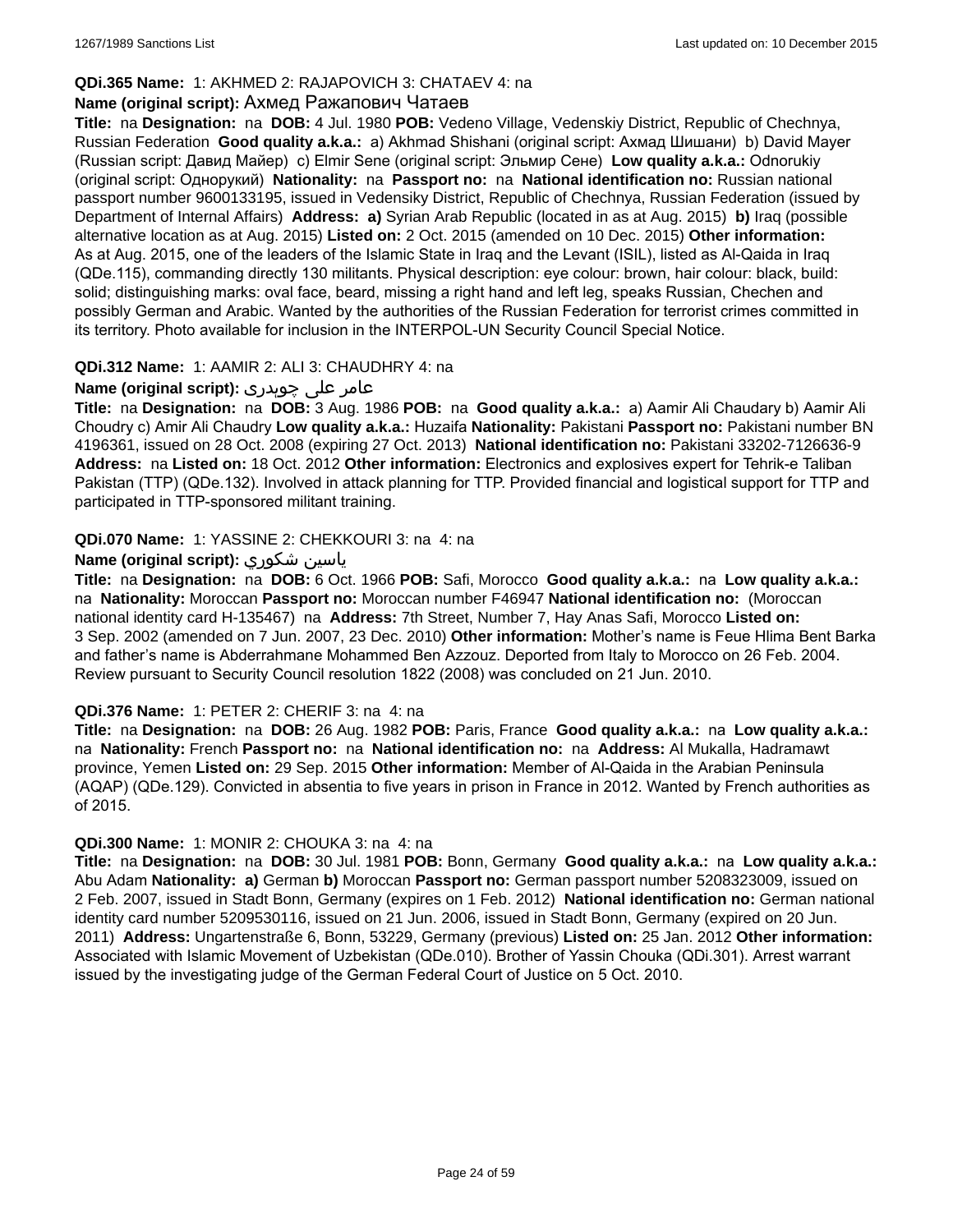### **QDi.365 Name:** 1: AKHMED 2: RAJAPOVICH 3: CHATAEV 4: na

#### **Name (original script):** Ахмед Ражапович Чатаев

**Title:** na **Designation:** na **DOB:** 4 Jul. 1980 **POB:** Vedeno Village, Vedenskiy District, Republic of Chechnya, Russian Federation **Good quality a.k.a.:** a) Akhmad Shishani (original script: Ахмад Шишани) b) David Mayer (Russian script: Давид Майер) c) Elmir Sene (original script: Эльмир Сене) **Low quality a.k.a.:** Odnorukiy (original script: Однорукий) **Nationality:** na **Passport no:** na **National identification no:** Russian national passport number 9600133195, issued in Vedensiky District, Republic of Chechnya, Russian Federation (issued by Department of Internal Affairs) **Address: a)** Syrian Arab Republic (located in as at Aug. 2015) **b)** Iraq (possible alternative location as at Aug. 2015) **Listed on:** 2 Oct. 2015 (amended on 10 Dec. 2015) **Other information:** As at Aug. 2015, one of the leaders of the Islamic State in Iraq and the Levant (ISIL), listed as Al-Qaida in Iraq (QDe.115), commanding directly 130 militants. Physical description: eye colour: brown, hair colour: black, build: solid; distinguishing marks: oval face, beard, missing a right hand and left leg, speaks Russian, Chechen and possibly German and Arabic. Wanted by the authorities of the Russian Federation for terrorist crimes committed in its territory. Photo available for inclusion in the INTERPOL-UN Security Council Special Notice.

### **QDi.312 Name:** 1: AAMIR 2: ALI 3: CHAUDHRY 4: na

### عامر علی چوہدری **:(script original (Name**

**Title:** na **Designation:** na **DOB:** 3 Aug. 1986 **POB:** na **Good quality a.k.a.:** a) Aamir Ali Chaudary b) Aamir Ali Choudry c) Amir Ali Chaudry **Low quality a.k.a.:** Huzaifa **Nationality:** Pakistani **Passport no:** Pakistani number BN 4196361, issued on 28 Oct. 2008 (expiring 27 Oct. 2013) **National identification no:** Pakistani 33202-7126636-9 **Address:** na **Listed on:** 18 Oct. 2012 **Other information:** Electronics and explosives expert for Tehrik-e Taliban Pakistan (TTP) (QDe.132). Involved in attack planning for TTP. Provided financial and logistical support for TTP and participated in TTP-sponsored militant training.

### **QDi.070 Name:** 1: YASSINE 2: CHEKKOURI 3: na 4: na

### **Name (original script):** شكوري ياسين

**Title:** na **Designation:** na **DOB:** 6 Oct. 1966 **POB:** Safi, Morocco **Good quality a.k.a.:** na **Low quality a.k.a.:**  na **Nationality:** Moroccan **Passport no:** Moroccan number F46947 **National identification no:** (Moroccan national identity card H-135467) na **Address:** 7th Street, Number 7, Hay Anas Safi, Morocco **Listed on:** 3 Sep. 2002 (amended on 7 Jun. 2007, 23 Dec. 2010) **Other information:** Mother's name is Feue Hlima Bent Barka and father's name is Abderrahmane Mohammed Ben Azzouz. Deported from Italy to Morocco on 26 Feb. 2004. Review pursuant to Security Council resolution 1822 (2008) was concluded on 21 Jun. 2010.

#### **QDi.376 Name:** 1: PETER 2: CHERIF 3: na 4: na

**Title:** na **Designation:** na **DOB:** 26 Aug. 1982 **POB:** Paris, France **Good quality a.k.a.:** na **Low quality a.k.a.:**  na **Nationality:** French **Passport no:** na **National identification no:** na **Address:** Al Mukalla, Hadramawt province, Yemen **Listed on:** 29 Sep. 2015 **Other information:** Member of Al-Qaida in the Arabian Peninsula (AQAP) (QDe.129). Convicted in absentia to five years in prison in France in 2012. Wanted by French authorities as of 2015.

#### **QDi.300 Name:** 1: MONIR 2: CHOUKA 3: na 4: na

**Title:** na **Designation:** na **DOB:** 30 Jul. 1981 **POB:** Bonn, Germany **Good quality a.k.a.:** na **Low quality a.k.a.:** Abu Adam **Nationality: a)** German **b)** Moroccan **Passport no:** German passport number 5208323009, issued on 2 Feb. 2007, issued in Stadt Bonn, Germany (expires on 1 Feb. 2012) **National identification no:** German national identity card number 5209530116, issued on 21 Jun. 2006, issued in Stadt Bonn, Germany (expired on 20 Jun. 2011) **Address:** Ungartenstraße 6, Bonn, 53229, Germany (previous) **Listed on:** 25 Jan. 2012 **Other information:** Associated with Islamic Movement of Uzbekistan (QDe.010). Brother of Yassin Chouka (QDi.301). Arrest warrant issued by the investigating judge of the German Federal Court of Justice on 5 Oct. 2010.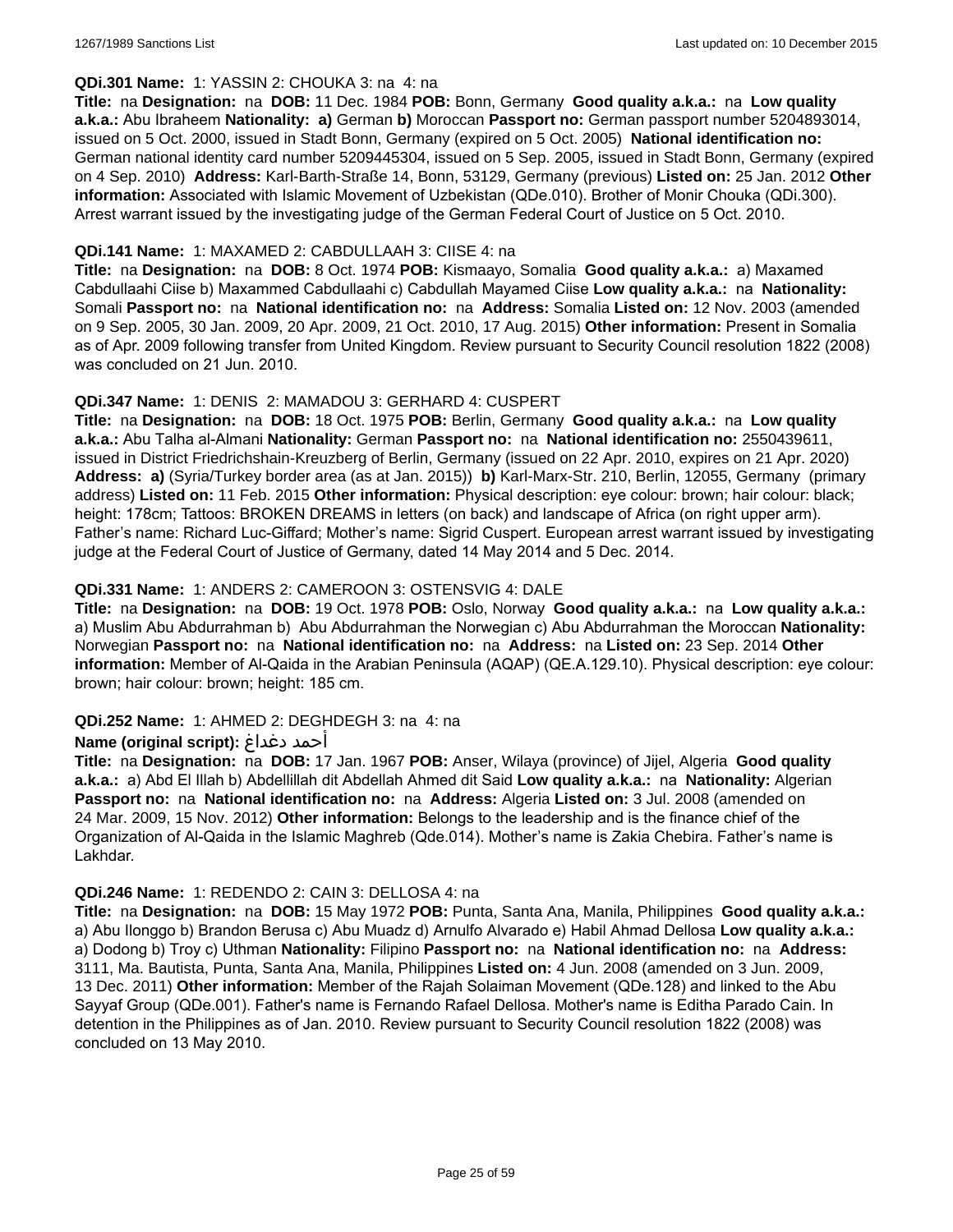### **QDi.301 Name:** 1: YASSIN 2: CHOUKA 3: na 4: na

**Title:** na **Designation:** na **DOB:** 11 Dec. 1984 **POB:** Bonn, Germany **Good quality a.k.a.:** na **Low quality a.k.a.:** Abu Ibraheem **Nationality: a)** German **b)** Moroccan **Passport no:** German passport number 5204893014, issued on 5 Oct. 2000, issued in Stadt Bonn, Germany (expired on 5 Oct. 2005) **National identification no:** German national identity card number 5209445304, issued on 5 Sep. 2005, issued in Stadt Bonn, Germany (expired on 4 Sep. 2010) **Address:** Karl-Barth-Straße 14, Bonn, 53129, Germany (previous) **Listed on:** 25 Jan. 2012 **Other information:** Associated with Islamic Movement of Uzbekistan (QDe.010). Brother of Monir Chouka (QDi.300). Arrest warrant issued by the investigating judge of the German Federal Court of Justice on 5 Oct. 2010.

### **QDi.141 Name:** 1: MAXAMED 2: CABDULLAAH 3: CIISE 4: na

**Title:** na **Designation:** na **DOB:** 8 Oct. 1974 **POB:** Kismaayo, Somalia **Good quality a.k.a.:** a) Maxamed Cabdullaahi Ciise b) Maxammed Cabdullaahi c) Cabdullah Mayamed Ciise **Low quality a.k.a.:** na **Nationality:** Somali **Passport no:** na **National identification no:** na **Address:** Somalia **Listed on:** 12 Nov. 2003 (amended on 9 Sep. 2005, 30 Jan. 2009, 20 Apr. 2009, 21 Oct. 2010, 17 Aug. 2015) **Other information:** Present in Somalia as of Apr. 2009 following transfer from United Kingdom. Review pursuant to Security Council resolution 1822 (2008) was concluded on 21 Jun. 2010.

### **QDi.347 Name:** 1: DENIS 2: MAMADOU 3: GERHARD 4: CUSPERT

**Title:** na **Designation:** na **DOB:** 18 Oct. 1975 **POB:** Berlin, Germany **Good quality a.k.a.:** na **Low quality a.k.a.:** Abu Talha al-Almani **Nationality:** German **Passport no:** na **National identification no:** 2550439611, issued in District Friedrichshain-Kreuzberg of Berlin, Germany (issued on 22 Apr. 2010, expires on 21 Apr. 2020) **Address: a)** (Syria/Turkey border area (as at Jan. 2015)) **b)** Karl-Marx-Str. 210, Berlin, 12055, Germany (primary address) **Listed on:** 11 Feb. 2015 **Other information:** Physical description: eye colour: brown; hair colour: black; height: 178cm; Tattoos: BROKEN DREAMS in letters (on back) and landscape of Africa (on right upper arm). Father's name: Richard Luc-Giffard; Mother's name: Sigrid Cuspert. European arrest warrant issued by investigating judge at the Federal Court of Justice of Germany, dated 14 May 2014 and 5 Dec. 2014.

### **QDi.331 Name:** 1: ANDERS 2: CAMEROON 3: OSTENSVIG 4: DALE

**Title:** na **Designation:** na **DOB:** 19 Oct. 1978 **POB:** Oslo, Norway **Good quality a.k.a.:** na **Low quality a.k.a.:**  a) Muslim Abu Abdurrahman b) Abu Abdurrahman the Norwegian c) Abu Abdurrahman the Moroccan **Nationality:** Norwegian **Passport no:** na **National identification no:** na **Address:** na **Listed on:** 23 Sep. 2014 **Other information:** Member of Al-Qaida in the Arabian Peninsula (AQAP) (QE.A.129.10). Physical description: eye colour: brown; hair colour: brown; height: 185 cm.

### **QDi.252 Name:** 1: AHMED 2: DEGHDEGH 3: na 4: na

#### **Name (original script):** دغداغ أحمد

**Title:** na **Designation:** na **DOB:** 17 Jan. 1967 **POB:** Anser, Wilaya (province) of Jijel, Algeria **Good quality a.k.a.:** a) Abd El Illah b) Abdellillah dit Abdellah Ahmed dit Said **Low quality a.k.a.:** na **Nationality:** Algerian **Passport no:** na **National identification no:** na **Address:** Algeria **Listed on:** 3 Jul. 2008 (amended on 24 Mar. 2009, 15 Nov. 2012) **Other information:** Belongs to the leadership and is the finance chief of the Organization of Al-Qaida in the Islamic Maghreb (Qde.014). Mother's name is Zakia Chebira. Father's name is Lakhdar.

#### **QDi.246 Name:** 1: REDENDO 2: CAIN 3: DELLOSA 4: na

**Title:** na **Designation:** na **DOB:** 15 May 1972 **POB:** Punta, Santa Ana, Manila, Philippines **Good quality a.k.a.:**  a) Abu Ilonggo b) Brandon Berusa c) Abu Muadz d) Arnulfo Alvarado e) Habil Ahmad Dellosa **Low quality a.k.a.:**  a) Dodong b) Troy c) Uthman **Nationality:** Filipino **Passport no:** na **National identification no:** na **Address:** 3111, Ma. Bautista, Punta, Santa Ana, Manila, Philippines **Listed on:** 4 Jun. 2008 (amended on 3 Jun. 2009, 13 Dec. 2011) **Other information:** Member of the Rajah Solaiman Movement (QDe.128) and linked to the Abu Sayyaf Group (QDe.001). Father's name is Fernando Rafael Dellosa. Mother's name is Editha Parado Cain. In detention in the Philippines as of Jan. 2010. Review pursuant to Security Council resolution 1822 (2008) was concluded on 13 May 2010.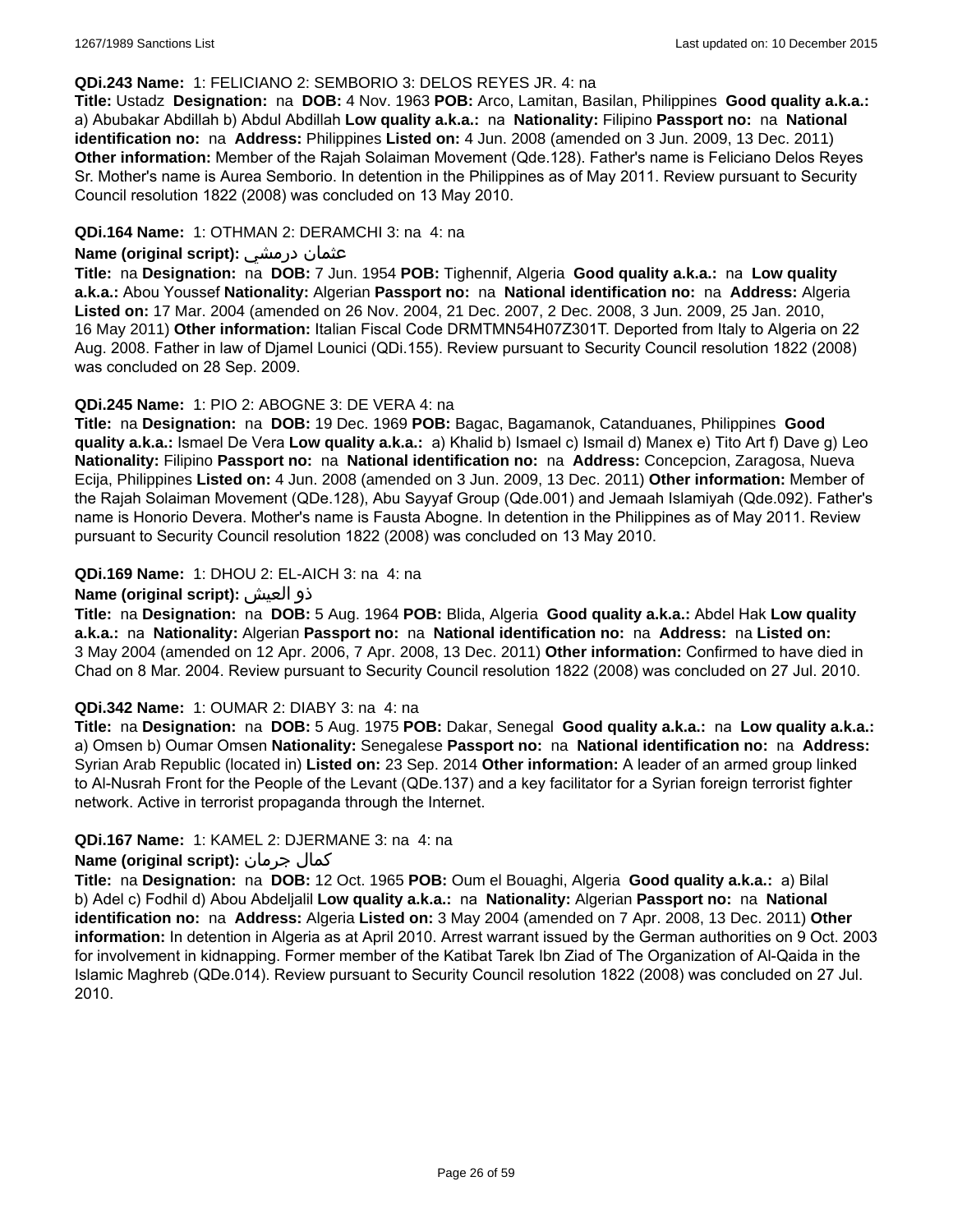#### **QDi.243 Name:** 1: FELICIANO 2: SEMBORIO 3: DELOS REYES JR. 4: na

**Title:** Ustadz **Designation:** na **DOB:** 4 Nov. 1963 **POB:** Arco, Lamitan, Basilan, Philippines **Good quality a.k.a.:**  a) Abubakar Abdillah b) Abdul Abdillah **Low quality a.k.a.:** na **Nationality:** Filipino **Passport no:** na **National identification no:** na **Address:** Philippines **Listed on:** 4 Jun. 2008 (amended on 3 Jun. 2009, 13 Dec. 2011) **Other information:** Member of the Rajah Solaiman Movement (Qde.128). Father's name is Feliciano Delos Reyes Sr. Mother's name is Aurea Semborio. In detention in the Philippines as of May 2011. Review pursuant to Security Council resolution 1822 (2008) was concluded on 13 May 2010.

### **QDi.164 Name:** 1: OTHMAN 2: DERAMCHI 3: na 4: na

### **Name (original script):** درمشي عثمان

**Title:** na **Designation:** na **DOB:** 7 Jun. 1954 **POB:** Tighennif, Algeria **Good quality a.k.a.:** na **Low quality a.k.a.:** Abou Youssef **Nationality:** Algerian **Passport no:** na **National identification no:** na **Address:** Algeria **Listed on:** 17 Mar. 2004 (amended on 26 Nov. 2004, 21 Dec. 2007, 2 Dec. 2008, 3 Jun. 2009, 25 Jan. 2010, 16 May 2011) **Other information:** Italian Fiscal Code DRMTMN54H07Z301T. Deported from Italy to Algeria on 22 Aug. 2008. Father in law of Djamel Lounici (QDi.155). Review pursuant to Security Council resolution 1822 (2008) was concluded on 28 Sep. 2009.

### **QDi.245 Name:** 1: PIO 2: ABOGNE 3: DE VERA 4: na

**Title:** na **Designation:** na **DOB:** 19 Dec. 1969 **POB:** Bagac, Bagamanok, Catanduanes, Philippines **Good quality a.k.a.:** Ismael De Vera **Low quality a.k.a.:** a) Khalid b) Ismael c) Ismail d) Manex e) Tito Art f) Dave g) Leo **Nationality:** Filipino **Passport no:** na **National identification no:** na **Address:** Concepcion, Zaragosa, Nueva Ecija, Philippines **Listed on:** 4 Jun. 2008 (amended on 3 Jun. 2009, 13 Dec. 2011) **Other information:** Member of the Rajah Solaiman Movement (QDe.128), Abu Sayyaf Group (Qde.001) and Jemaah Islamiyah (Qde.092). Father's name is Honorio Devera. Mother's name is Fausta Abogne. In detention in the Philippines as of May 2011. Review pursuant to Security Council resolution 1822 (2008) was concluded on 13 May 2010.

### **QDi.169 Name:** 1: DHOU 2: EL-AICH 3: na 4: na

### **Name (original script):** العيش ذو

**Title:** na **Designation:** na **DOB:** 5 Aug. 1964 **POB:** Blida, Algeria **Good quality a.k.a.:** Abdel Hak **Low quality a.k.a.:** na **Nationality:** Algerian **Passport no:** na **National identification no:** na **Address:** na **Listed on:** 3 May 2004 (amended on 12 Apr. 2006, 7 Apr. 2008, 13 Dec. 2011) **Other information:** Confirmed to have died in Chad on 8 Mar. 2004. Review pursuant to Security Council resolution 1822 (2008) was concluded on 27 Jul. 2010.

#### **QDi.342 Name:** 1: OUMAR 2: DIABY 3: na 4: na

**Title:** na **Designation:** na **DOB:** 5 Aug. 1975 **POB:** Dakar, Senegal **Good quality a.k.a.:** na **Low quality a.k.a.:** a) Omsen b) Oumar Omsen **Nationality:** Senegalese **Passport no:** na **National identification no:** na **Address:** Syrian Arab Republic (located in) **Listed on:** 23 Sep. 2014 **Other information:** A leader of an armed group linked to Al-Nusrah Front for the People of the Levant (QDe.137) and a key facilitator for a Syrian foreign terrorist fighter network. Active in terrorist propaganda through the Internet.

#### **QDi.167 Name:** 1: KAMEL 2: DJERMANE 3: na 4: na

### **Name (original script):** جرمان كمال

**Title:** na **Designation:** na **DOB:** 12 Oct. 1965 **POB:** Oum el Bouaghi, Algeria **Good quality a.k.a.:** a) Bilal b) Adel c) Fodhil d) Abou Abdeljalil **Low quality a.k.a.:** na **Nationality:** Algerian **Passport no:** na **National identification no:** na **Address:** Algeria **Listed on:** 3 May 2004 (amended on 7 Apr. 2008, 13 Dec. 2011) **Other information:** In detention in Algeria as at April 2010. Arrest warrant issued by the German authorities on 9 Oct. 2003 for involvement in kidnapping. Former member of the Katibat Tarek Ibn Ziad of The Organization of Al-Qaida in the Islamic Maghreb (QDe.014). Review pursuant to Security Council resolution 1822 (2008) was concluded on 27 Jul. 2010.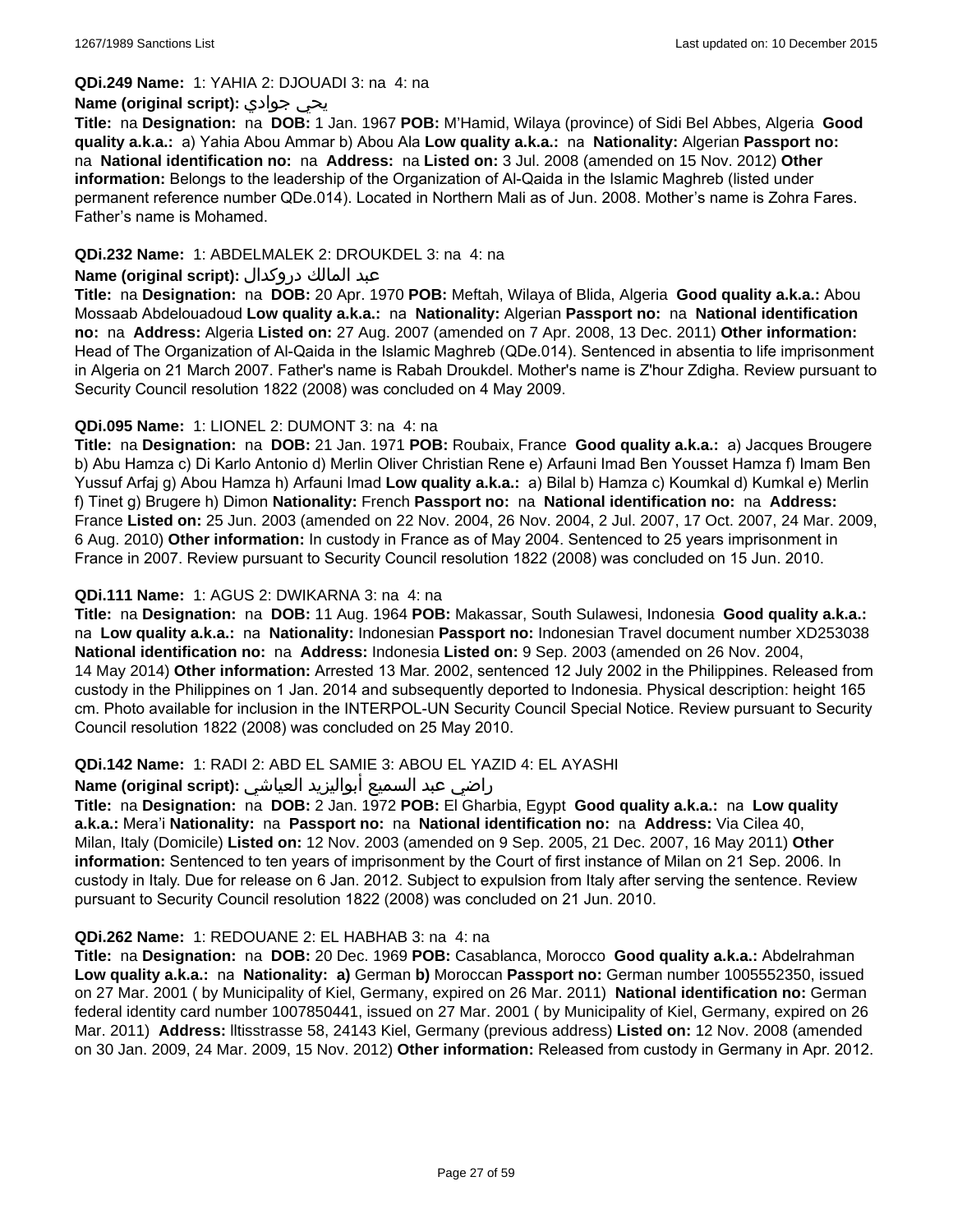#### **QDi.249 Name:** 1: YAHIA 2: DJOUADI 3: na 4: na

### **Name (original script):** جوادي يحي

**Title:** na **Designation:** na **DOB:** 1 Jan. 1967 **POB:** M'Hamid, Wilaya (province) of Sidi Bel Abbes, Algeria **Good quality a.k.a.:** a) Yahia Abou Ammar b) Abou Ala **Low quality a.k.a.:** na **Nationality:** Algerian **Passport no:**  na **National identification no:** na **Address:** na **Listed on:** 3 Jul. 2008 (amended on 15 Nov. 2012) **Other information:** Belongs to the leadership of the Organization of Al-Qaida in the Islamic Maghreb (listed under permanent reference number QDe.014). Located in Northern Mali as of Jun. 2008. Mother's name is Zohra Fares. Father's name is Mohamed.

### **QDi.232 Name:** 1: ABDELMALEK 2: DROUKDEL 3: na 4: na

### عبد المالك دروكدال **:(script original (Name**

**Title:** na **Designation:** na **DOB:** 20 Apr. 1970 **POB:** Meftah, Wilaya of Blida, Algeria **Good quality a.k.a.:** Abou Mossaab Abdelouadoud **Low quality a.k.a.:** na **Nationality:** Algerian **Passport no:** na **National identification no:** na **Address:** Algeria **Listed on:** 27 Aug. 2007 (amended on 7 Apr. 2008, 13 Dec. 2011) **Other information:** Head of The Organization of Al-Qaida in the Islamic Maghreb (QDe.014). Sentenced in absentia to life imprisonment in Algeria on 21 March 2007. Father's name is Rabah Droukdel. Mother's name is Z'hour Zdigha. Review pursuant to Security Council resolution 1822 (2008) was concluded on 4 May 2009.

### **QDi.095 Name:** 1: LIONEL 2: DUMONT 3: na 4: na

**Title:** na **Designation:** na **DOB:** 21 Jan. 1971 **POB:** Roubaix, France **Good quality a.k.a.:** a) Jacques Brougere b) Abu Hamza c) Di Karlo Antonio d) Merlin Oliver Christian Rene e) Arfauni Imad Ben Yousset Hamza f) Imam Ben Yussuf Arfaj g) Abou Hamza h) Arfauni Imad **Low quality a.k.a.:** a) Bilal b) Hamza c) Koumkal d) Kumkal e) Merlin f) Tinet g) Brugere h) Dimon **Nationality:** French **Passport no:** na **National identification no:** na **Address:** France **Listed on:** 25 Jun. 2003 (amended on 22 Nov. 2004, 26 Nov. 2004, 2 Jul. 2007, 17 Oct. 2007, 24 Mar. 2009, 6 Aug. 2010) **Other information:** In custody in France as of May 2004. Sentenced to 25 years imprisonment in France in 2007. Review pursuant to Security Council resolution 1822 (2008) was concluded on 15 Jun. 2010.

### **QDi.111 Name:** 1: AGUS 2: DWIKARNA 3: na 4: na

**Title:** na **Designation:** na **DOB:** 11 Aug. 1964 **POB:** Makassar, South Sulawesi, Indonesia **Good quality a.k.a.:**  na **Low quality a.k.a.:** na **Nationality:** Indonesian **Passport no:** Indonesian Travel document number XD253038 **National identification no:** na **Address:** Indonesia **Listed on:** 9 Sep. 2003 (amended on 26 Nov. 2004, 14 May 2014) **Other information:** Arrested 13 Mar. 2002, sentenced 12 July 2002 in the Philippines. Released from custody in the Philippines on 1 Jan. 2014 and subsequently deported to Indonesia. Physical description: height 165 cm. Photo available for inclusion in the INTERPOL-UN Security Council Special Notice. Review pursuant to Security Council resolution 1822 (2008) was concluded on 25 May 2010.

### **QDi.142 Name:** 1: RADI 2: ABD EL SAMIE 3: ABOU EL YAZID 4: EL AYASHI

#### راضي عبد السميع أبواليزيد العياشي **:(script original (Name**

**Title:** na **Designation:** na **DOB:** 2 Jan. 1972 **POB:** El Gharbia, Egypt **Good quality a.k.a.:** na **Low quality a.k.a.:** Mera'i **Nationality:** na **Passport no:** na **National identification no:** na **Address:** Via Cilea 40, Milan, Italy (Domicile) **Listed on:** 12 Nov. 2003 (amended on 9 Sep. 2005, 21 Dec. 2007, 16 May 2011) **Other information:** Sentenced to ten years of imprisonment by the Court of first instance of Milan on 21 Sep. 2006. In custody in Italy. Due for release on 6 Jan. 2012. Subject to expulsion from Italy after serving the sentence. Review pursuant to Security Council resolution 1822 (2008) was concluded on 21 Jun. 2010.

#### **QDi.262 Name:** 1: REDOUANE 2: EL HABHAB 3: na 4: na

**Title:** na **Designation:** na **DOB:** 20 Dec. 1969 **POB:** Casablanca, Morocco **Good quality a.k.a.:** Abdelrahman **Low quality a.k.a.:** na **Nationality: a)** German **b)** Moroccan **Passport no:** German number 1005552350, issued on 27 Mar. 2001 ( by Municipality of Kiel, Germany, expired on 26 Mar. 2011) **National identification no:** German federal identity card number 1007850441, issued on 27 Mar. 2001 ( by Municipality of Kiel, Germany, expired on 26 Mar. 2011) **Address:** lltisstrasse 58, 24143 Kiel, Germany (previous address) **Listed on:** 12 Nov. 2008 (amended on 30 Jan. 2009, 24 Mar. 2009, 15 Nov. 2012) **Other information:** Released from custody in Germany in Apr. 2012.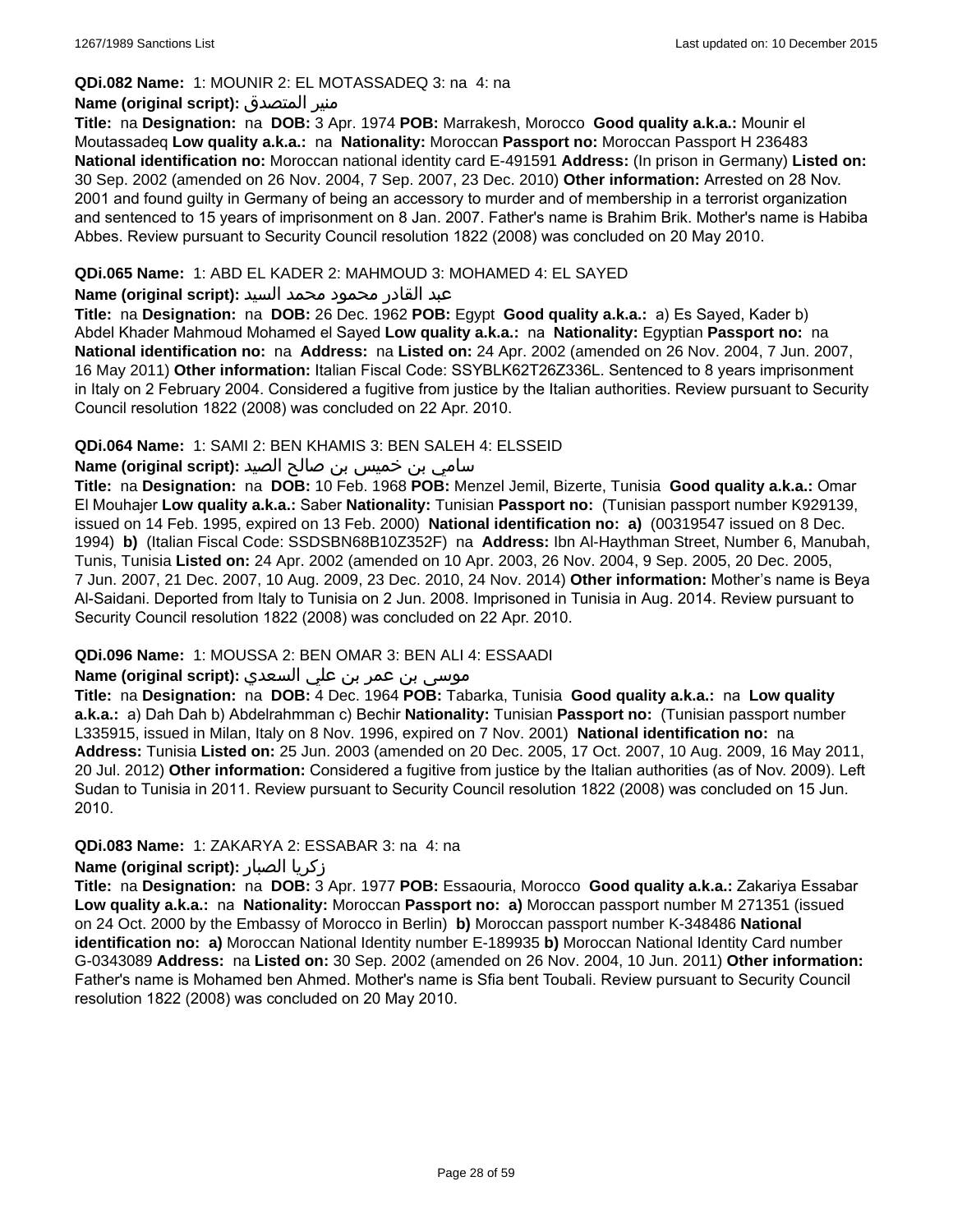### **QDi.082 Name:** 1: MOUNIR 2: EL MOTASSADEQ 3: na 4: na

### **Name (original script):** المتصدق منير

**Title:** na **Designation:** na **DOB:** 3 Apr. 1974 **POB:** Marrakesh, Morocco **Good quality a.k.a.:** Mounir el Moutassadeq **Low quality a.k.a.:** na **Nationality:** Moroccan **Passport no:** Moroccan Passport H 236483 **National identification no:** Moroccan national identity card E-491591 **Address:** (In prison in Germany) **Listed on:** 30 Sep. 2002 (amended on 26 Nov. 2004, 7 Sep. 2007, 23 Dec. 2010) **Other information:** Arrested on 28 Nov. 2001 and found guilty in Germany of being an accessory to murder and of membership in a terrorist organization and sentenced to 15 years of imprisonment on 8 Jan. 2007. Father's name is Brahim Brik. Mother's name is Habiba Abbes. Review pursuant to Security Council resolution 1822 (2008) was concluded on 20 May 2010.

### **QDi.065 Name:** 1: ABD EL KADER 2: MAHMOUD 3: MOHAMED 4: EL SAYED

### عبد القادر محمود محمد السيد **:(script original (Name**

**Title:** na **Designation:** na **DOB:** 26 Dec. 1962 **POB:** Egypt **Good quality a.k.a.:** a) Es Sayed, Kader b) Abdel Khader Mahmoud Mohamed el Sayed **Low quality a.k.a.:** na **Nationality:** Egyptian **Passport no:** na **National identification no:** na **Address:** na **Listed on:** 24 Apr. 2002 (amended on 26 Nov. 2004, 7 Jun. 2007, 16 May 2011) **Other information:** Italian Fiscal Code: SSYBLK62T26Z336L. Sentenced to 8 years imprisonment in Italy on 2 February 2004. Considered a fugitive from justice by the Italian authorities. Review pursuant to Security Council resolution 1822 (2008) was concluded on 22 Apr. 2010.

### **QDi.064 Name:** 1: SAMI 2: BEN KHAMIS 3: BEN SALEH 4: ELSSEID

### سامي بن خميس بن صالح الصيد **:Name (original script**)

**Title:** na **Designation:** na **DOB:** 10 Feb. 1968 **POB:** Menzel Jemil, Bizerte, Tunisia **Good quality a.k.a.:** Omar El Mouhajer **Low quality a.k.a.:** Saber **Nationality:** Tunisian **Passport no:** (Tunisian passport number K929139, issued on 14 Feb. 1995, expired on 13 Feb. 2000) **National identification no: a)** (00319547 issued on 8 Dec. 1994) **b)** (Italian Fiscal Code: SSDSBN68B10Z352F) na **Address:** Ibn Al-Haythman Street, Number 6, Manubah, Tunis, Tunisia **Listed on:** 24 Apr. 2002 (amended on 10 Apr. 2003, 26 Nov. 2004, 9 Sep. 2005, 20 Dec. 2005, 7 Jun. 2007, 21 Dec. 2007, 10 Aug. 2009, 23 Dec. 2010, 24 Nov. 2014) **Other information:** Mother's name is Beya Al-Saidani. Deported from Italy to Tunisia on 2 Jun. 2008. Imprisoned in Tunisia in Aug. 2014. Review pursuant to Security Council resolution 1822 (2008) was concluded on 22 Apr. 2010.

### **QDi.096 Name:** 1: MOUSSA 2: BEN OMAR 3: BEN ALI 4: ESSAADI

# موسى بن عمر بن علي السعدي **:Name (original script**)

**Title:** na **Designation:** na **DOB:** 4 Dec. 1964 **POB:** Tabarka, Tunisia **Good quality a.k.a.:** na **Low quality a.k.a.:** a) Dah Dah b) Abdelrahmman c) Bechir **Nationality:** Tunisian **Passport no:** (Tunisian passport number L335915, issued in Milan, Italy on 8 Nov. 1996, expired on 7 Nov. 2001) **National identification no:** na **Address:** Tunisia **Listed on:** 25 Jun. 2003 (amended on 20 Dec. 2005, 17 Oct. 2007, 10 Aug. 2009, 16 May 2011, 20 Jul. 2012) **Other information:** Considered a fugitive from justice by the Italian authorities (as of Nov. 2009). Left Sudan to Tunisia in 2011. Review pursuant to Security Council resolution 1822 (2008) was concluded on 15 Jun. 2010.

### **QDi.083 Name:** 1: ZAKARYA 2: ESSABAR 3: na 4: na

#### **Name (original script):** الصبار زكريا

**Title:** na **Designation:** na **DOB:** 3 Apr. 1977 **POB:** Essaouria, Morocco **Good quality a.k.a.:** Zakariya Essabar **Low quality a.k.a.:** na **Nationality:** Moroccan **Passport no: a)** Moroccan passport number M 271351 (issued on 24 Oct. 2000 by the Embassy of Morocco in Berlin) **b)** Moroccan passport number K-348486 **National identification no: a)** Moroccan National Identity number E-189935 **b)** Moroccan National Identity Card number G-0343089 **Address:** na **Listed on:** 30 Sep. 2002 (amended on 26 Nov. 2004, 10 Jun. 2011) **Other information:** Father's name is Mohamed ben Ahmed. Mother's name is Sfia bent Toubali. Review pursuant to Security Council resolution 1822 (2008) was concluded on 20 May 2010.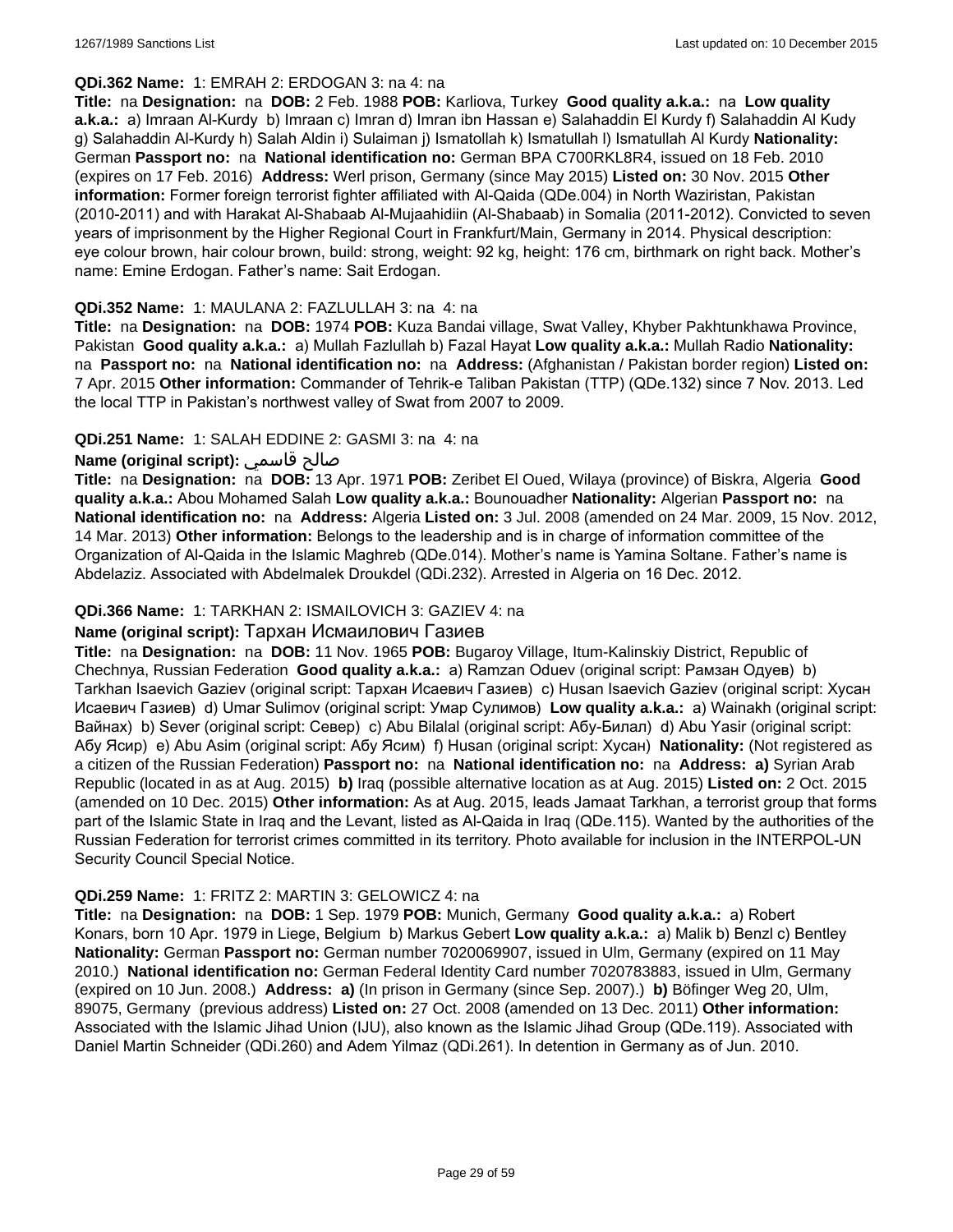#### **QDi.362 Name:** 1: EMRAH 2: ERDOGAN 3: na 4: na

**Title:** na **Designation:** na **DOB:** 2 Feb. 1988 **POB:** Karliova, Turkey **Good quality a.k.a.:** na **Low quality a.k.a.:** a) Imraan Al-Kurdy b) Imraan c) Imran d) Imran ibn Hassan e) Salahaddin El Kurdy f) Salahaddin Al Kudy g) Salahaddin Al-Kurdy h) Salah Aldin i) Sulaiman j) Ismatollah k) Ismatullah l) Ismatullah Al Kurdy **Nationality:** German **Passport no:** na **National identification no:** German BPA C700RKL8R4, issued on 18 Feb. 2010 (expires on 17 Feb. 2016) **Address:** Werl prison, Germany (since May 2015) **Listed on:** 30 Nov. 2015 **Other information:** Former foreign terrorist fighter affiliated with Al-Qaida (QDe.004) in North Waziristan, Pakistan (2010-2011) and with Harakat Al-Shabaab Al-Mujaahidiin (Al-Shabaab) in Somalia (2011-2012). Convicted to seven years of imprisonment by the Higher Regional Court in Frankfurt/Main, Germany in 2014. Physical description: eye colour brown, hair colour brown, build: strong, weight: 92 kg, height: 176 cm, birthmark on right back. Mother's name: Emine Erdogan. Father's name: Sait Erdogan.

### **QDi.352 Name:** 1: MAULANA 2: FAZLULLAH 3: na 4: na

**Title:** na **Designation:** na **DOB:** 1974 **POB:** Kuza Bandai village, Swat Valley, Khyber Pakhtunkhawa Province, Pakistan **Good quality a.k.a.:** a) Mullah Fazlullah b) Fazal Hayat **Low quality a.k.a.:** Mullah Radio **Nationality:**  na **Passport no:** na **National identification no:** na **Address:** (Afghanistan / Pakistan border region) **Listed on:** 7 Apr. 2015 **Other information:** Commander of Tehrik-e Taliban Pakistan (TTP) (QDe.132) since 7 Nov. 2013. Led the local TTP in Pakistan's northwest valley of Swat from 2007 to 2009.

### **QDi.251 Name:** 1: SALAH EDDINE 2: GASMI 3: na 4: na

# **Name (original script):** قاسمي صالح

**Title:** na **Designation:** na **DOB:** 13 Apr. 1971 **POB:** Zeribet El Oued, Wilaya (province) of Biskra, Algeria **Good quality a.k.a.:** Abou Mohamed Salah **Low quality a.k.a.:** Bounouadher **Nationality:** Algerian **Passport no:** na **National identification no:** na **Address:** Algeria **Listed on:** 3 Jul. 2008 (amended on 24 Mar. 2009, 15 Nov. 2012, 14 Mar. 2013) **Other information:** Belongs to the leadership and is in charge of information committee of the Organization of Al-Qaida in the Islamic Maghreb (QDe.014). Mother's name is Yamina Soltane. Father's name is Abdelaziz. Associated with Abdelmalek Droukdel (QDi.232). Arrested in Algeria on 16 Dec. 2012.

### **QDi.366 Name:** 1: TARKHAN 2: ISMAILOVICH 3: GAZIEV 4: na

#### **Name (original script):** Тархан Исмаилович Газиев

**Title:** na **Designation:** na **DOB:** 11 Nov. 1965 **POB:** Bugaroy Village, Itum-Kalinskiy District, Republic of Chechnya, Russian Federation **Good quality a.k.a.:** a) Ramzan Oduev (original script: Рамзан Одуев) b) Tarkhan Isaevich Gaziev (original script: Тархан Исаевич Газиев) c) Husan Isaevich Gaziev (original script: Хусан Исаевич Газиев) d) Umar Sulimov (original script: Умар Сулимов) **Low quality a.k.a.:** a) Wainakh (original script: Вайнах) b) Sever (original script: Север) c) Abu Bilalal (original script: Абу-Билал) d) Abu Yasir (original script: Абу Ясир) e) Abu Asim (original script: Абу Ясим) f) Husan (original script: Хусан) **Nationality:** (Not registered as a citizen of the Russian Federation) **Passport no:** na **National identification no:** na **Address: a)** Syrian Arab Republic (located in as at Aug. 2015) **b)** Iraq (possible alternative location as at Aug. 2015) **Listed on:** 2 Oct. 2015 (amended on 10 Dec. 2015) **Other information:** As at Aug. 2015, leads Jamaat Tarkhan, a terrorist group that forms part of the Islamic State in Iraq and the Levant, listed as Al-Qaida in Iraq (QDe.115). Wanted by the authorities of the Russian Federation for terrorist crimes committed in its territory. Photo available for inclusion in the INTERPOL-UN Security Council Special Notice.

### **QDi.259 Name:** 1: FRITZ 2: MARTIN 3: GELOWICZ 4: na

**Title:** na **Designation:** na **DOB:** 1 Sep. 1979 **POB:** Munich, Germany **Good quality a.k.a.:** a) Robert Konars, born 10 Apr. 1979 in Liege, Belgium b) Markus Gebert **Low quality a.k.a.:** a) Malik b) Benzl c) Bentley **Nationality:** German **Passport no:** German number 7020069907, issued in Ulm, Germany (expired on 11 May 2010.) **National identification no:** German Federal Identity Card number 7020783883, issued in Ulm, Germany (expired on 10 Jun. 2008.) **Address: a)** (In prison in Germany (since Sep. 2007).) **b)** Böfinger Weg 20, Ulm, 89075, Germany (previous address) **Listed on:** 27 Oct. 2008 (amended on 13 Dec. 2011) **Other information:** Associated with the Islamic Jihad Union (IJU), also known as the Islamic Jihad Group (QDe.119). Associated with Daniel Martin Schneider (QDi.260) and Adem Yilmaz (QDi.261). In detention in Germany as of Jun. 2010.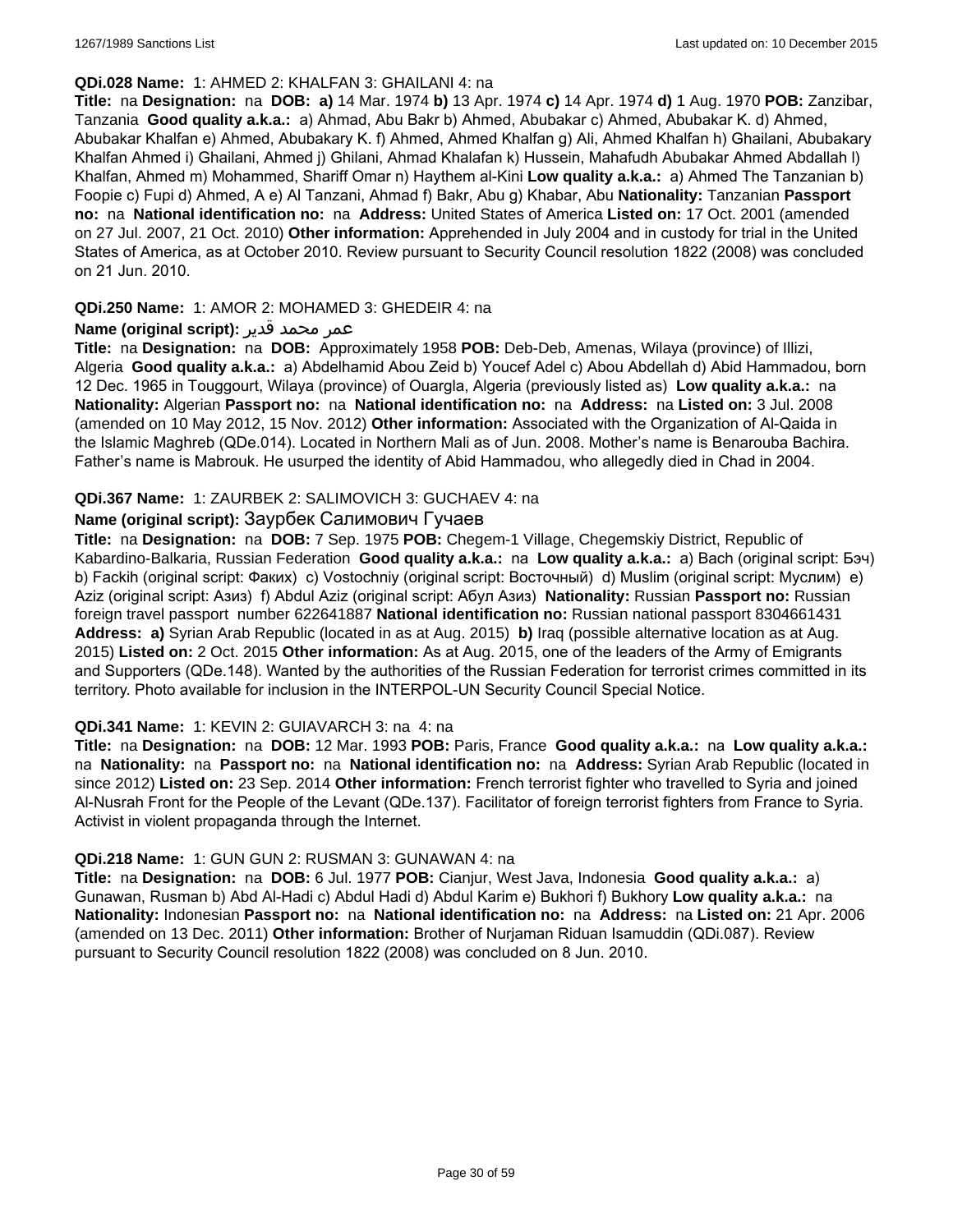#### **QDi.028 Name:** 1: AHMED 2: KHALFAN 3: GHAILANI 4: na

**Title:** na **Designation:** na **DOB: a)** 14 Mar. 1974 **b)** 13 Apr. 1974 **c)** 14 Apr. 1974 **d)** 1 Aug. 1970 **POB:** Zanzibar, Tanzania **Good quality a.k.a.:** a) Ahmad, Abu Bakr b) Ahmed, Abubakar c) Ahmed, Abubakar K. d) Ahmed, Abubakar Khalfan e) Ahmed, Abubakary K. f) Ahmed, Ahmed Khalfan g) Ali, Ahmed Khalfan h) Ghailani, Abubakary Khalfan Ahmed i) Ghailani, Ahmed j) Ghilani, Ahmad Khalafan k) Hussein, Mahafudh Abubakar Ahmed Abdallah l) Khalfan, Ahmed m) Mohammed, Shariff Omar n) Haythem al-Kini **Low quality a.k.a.:** a) Ahmed The Tanzanian b) Foopie c) Fupi d) Ahmed, A e) Al Tanzani, Ahmad f) Bakr, Abu g) Khabar, Abu **Nationality:** Tanzanian **Passport no:** na **National identification no:** na **Address:** United States of America **Listed on:** 17 Oct. 2001 (amended on 27 Jul. 2007, 21 Oct. 2010) **Other information:** Apprehended in July 2004 and in custody for trial in the United States of America, as at October 2010. Review pursuant to Security Council resolution 1822 (2008) was concluded on 21 Jun. 2010.

### **QDi.250 Name:** 1: AMOR 2: MOHAMED 3: GHEDEIR 4: na

### عمر محمد قدير **:(script original (Name**

**Title:** na **Designation:** na **DOB:** Approximately 1958 **POB:** Deb-Deb, Amenas, Wilaya (province) of Illizi, Algeria **Good quality a.k.a.:** a) Abdelhamid Abou Zeid b) Youcef Adel c) Abou Abdellah d) Abid Hammadou, born 12 Dec. 1965 in Touggourt, Wilaya (province) of Ouargla, Algeria (previously listed as) **Low quality a.k.a.:** na **Nationality:** Algerian **Passport no:** na **National identification no:** na **Address:** na **Listed on:** 3 Jul. 2008 (amended on 10 May 2012, 15 Nov. 2012) **Other information:** Associated with the Organization of Al-Qaida in the Islamic Maghreb (QDe.014). Located in Northern Mali as of Jun. 2008. Mother's name is Benarouba Bachira. Father's name is Mabrouk. He usurped the identity of Abid Hammadou, who allegedly died in Chad in 2004.

### **QDi.367 Name:** 1: ZAURBEK 2: SALIMOVICH 3: GUCHAEV 4: na

# **Name (original script):** Заурбек Салимович Гучаев

**Title:** na **Designation:** na **DOB:** 7 Sep. 1975 **POB:** Chegem-1 Village, Chegemskiy District, Republic of Kabardino-Balkaria, Russian Federation **Good quality a.k.a.:** na **Low quality a.k.a.:** a) Bach (original script: Бэч) b) Fackih (original script: Факих) c) Vostochniy (original script: Восточный) d) Muslim (original script: Муслим) e) Aziz (original script: Азиз) f) Abdul Aziz (original script: Абул Азиз) **Nationality:** Russian **Passport no:** Russian foreign travel passport number 622641887 **National identification no:** Russian national passport 8304661431 **Address: a)** Syrian Arab Republic (located in as at Aug. 2015) **b)** Iraq (possible alternative location as at Aug. 2015) **Listed on:** 2 Oct. 2015 **Other information:** As at Aug. 2015, one of the leaders of the Army of Emigrants and Supporters (QDe.148). Wanted by the authorities of the Russian Federation for terrorist crimes committed in its territory. Photo available for inclusion in the INTERPOL-UN Security Council Special Notice.

### **QDi.341 Name:** 1: KEVIN 2: GUIAVARCH 3: na 4: na

**Title:** na **Designation:** na **DOB:** 12 Mar. 1993 **POB:** Paris, France **Good quality a.k.a.:** na **Low quality a.k.a.:**  na **Nationality:** na **Passport no:** na **National identification no:** na **Address:** Syrian Arab Republic (located in since 2012) **Listed on:** 23 Sep. 2014 **Other information:** French terrorist fighter who travelled to Syria and joined Al-Nusrah Front for the People of the Levant (QDe.137). Facilitator of foreign terrorist fighters from France to Syria. Activist in violent propaganda through the Internet.

### **QDi.218 Name:** 1: GUN GUN 2: RUSMAN 3: GUNAWAN 4: na

**Title:** na **Designation:** na **DOB:** 6 Jul. 1977 **POB:** Cianjur, West Java, Indonesia **Good quality a.k.a.:** a) Gunawan, Rusman b) Abd Al-Hadi c) Abdul Hadi d) Abdul Karim e) Bukhori f) Bukhory **Low quality a.k.a.:** na **Nationality:** Indonesian **Passport no:** na **National identification no:** na **Address:** na **Listed on:** 21 Apr. 2006 (amended on 13 Dec. 2011) **Other information:** Brother of Nurjaman Riduan Isamuddin (QDi.087). Review pursuant to Security Council resolution 1822 (2008) was concluded on 8 Jun. 2010.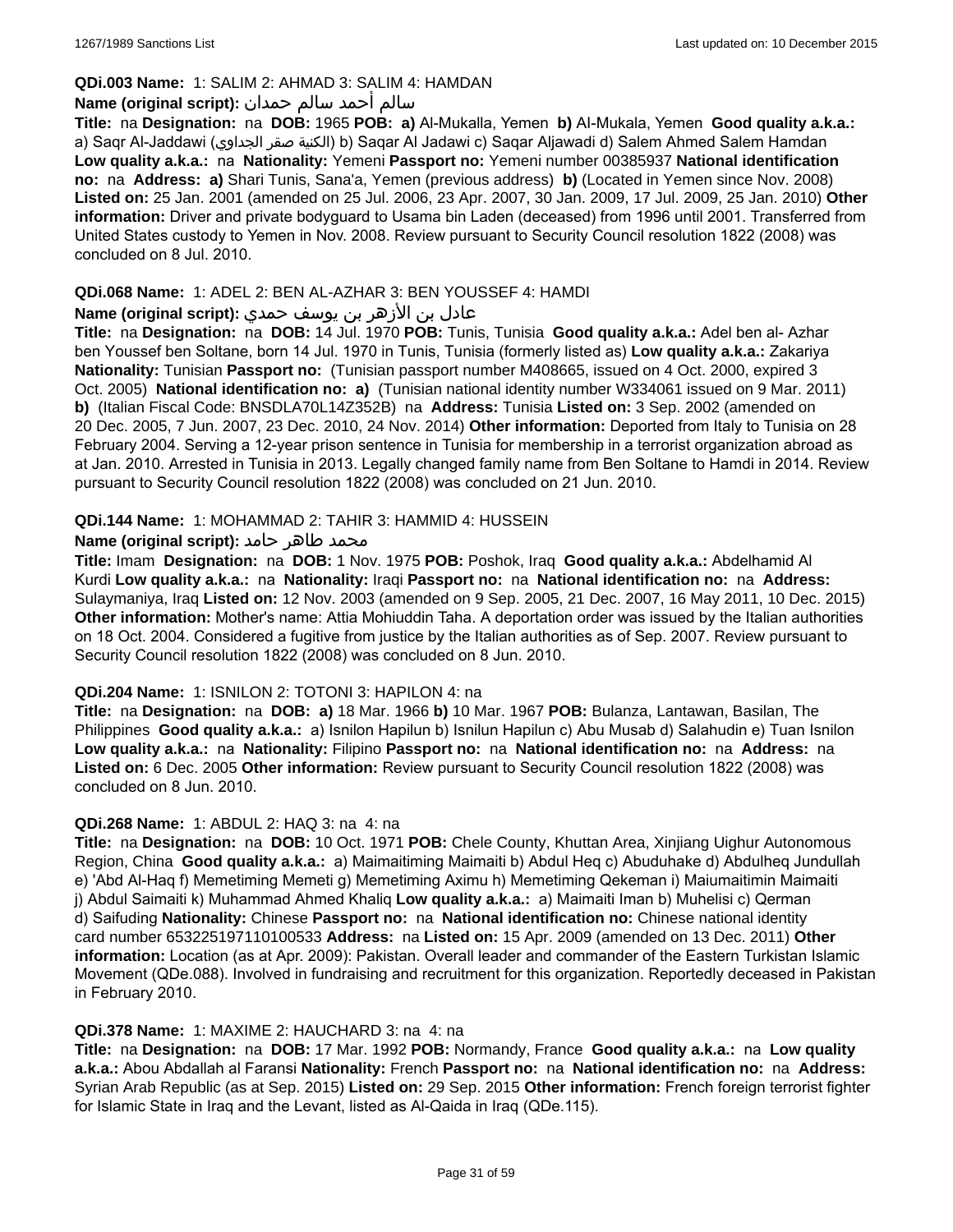# **QDi.003 Name:** 1: SALIM 2: AHMAD 3: SALIM 4: HAMDAN

### سالم أحمد سالم حمدان **:(script original (Name**

**Title:** na **Designation:** na **DOB:** 1965 **POB: a)** Al-Mukalla, Yemen **b)** AI-Mukala, Yemen **Good quality a.k.a.:**  a) Saqr Al-Jaddawi (الجداوي صقر الكنية (b) Saqar Al Jadawi c) Saqar Aljawadi d) Salem Ahmed Salem Hamdan **Low quality a.k.a.:** na **Nationality:** Yemeni **Passport no:** Yemeni number 00385937 **National identification no:** na **Address: a)** Shari Tunis, Sana'a, Yemen (previous address) **b)** (Located in Yemen since Nov. 2008) **Listed on:** 25 Jan. 2001 (amended on 25 Jul. 2006, 23 Apr. 2007, 30 Jan. 2009, 17 Jul. 2009, 25 Jan. 2010) **Other information:** Driver and private bodyguard to Usama bin Laden (deceased) from 1996 until 2001. Transferred from United States custody to Yemen in Nov. 2008. Review pursuant to Security Council resolution 1822 (2008) was concluded on 8 Jul. 2010.

### **QDi.068 Name:** 1: ADEL 2: BEN AL-AZHAR 3: BEN YOUSSEF 4: HAMDI

# عادل بن الأزهر بن يوسف حمدي **:(script original (Name**

**Title:** na **Designation:** na **DOB:** 14 Jul. 1970 **POB:** Tunis, Tunisia **Good quality a.k.a.:** Adel ben al- Azhar ben Youssef ben Soltane, born 14 Jul. 1970 in Tunis, Tunisia (formerly listed as) **Low quality a.k.a.:** Zakariya **Nationality:** Tunisian **Passport no:** (Tunisian passport number M408665, issued on 4 Oct. 2000, expired 3 Oct. 2005) **National identification no: a)** (Tunisian national identity number W334061 issued on 9 Mar. 2011) **b)** (Italian Fiscal Code: BNSDLA70L14Z352B) na **Address:** Tunisia **Listed on:** 3 Sep. 2002 (amended on 20 Dec. 2005, 7 Jun. 2007, 23 Dec. 2010, 24 Nov. 2014) **Other information:** Deported from Italy to Tunisia on 28 February 2004. Serving a 12-year prison sentence in Tunisia for membership in a terrorist organization abroad as at Jan. 2010. Arrested in Tunisia in 2013. Legally changed family name from Ben Soltane to Hamdi in 2014. Review pursuant to Security Council resolution 1822 (2008) was concluded on 21 Jun. 2010.

### **QDi.144 Name:** 1: MOHAMMAD 2: TAHIR 3: HAMMID 4: HUSSEIN

# محمد طاهر حامد **:**(Name (original script

**Title:** Imam **Designation:** na **DOB:** 1 Nov. 1975 **POB:** Poshok, Iraq **Good quality a.k.a.:** Abdelhamid Al Kurdi **Low quality a.k.a.:** na **Nationality:** Iraqi **Passport no:** na **National identification no:** na **Address:** Sulaymaniya, Iraq **Listed on:** 12 Nov. 2003 (amended on 9 Sep. 2005, 21 Dec. 2007, 16 May 2011, 10 Dec. 2015) **Other information:** Mother's name: Attia Mohiuddin Taha. A deportation order was issued by the Italian authorities on 18 Oct. 2004. Considered a fugitive from justice by the Italian authorities as of Sep. 2007. Review pursuant to Security Council resolution 1822 (2008) was concluded on 8 Jun. 2010.

### **QDi.204 Name:** 1: ISNILON 2: TOTONI 3: HAPILON 4: na

**Title:** na **Designation:** na **DOB: a)** 18 Mar. 1966 **b)** 10 Mar. 1967 **POB:** Bulanza, Lantawan, Basilan, The Philippines **Good quality a.k.a.:** a) Isnilon Hapilun b) Isnilun Hapilun c) Abu Musab d) Salahudin e) Tuan Isnilon **Low quality a.k.a.:** na **Nationality:** Filipino **Passport no:** na **National identification no:** na **Address:** na **Listed on:** 6 Dec. 2005 **Other information:** Review pursuant to Security Council resolution 1822 (2008) was concluded on 8 Jun. 2010.

### **QDi.268 Name:** 1: ABDUL 2: HAQ 3: na 4: na

**Title:** na **Designation:** na **DOB:** 10 Oct. 1971 **POB:** Chele County, Khuttan Area, Xinjiang Uighur Autonomous Region, China **Good quality a.k.a.:** a) Maimaitiming Maimaiti b) Abdul Heq c) Abuduhake d) Abdulheq Jundullah e) 'Abd Al-Haq f) Memetiming Memeti g) Memetiming Aximu h) Memetiming Qekeman i) Maiumaitimin Maimaiti j) Abdul Saimaiti k) Muhammad Ahmed Khaliq **Low quality a.k.a.:** a) Maimaiti Iman b) Muhelisi c) Qerman d) Saifuding **Nationality:** Chinese **Passport no:** na **National identification no:** Chinese national identity card number 653225197110100533 **Address:** na **Listed on:** 15 Apr. 2009 (amended on 13 Dec. 2011) **Other information:** Location (as at Apr. 2009): Pakistan. Overall leader and commander of the Eastern Turkistan Islamic Movement (QDe.088). Involved in fundraising and recruitment for this organization. Reportedly deceased in Pakistan in February 2010.

#### **QDi.378 Name:** 1: MAXIME 2: HAUCHARD 3: na 4: na

**Title:** na **Designation:** na **DOB:** 17 Mar. 1992 **POB:** Normandy, France **Good quality a.k.a.:** na **Low quality a.k.a.:** Abou Abdallah al Faransi **Nationality:** French **Passport no:** na **National identification no:** na **Address:** Syrian Arab Republic (as at Sep. 2015) **Listed on:** 29 Sep. 2015 **Other information:** French foreign terrorist fighter for Islamic State in Iraq and the Levant, listed as Al-Qaida in Iraq (QDe.115).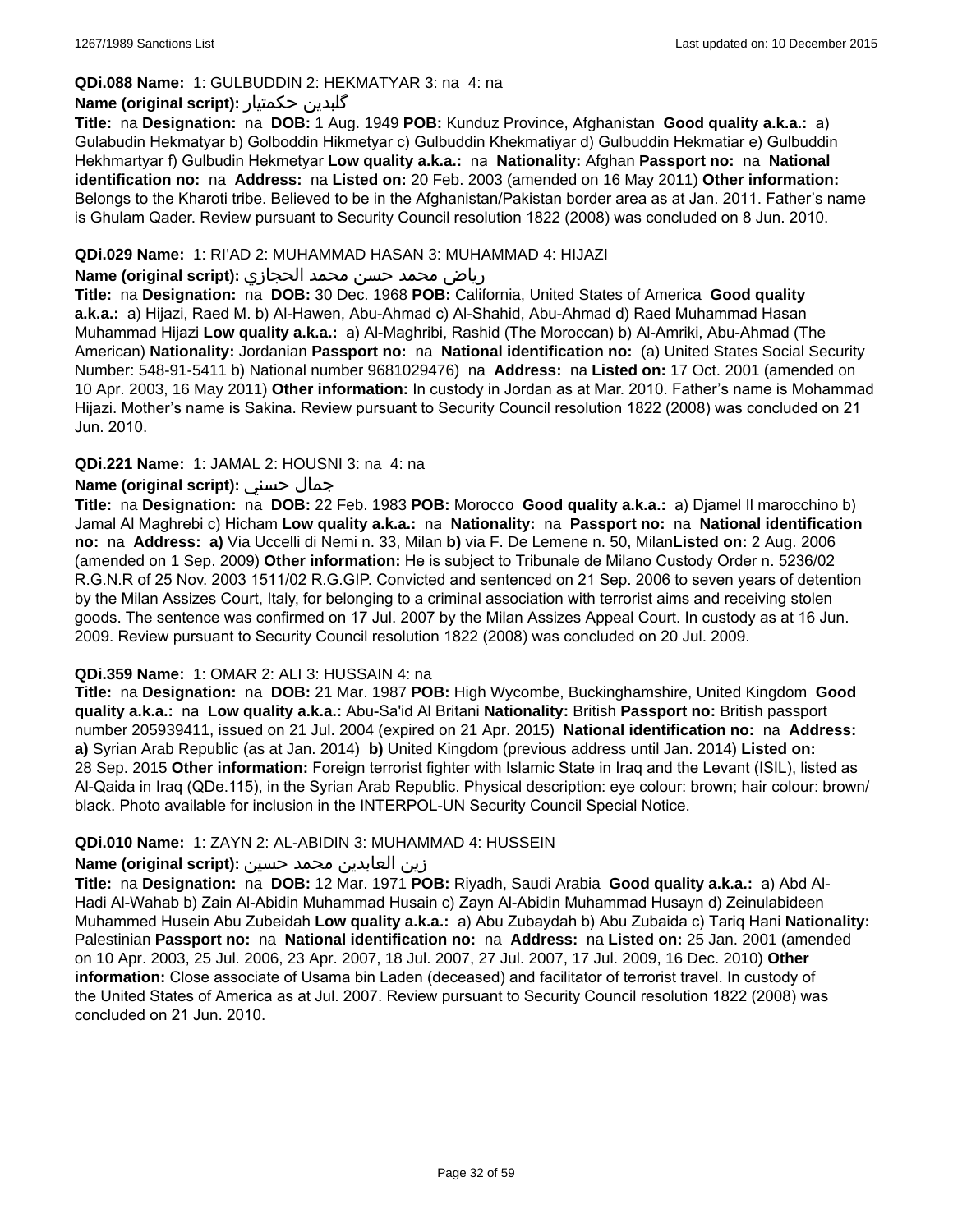### **QDi.088 Name:** 1: GULBUDDIN 2: HEKMATYAR 3: na 4: na

### **Name (original script):** حکمتیار گلبدین

**Title:** na **Designation:** na **DOB:** 1 Aug. 1949 **POB:** Kunduz Province, Afghanistan **Good quality a.k.a.:** a) Gulabudin Hekmatyar b) Golboddin Hikmetyar c) Gulbuddin Khekmatiyar d) Gulbuddin Hekmatiar e) Gulbuddin Hekhmartyar f) Gulbudin Hekmetyar **Low quality a.k.a.:** na **Nationality:** Afghan **Passport no:** na **National identification no:** na **Address:** na **Listed on:** 20 Feb. 2003 (amended on 16 May 2011) **Other information:** Belongs to the Kharoti tribe. Believed to be in the Afghanistan/Pakistan border area as at Jan. 2011. Father's name is Ghulam Qader. Review pursuant to Security Council resolution 1822 (2008) was concluded on 8 Jun. 2010.

#### **QDi.029 Name:** 1: RI'AD 2: MUHAMMAD HASAN 3: MUHAMMAD 4: HIJAZI

#### رياض محمد حسن محمد الحجازي **:(script original (Name**

**Title:** na **Designation:** na **DOB:** 30 Dec. 1968 **POB:** California, United States of America **Good quality a.k.a.:** a) Hijazi, Raed M. b) Al-Hawen, Abu-Ahmad c) Al-Shahid, Abu-Ahmad d) Raed Muhammad Hasan Muhammad Hijazi **Low quality a.k.a.:** a) Al-Maghribi, Rashid (The Moroccan) b) Al-Amriki, Abu-Ahmad (The American) **Nationality:** Jordanian **Passport no:** na **National identification no:** (a) United States Social Security Number: 548-91-5411 b) National number 9681029476) na **Address:** na **Listed on:** 17 Oct. 2001 (amended on 10 Apr. 2003, 16 May 2011) **Other information:** In custody in Jordan as at Mar. 2010. Father's name is Mohammad Hijazi. Mother's name is Sakina. Review pursuant to Security Council resolution 1822 (2008) was concluded on 21 Jun. 2010.

### **QDi.221 Name:** 1: JAMAL 2: HOUSNI 3: na 4: na

### **Name (original script):** حسني جمال

**Title:** na **Designation:** na **DOB:** 22 Feb. 1983 **POB:** Morocco **Good quality a.k.a.:** a) Djamel Il marocchino b) Jamal Al Maghrebi c) Hicham **Low quality a.k.a.:** na **Nationality:** na **Passport no:** na **National identification no:** na **Address: a)** Via Uccelli di Nemi n. 33, Milan **b)** via F. De Lemene n. 50, Milan**Listed on:** 2 Aug. 2006 (amended on 1 Sep. 2009) **Other information:** He is subject to Tribunale de Milano Custody Order n. 5236/02 R.G.N.R of 25 Nov. 2003 1511/02 R.G.GIP. Convicted and sentenced on 21 Sep. 2006 to seven years of detention by the Milan Assizes Court, Italy, for belonging to a criminal association with terrorist aims and receiving stolen goods. The sentence was confirmed on 17 Jul. 2007 by the Milan Assizes Appeal Court. In custody as at 16 Jun. 2009. Review pursuant to Security Council resolution 1822 (2008) was concluded on 20 Jul. 2009.

### **QDi.359 Name:** 1: OMAR 2: ALI 3: HUSSAIN 4: na

**Title:** na **Designation:** na **DOB:** 21 Mar. 1987 **POB:** High Wycombe, Buckinghamshire, United Kingdom **Good quality a.k.a.:** na **Low quality a.k.a.:** Abu-Sa'id Al Britani **Nationality:** British **Passport no:** British passport number 205939411, issued on 21 Jul. 2004 (expired on 21 Apr. 2015) **National identification no:** na **Address: a)** Syrian Arab Republic (as at Jan. 2014) **b)** United Kingdom (previous address until Jan. 2014) **Listed on:** 28 Sep. 2015 **Other information:** Foreign terrorist fighter with Islamic State in Iraq and the Levant (ISIL), listed as Al-Qaida in Iraq (QDe.115), in the Syrian Arab Republic. Physical description: eye colour: brown; hair colour: brown/ black. Photo available for inclusion in the INTERPOL-UN Security Council Special Notice.

### **QDi.010 Name:** 1: ZAYN 2: AL-ABIDIN 3: MUHAMMAD 4: HUSSEIN

### زين العابدين محمد حسين **:(script original (Name**

**Title:** na **Designation:** na **DOB:** 12 Mar. 1971 **POB:** Riyadh, Saudi Arabia **Good quality a.k.a.:** a) Abd Al-Hadi Al-Wahab b) Zain Al-Abidin Muhammad Husain c) Zayn Al-Abidin Muhammad Husayn d) Zeinulabideen Muhammed Husein Abu Zubeidah **Low quality a.k.a.:** a) Abu Zubaydah b) Abu Zubaida c) Tariq Hani **Nationality:** Palestinian **Passport no:** na **National identification no:** na **Address:** na **Listed on:** 25 Jan. 2001 (amended on 10 Apr. 2003, 25 Jul. 2006, 23 Apr. 2007, 18 Jul. 2007, 27 Jul. 2007, 17 Jul. 2009, 16 Dec. 2010) **Other information:** Close associate of Usama bin Laden (deceased) and facilitator of terrorist travel. In custody of the United States of America as at Jul. 2007. Review pursuant to Security Council resolution 1822 (2008) was concluded on 21 Jun. 2010.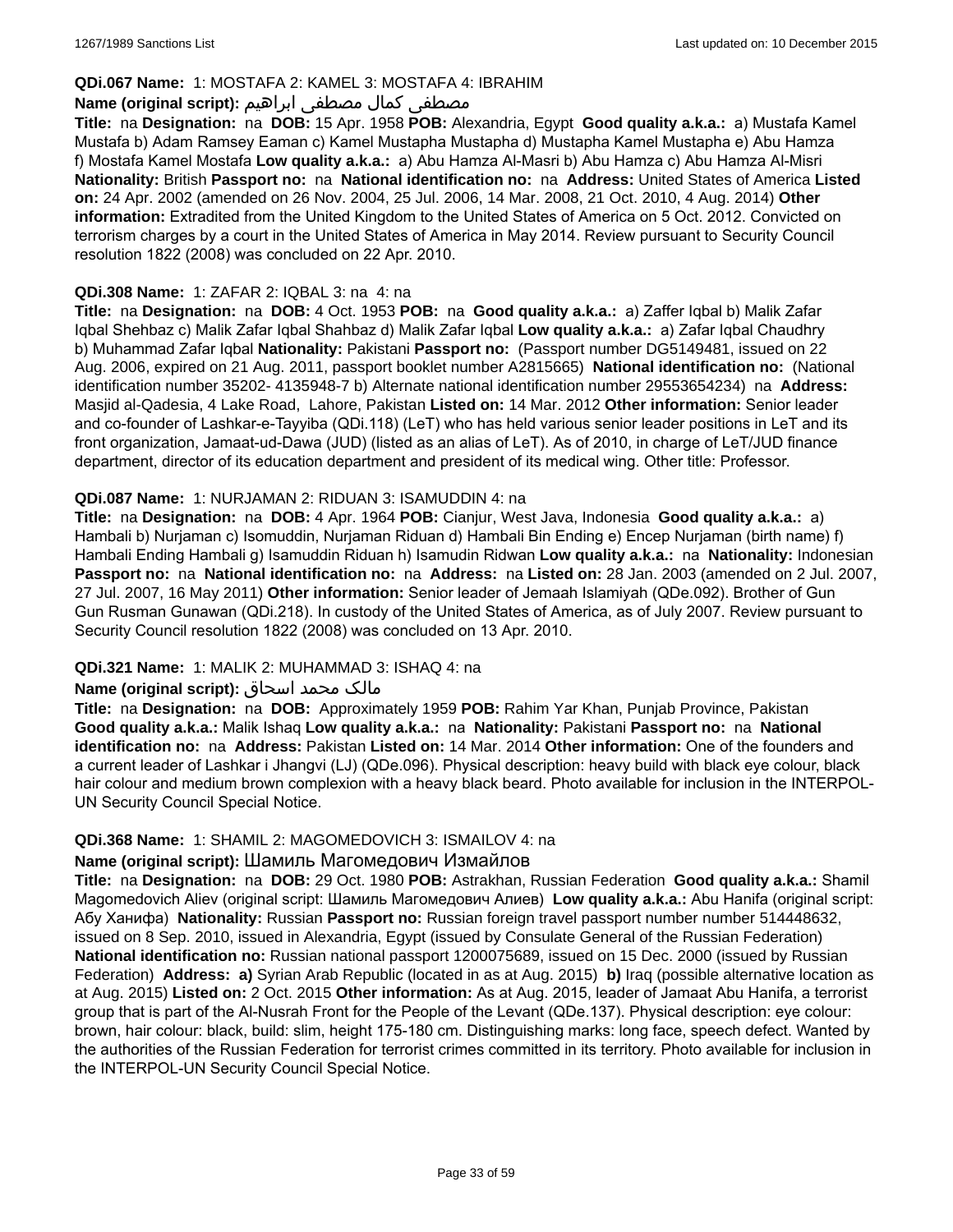### **QDi.067 Name:** 1: MOSTAFA 2: KAMEL 3: MOSTAFA 4: IBRAHIM

### مصطفى كمال مصطفى ابراهيم **:Name (original script**)

**Title:** na **Designation:** na **DOB:** 15 Apr. 1958 **POB:** Alexandria, Egypt **Good quality a.k.a.:** a) Mustafa Kamel Mustafa b) Adam Ramsey Eaman c) Kamel Mustapha Mustapha d) Mustapha Kamel Mustapha e) Abu Hamza f) Mostafa Kamel Mostafa **Low quality a.k.a.:** a) Abu Hamza Al-Masri b) Abu Hamza c) Abu Hamza Al-Misri **Nationality:** British **Passport no:** na **National identification no:** na **Address:** United States of America **Listed on:** 24 Apr. 2002 (amended on 26 Nov. 2004, 25 Jul. 2006, 14 Mar. 2008, 21 Oct. 2010, 4 Aug. 2014) **Other information:** Extradited from the United Kingdom to the United States of America on 5 Oct. 2012. Convicted on terrorism charges by a court in the United States of America in May 2014. Review pursuant to Security Council resolution 1822 (2008) was concluded on 22 Apr. 2010.

### **QDi.308 Name:** 1: ZAFAR 2: IQBAL 3: na 4: na

**Title:** na **Designation:** na **DOB:** 4 Oct. 1953 **POB:** na **Good quality a.k.a.:** a) Zaffer Iqbal b) Malik Zafar Iqbal Shehbaz c) Malik Zafar Iqbal Shahbaz d) Malik Zafar Iqbal **Low quality a.k.a.:** a) Zafar Iqbal Chaudhry b) Muhammad Zafar Iqbal **Nationality:** Pakistani **Passport no:** (Passport number DG5149481, issued on 22 Aug. 2006, expired on 21 Aug. 2011, passport booklet number A2815665) **National identification no:** (National identification number 35202- 4135948-7 b) Alternate national identification number 29553654234) na **Address:** Masjid al-Qadesia, 4 Lake Road, Lahore, Pakistan **Listed on:** 14 Mar. 2012 **Other information:** Senior leader and co-founder of Lashkar-e-Tayyiba (QDi.118) (LeT) who has held various senior leader positions in LeT and its front organization, Jamaat-ud-Dawa (JUD) (listed as an alias of LeT). As of 2010, in charge of LeT/JUD finance department, director of its education department and president of its medical wing. Other title: Professor.

### **QDi.087 Name:** 1: NURJAMAN 2: RIDUAN 3: ISAMUDDIN 4: na

**Title:** na **Designation:** na **DOB:** 4 Apr. 1964 **POB:** Cianjur, West Java, Indonesia **Good quality a.k.a.:** a) Hambali b) Nurjaman c) Isomuddin, Nurjaman Riduan d) Hambali Bin Ending e) Encep Nurjaman (birth name) f) Hambali Ending Hambali g) Isamuddin Riduan h) Isamudin Ridwan **Low quality a.k.a.:** na **Nationality:** Indonesian **Passport no:** na **National identification no:** na **Address:** na **Listed on:** 28 Jan. 2003 (amended on 2 Jul. 2007, 27 Jul. 2007, 16 May 2011) **Other information:** Senior leader of Jemaah Islamiyah (QDe.092). Brother of Gun Gun Rusman Gunawan (QDi.218). In custody of the United States of America, as of July 2007. Review pursuant to Security Council resolution 1822 (2008) was concluded on 13 Apr. 2010.

### **QDi.321 Name:** 1: MALIK 2: MUHAMMAD 3: ISHAQ 4: na

### مالک محمد اسحاق : Name (original script)

**Title:** na **Designation:** na **DOB:** Approximately 1959 **POB:** Rahim Yar Khan, Punjab Province, Pakistan **Good quality a.k.a.:** Malik Ishaq **Low quality a.k.a.:** na **Nationality:** Pakistani **Passport no:** na **National identification no:** na **Address:** Pakistan **Listed on:** 14 Mar. 2014 **Other information:** One of the founders and a current leader of Lashkar i Jhangvi (LJ) (QDe.096). Physical description: heavy build with black eye colour, black hair colour and medium brown complexion with a heavy black beard. Photo available for inclusion in the INTERPOL-UN Security Council Special Notice.

#### **QDi.368 Name:** 1: SHAMIL 2: MAGOMEDOVICH 3: ISMAILOV 4: na

# **Name (original script):** Шамиль Магомедович Измайлов

**Title:** na **Designation:** na **DOB:** 29 Oct. 1980 **POB:** Astrakhan, Russian Federation **Good quality a.k.a.:** Shamil Magomedovich Aliev (original script: Шамиль Магомедович Алиев) **Low quality a.k.a.:** Abu Hanifa (original script: Абу Ханифа) **Nationality:** Russian **Passport no:** Russian foreign travel passport number number 514448632, issued on 8 Sep. 2010, issued in Alexandria, Egypt (issued by Consulate General of the Russian Federation) **National identification no:** Russian national passport 1200075689, issued on 15 Dec. 2000 (issued by Russian Federation) **Address: a)** Syrian Arab Republic (located in as at Aug. 2015) **b)** Iraq (possible alternative location as at Aug. 2015) **Listed on:** 2 Oct. 2015 **Other information:** As at Aug. 2015, leader of Jamaat Abu Hanifa, a terrorist group that is part of the Al-Nusrah Front for the People of the Levant (QDe.137). Physical description: eye colour: brown, hair colour: black, build: slim, height 175-180 cm. Distinguishing marks: long face, speech defect. Wanted by the authorities of the Russian Federation for terrorist crimes committed in its territory. Photo available for inclusion in the INTERPOL-UN Security Council Special Notice.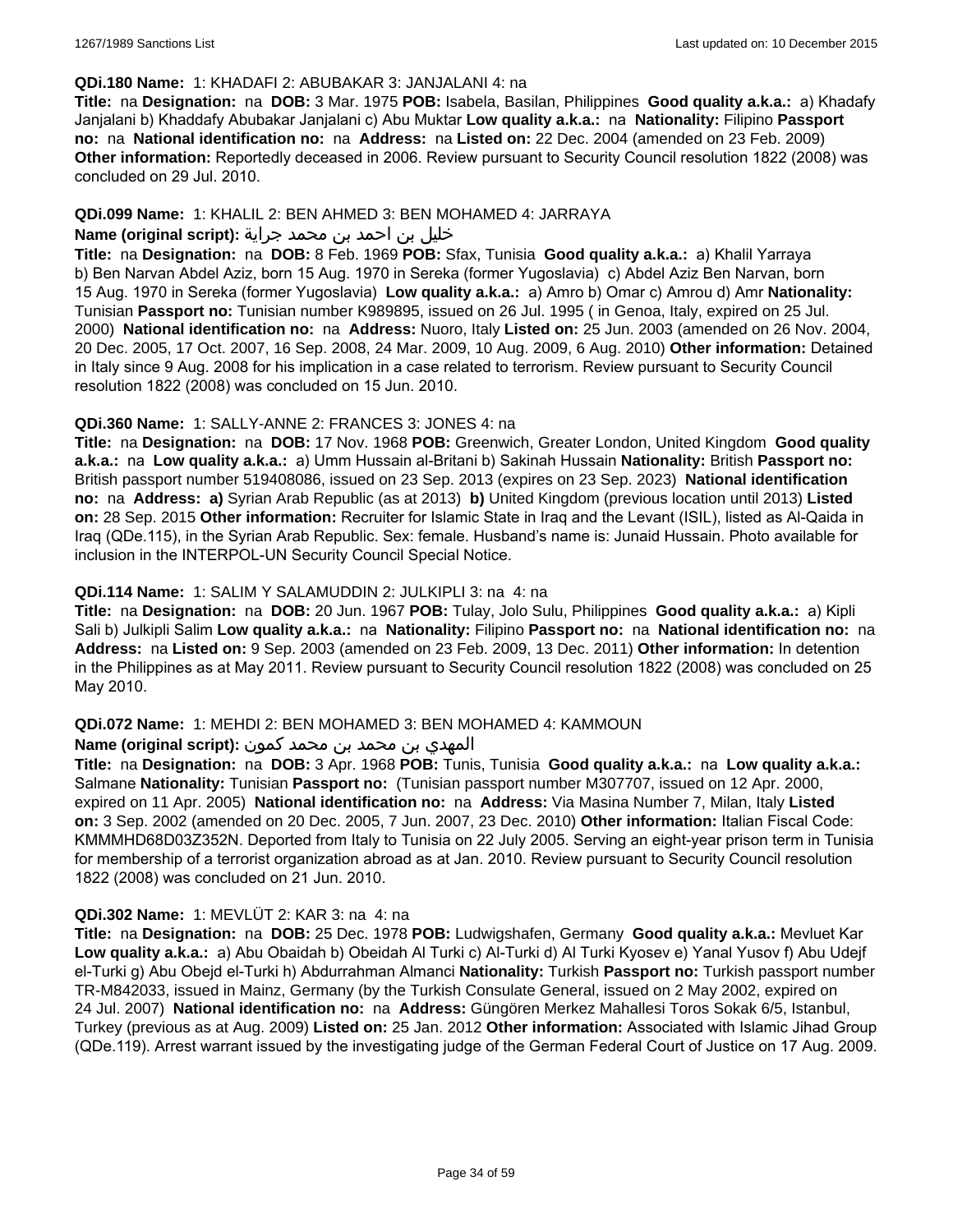#### **QDi.180 Name:** 1: KHADAFI 2: ABUBAKAR 3: JANJALANI 4: na

**Title:** na **Designation:** na **DOB:** 3 Mar. 1975 **POB:** Isabela, Basilan, Philippines **Good quality a.k.a.:** a) Khadafy Janjalani b) Khaddafy Abubakar Janjalani c) Abu Muktar **Low quality a.k.a.:** na **Nationality:** Filipino **Passport no:** na **National identification no:** na **Address:** na **Listed on:** 22 Dec. 2004 (amended on 23 Feb. 2009) **Other information:** Reportedly deceased in 2006. Review pursuant to Security Council resolution 1822 (2008) was concluded on 29 Jul. 2010.

### **QDi.099 Name:** 1: KHALIL 2: BEN AHMED 3: BEN MOHAMED 4: JARRAYA

# خليل بن احمد بن محمد جراية **:(script original (Name**

**Title:** na **Designation:** na **DOB:** 8 Feb. 1969 **POB:** Sfax, Tunisia **Good quality a.k.a.:** a) Khalil Yarraya b) Ben Narvan Abdel Aziz, born 15 Aug. 1970 in Sereka (former Yugoslavia) c) Abdel Aziz Ben Narvan, born 15 Aug. 1970 in Sereka (former Yugoslavia) **Low quality a.k.a.:** a) Amro b) Omar c) Amrou d) Amr **Nationality:** Tunisian **Passport no:** Tunisian number K989895, issued on 26 Jul. 1995 ( in Genoa, Italy, expired on 25 Jul. 2000) **National identification no:** na **Address:** Nuoro, Italy **Listed on:** 25 Jun. 2003 (amended on 26 Nov. 2004, 20 Dec. 2005, 17 Oct. 2007, 16 Sep. 2008, 24 Mar. 2009, 10 Aug. 2009, 6 Aug. 2010) **Other information:** Detained in Italy since 9 Aug. 2008 for his implication in a case related to terrorism. Review pursuant to Security Council resolution 1822 (2008) was concluded on 15 Jun. 2010.

### **QDi.360 Name:** 1: SALLY-ANNE 2: FRANCES 3: JONES 4: na

**Title:** na **Designation:** na **DOB:** 17 Nov. 1968 **POB:** Greenwich, Greater London, United Kingdom **Good quality a.k.a.:** na **Low quality a.k.a.:** a) Umm Hussain al-Britani b) Sakinah Hussain **Nationality:** British **Passport no:** British passport number 519408086, issued on 23 Sep. 2013 (expires on 23 Sep. 2023) **National identification no:** na **Address: a)** Syrian Arab Republic (as at 2013) **b)** United Kingdom (previous location until 2013) **Listed on:** 28 Sep. 2015 **Other information:** Recruiter for Islamic State in Iraq and the Levant (ISIL), listed as Al-Qaida in Iraq (QDe.115), in the Syrian Arab Republic. Sex: female. Husband's name is: Junaid Hussain. Photo available for inclusion in the INTERPOL-UN Security Council Special Notice.

### **QDi.114 Name:** 1: SALIM Y SALAMUDDIN 2: JULKIPLI 3: na 4: na

**Title:** na **Designation:** na **DOB:** 20 Jun. 1967 **POB:** Tulay, Jolo Sulu, Philippines **Good quality a.k.a.:** a) Kipli Sali b) Julkipli Salim **Low quality a.k.a.:** na **Nationality:** Filipino **Passport no:** na **National identification no:** na **Address:** na **Listed on:** 9 Sep. 2003 (amended on 23 Feb. 2009, 13 Dec. 2011) **Other information:** In detention in the Philippines as at May 2011. Review pursuant to Security Council resolution 1822 (2008) was concluded on 25 May 2010.

### **QDi.072 Name:** 1: MEHDI 2: BEN MOHAMED 3: BEN MOHAMED 4: KAMMOUN

#### المهدي بن محمد بن محمد كمون **:(script original (Name**

**Title:** na **Designation:** na **DOB:** 3 Apr. 1968 **POB:** Tunis, Tunisia **Good quality a.k.a.:** na **Low quality a.k.a.:** Salmane **Nationality:** Tunisian **Passport no:** (Tunisian passport number M307707, issued on 12 Apr. 2000, expired on 11 Apr. 2005) **National identification no:** na **Address:** Via Masina Number 7, Milan, Italy **Listed on:** 3 Sep. 2002 (amended on 20 Dec. 2005, 7 Jun. 2007, 23 Dec. 2010) **Other information:** Italian Fiscal Code: KMMMHD68D03Z352N. Deported from Italy to Tunisia on 22 July 2005. Serving an eight-year prison term in Tunisia for membership of a terrorist organization abroad as at Jan. 2010. Review pursuant to Security Council resolution 1822 (2008) was concluded on 21 Jun. 2010.

### **QDi.302 Name:** 1: MEVLÜT 2: KAR 3: na 4: na

**Title:** na **Designation:** na **DOB:** 25 Dec. 1978 **POB:** Ludwigshafen, Germany **Good quality a.k.a.:** Mevluet Kar **Low quality a.k.a.:** a) Abu Obaidah b) Obeidah Al Turki c) Al-Turki d) Al Turki Kyosev e) Yanal Yusov f) Abu Udejf el-Turki g) Abu Obejd el-Turki h) Abdurrahman Almanci **Nationality:** Turkish **Passport no:** Turkish passport number TR-M842033, issued in Mainz, Germany (by the Turkish Consulate General, issued on 2 May 2002, expired on 24 Jul. 2007) **National identification no:** na **Address:** Güngören Merkez Mahallesi Toros Sokak 6/5, Istanbul, Turkey (previous as at Aug. 2009) **Listed on:** 25 Jan. 2012 **Other information:** Associated with Islamic Jihad Group (QDe.119). Arrest warrant issued by the investigating judge of the German Federal Court of Justice on 17 Aug. 2009.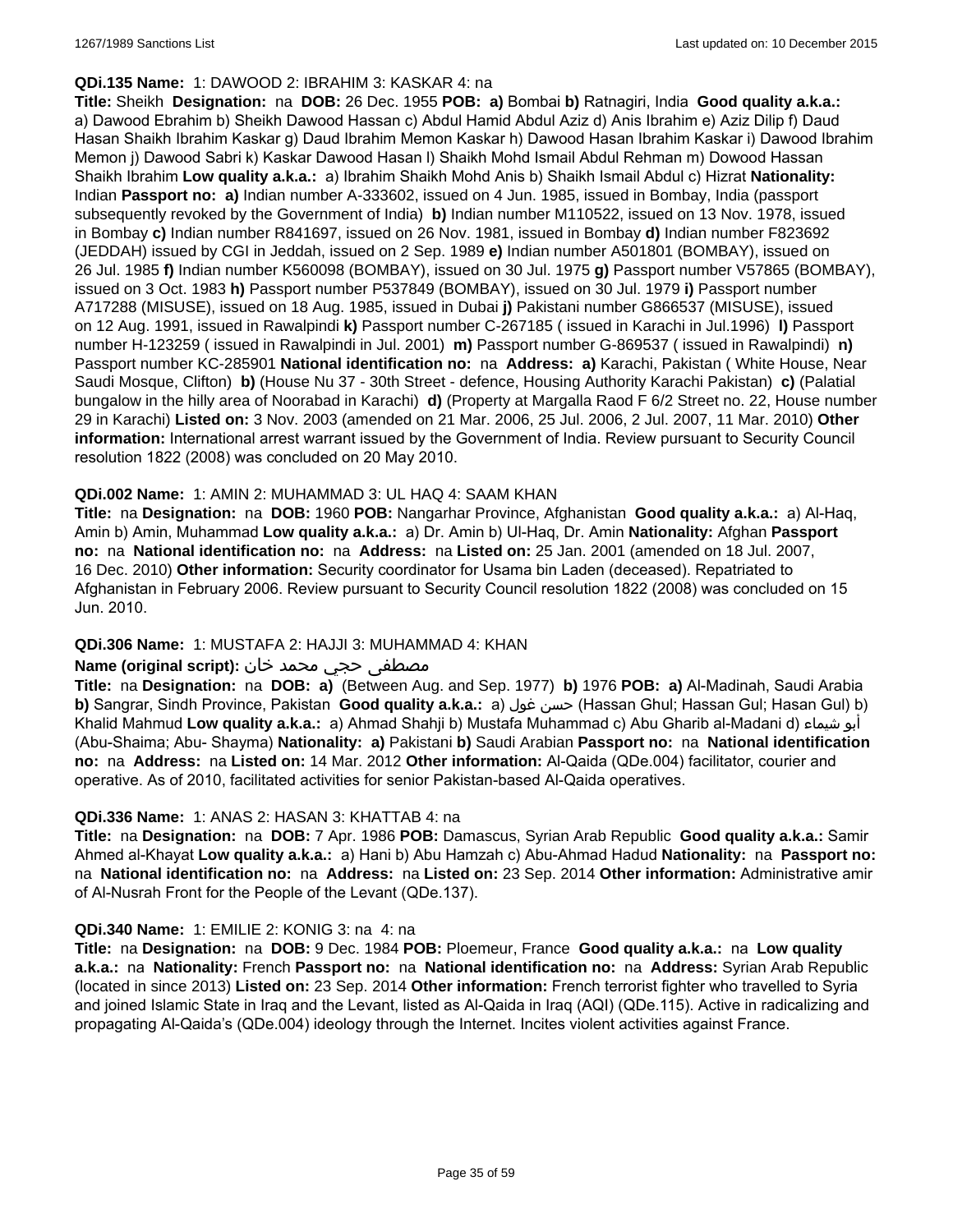#### **QDi.135 Name:** 1: DAWOOD 2: IBRAHIM 3: KASKAR 4: na

**Title:** Sheikh **Designation:** na **DOB:** 26 Dec. 1955 **POB: a)** Bombai **b)** Ratnagiri, India **Good quality a.k.a.:**  a) Dawood Ebrahim b) Sheikh Dawood Hassan c) Abdul Hamid Abdul Aziz d) Anis Ibrahim e) Aziz Dilip f) Daud Hasan Shaikh Ibrahim Kaskar g) Daud Ibrahim Memon Kaskar h) Dawood Hasan Ibrahim Kaskar i) Dawood Ibrahim Memon j) Dawood Sabri k) Kaskar Dawood Hasan l) Shaikh Mohd Ismail Abdul Rehman m) Dowood Hassan Shaikh Ibrahim **Low quality a.k.a.:** a) Ibrahim Shaikh Mohd Anis b) Shaikh Ismail Abdul c) Hizrat **Nationality:** Indian **Passport no: a)** Indian number A-333602, issued on 4 Jun. 1985, issued in Bombay, India (passport subsequently revoked by the Government of India) **b)** Indian number M110522, issued on 13 Nov. 1978, issued in Bombay **c)** Indian number R841697, issued on 26 Nov. 1981, issued in Bombay **d)** Indian number F823692 (JEDDAH) issued by CGI in Jeddah, issued on 2 Sep. 1989 **e)** Indian number A501801 (BOMBAY), issued on 26 Jul. 1985 **f)** Indian number K560098 (BOMBAY), issued on 30 Jul. 1975 **g)** Passport number V57865 (BOMBAY), issued on 3 Oct. 1983 **h)** Passport number P537849 (BOMBAY), issued on 30 Jul. 1979 **i)** Passport number A717288 (MISUSE), issued on 18 Aug. 1985, issued in Dubai **j)** Pakistani number G866537 (MISUSE), issued on 12 Aug. 1991, issued in Rawalpindi **k)** Passport number C-267185 ( issued in Karachi in Jul.1996) **l)** Passport number H-123259 ( issued in Rawalpindi in Jul. 2001) **m)** Passport number G-869537 ( issued in Rawalpindi) **n)** Passport number KC-285901 **National identification no:** na **Address: a)** Karachi, Pakistan ( White House, Near Saudi Mosque, Clifton) **b)** (House Nu 37 - 30th Street - defence, Housing Authority Karachi Pakistan) **c)** (Palatial bungalow in the hilly area of Noorabad in Karachi) **d)** (Property at Margalla Raod F 6/2 Street no. 22, House number 29 in Karachi) **Listed on:** 3 Nov. 2003 (amended on 21 Mar. 2006, 25 Jul. 2006, 2 Jul. 2007, 11 Mar. 2010) **Other information:** International arrest warrant issued by the Government of India. Review pursuant to Security Council resolution 1822 (2008) was concluded on 20 May 2010.

### **QDi.002 Name:** 1: AMIN 2: MUHAMMAD 3: UL HAQ 4: SAAM KHAN

**Title:** na **Designation:** na **DOB:** 1960 **POB:** Nangarhar Province, Afghanistan **Good quality a.k.a.:** a) Al-Haq, Amin b) Amin, Muhammad **Low quality a.k.a.:** a) Dr. Amin b) Ul-Haq, Dr. Amin **Nationality:** Afghan **Passport no:** na **National identification no:** na **Address:** na **Listed on:** 25 Jan. 2001 (amended on 18 Jul. 2007, 16 Dec. 2010) **Other information:** Security coordinator for Usama bin Laden (deceased). Repatriated to Afghanistan in February 2006. Review pursuant to Security Council resolution 1822 (2008) was concluded on 15 Jun. 2010.

### **QDi.306 Name:** 1: MUSTAFA 2: HAJJI 3: MUHAMMAD 4: KHAN

### مصطفى حجي محمد خان **:**Name (original script)

**Title:** na **Designation:** na **DOB: a)** (Between Aug. and Sep. 1977) **b)** 1976 **POB: a)** Al-Madinah, Saudi Arabia **b)** Sangrar, Sindh Province, Pakistan Good quality a.k.a.: a) حسن غول (Hassan Ghul; Hassan Gul; Hasan Gul) b) Khalid Mahmud **Low quality a.k.a.:** a) Ahmad Shahji b) Mustafa Muhammad c) Abu Gharib al-Madani d) شيماء أبو (Abu-Shaima; Abu- Shayma) **Nationality: a)** Pakistani **b)** Saudi Arabian **Passport no:** na **National identification no:** na **Address:** na **Listed on:** 14 Mar. 2012 **Other information:** Al-Qaida (QDe.004) facilitator, courier and operative. As of 2010, facilitated activities for senior Pakistan-based Al-Qaida operatives.

#### **QDi.336 Name:** 1: ANAS 2: HASAN 3: KHATTAB 4: na

**Title:** na **Designation:** na **DOB:** 7 Apr. 1986 **POB:** Damascus, Syrian Arab Republic **Good quality a.k.a.:** Samir Ahmed al-Khayat **Low quality a.k.a.:** a) Hani b) Abu Hamzah c) Abu-Ahmad Hadud **Nationality:** na **Passport no:** na **National identification no:** na **Address:** na **Listed on:** 23 Sep. 2014 **Other information:** Administrative amir of Al-Nusrah Front for the People of the Levant (QDe.137).

#### **QDi.340 Name:** 1: EMILIE 2: KONIG 3: na 4: na

**Title:** na **Designation:** na **DOB:** 9 Dec. 1984 **POB:** Ploemeur, France **Good quality a.k.a.:** na **Low quality a.k.a.:** na **Nationality:** French **Passport no:** na **National identification no:** na **Address:** Syrian Arab Republic (located in since 2013) **Listed on:** 23 Sep. 2014 **Other information:** French terrorist fighter who travelled to Syria and joined Islamic State in Iraq and the Levant, listed as Al-Qaida in Iraq (AQI) (QDe.115). Active in radicalizing and propagating Al-Qaida's (QDe.004) ideology through the Internet. Incites violent activities against France.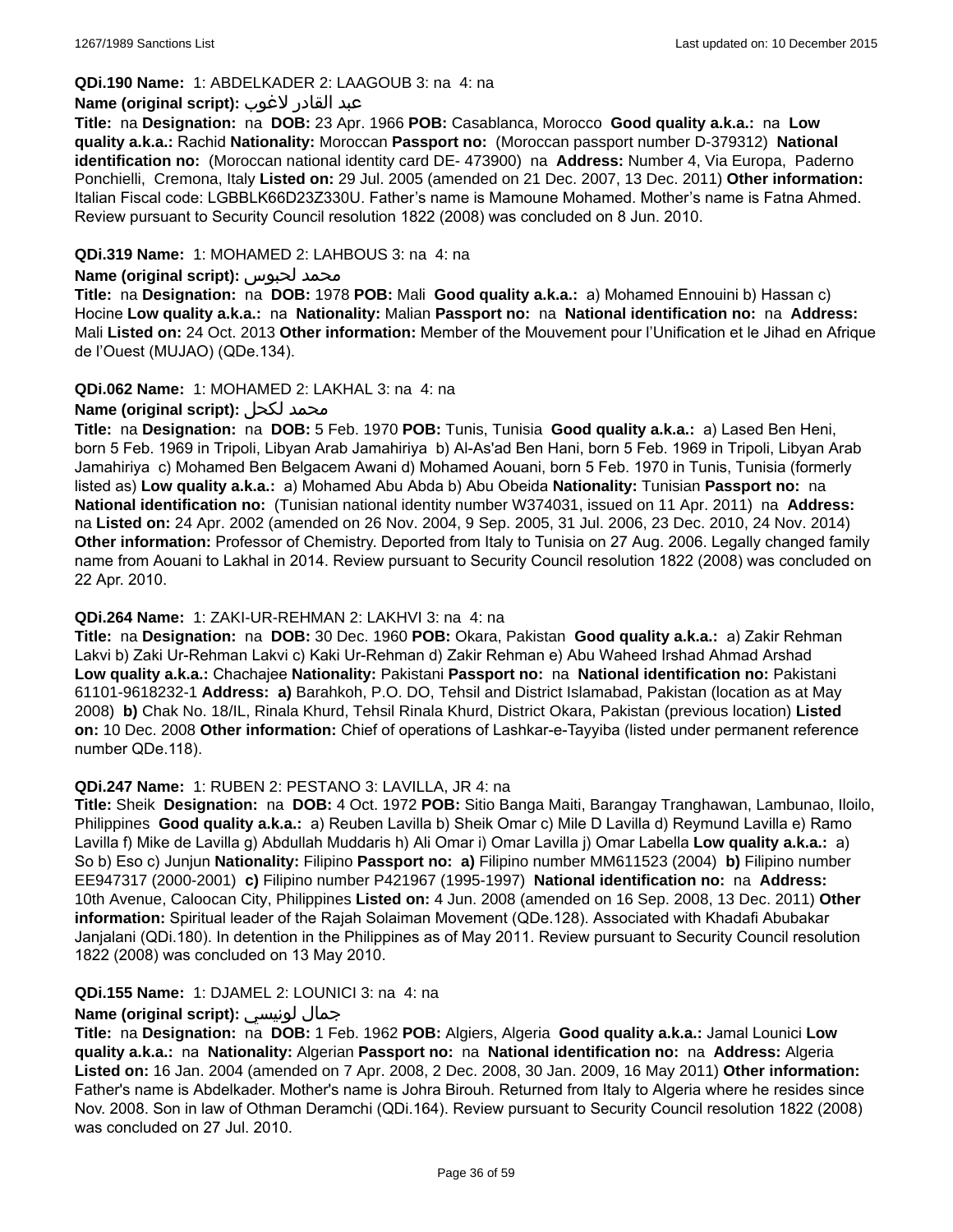### **QDi.190 Name:** 1: ABDELKADER 2: LAAGOUB 3: na 4: na

#### عبد القادر لاغوب **:(script original (Name**

**Title:** na **Designation:** na **DOB:** 23 Apr. 1966 **POB:** Casablanca, Morocco **Good quality a.k.a.:** na **Low quality a.k.a.:** Rachid **Nationality:** Moroccan **Passport no:** (Moroccan passport number D-379312) **National identification no:** (Moroccan national identity card DE- 473900) na **Address:** Number 4, Via Europa, Paderno Ponchielli, Cremona, Italy **Listed on:** 29 Jul. 2005 (amended on 21 Dec. 2007, 13 Dec. 2011) **Other information:** Italian Fiscal code: LGBBLK66D23Z330U. Father's name is Mamoune Mohamed. Mother's name is Fatna Ahmed. Review pursuant to Security Council resolution 1822 (2008) was concluded on 8 Jun. 2010.

### **QDi.319 Name:** 1: MOHAMED 2: LAHBOUS 3: na 4: na

#### **Name (original script):** لحبوس محمد

**Title:** na **Designation:** na **DOB:** 1978 **POB:** Mali **Good quality a.k.a.:** a) Mohamed Ennouini b) Hassan c) Hocine **Low quality a.k.a.:** na **Nationality:** Malian **Passport no:** na **National identification no:** na **Address:** Mali **Listed on:** 24 Oct. 2013 **Other information:** Member of the Mouvement pour l'Unification et le Jihad en Afrique de l'Ouest (MUJAO) (QDe.134).

### **QDi.062 Name:** 1: MOHAMED 2: LAKHAL 3: na 4: na

### **Name (original script):** لكحل محمد

**Title:** na **Designation:** na **DOB:** 5 Feb. 1970 **POB:** Tunis, Tunisia **Good quality a.k.a.:** a) Lased Ben Heni, born 5 Feb. 1969 in Tripoli, Libyan Arab Jamahiriya b) Al-As'ad Ben Hani, born 5 Feb. 1969 in Tripoli, Libyan Arab Jamahiriya c) Mohamed Ben Belgacem Awani d) Mohamed Aouani, born 5 Feb. 1970 in Tunis, Tunisia (formerly listed as) **Low quality a.k.a.:** a) Mohamed Abu Abda b) Abu Obeida **Nationality:** Tunisian **Passport no:** na **National identification no:** (Tunisian national identity number W374031, issued on 11 Apr. 2011) na **Address:**  na **Listed on:** 24 Apr. 2002 (amended on 26 Nov. 2004, 9 Sep. 2005, 31 Jul. 2006, 23 Dec. 2010, 24 Nov. 2014) **Other information:** Professor of Chemistry. Deported from Italy to Tunisia on 27 Aug. 2006. Legally changed family name from Aouani to Lakhal in 2014. Review pursuant to Security Council resolution 1822 (2008) was concluded on 22 Apr. 2010.

#### **QDi.264 Name:** 1: ZAKI-UR-REHMAN 2: LAKHVI 3: na 4: na

**Title:** na **Designation:** na **DOB:** 30 Dec. 1960 **POB:** Okara, Pakistan **Good quality a.k.a.:** a) Zakir Rehman Lakvi b) Zaki Ur-Rehman Lakvi c) Kaki Ur-Rehman d) Zakir Rehman e) Abu Waheed Irshad Ahmad Arshad **Low quality a.k.a.:** Chachajee **Nationality:** Pakistani **Passport no:** na **National identification no:** Pakistani 61101-9618232-1 **Address: a)** Barahkoh, P.O. DO, Tehsil and District Islamabad, Pakistan (location as at May 2008) **b)** Chak No. 18/IL, Rinala Khurd, Tehsil Rinala Khurd, District Okara, Pakistan (previous location) **Listed on:** 10 Dec. 2008 **Other information:** Chief of operations of Lashkar-e-Tayyiba (listed under permanent reference number QDe.118).

#### **QDi.247 Name:** 1: RUBEN 2: PESTANO 3: LAVILLA, JR 4: na

**Title:** Sheik **Designation:** na **DOB:** 4 Oct. 1972 **POB:** Sitio Banga Maiti, Barangay Tranghawan, Lambunao, Iloilo, Philippines **Good quality a.k.a.:** a) Reuben Lavilla b) Sheik Omar c) Mile D Lavilla d) Reymund Lavilla e) Ramo Lavilla f) Mike de Lavilla g) Abdullah Muddaris h) Ali Omar i) Omar Lavilla j) Omar Labella **Low quality a.k.a.:** a) So b) Eso c) Junjun **Nationality:** Filipino **Passport no: a)** Filipino number MM611523 (2004) **b)** Filipino number EE947317 (2000-2001) **c)** Filipino number P421967 (1995-1997) **National identification no:** na **Address:** 10th Avenue, Caloocan City, Philippines **Listed on:** 4 Jun. 2008 (amended on 16 Sep. 2008, 13 Dec. 2011) **Other information:** Spiritual leader of the Rajah Solaiman Movement (QDe.128). Associated with Khadafi Abubakar Janjalani (QDi.180). In detention in the Philippines as of May 2011. Review pursuant to Security Council resolution 1822 (2008) was concluded on 13 May 2010.

### **QDi.155 Name:** 1: DJAMEL 2: LOUNICI 3: na 4: na

### **Name (original script):** لونيسي جمال

**Title:** na **Designation:** na **DOB:** 1 Feb. 1962 **POB:** Algiers, Algeria **Good quality a.k.a.:** Jamal Lounici **Low quality a.k.a.:** na **Nationality:** Algerian **Passport no:** na **National identification no:** na **Address:** Algeria **Listed on:** 16 Jan. 2004 (amended on 7 Apr. 2008, 2 Dec. 2008, 30 Jan. 2009, 16 May 2011) **Other information:** Father's name is Abdelkader. Mother's name is Johra Birouh. Returned from Italy to Algeria where he resides since Nov. 2008. Son in law of Othman Deramchi (QDi.164). Review pursuant to Security Council resolution 1822 (2008) was concluded on 27 Jul. 2010.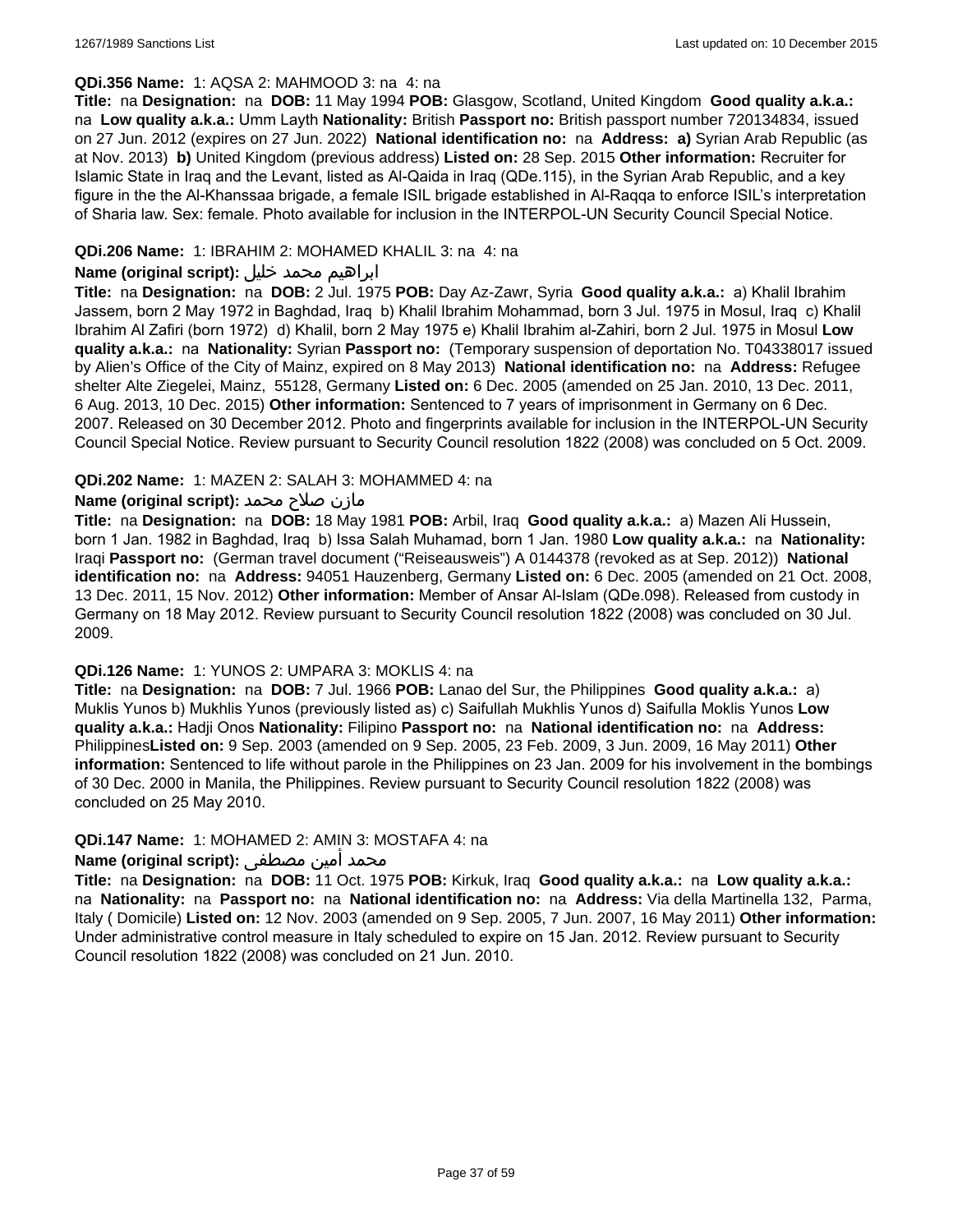### **QDi.356 Name:** 1: AQSA 2: MAHMOOD 3: na 4: na

**Title:** na **Designation:** na **DOB:** 11 May 1994 **POB:** Glasgow, Scotland, United Kingdom **Good quality a.k.a.:**  na **Low quality a.k.a.:** Umm Layth **Nationality:** British **Passport no:** British passport number 720134834, issued on 27 Jun. 2012 (expires on 27 Jun. 2022) **National identification no:** na **Address: a)** Syrian Arab Republic (as at Nov. 2013) **b)** United Kingdom (previous address) **Listed on:** 28 Sep. 2015 **Other information:** Recruiter for Islamic State in Iraq and the Levant, listed as Al-Qaida in Iraq (QDe.115), in the Syrian Arab Republic, and a key figure in the the Al-Khanssaa brigade, a female ISIL brigade established in Al-Raqqa to enforce ISIL's interpretation of Sharia law. Sex: female. Photo available for inclusion in the INTERPOL-UN Security Council Special Notice.

### **QDi.206 Name:** 1: IBRAHIM 2: MOHAMED KHALIL 3: na 4: na

### ابراهيم محمد خليل **:(script original (Name**

**Title:** na **Designation:** na **DOB:** 2 Jul. 1975 **POB:** Day Az-Zawr, Syria **Good quality a.k.a.:** a) Khalil Ibrahim Jassem, born 2 May 1972 in Baghdad, Iraq b) Khalil Ibrahim Mohammad, born 3 Jul. 1975 in Mosul, Iraq c) Khalil Ibrahim Al Zafiri (born 1972) d) Khalil, born 2 May 1975 e) Khalil Ibrahim al-Zahiri, born 2 Jul. 1975 in Mosul **Low quality a.k.a.:** na **Nationality:** Syrian **Passport no:** (Temporary suspension of deportation No. T04338017 issued by Alien's Office of the City of Mainz, expired on 8 May 2013) **National identification no:** na **Address:** Refugee shelter Alte Ziegelei, Mainz, 55128, Germany **Listed on:** 6 Dec. 2005 (amended on 25 Jan. 2010, 13 Dec. 2011, 6 Aug. 2013, 10 Dec. 2015) **Other information:** Sentenced to 7 years of imprisonment in Germany on 6 Dec. 2007. Released on 30 December 2012. Photo and fingerprints available for inclusion in the INTERPOL-UN Security Council Special Notice. Review pursuant to Security Council resolution 1822 (2008) was concluded on 5 Oct. 2009.

### **QDi.202 Name:** 1: MAZEN 2: SALAH 3: MOHAMMED 4: na

### مازن صلاح محمد **:Name (original script)**

**Title:** na **Designation:** na **DOB:** 18 May 1981 **POB:** Arbil, Iraq **Good quality a.k.a.:** a) Mazen Ali Hussein, born 1 Jan. 1982 in Baghdad, Iraq b) Issa Salah Muhamad, born 1 Jan. 1980 **Low quality a.k.a.:** na **Nationality:** Iraqi **Passport no:** (German travel document ("Reiseausweis") A 0144378 (revoked as at Sep. 2012)) **National identification no:** na **Address:** 94051 Hauzenberg, Germany **Listed on:** 6 Dec. 2005 (amended on 21 Oct. 2008, 13 Dec. 2011, 15 Nov. 2012) **Other information:** Member of Ansar Al-Islam (QDe.098). Released from custody in Germany on 18 May 2012. Review pursuant to Security Council resolution 1822 (2008) was concluded on 30 Jul. 2009.

#### **QDi.126 Name:** 1: YUNOS 2: UMPARA 3: MOKLIS 4: na

**Title:** na **Designation:** na **DOB:** 7 Jul. 1966 **POB:** Lanao del Sur, the Philippines **Good quality a.k.a.:** a) Muklis Yunos b) Mukhlis Yunos (previously listed as) c) Saifullah Mukhlis Yunos d) Saifulla Moklis Yunos **Low quality a.k.a.:** Hadji Onos **Nationality:** Filipino **Passport no:** na **National identification no:** na **Address:** Philippines**Listed on:** 9 Sep. 2003 (amended on 9 Sep. 2005, 23 Feb. 2009, 3 Jun. 2009, 16 May 2011) **Other information:** Sentenced to life without parole in the Philippines on 23 Jan. 2009 for his involvement in the bombings of 30 Dec. 2000 in Manila, the Philippines. Review pursuant to Security Council resolution 1822 (2008) was concluded on 25 May 2010.

#### **QDi.147 Name:** 1: MOHAMED 2: AMIN 3: MOSTAFA 4: na

### محمد أمين مصطفى :**(Name (original script**

**Title:** na **Designation:** na **DOB:** 11 Oct. 1975 **POB:** Kirkuk, Iraq **Good quality a.k.a.:** na **Low quality a.k.a.:**  na **Nationality:** na **Passport no:** na **National identification no:** na **Address:** Via della Martinella 132, Parma, Italy ( Domicile) **Listed on:** 12 Nov. 2003 (amended on 9 Sep. 2005, 7 Jun. 2007, 16 May 2011) **Other information:** Under administrative control measure in Italy scheduled to expire on 15 Jan. 2012. Review pursuant to Security Council resolution 1822 (2008) was concluded on 21 Jun. 2010.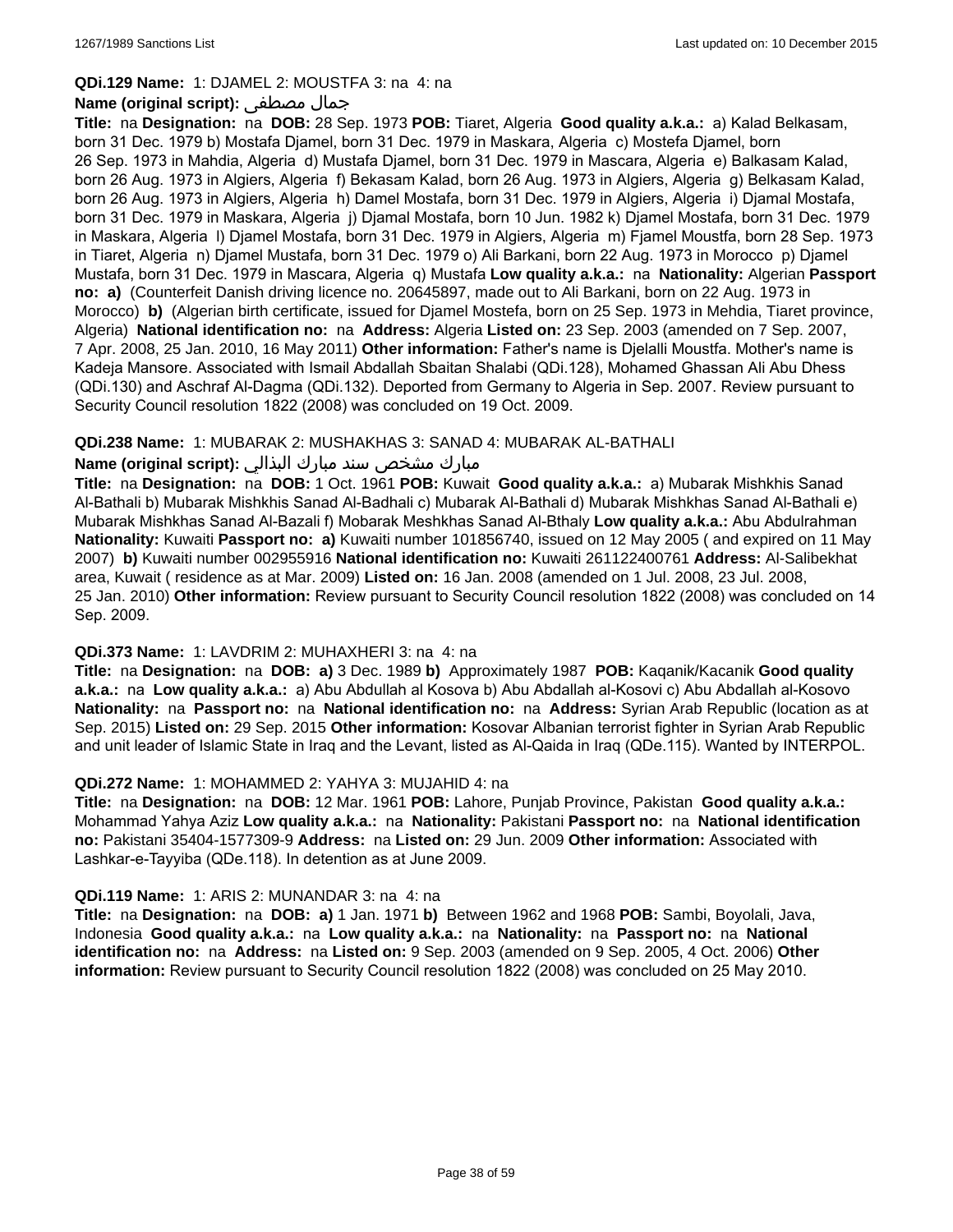#### **QDi.129 Name:** 1: DJAMEL 2: MOUSTFA 3: na 4: na

#### **Name (original script):** مصطفى جمال

**Title:** na **Designation:** na **DOB:** 28 Sep. 1973 **POB:** Tiaret, Algeria **Good quality a.k.a.:** a) Kalad Belkasam, born 31 Dec. 1979 b) Mostafa Djamel, born 31 Dec. 1979 in Maskara, Algeria c) Mostefa Djamel, born 26 Sep. 1973 in Mahdia, Algeria d) Mustafa Djamel, born 31 Dec. 1979 in Mascara, Algeria e) Balkasam Kalad, born 26 Aug. 1973 in Algiers, Algeria f) Bekasam Kalad, born 26 Aug. 1973 in Algiers, Algeria g) Belkasam Kalad, born 26 Aug. 1973 in Algiers, Algeria h) Damel Mostafa, born 31 Dec. 1979 in Algiers, Algeria i) Djamal Mostafa, born 31 Dec. 1979 in Maskara, Algeria j) Djamal Mostafa, born 10 Jun. 1982 k) Djamel Mostafa, born 31 Dec. 1979 in Maskara, Algeria l) Djamel Mostafa, born 31 Dec. 1979 in Algiers, Algeria m) Fjamel Moustfa, born 28 Sep. 1973 in Tiaret, Algeria n) Djamel Mustafa, born 31 Dec. 1979 o) Ali Barkani, born 22 Aug. 1973 in Morocco p) Djamel Mustafa, born 31 Dec. 1979 in Mascara, Algeria q) Mustafa **Low quality a.k.a.:** na **Nationality:** Algerian **Passport no: a)** (Counterfeit Danish driving licence no. 20645897, made out to Ali Barkani, born on 22 Aug. 1973 in Morocco) **b)** (Algerian birth certificate, issued for Djamel Mostefa, born on 25 Sep. 1973 in Mehdia, Tiaret province, Algeria) **National identification no:** na **Address:** Algeria **Listed on:** 23 Sep. 2003 (amended on 7 Sep. 2007, 7 Apr. 2008, 25 Jan. 2010, 16 May 2011) **Other information:** Father's name is Djelalli Moustfa. Mother's name is Kadeja Mansore. Associated with Ismail Abdallah Sbaitan Shalabi (QDi.128), Mohamed Ghassan Ali Abu Dhess (QDi.130) and Aschraf Al-Dagma (QDi.132). Deported from Germany to Algeria in Sep. 2007. Review pursuant to Security Council resolution 1822 (2008) was concluded on 19 Oct. 2009.

### **QDi.238 Name:** 1: MUBARAK 2: MUSHAKHAS 3: SANAD 4: MUBARAK AL-BATHALI

### مبارك مشخص سند مبارك البذالي **:Name (original script)**

**Title:** na **Designation:** na **DOB:** 1 Oct. 1961 **POB:** Kuwait **Good quality a.k.a.:** a) Mubarak Mishkhis Sanad Al-Bathali b) Mubarak Mishkhis Sanad Al-Badhali c) Mubarak Al-Bathali d) Mubarak Mishkhas Sanad Al-Bathali e) Mubarak Mishkhas Sanad Al-Bazali f) Mobarak Meshkhas Sanad Al-Bthaly **Low quality a.k.a.:** Abu Abdulrahman **Nationality:** Kuwaiti **Passport no: a)** Kuwaiti number 101856740, issued on 12 May 2005 ( and expired on 11 May 2007) **b)** Kuwaiti number 002955916 **National identification no:** Kuwaiti 261122400761 **Address:** Al-Salibekhat area, Kuwait ( residence as at Mar. 2009) **Listed on:** 16 Jan. 2008 (amended on 1 Jul. 2008, 23 Jul. 2008, 25 Jan. 2010) **Other information:** Review pursuant to Security Council resolution 1822 (2008) was concluded on 14 Sep. 2009.

#### **QDi.373 Name:** 1: LAVDRIM 2: MUHAXHERI 3: na 4: na

**Title:** na **Designation:** na **DOB: a)** 3 Dec. 1989 **b)** Approximately 1987 **POB:** Kaqanik/Kacanik **Good quality a.k.a.:** na **Low quality a.k.a.:** a) Abu Abdullah al Kosova b) Abu Abdallah al-Kosovi c) Abu Abdallah al-Kosovo **Nationality:** na **Passport no:** na **National identification no:** na **Address:** Syrian Arab Republic (location as at Sep. 2015) **Listed on:** 29 Sep. 2015 **Other information:** Kosovar Albanian terrorist fighter in Syrian Arab Republic and unit leader of Islamic State in Iraq and the Levant, listed as Al-Qaida in Iraq (QDe.115). Wanted by INTERPOL.

#### **QDi.272 Name:** 1: MOHAMMED 2: YAHYA 3: MUJAHID 4: na

**Title:** na **Designation:** na **DOB:** 12 Mar. 1961 **POB:** Lahore, Punjab Province, Pakistan **Good quality a.k.a.:** Mohammad Yahya Aziz **Low quality a.k.a.:** na **Nationality:** Pakistani **Passport no:** na **National identification no:** Pakistani 35404-1577309-9 **Address:** na **Listed on:** 29 Jun. 2009 **Other information:** Associated with Lashkar-e-Tayyiba (QDe.118). In detention as at June 2009.

#### **QDi.119 Name:** 1: ARIS 2: MUNANDAR 3: na 4: na

**Title:** na **Designation:** na **DOB: a)** 1 Jan. 1971 **b)** Between 1962 and 1968 **POB:** Sambi, Boyolali, Java, Indonesia **Good quality a.k.a.:** na **Low quality a.k.a.:** na **Nationality:** na **Passport no:** na **National identification no:** na **Address:** na **Listed on:** 9 Sep. 2003 (amended on 9 Sep. 2005, 4 Oct. 2006) **Other information:** Review pursuant to Security Council resolution 1822 (2008) was concluded on 25 May 2010.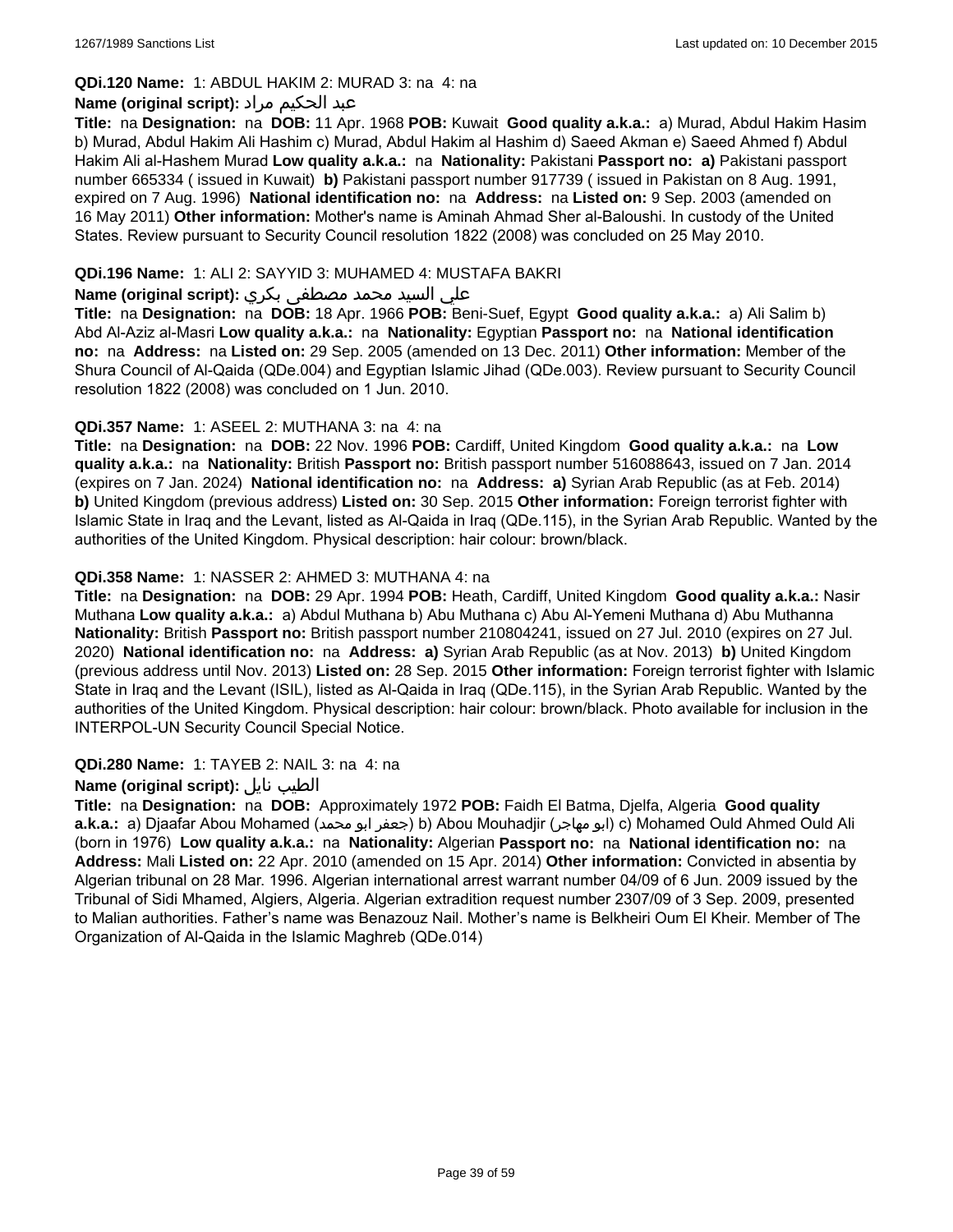### **QDi.120 Name:** 1: ABDUL HAKIM 2: MURAD 3: na 4: na

### عبد الحكيم مراد **:(script original (Name**

**Title:** na **Designation:** na **DOB:** 11 Apr. 1968 **POB:** Kuwait **Good quality a.k.a.:** a) Murad, Abdul Hakim Hasim b) Murad, Abdul Hakim Ali Hashim c) Murad, Abdul Hakim al Hashim d) Saeed Akman e) Saeed Ahmed f) Abdul Hakim Ali al-Hashem Murad **Low quality a.k.a.:** na **Nationality:** Pakistani **Passport no: a)** Pakistani passport number 665334 ( issued in Kuwait) **b)** Pakistani passport number 917739 ( issued in Pakistan on 8 Aug. 1991, expired on 7 Aug. 1996) **National identification no:** na **Address:** na **Listed on:** 9 Sep. 2003 (amended on 16 May 2011) **Other information:** Mother's name is Aminah Ahmad Sher al-Baloushi. In custody of the United States. Review pursuant to Security Council resolution 1822 (2008) was concluded on 25 May 2010.

### **QDi.196 Name:** 1: ALI 2: SAYYID 3: MUHAMED 4: MUSTAFA BAKRI

### علي السيد محمد مصطفى بكري **:(script original (Name**

**Title:** na **Designation:** na **DOB:** 18 Apr. 1966 **POB:** Beni-Suef, Egypt **Good quality a.k.a.:** a) Ali Salim b) Abd Al-Aziz al-Masri **Low quality a.k.a.:** na **Nationality:** Egyptian **Passport no:** na **National identification no:** na **Address:** na **Listed on:** 29 Sep. 2005 (amended on 13 Dec. 2011) **Other information:** Member of the Shura Council of Al-Qaida (QDe.004) and Egyptian Islamic Jihad (QDe.003). Review pursuant to Security Council resolution 1822 (2008) was concluded on 1 Jun. 2010.

### **QDi.357 Name:** 1: ASEEL 2: MUTHANA 3: na 4: na

**Title:** na **Designation:** na **DOB:** 22 Nov. 1996 **POB:** Cardiff, United Kingdom **Good quality a.k.a.:** na **Low quality a.k.a.:** na **Nationality:** British **Passport no:** British passport number 516088643, issued on 7 Jan. 2014 (expires on 7 Jan. 2024) **National identification no:** na **Address: a)** Syrian Arab Republic (as at Feb. 2014) **b)** United Kingdom (previous address) **Listed on:** 30 Sep. 2015 **Other information:** Foreign terrorist fighter with Islamic State in Iraq and the Levant, listed as Al-Qaida in Iraq (QDe.115), in the Syrian Arab Republic. Wanted by the authorities of the United Kingdom. Physical description: hair colour: brown/black.

### **QDi.358 Name:** 1: NASSER 2: AHMED 3: MUTHANA 4: na

**Title:** na **Designation:** na **DOB:** 29 Apr. 1994 **POB:** Heath, Cardiff, United Kingdom **Good quality a.k.a.:** Nasir Muthana **Low quality a.k.a.:** a) Abdul Muthana b) Abu Muthana c) Abu Al-Yemeni Muthana d) Abu Muthanna **Nationality:** British **Passport no:** British passport number 210804241, issued on 27 Jul. 2010 (expires on 27 Jul. 2020) **National identification no:** na **Address: a)** Syrian Arab Republic (as at Nov. 2013) **b)** United Kingdom (previous address until Nov. 2013) **Listed on:** 28 Sep. 2015 **Other information:** Foreign terrorist fighter with Islamic State in Iraq and the Levant (ISIL), listed as Al-Qaida in Iraq (QDe.115), in the Syrian Arab Republic. Wanted by the authorities of the United Kingdom. Physical description: hair colour: brown/black. Photo available for inclusion in the INTERPOL-UN Security Council Special Notice.

### **QDi.280 Name:** 1: TAYEB 2: NAIL 3: na 4: na

### **Name (original script):** نايل الطيب

**Title:** na **Designation:** na **DOB:** Approximately 1972 **POB:** Faidh El Batma, Djelfa, Algeria **Good quality a.k.a.:** a) Djaafar Abou Mohamed (محمد ابو جعفر (b) Abou Mouhadjir (مهاجر ابو (c) Mohamed Ould Ahmed Ould Ali (born in 1976) **Low quality a.k.a.:** na **Nationality:** Algerian **Passport no:** na **National identification no:** na **Address:** Mali **Listed on:** 22 Apr. 2010 (amended on 15 Apr. 2014) **Other information:** Convicted in absentia by Algerian tribunal on 28 Mar. 1996. Algerian international arrest warrant number 04/09 of 6 Jun. 2009 issued by the Tribunal of Sidi Mhamed, Algiers, Algeria. Algerian extradition request number 2307/09 of 3 Sep. 2009, presented to Malian authorities. Father's name was Benazouz Nail. Mother's name is Belkheiri Oum El Kheir. Member of The Organization of Al-Qaida in the Islamic Maghreb (QDe.014)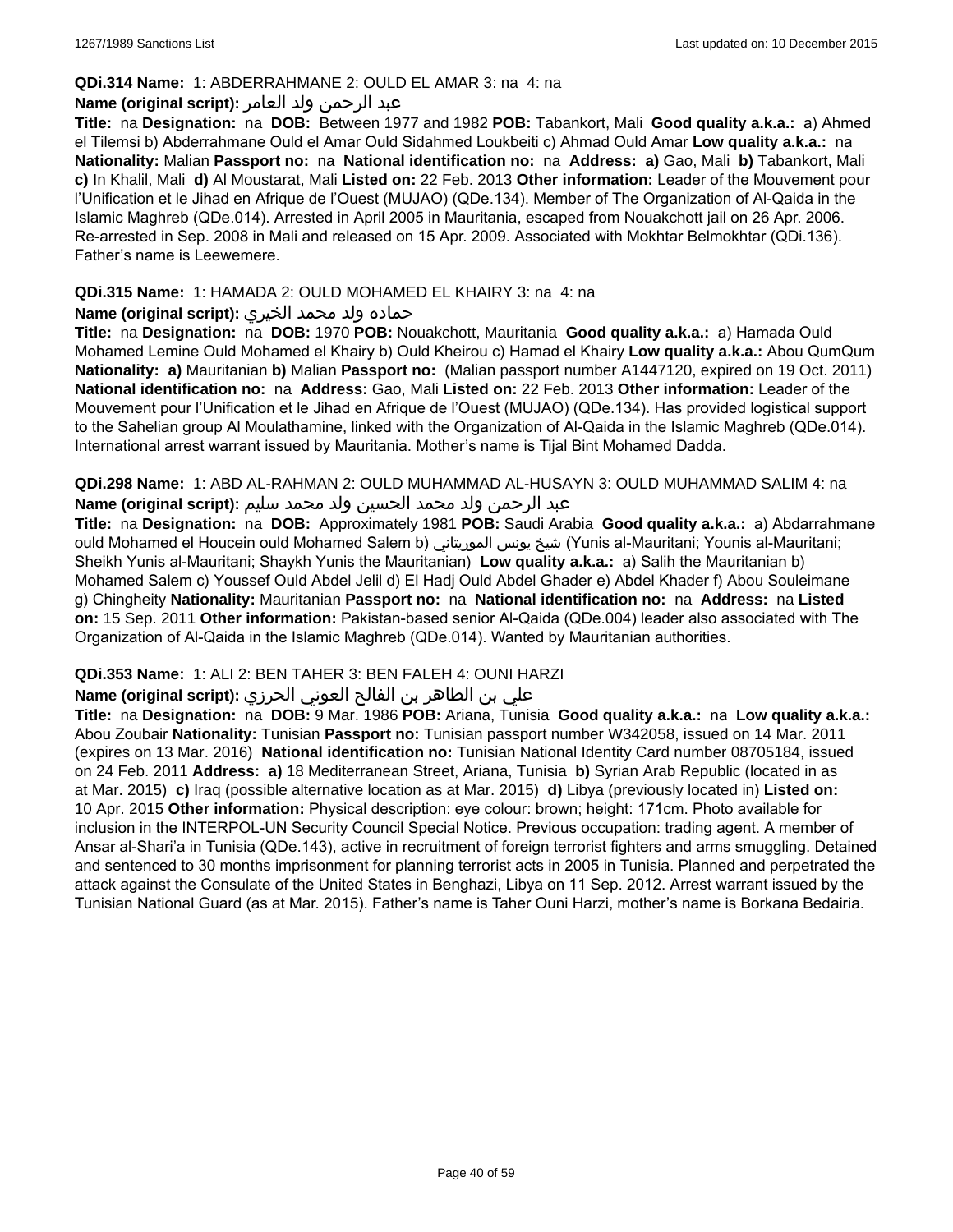### **QDi.314 Name:** 1: ABDERRAHMANE 2: OULD EL AMAR 3: na 4: na

### عبد الرحمن ولد العامر **:(script original (Name**

**Title:** na **Designation:** na **DOB:** Between 1977 and 1982 **POB:** Tabankort, Mali **Good quality a.k.a.:** a) Ahmed el Tilemsi b) Abderrahmane Ould el Amar Ould Sidahmed Loukbeiti c) Ahmad Ould Amar **Low quality a.k.a.:** na **Nationality:** Malian **Passport no:** na **National identification no:** na **Address: a)** Gao, Mali **b)** Tabankort, Mali **c)** In Khalil, Mali **d)** Al Moustarat, Mali **Listed on:** 22 Feb. 2013 **Other information:** Leader of the Mouvement pour l'Unification et le Jihad en Afrique de l'Ouest (MUJAO) (QDe.134). Member of The Organization of Al-Qaida in the Islamic Maghreb (QDe.014). Arrested in April 2005 in Mauritania, escaped from Nouakchott jail on 26 Apr. 2006. Re-arrested in Sep. 2008 in Mali and released on 15 Apr. 2009. Associated with Mokhtar Belmokhtar (QDi.136). Father's name is Leewemere.

### **QDi.315 Name:** 1: HAMADA 2: OULD MOHAMED EL KHAIRY 3: na 4: na

### حماده ولد محمد الخيري **:(script original (Name**

**Title:** na **Designation:** na **DOB:** 1970 **POB:** Nouakchott, Mauritania **Good quality a.k.a.:** a) Hamada Ould Mohamed Lemine Ould Mohamed el Khairy b) Ould Kheirou c) Hamad el Khairy **Low quality a.k.a.:** Abou QumQum **Nationality: a)** Mauritanian **b)** Malian **Passport no:** (Malian passport number A1447120, expired on 19 Oct. 2011) **National identification no:** na **Address:** Gao, Mali **Listed on:** 22 Feb. 2013 **Other information:** Leader of the Mouvement pour l'Unification et le Jihad en Afrique de l'Ouest (MUJAO) (QDe.134). Has provided logistical support to the Sahelian group Al Moulathamine, linked with the Organization of Al-Qaida in the Islamic Maghreb (QDe.014). International arrest warrant issued by Mauritania. Mother's name is Tijal Bint Mohamed Dadda.

**QDi.298 Name:** 1: ABD AL-RAHMAN 2: OULD MUHAMMAD AL-HUSAYN 3: OULD MUHAMMAD SALIM 4: na عبد الرحمن ولد محمد الحسين ولد محمد سليم **:(script original (Name**

**Title:** na **Designation:** na **DOB:** Approximately 1981 **POB:** Saudi Arabia **Good quality a.k.a.:** a) Abdarrahmane ould Mohamed el Houcein ould Mohamed Salem b) الموريتاني يونس شيخ) Yunis al-Mauritani; Younis al-Mauritani; Sheikh Yunis al-Mauritani; Shaykh Yunis the Mauritanian) **Low quality a.k.a.:** a) Salih the Mauritanian b) Mohamed Salem c) Youssef Ould Abdel Jelil d) El Hadj Ould Abdel Ghader e) Abdel Khader f) Abou Souleimane g) Chingheity **Nationality:** Mauritanian **Passport no:** na **National identification no:** na **Address:** na **Listed on:** 15 Sep. 2011 **Other information:** Pakistan-based senior Al-Qaida (QDe.004) leader also associated with The Organization of Al-Qaida in the Islamic Maghreb (QDe.014). Wanted by Mauritanian authorities.

### **QDi.353 Name:** 1: ALI 2: BEN TAHER 3: BEN FALEH 4: OUNI HARZI

### علي بن الطاھر بن الفالح العوني الحرزي **:(script original (Name**

**Title:** na **Designation:** na **DOB:** 9 Mar. 1986 **POB:** Ariana, Tunisia **Good quality a.k.a.:** na **Low quality a.k.a.:** Abou Zoubair **Nationality:** Tunisian **Passport no:** Tunisian passport number W342058, issued on 14 Mar. 2011 (expires on 13 Mar. 2016) **National identification no:** Tunisian National Identity Card number 08705184, issued on 24 Feb. 2011 **Address: a)** 18 Mediterranean Street, Ariana, Tunisia **b)** Syrian Arab Republic (located in as at Mar. 2015) **c)** Iraq (possible alternative location as at Mar. 2015) **d)** Libya (previously located in) **Listed on:** 10 Apr. 2015 **Other information:** Physical description: eye colour: brown; height: 171cm. Photo available for inclusion in the INTERPOL-UN Security Council Special Notice. Previous occupation: trading agent. A member of Ansar al-Shari'a in Tunisia (QDe.143), active in recruitment of foreign terrorist fighters and arms smuggling. Detained and sentenced to 30 months imprisonment for planning terrorist acts in 2005 in Tunisia. Planned and perpetrated the attack against the Consulate of the United States in Benghazi, Libya on 11 Sep. 2012. Arrest warrant issued by the Tunisian National Guard (as at Mar. 2015). Father's name is Taher Ouni Harzi, mother's name is Borkana Bedairia.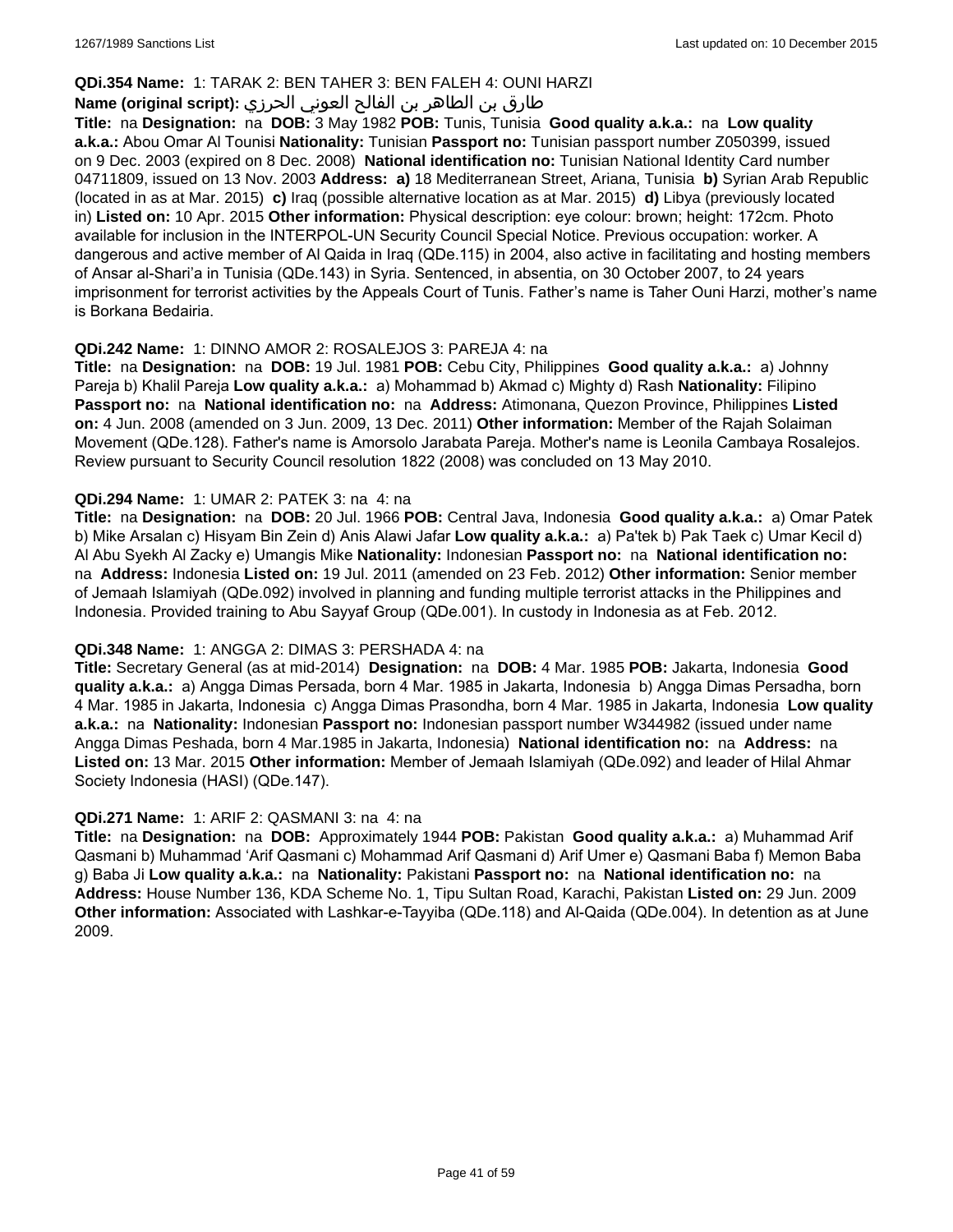### **QDi.354 Name:** 1: TARAK 2: BEN TAHER 3: BEN FALEH 4: OUNI HARZI

### طارق بن الطاھر بن الفالح العوني الحرزي **:(script original (Name**

**Title:** na **Designation:** na **DOB:** 3 May 1982 **POB:** Tunis, Tunisia **Good quality a.k.a.:** na **Low quality a.k.a.:** Abou Omar Al Tounisi **Nationality:** Tunisian **Passport no:** Tunisian passport number Z050399, issued on 9 Dec. 2003 (expired on 8 Dec. 2008) **National identification no:** Tunisian National Identity Card number 04711809, issued on 13 Nov. 2003 **Address: a)** 18 Mediterranean Street, Ariana, Tunisia **b)** Syrian Arab Republic (located in as at Mar. 2015) **c)** Iraq (possible alternative location as at Mar. 2015) **d)** Libya (previously located in) **Listed on:** 10 Apr. 2015 **Other information:** Physical description: eye colour: brown; height: 172cm. Photo available for inclusion in the INTERPOL-UN Security Council Special Notice. Previous occupation: worker. A dangerous and active member of Al Qaida in Iraq (QDe.115) in 2004, also active in facilitating and hosting members of Ansar al-Shari'a in Tunisia (QDe.143) in Syria. Sentenced, in absentia, on 30 October 2007, to 24 years imprisonment for terrorist activities by the Appeals Court of Tunis. Father's name is Taher Ouni Harzi, mother's name is Borkana Bedairia.

### **QDi.242 Name:** 1: DINNO AMOR 2: ROSALEJOS 3: PAREJA 4: na

**Title:** na **Designation:** na **DOB:** 19 Jul. 1981 **POB:** Cebu City, Philippines **Good quality a.k.a.:** a) Johnny Pareja b) Khalil Pareja **Low quality a.k.a.:** a) Mohammad b) Akmad c) Mighty d) Rash **Nationality:** Filipino **Passport no:** na **National identification no:** na **Address:** Atimonana, Quezon Province, Philippines **Listed on:** 4 Jun. 2008 (amended on 3 Jun. 2009, 13 Dec. 2011) **Other information:** Member of the Rajah Solaiman Movement (QDe.128). Father's name is Amorsolo Jarabata Pareja. Mother's name is Leonila Cambaya Rosalejos. Review pursuant to Security Council resolution 1822 (2008) was concluded on 13 May 2010.

#### **QDi.294 Name:** 1: UMAR 2: PATEK 3: na 4: na

**Title:** na **Designation:** na **DOB:** 20 Jul. 1966 **POB:** Central Java, Indonesia **Good quality a.k.a.:** a) Omar Patek b) Mike Arsalan c) Hisyam Bin Zein d) Anis Alawi Jafar **Low quality a.k.a.:** a) Pa'tek b) Pak Taek c) Umar Kecil d) Al Abu Syekh Al Zacky e) Umangis Mike **Nationality:** Indonesian **Passport no:** na **National identification no:**  na **Address:** Indonesia **Listed on:** 19 Jul. 2011 (amended on 23 Feb. 2012) **Other information:** Senior member of Jemaah Islamiyah (QDe.092) involved in planning and funding multiple terrorist attacks in the Philippines and Indonesia. Provided training to Abu Sayyaf Group (QDe.001). In custody in Indonesia as at Feb. 2012.

#### **QDi.348 Name:** 1: ANGGA 2: DIMAS 3: PERSHADA 4: na

**Title:** Secretary General (as at mid-2014) **Designation:** na **DOB:** 4 Mar. 1985 **POB:** Jakarta, Indonesia **Good quality a.k.a.:** a) Angga Dimas Persada, born 4 Mar. 1985 in Jakarta, Indonesia b) Angga Dimas Persadha, born 4 Mar. 1985 in Jakarta, Indonesia c) Angga Dimas Prasondha, born 4 Mar. 1985 in Jakarta, Indonesia **Low quality a.k.a.:** na **Nationality:** Indonesian **Passport no:** Indonesian passport number W344982 (issued under name Angga Dimas Peshada, born 4 Mar.1985 in Jakarta, Indonesia) **National identification no:** na **Address:** na **Listed on:** 13 Mar. 2015 **Other information:** Member of Jemaah Islamiyah (QDe.092) and leader of Hilal Ahmar Society Indonesia (HASI) (QDe.147).

#### **QDi.271 Name:** 1: ARIF 2: QASMANI 3: na 4: na

**Title:** na **Designation:** na **DOB:** Approximately 1944 **POB:** Pakistan **Good quality a.k.a.:** a) Muhammad Arif Qasmani b) Muhammad 'Arif Qasmani c) Mohammad Arif Qasmani d) Arif Umer e) Qasmani Baba f) Memon Baba g) Baba Ji **Low quality a.k.a.:** na **Nationality:** Pakistani **Passport no:** na **National identification no:** na **Address:** House Number 136, KDA Scheme No. 1, Tipu Sultan Road, Karachi, Pakistan **Listed on:** 29 Jun. 2009 **Other information:** Associated with Lashkar-e-Tayyiba (QDe.118) and Al-Qaida (QDe.004). In detention as at June 2009.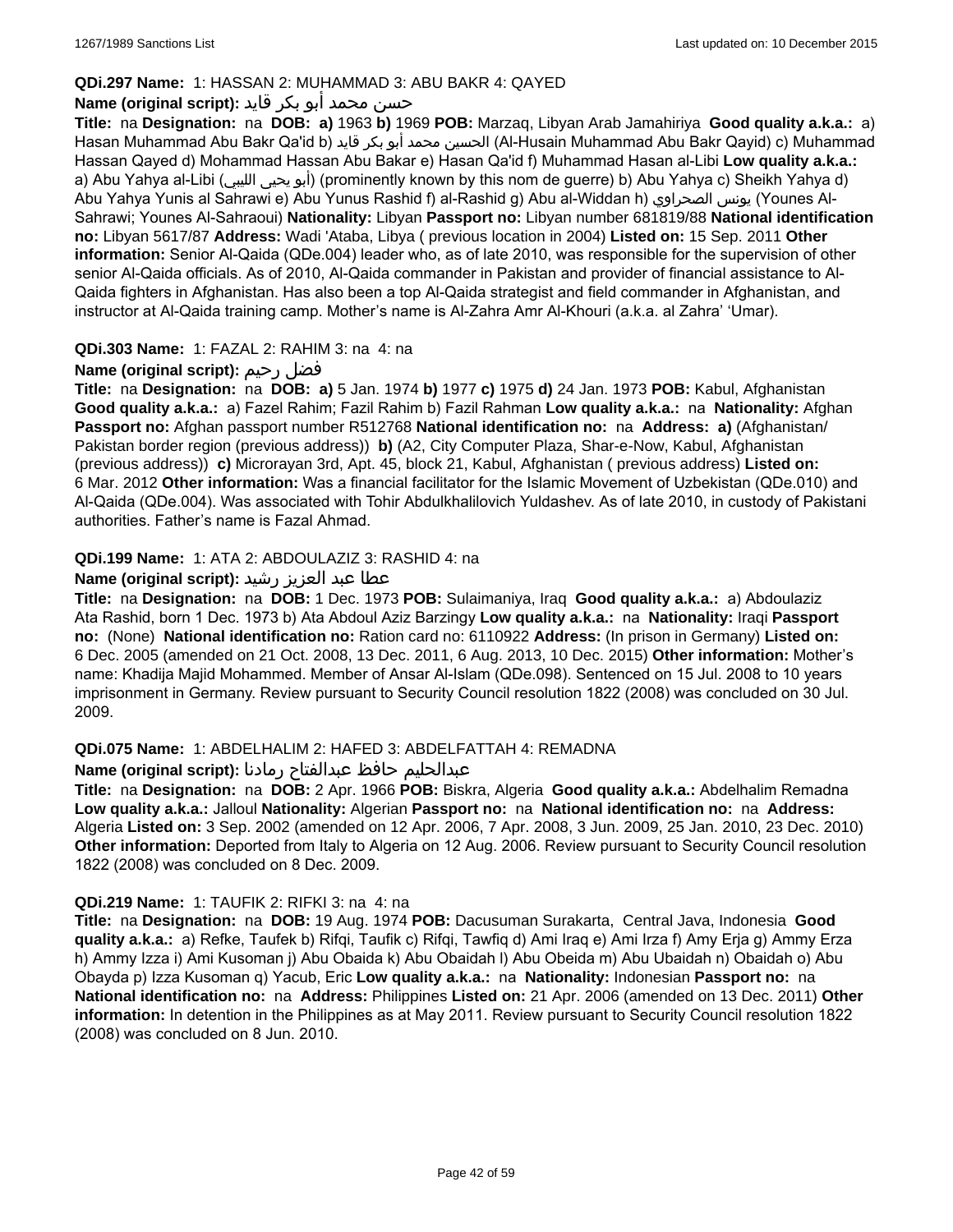### **QDi.297 Name:** 1: HASSAN 2: MUHAMMAD 3: ABU BAKR 4: QAYED

# حسن محمد أبو بكر قايد **:(script original (Name**

**Title:** na **Designation:** na **DOB: a)** 1963 **b)** 1969 **POB:** Marzaq, Libyan Arab Jamahiriya **Good quality a.k.a.:** a) Hasan Muhammad Abu Bakr Qa'id b) قايد بكر أبو محمد الحسين) Al-Husain Muhammad Abu Bakr Qayid) c) Muhammad Hassan Qayed d) Mohammad Hassan Abu Bakar e) Hasan Qa'id f) Muhammad Hasan al-Libi **Low quality a.k.a.:**  a) Abu Yahya al-Libi (الليبي يحيى أبو) (prominently known by this nom de guerre) b) Abu Yahya c) Sheikh Yahya d) Abu Yahya Yunis al Sahrawi e) Abu Yunus Rashid f) al-Rashid g) Abu al-Widdan h) الصحراوي يونس) Younes Al-Sahrawi; Younes Al-Sahraoui) **Nationality:** Libyan **Passport no:** Libyan number 681819/88 **National identification no:** Libyan 5617/87 **Address:** Wadi 'Ataba, Libya ( previous location in 2004) **Listed on:** 15 Sep. 2011 **Other information:** Senior Al-Qaida (QDe.004) leader who, as of late 2010, was responsible for the supervision of other senior Al-Qaida officials. As of 2010, Al-Qaida commander in Pakistan and provider of financial assistance to Al-Qaida fighters in Afghanistan. Has also been a top Al-Qaida strategist and field commander in Afghanistan, and instructor at Al-Qaida training camp. Mother's name is Al-Zahra Amr Al-Khouri (a.k.a. al Zahra' 'Umar).

### **QDi.303 Name:** 1: FAZAL 2: RAHIM 3: na 4: na

# **Name (original script):** رحيم فضل

**Title:** na **Designation:** na **DOB: a)** 5 Jan. 1974 **b)** 1977 **c)** 1975 **d)** 24 Jan. 1973 **POB:** Kabul, Afghanistan **Good quality a.k.a.:** a) Fazel Rahim; Fazil Rahim b) Fazil Rahman **Low quality a.k.a.:** na **Nationality:** Afghan **Passport no:** Afghan passport number R512768 **National identification no:** na **Address: a)** (Afghanistan/ Pakistan border region (previous address)) **b)** (A2, City Computer Plaza, Shar-e-Now, Kabul, Afghanistan (previous address)) **c)** Microrayan 3rd, Apt. 45, block 21, Kabul, Afghanistan ( previous address) **Listed on:** 6 Mar. 2012 **Other information:** Was a financial facilitator for the Islamic Movement of Uzbekistan (QDe.010) and Al-Qaida (QDe.004). Was associated with Tohir Abdulkhalilovich Yuldashev. As of late 2010, in custody of Pakistani authorities. Father's name is Fazal Ahmad.

### **QDi.199 Name:** 1: ATA 2: ABDOULAZIZ 3: RASHID 4: na

### عطا عبد العزيز رشيد **:(script original (Name**

**Title:** na **Designation:** na **DOB:** 1 Dec. 1973 **POB:** Sulaimaniya, Iraq **Good quality a.k.a.:** a) Abdoulaziz Ata Rashid, born 1 Dec. 1973 b) Ata Abdoul Aziz Barzingy **Low quality a.k.a.:** na **Nationality:** Iraqi **Passport no:** (None) **National identification no:** Ration card no: 6110922 **Address:** (In prison in Germany) **Listed on:** 6 Dec. 2005 (amended on 21 Oct. 2008, 13 Dec. 2011, 6 Aug. 2013, 10 Dec. 2015) **Other information:** Mother's name: Khadija Majid Mohammed. Member of Ansar Al-Islam (QDe.098). Sentenced on 15 Jul. 2008 to 10 years imprisonment in Germany. Review pursuant to Security Council resolution 1822 (2008) was concluded on 30 Jul. 2009.

### **QDi.075 Name:** 1: ABDELHALIM 2: HAFED 3: ABDELFATTAH 4: REMADNA

#### عبدالحليم حافظ عبدالفتاح رمادنا **:(script original (Name**

**Title:** na **Designation:** na **DOB:** 2 Apr. 1966 **POB:** Biskra, Algeria **Good quality a.k.a.:** Abdelhalim Remadna **Low quality a.k.a.:** Jalloul **Nationality:** Algerian **Passport no:** na **National identification no:** na **Address:** Algeria **Listed on:** 3 Sep. 2002 (amended on 12 Apr. 2006, 7 Apr. 2008, 3 Jun. 2009, 25 Jan. 2010, 23 Dec. 2010) **Other information:** Deported from Italy to Algeria on 12 Aug. 2006. Review pursuant to Security Council resolution 1822 (2008) was concluded on 8 Dec. 2009.

#### **QDi.219 Name:** 1: TAUFIK 2: RIFKI 3: na 4: na

**Title:** na **Designation:** na **DOB:** 19 Aug. 1974 **POB:** Dacusuman Surakarta, Central Java, Indonesia **Good quality a.k.a.:** a) Refke, Taufek b) Rifqi, Taufik c) Rifqi, Tawfiq d) Ami Iraq e) Ami Irza f) Amy Erja g) Ammy Erza h) Ammy Izza i) Ami Kusoman j) Abu Obaida k) Abu Obaidah l) Abu Obeida m) Abu Ubaidah n) Obaidah o) Abu Obayda p) Izza Kusoman q) Yacub, Eric **Low quality a.k.a.:** na **Nationality:** Indonesian **Passport no:** na **National identification no:** na **Address:** Philippines **Listed on:** 21 Apr. 2006 (amended on 13 Dec. 2011) **Other information:** In detention in the Philippines as at May 2011. Review pursuant to Security Council resolution 1822 (2008) was concluded on 8 Jun. 2010.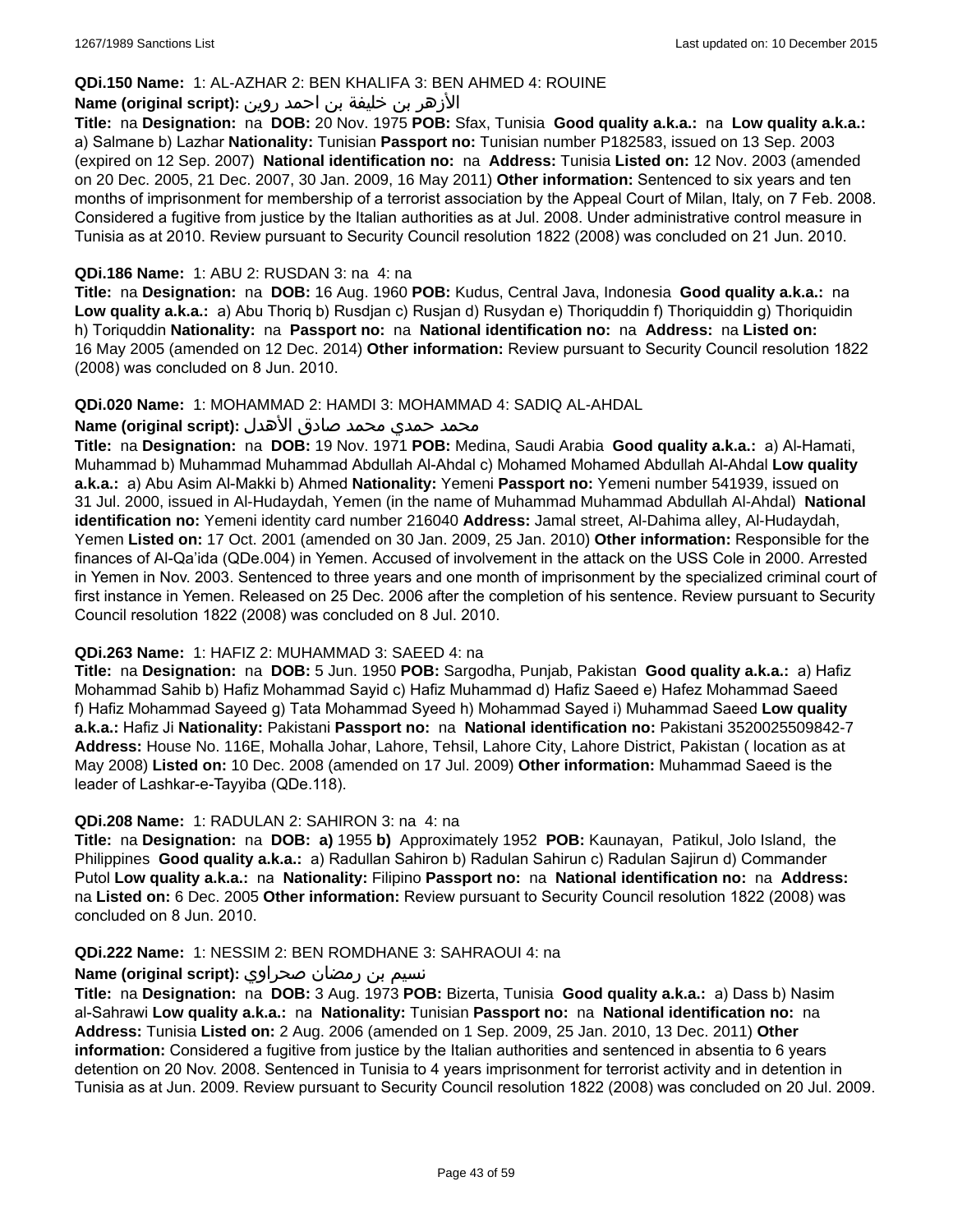### **QDi.150 Name:** 1: AL-AZHAR 2: BEN KHALIFA 3: BEN AHMED 4: ROUINE

### الأزهر بن خليفة بن احمد روين **:(script original (Name**

**Title:** na **Designation:** na **DOB:** 20 Nov. 1975 **POB:** Sfax, Tunisia **Good quality a.k.a.:** na **Low quality a.k.a.:**  a) Salmane b) Lazhar **Nationality:** Tunisian **Passport no:** Tunisian number P182583, issued on 13 Sep. 2003 (expired on 12 Sep. 2007) **National identification no:** na **Address:** Tunisia **Listed on:** 12 Nov. 2003 (amended on 20 Dec. 2005, 21 Dec. 2007, 30 Jan. 2009, 16 May 2011) **Other information:** Sentenced to six years and ten months of imprisonment for membership of a terrorist association by the Appeal Court of Milan, Italy, on 7 Feb. 2008. Considered a fugitive from justice by the Italian authorities as at Jul. 2008. Under administrative control measure in Tunisia as at 2010. Review pursuant to Security Council resolution 1822 (2008) was concluded on 21 Jun. 2010.

#### **QDi.186 Name:** 1: ABU 2: RUSDAN 3: na 4: na

**Title:** na **Designation:** na **DOB:** 16 Aug. 1960 **POB:** Kudus, Central Java, Indonesia **Good quality a.k.a.:** na **Low quality a.k.a.:** a) Abu Thoriq b) Rusdjan c) Rusjan d) Rusydan e) Thoriquddin f) Thoriquiddin g) Thoriquidin h) Toriquddin **Nationality:** na **Passport no:** na **National identification no:** na **Address:** na **Listed on:** 16 May 2005 (amended on 12 Dec. 2014) **Other information:** Review pursuant to Security Council resolution 1822 (2008) was concluded on 8 Jun. 2010.

#### **QDi.020 Name:** 1: MOHAMMAD 2: HAMDI 3: MOHAMMAD 4: SADIQ AL-AHDAL

#### محمد حمدي محمد صادق الأهدل **:Name (original script)**

**Title:** na **Designation:** na **DOB:** 19 Nov. 1971 **POB:** Medina, Saudi Arabia **Good quality a.k.a.:** a) Al-Hamati, Muhammad b) Muhammad Muhammad Abdullah Al-Ahdal c) Mohamed Mohamed Abdullah Al-Ahdal **Low quality a.k.a.:** a) Abu Asim Al-Makki b) Ahmed **Nationality:** Yemeni **Passport no:** Yemeni number 541939, issued on 31 Jul. 2000, issued in Al-Hudaydah, Yemen (in the name of Muhammad Muhammad Abdullah Al-Ahdal) **National identification no:** Yemeni identity card number 216040 **Address:** Jamal street, Al-Dahima alley, Al-Hudaydah, Yemen **Listed on:** 17 Oct. 2001 (amended on 30 Jan. 2009, 25 Jan. 2010) **Other information:** Responsible for the finances of Al-Qa'ida (QDe.004) in Yemen. Accused of involvement in the attack on the USS Cole in 2000. Arrested in Yemen in Nov. 2003. Sentenced to three years and one month of imprisonment by the specialized criminal court of first instance in Yemen. Released on 25 Dec. 2006 after the completion of his sentence. Review pursuant to Security Council resolution 1822 (2008) was concluded on 8 Jul. 2010.

#### **QDi.263 Name:** 1: HAFIZ 2: MUHAMMAD 3: SAEED 4: na

**Title:** na **Designation:** na **DOB:** 5 Jun. 1950 **POB:** Sargodha, Punjab, Pakistan **Good quality a.k.a.:** a) Hafiz Mohammad Sahib b) Hafiz Mohammad Sayid c) Hafiz Muhammad d) Hafiz Saeed e) Hafez Mohammad Saeed f) Hafiz Mohammad Sayeed g) Tata Mohammad Syeed h) Mohammad Sayed i) Muhammad Saeed **Low quality a.k.a.:** Hafiz Ji **Nationality:** Pakistani **Passport no:** na **National identification no:** Pakistani 3520025509842-7 **Address:** House No. 116E, Mohalla Johar, Lahore, Tehsil, Lahore City, Lahore District, Pakistan ( location as at May 2008) **Listed on:** 10 Dec. 2008 (amended on 17 Jul. 2009) **Other information:** Muhammad Saeed is the leader of Lashkar-e-Tayyiba (QDe.118).

#### **QDi.208 Name:** 1: RADULAN 2: SAHIRON 3: na 4: na

**Title:** na **Designation:** na **DOB: a)** 1955 **b)** Approximately 1952 **POB:** Kaunayan, Patikul, Jolo Island, the Philippines **Good quality a.k.a.:** a) Radullan Sahiron b) Radulan Sahirun c) Radulan Sajirun d) Commander Putol **Low quality a.k.a.:** na **Nationality:** Filipino **Passport no:** na **National identification no:** na **Address:**  na **Listed on:** 6 Dec. 2005 **Other information:** Review pursuant to Security Council resolution 1822 (2008) was concluded on 8 Jun. 2010.

#### **QDi.222 Name:** 1: NESSIM 2: BEN ROMDHANE 3: SAHRAOUI 4: na

### نسيم بن رمضان صحراوي **:(script original (Name**

**Title:** na **Designation:** na **DOB:** 3 Aug. 1973 **POB:** Bizerta, Tunisia **Good quality a.k.a.:** a) Dass b) Nasim al-Sahrawi **Low quality a.k.a.:** na **Nationality:** Tunisian **Passport no:** na **National identification no:** na **Address:** Tunisia **Listed on:** 2 Aug. 2006 (amended on 1 Sep. 2009, 25 Jan. 2010, 13 Dec. 2011) **Other information:** Considered a fugitive from justice by the Italian authorities and sentenced in absentia to 6 years detention on 20 Nov. 2008. Sentenced in Tunisia to 4 years imprisonment for terrorist activity and in detention in Tunisia as at Jun. 2009. Review pursuant to Security Council resolution 1822 (2008) was concluded on 20 Jul. 2009.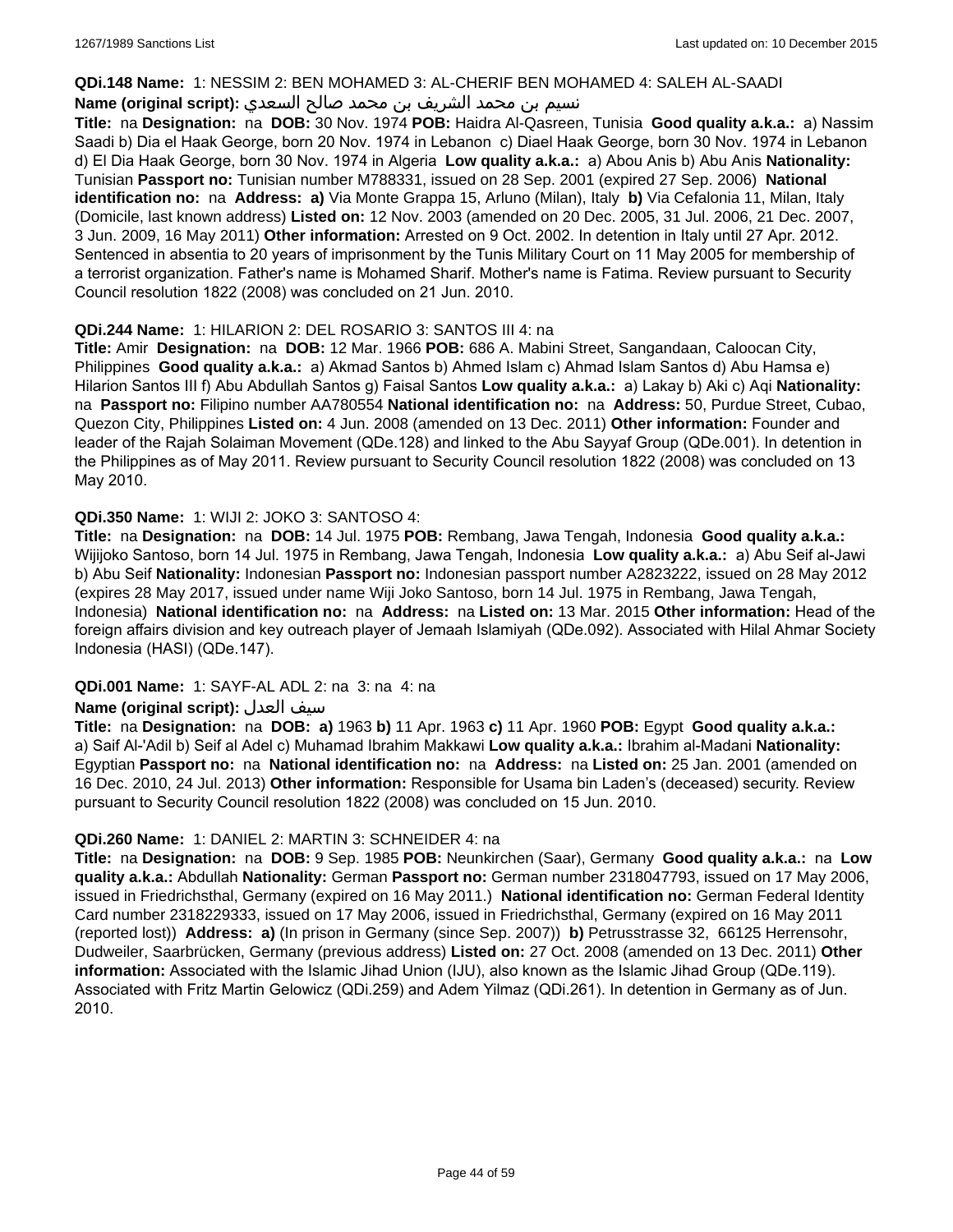#### **QDi.148 Name:** 1: NESSIM 2: BEN MOHAMED 3: AL-CHERIF BEN MOHAMED 4: SALEH AL-SAADI

### نسيم بن محمد الشريف بن محمد صالح السعدي **:(script original (Name**

**Title:** na **Designation:** na **DOB:** 30 Nov. 1974 **POB:** Haidra Al-Qasreen, Tunisia **Good quality a.k.a.:** a) Nassim Saadi b) Dia el Haak George, born 20 Nov. 1974 in Lebanon c) Diael Haak George, born 30 Nov. 1974 in Lebanon d) El Dia Haak George, born 30 Nov. 1974 in Algeria **Low quality a.k.a.:** a) Abou Anis b) Abu Anis **Nationality:** Tunisian **Passport no:** Tunisian number M788331, issued on 28 Sep. 2001 (expired 27 Sep. 2006) **National identification no:** na **Address: a)** Via Monte Grappa 15, Arluno (Milan), Italy **b)** Via Cefalonia 11, Milan, Italy (Domicile, last known address) **Listed on:** 12 Nov. 2003 (amended on 20 Dec. 2005, 31 Jul. 2006, 21 Dec. 2007, 3 Jun. 2009, 16 May 2011) **Other information:** Arrested on 9 Oct. 2002. In detention in Italy until 27 Apr. 2012. Sentenced in absentia to 20 years of imprisonment by the Tunis Military Court on 11 May 2005 for membership of a terrorist organization. Father's name is Mohamed Sharif. Mother's name is Fatima. Review pursuant to Security Council resolution 1822 (2008) was concluded on 21 Jun. 2010.

### **QDi.244 Name:** 1: HILARION 2: DEL ROSARIO 3: SANTOS III 4: na

**Title:** Amir **Designation:** na **DOB:** 12 Mar. 1966 **POB:** 686 A. Mabini Street, Sangandaan, Caloocan City, Philippines **Good quality a.k.a.:** a) Akmad Santos b) Ahmed Islam c) Ahmad Islam Santos d) Abu Hamsa e) Hilarion Santos III f) Abu Abdullah Santos g) Faisal Santos **Low quality a.k.a.:** a) Lakay b) Aki c) Aqi **Nationality:**  na **Passport no:** Filipino number AA780554 **National identification no:** na **Address:** 50, Purdue Street, Cubao, Quezon City, Philippines **Listed on:** 4 Jun. 2008 (amended on 13 Dec. 2011) **Other information:** Founder and leader of the Rajah Solaiman Movement (QDe.128) and linked to the Abu Sayyaf Group (QDe.001). In detention in the Philippines as of May 2011. Review pursuant to Security Council resolution 1822 (2008) was concluded on 13 May 2010.

### **QDi.350 Name:** 1: WIJI 2: JOKO 3: SANTOSO 4:

**Title:** na **Designation:** na **DOB:** 14 Jul. 1975 **POB:** Rembang, Jawa Tengah, Indonesia **Good quality a.k.a.:** Wijijoko Santoso, born 14 Jul. 1975 in Rembang, Jawa Tengah, Indonesia **Low quality a.k.a.:** a) Abu Seif al-Jawi b) Abu Seif **Nationality:** Indonesian **Passport no:** Indonesian passport number A2823222, issued on 28 May 2012 (expires 28 May 2017, issued under name Wiji Joko Santoso, born 14 Jul. 1975 in Rembang, Jawa Tengah, Indonesia) **National identification no:** na **Address:** na **Listed on:** 13 Mar. 2015 **Other information:** Head of the foreign affairs division and key outreach player of Jemaah Islamiyah (QDe.092). Associated with Hilal Ahmar Society Indonesia (HASI) (QDe.147).

### **QDi.001 Name:** 1: SAYF-AL ADL 2: na 3: na 4: na

### **Name (original script):** العدل سيف

**Title:** na **Designation:** na **DOB: a)** 1963 **b)** 11 Apr. 1963 **c)** 11 Apr. 1960 **POB:** Egypt **Good quality a.k.a.:**  a) Saif Al-'Adil b) Seif al Adel c) Muhamad Ibrahim Makkawi **Low quality a.k.a.:** Ibrahim al-Madani **Nationality:** Egyptian **Passport no:** na **National identification no:** na **Address:** na **Listed on:** 25 Jan. 2001 (amended on 16 Dec. 2010, 24 Jul. 2013) **Other information:** Responsible for Usama bin Laden's (deceased) security. Review pursuant to Security Council resolution 1822 (2008) was concluded on 15 Jun. 2010.

### **QDi.260 Name:** 1: DANIEL 2: MARTIN 3: SCHNEIDER 4: na

**Title:** na **Designation:** na **DOB:** 9 Sep. 1985 **POB:** Neunkirchen (Saar), Germany **Good quality a.k.a.:** na **Low quality a.k.a.:** Abdullah **Nationality:** German **Passport no:** German number 2318047793, issued on 17 May 2006, issued in Friedrichsthal, Germany (expired on 16 May 2011.) **National identification no:** German Federal Identity Card number 2318229333, issued on 17 May 2006, issued in Friedrichsthal, Germany (expired on 16 May 2011 (reported lost)) **Address: a)** (In prison in Germany (since Sep. 2007)) **b)** Petrusstrasse 32, 66125 Herrensohr, Dudweiler, Saarbrücken, Germany (previous address) **Listed on:** 27 Oct. 2008 (amended on 13 Dec. 2011) **Other information:** Associated with the Islamic Jihad Union (IJU), also known as the Islamic Jihad Group (QDe.119). Associated with Fritz Martin Gelowicz (QDi.259) and Adem Yilmaz (QDi.261). In detention in Germany as of Jun. 2010.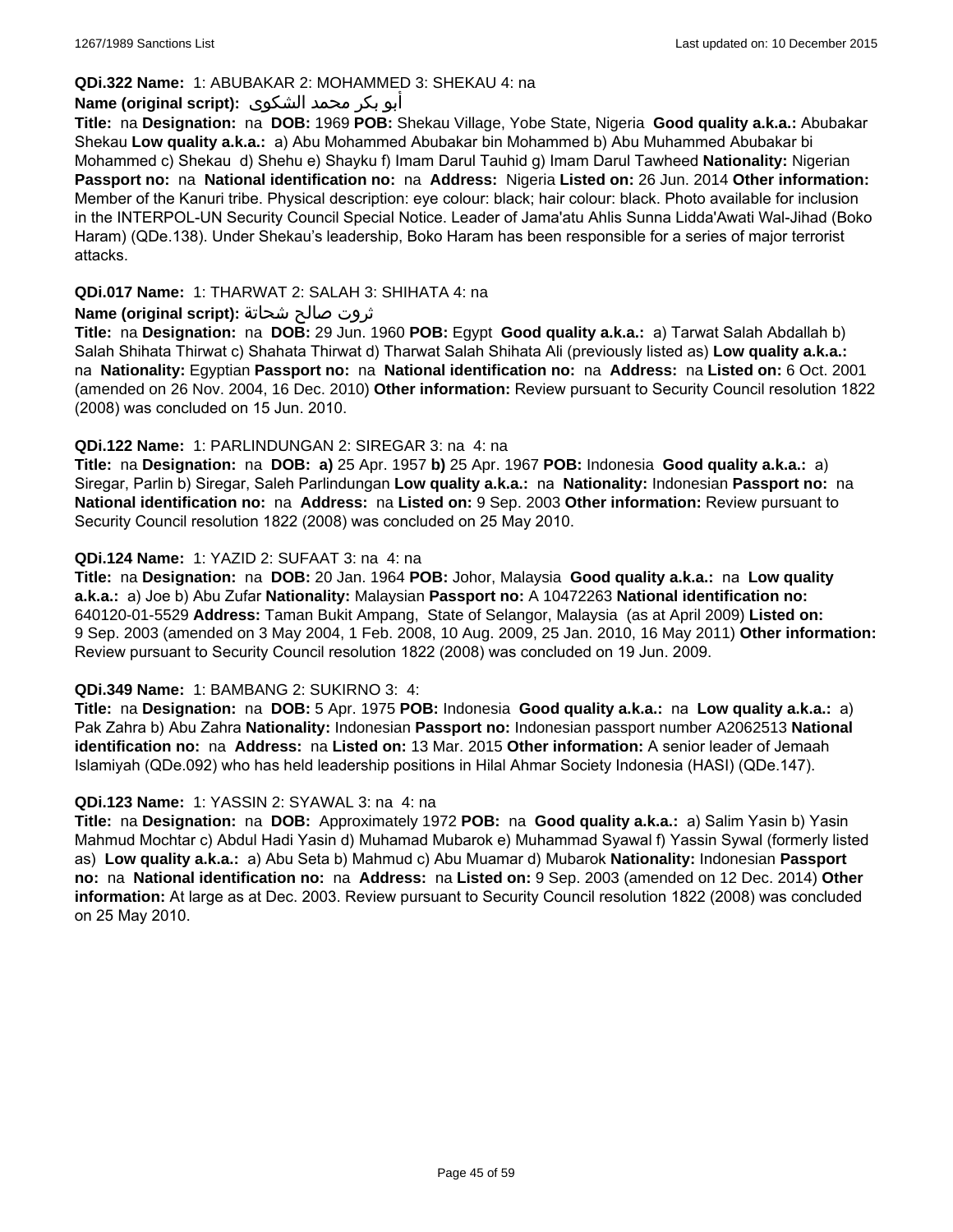### **QDi.322 Name:** 1: ABUBAKAR 2: MOHAMMED 3: SHEKAU 4: na

# أبو بكر محمد الشكوى **:(script original (Name**

**Title:** na **Designation:** na **DOB:** 1969 **POB:** Shekau Village, Yobe State, Nigeria **Good quality a.k.a.:** Abubakar Shekau **Low quality a.k.a.:** a) Abu Mohammed Abubakar bin Mohammed b) Abu Muhammed Abubakar bi Mohammed c) Shekau d) Shehu e) Shayku f) Imam Darul Tauhid g) Imam Darul Tawheed **Nationality:** Nigerian **Passport no:** na **National identification no:** na **Address:** Nigeria **Listed on:** 26 Jun. 2014 **Other information:** Member of the Kanuri tribe. Physical description: eye colour: black; hair colour: black. Photo available for inclusion in the INTERPOL-UN Security Council Special Notice. Leader of Jama'atu Ahlis Sunna Lidda'Awati Wal-Jihad (Boko Haram) (QDe.138). Under Shekau's leadership, Boko Haram has been responsible for a series of major terrorist attacks.

### **QDi.017 Name:** 1: THARWAT 2: SALAH 3: SHIHATA 4: na

### ثروت صالح شحاتة **:(script original (Name**

**Title:** na **Designation:** na **DOB:** 29 Jun. 1960 **POB:** Egypt **Good quality a.k.a.:** a) Tarwat Salah Abdallah b) Salah Shihata Thirwat c) Shahata Thirwat d) Tharwat Salah Shihata Ali (previously listed as) **Low quality a.k.a.:**  na **Nationality:** Egyptian **Passport no:** na **National identification no:** na **Address:** na **Listed on:** 6 Oct. 2001 (amended on 26 Nov. 2004, 16 Dec. 2010) **Other information:** Review pursuant to Security Council resolution 1822 (2008) was concluded on 15 Jun. 2010.

### **QDi.122 Name:** 1: PARLINDUNGAN 2: SIREGAR 3: na 4: na

**Title:** na **Designation:** na **DOB: a)** 25 Apr. 1957 **b)** 25 Apr. 1967 **POB:** Indonesia **Good quality a.k.a.:** a) Siregar, Parlin b) Siregar, Saleh Parlindungan **Low quality a.k.a.:** na **Nationality:** Indonesian **Passport no:** na **National identification no:** na **Address:** na **Listed on:** 9 Sep. 2003 **Other information:** Review pursuant to Security Council resolution 1822 (2008) was concluded on 25 May 2010.

### **QDi.124 Name:** 1: YAZID 2: SUFAAT 3: na 4: na

**Title:** na **Designation:** na **DOB:** 20 Jan. 1964 **POB:** Johor, Malaysia **Good quality a.k.a.:** na **Low quality a.k.a.:** a) Joe b) Abu Zufar **Nationality:** Malaysian **Passport no:** A 10472263 **National identification no:** 640120-01-5529 **Address:** Taman Bukit Ampang, State of Selangor, Malaysia (as at April 2009) **Listed on:** 9 Sep. 2003 (amended on 3 May 2004, 1 Feb. 2008, 10 Aug. 2009, 25 Jan. 2010, 16 May 2011) **Other information:** Review pursuant to Security Council resolution 1822 (2008) was concluded on 19 Jun. 2009.

#### **QDi.349 Name:** 1: BAMBANG 2: SUKIRNO 3: 4:

**Title:** na **Designation:** na **DOB:** 5 Apr. 1975 **POB:** Indonesia **Good quality a.k.a.:** na **Low quality a.k.a.:** a) Pak Zahra b) Abu Zahra **Nationality:** Indonesian **Passport no:** Indonesian passport number A2062513 **National identification no:** na **Address:** na **Listed on:** 13 Mar. 2015 **Other information:** A senior leader of Jemaah Islamiyah (QDe.092) who has held leadership positions in Hilal Ahmar Society Indonesia (HASI) (QDe.147).

#### **QDi.123 Name:** 1: YASSIN 2: SYAWAL 3: na 4: na

**Title:** na **Designation:** na **DOB:** Approximately 1972 **POB:** na **Good quality a.k.a.:** a) Salim Yasin b) Yasin Mahmud Mochtar c) Abdul Hadi Yasin d) Muhamad Mubarok e) Muhammad Syawal f) Yassin Sywal (formerly listed as) **Low quality a.k.a.:** a) Abu Seta b) Mahmud c) Abu Muamar d) Mubarok **Nationality:** Indonesian **Passport no:** na **National identification no:** na **Address:** na **Listed on:** 9 Sep. 2003 (amended on 12 Dec. 2014) **Other information:** At large as at Dec. 2003. Review pursuant to Security Council resolution 1822 (2008) was concluded on 25 May 2010.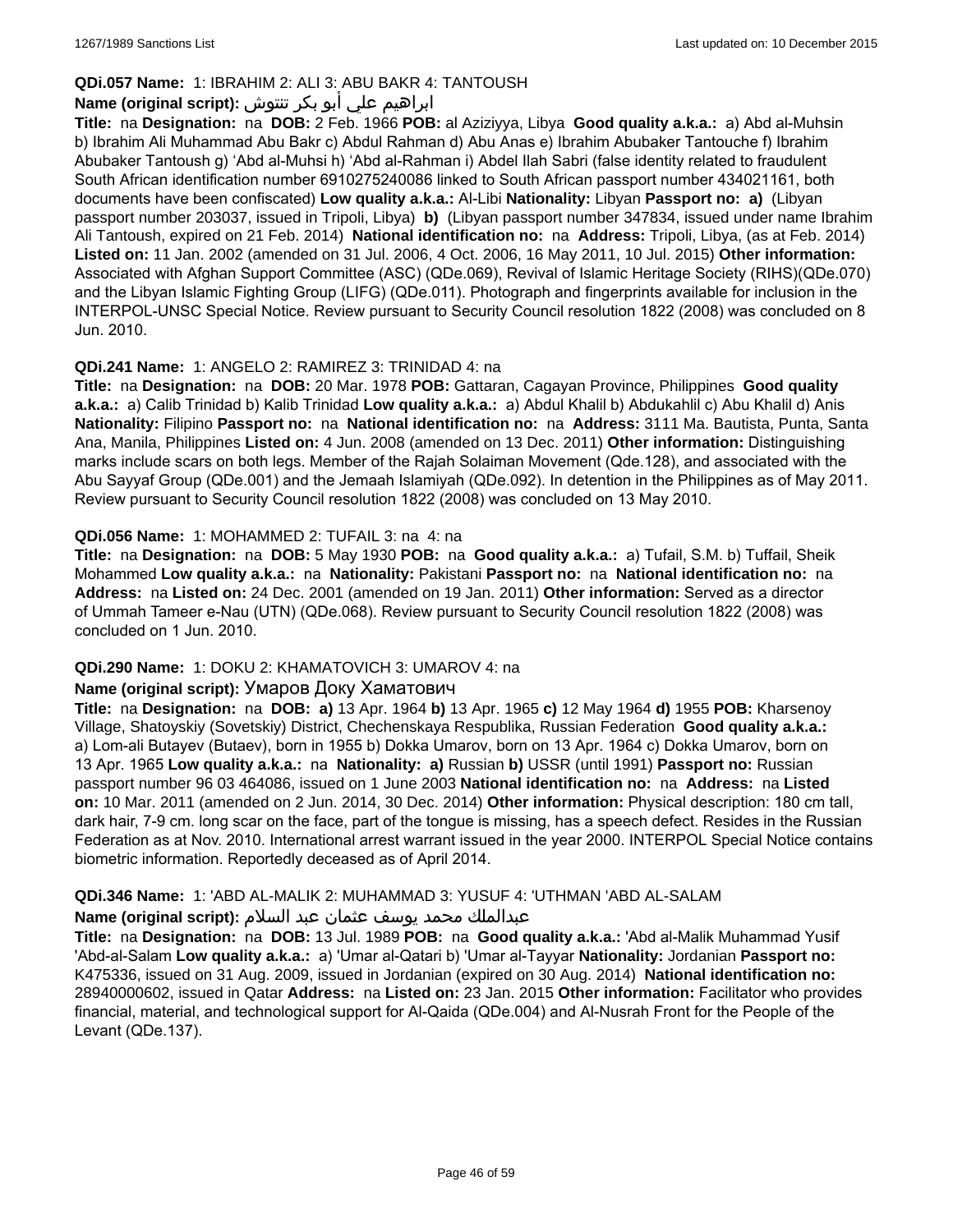# **QDi.057 Name:** 1: IBRAHIM 2: ALI 3: ABU BAKR 4: TANTOUSH

# ابراهيم علي أبو بكر تنتوش **:(script original (Name**

**Title:** na **Designation:** na **DOB:** 2 Feb. 1966 **POB:** al Aziziyya, Libya **Good quality a.k.a.:** a) Abd al-Muhsin b) Ibrahim Ali Muhammad Abu Bakr c) Abdul Rahman d) Abu Anas e) Ibrahim Abubaker Tantouche f) Ibrahim Abubaker Tantoush g) 'Abd al-Muhsi h) 'Abd al-Rahman i) Abdel Ilah Sabri (false identity related to fraudulent South African identification number 6910275240086 linked to South African passport number 434021161, both documents have been confiscated) **Low quality a.k.a.:** Al-Libi **Nationality:** Libyan **Passport no: a)** (Libyan passport number 203037, issued in Tripoli, Libya) **b)** (Libyan passport number 347834, issued under name Ibrahim Ali Tantoush, expired on 21 Feb. 2014) **National identification no:** na **Address:** Tripoli, Libya, (as at Feb. 2014) **Listed on:** 11 Jan. 2002 (amended on 31 Jul. 2006, 4 Oct. 2006, 16 May 2011, 10 Jul. 2015) **Other information:** Associated with Afghan Support Committee (ASC) (QDe.069), Revival of Islamic Heritage Society (RIHS)(QDe.070) and the Libyan Islamic Fighting Group (LIFG) (QDe.011). Photograph and fingerprints available for inclusion in the INTERPOL-UNSC Special Notice. Review pursuant to Security Council resolution 1822 (2008) was concluded on 8 Jun. 2010.

### **QDi.241 Name:** 1: ANGELO 2: RAMIREZ 3: TRINIDAD 4: na

**Title:** na **Designation:** na **DOB:** 20 Mar. 1978 **POB:** Gattaran, Cagayan Province, Philippines **Good quality a.k.a.:** a) Calib Trinidad b) Kalib Trinidad **Low quality a.k.a.:** a) Abdul Khalil b) Abdukahlil c) Abu Khalil d) Anis **Nationality:** Filipino **Passport no:** na **National identification no:** na **Address:** 3111 Ma. Bautista, Punta, Santa Ana, Manila, Philippines **Listed on:** 4 Jun. 2008 (amended on 13 Dec. 2011) **Other information:** Distinguishing marks include scars on both legs. Member of the Rajah Solaiman Movement (Qde.128), and associated with the Abu Sayyaf Group (QDe.001) and the Jemaah Islamiyah (QDe.092). In detention in the Philippines as of May 2011. Review pursuant to Security Council resolution 1822 (2008) was concluded on 13 May 2010.

### **QDi.056 Name:** 1: MOHAMMED 2: TUFAIL 3: na 4: na

**Title:** na **Designation:** na **DOB:** 5 May 1930 **POB:** na **Good quality a.k.a.:** a) Tufail, S.M. b) Tuffail, Sheik Mohammed **Low quality a.k.a.:** na **Nationality:** Pakistani **Passport no:** na **National identification no:** na **Address:** na **Listed on:** 24 Dec. 2001 (amended on 19 Jan. 2011) **Other information:** Served as a director of Ummah Tameer e-Nau (UTN) (QDe.068). Review pursuant to Security Council resolution 1822 (2008) was concluded on 1 Jun. 2010.

# **QDi.290 Name:** 1: DOKU 2: KHAMATOVICH 3: UMAROV 4: na

#### **Name (original script):** Умаров Доку Хаматович

**Title:** na **Designation:** na **DOB: a)** 13 Apr. 1964 **b)** 13 Apr. 1965 **c)** 12 May 1964 **d)** 1955 **POB:** Kharsenoy Village, Shatoyskiy (Sovetskiy) District, Chechenskaya Respublika, Russian Federation **Good quality a.k.a.:**  a) Lom-ali Butayev (Butaev), born in 1955 b) Dokka Umarov, born on 13 Apr. 1964 c) Dokka Umarov, born on 13 Apr. 1965 **Low quality a.k.a.:** na **Nationality: a)** Russian **b)** USSR (until 1991) **Passport no:** Russian passport number 96 03 464086, issued on 1 June 2003 **National identification no:** na **Address:** na **Listed on:** 10 Mar. 2011 (amended on 2 Jun. 2014, 30 Dec. 2014) **Other information:** Physical description: 180 cm tall, dark hair, 7-9 cm. long scar on the face, part of the tongue is missing, has a speech defect. Resides in the Russian Federation as at Nov. 2010. International arrest warrant issued in the year 2000. INTERPOL Special Notice contains biometric information. Reportedly deceased as of April 2014.

### **QDi.346 Name:** 1: 'ABD AL-MALIK 2: MUHAMMAD 3: YUSUF 4: 'UTHMAN 'ABD AL-SALAM

#### عبدالملك محمد يوسف عثمان عبد السلام **:(script original (Name**

**Title:** na **Designation:** na **DOB:** 13 Jul. 1989 **POB:** na **Good quality a.k.a.:** 'Abd al-Malik Muhammad Yusif 'Abd-al-Salam **Low quality a.k.a.:** a) 'Umar al-Qatari b) 'Umar al-Tayyar **Nationality:** Jordanian **Passport no:** K475336, issued on 31 Aug. 2009, issued in Jordanian (expired on 30 Aug. 2014) **National identification no:** 28940000602, issued in Qatar **Address:** na **Listed on:** 23 Jan. 2015 **Other information:** Facilitator who provides financial, material, and technological support for Al-Qaida (QDe.004) and Al-Nusrah Front for the People of the Levant (QDe.137).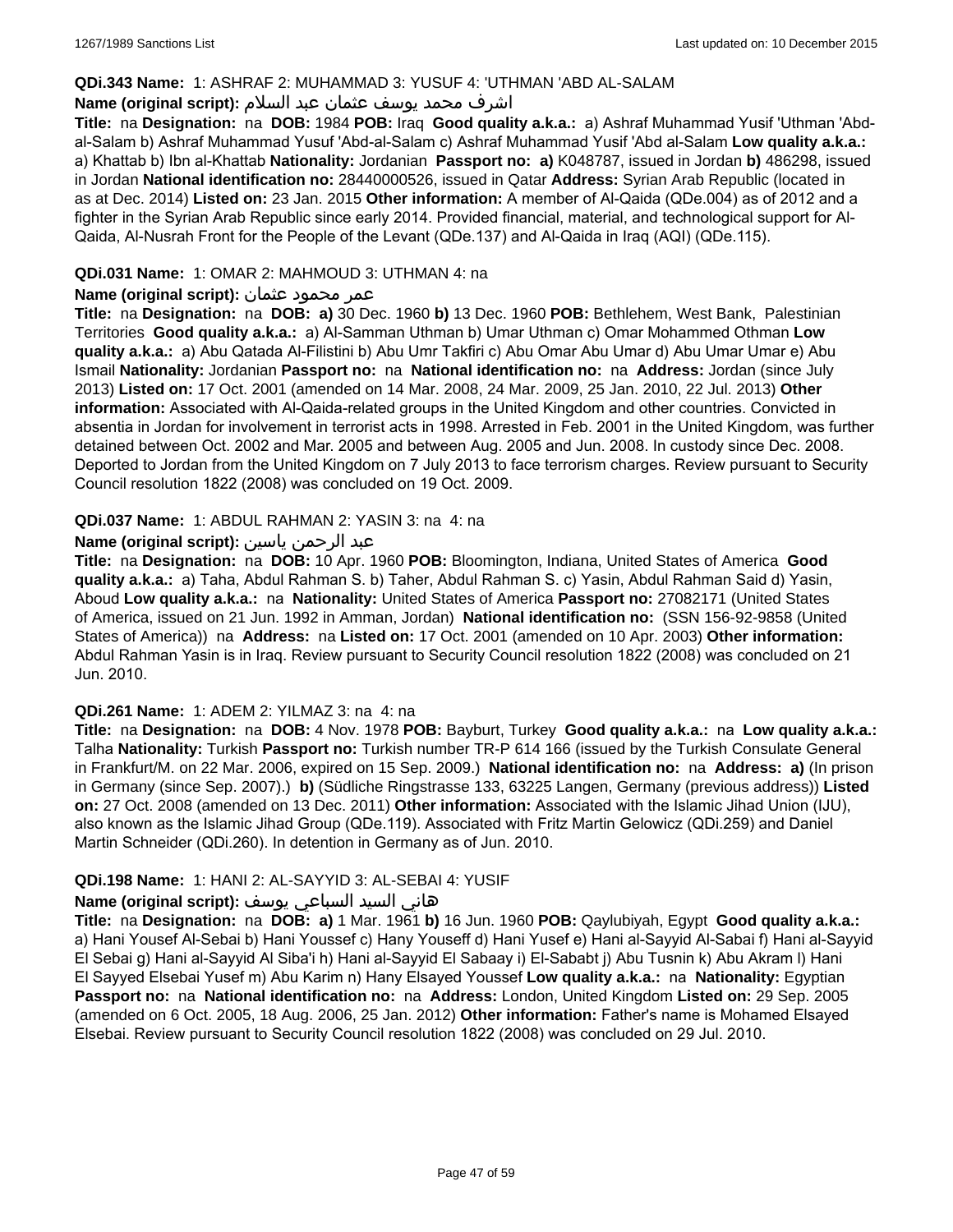### **QDi.343 Name:** 1: ASHRAF 2: MUHAMMAD 3: YUSUF 4: 'UTHMAN 'ABD AL-SALAM

### اشرف محمد يوسف عثمان عبد السلام **:(script original (Name**

**Title:** na **Designation:** na **DOB:** 1984 **POB:** Iraq **Good quality a.k.a.:** a) Ashraf Muhammad Yusif 'Uthman 'Abdal-Salam b) Ashraf Muhammad Yusuf 'Abd-al-Salam c) Ashraf Muhammad Yusif 'Abd al-Salam **Low quality a.k.a.:**  a) Khattab b) Ibn al-Khattab **Nationality:** Jordanian **Passport no: a)** K048787, issued in Jordan **b)** 486298, issued in Jordan **National identification no:** 28440000526, issued in Qatar **Address:** Syrian Arab Republic (located in as at Dec. 2014) **Listed on:** 23 Jan. 2015 **Other information:** A member of Al-Qaida (QDe.004) as of 2012 and a fighter in the Syrian Arab Republic since early 2014. Provided financial, material, and technological support for Al-Qaida, Al-Nusrah Front for the People of the Levant (QDe.137) and Al-Qaida in Iraq (AQI) (QDe.115).

### **QDi.031 Name:** 1: OMAR 2: MAHMOUD 3: UTHMAN 4: na

### عمر محمود عثمان **:(script original (Name**

**Title:** na **Designation:** na **DOB: a)** 30 Dec. 1960 **b)** 13 Dec. 1960 **POB:** Bethlehem, West Bank, Palestinian Territories **Good quality a.k.a.:** a) Al-Samman Uthman b) Umar Uthman c) Omar Mohammed Othman **Low quality a.k.a.:** a) Abu Qatada Al-Filistini b) Abu Umr Takfiri c) Abu Omar Abu Umar d) Abu Umar Umar e) Abu Ismail **Nationality:** Jordanian **Passport no:** na **National identification no:** na **Address:** Jordan (since July 2013) **Listed on:** 17 Oct. 2001 (amended on 14 Mar. 2008, 24 Mar. 2009, 25 Jan. 2010, 22 Jul. 2013) **Other information:** Associated with Al-Qaida-related groups in the United Kingdom and other countries. Convicted in absentia in Jordan for involvement in terrorist acts in 1998. Arrested in Feb. 2001 in the United Kingdom, was further detained between Oct. 2002 and Mar. 2005 and between Aug. 2005 and Jun. 2008. In custody since Dec. 2008. Deported to Jordan from the United Kingdom on 7 July 2013 to face terrorism charges. Review pursuant to Security Council resolution 1822 (2008) was concluded on 19 Oct. 2009.

### **QDi.037 Name:** 1: ABDUL RAHMAN 2: YASIN 3: na 4: na

### عبد الرحمن ياسين **:(script original (Name**

**Title:** na **Designation:** na **DOB:** 10 Apr. 1960 **POB:** Bloomington, Indiana, United States of America **Good quality a.k.a.:** a) Taha, Abdul Rahman S. b) Taher, Abdul Rahman S. c) Yasin, Abdul Rahman Said d) Yasin, Aboud **Low quality a.k.a.:** na **Nationality:** United States of America **Passport no:** 27082171 (United States of America, issued on 21 Jun. 1992 in Amman, Jordan) **National identification no:** (SSN 156-92-9858 (United States of America)) na **Address:** na **Listed on:** 17 Oct. 2001 (amended on 10 Apr. 2003) **Other information:** Abdul Rahman Yasin is in Iraq. Review pursuant to Security Council resolution 1822 (2008) was concluded on 21 Jun. 2010.

#### **QDi.261 Name:** 1: ADEM 2: YILMAZ 3: na 4: na

**Title:** na **Designation:** na **DOB:** 4 Nov. 1978 **POB:** Bayburt, Turkey **Good quality a.k.a.:** na **Low quality a.k.a.:** Talha **Nationality:** Turkish **Passport no:** Turkish number TR-P 614 166 (issued by the Turkish Consulate General in Frankfurt/M. on 22 Mar. 2006, expired on 15 Sep. 2009.) **National identification no:** na **Address: a)** (In prison in Germany (since Sep. 2007).) **b)** (Südliche Ringstrasse 133, 63225 Langen, Germany (previous address)) **Listed on:** 27 Oct. 2008 (amended on 13 Dec. 2011) **Other information:** Associated with the Islamic Jihad Union (IJU), also known as the Islamic Jihad Group (QDe.119). Associated with Fritz Martin Gelowicz (QDi.259) and Daniel Martin Schneider (QDi.260). In detention in Germany as of Jun. 2010.

### **QDi.198 Name:** 1: HANI 2: AL-SAYYID 3: AL-SEBAI 4: YUSIF

#### هاني السيد السباعي يوسف **:(script original (Name**

**Title:** na **Designation:** na **DOB: a)** 1 Mar. 1961 **b)** 16 Jun. 1960 **POB:** Qaylubiyah, Egypt **Good quality a.k.a.:**  a) Hani Yousef Al-Sebai b) Hani Youssef c) Hany Youseff d) Hani Yusef e) Hani al-Sayyid Al-Sabai f) Hani al-Sayyid El Sebai g) Hani al-Sayyid Al Siba'i h) Hani al-Sayyid El Sabaay i) El-Sababt j) Abu Tusnin k) Abu Akram l) Hani El Sayyed Elsebai Yusef m) Abu Karim n) Hany Elsayed Youssef **Low quality a.k.a.:** na **Nationality:** Egyptian **Passport no:** na **National identification no:** na **Address:** London, United Kingdom **Listed on:** 29 Sep. 2005 (amended on 6 Oct. 2005, 18 Aug. 2006, 25 Jan. 2012) **Other information:** Father's name is Mohamed Elsayed Elsebai. Review pursuant to Security Council resolution 1822 (2008) was concluded on 29 Jul. 2010.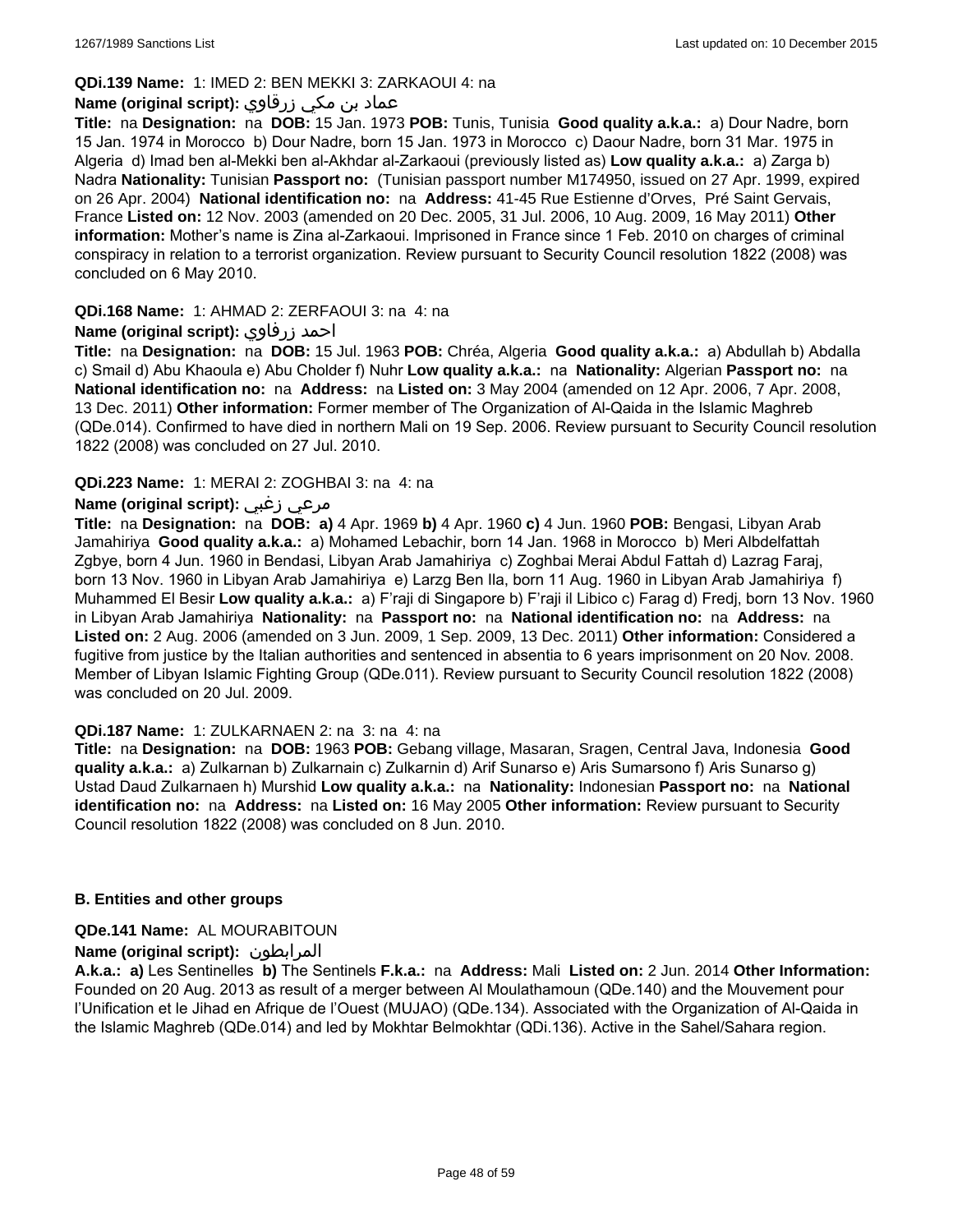### **QDi.139 Name:** 1: IMED 2: BEN MEKKI 3: ZARKAOUI 4: na

### عماد بن مكي زرقاوي **:(script original (Name**

**Title:** na **Designation:** na **DOB:** 15 Jan. 1973 **POB:** Tunis, Tunisia **Good quality a.k.a.:** a) Dour Nadre, born 15 Jan. 1974 in Morocco b) Dour Nadre, born 15 Jan. 1973 in Morocco c) Daour Nadre, born 31 Mar. 1975 in Algeria d) Imad ben al-Mekki ben al-Akhdar al-Zarkaoui (previously listed as) **Low quality a.k.a.:** a) Zarga b) Nadra **Nationality:** Tunisian **Passport no:** (Tunisian passport number M174950, issued on 27 Apr. 1999, expired on 26 Apr. 2004) **National identification no:** na **Address:** 41-45 Rue Estienne d'Orves, Pré Saint Gervais, France **Listed on:** 12 Nov. 2003 (amended on 20 Dec. 2005, 31 Jul. 2006, 10 Aug. 2009, 16 May 2011) **Other information:** Mother's name is Zina al-Zarkaoui. Imprisoned in France since 1 Feb. 2010 on charges of criminal conspiracy in relation to a terrorist organization. Review pursuant to Security Council resolution 1822 (2008) was concluded on 6 May 2010.

### **QDi.168 Name:** 1: AHMAD 2: ZERFAOUI 3: na 4: na

### **Name (original script):** زرفاوي احمد

**Title:** na **Designation:** na **DOB:** 15 Jul. 1963 **POB:** Chréa, Algeria **Good quality a.k.a.:** a) Abdullah b) Abdalla c) Smail d) Abu Khaoula e) Abu Cholder f) Nuhr **Low quality a.k.a.:** na **Nationality:** Algerian **Passport no:** na **National identification no:** na **Address:** na **Listed on:** 3 May 2004 (amended on 12 Apr. 2006, 7 Apr. 2008, 13 Dec. 2011) **Other information:** Former member of The Organization of Al-Qaida in the Islamic Maghreb (QDe.014). Confirmed to have died in northern Mali on 19 Sep. 2006. Review pursuant to Security Council resolution 1822 (2008) was concluded on 27 Jul. 2010.

### **QDi.223 Name:** 1: MERAI 2: ZOGHBAI 3: na 4: na

### **Name (original script):** زغبي مرعي

**Title:** na **Designation:** na **DOB: a)** 4 Apr. 1969 **b)** 4 Apr. 1960 **c)** 4 Jun. 1960 **POB:** Bengasi, Libyan Arab Jamahiriya **Good quality a.k.a.:** a) Mohamed Lebachir, born 14 Jan. 1968 in Morocco b) Meri Albdelfattah Zgbye, born 4 Jun. 1960 in Bendasi, Libyan Arab Jamahiriya c) Zoghbai Merai Abdul Fattah d) Lazrag Faraj, born 13 Nov. 1960 in Libyan Arab Jamahiriya e) Larzg Ben Ila, born 11 Aug. 1960 in Libyan Arab Jamahiriya f) Muhammed El Besir **Low quality a.k.a.:** a) F'raji di Singapore b) F'raji il Libico c) Farag d) Fredj, born 13 Nov. 1960 in Libyan Arab Jamahiriya **Nationality:** na **Passport no:** na **National identification no:** na **Address:** na **Listed on:** 2 Aug. 2006 (amended on 3 Jun. 2009, 1 Sep. 2009, 13 Dec. 2011) **Other information:** Considered a fugitive from justice by the Italian authorities and sentenced in absentia to 6 years imprisonment on 20 Nov. 2008. Member of Libyan Islamic Fighting Group (QDe.011). Review pursuant to Security Council resolution 1822 (2008) was concluded on 20 Jul. 2009.

#### **QDi.187 Name:** 1: ZULKARNAEN 2: na 3: na 4: na

**Title:** na **Designation:** na **DOB:** 1963 **POB:** Gebang village, Masaran, Sragen, Central Java, Indonesia **Good quality a.k.a.:** a) Zulkarnan b) Zulkarnain c) Zulkarnin d) Arif Sunarso e) Aris Sumarsono f) Aris Sunarso g) Ustad Daud Zulkarnaen h) Murshid **Low quality a.k.a.:** na **Nationality:** Indonesian **Passport no:** na **National identification no:** na **Address:** na **Listed on:** 16 May 2005 **Other information:** Review pursuant to Security Council resolution 1822 (2008) was concluded on 8 Jun. 2010.

#### **B. Entities and other groups**

#### **QDe.141 Name:** AL MOURABITOUN

### **Name (original script):** المرابطون

**A.k.a.: a)** Les Sentinelles **b)** The Sentinels **F.k.a.:** na **Address:** Mali **Listed on:** 2 Jun. 2014 **Other Information:**  Founded on 20 Aug. 2013 as result of a merger between Al Moulathamoun (QDe.140) and the Mouvement pour l'Unification et le Jihad en Afrique de l'Ouest (MUJAO) (QDe.134). Associated with the Organization of Al-Qaida in the Islamic Maghreb (QDe.014) and led by Mokhtar Belmokhtar (QDi.136). Active in the Sahel/Sahara region.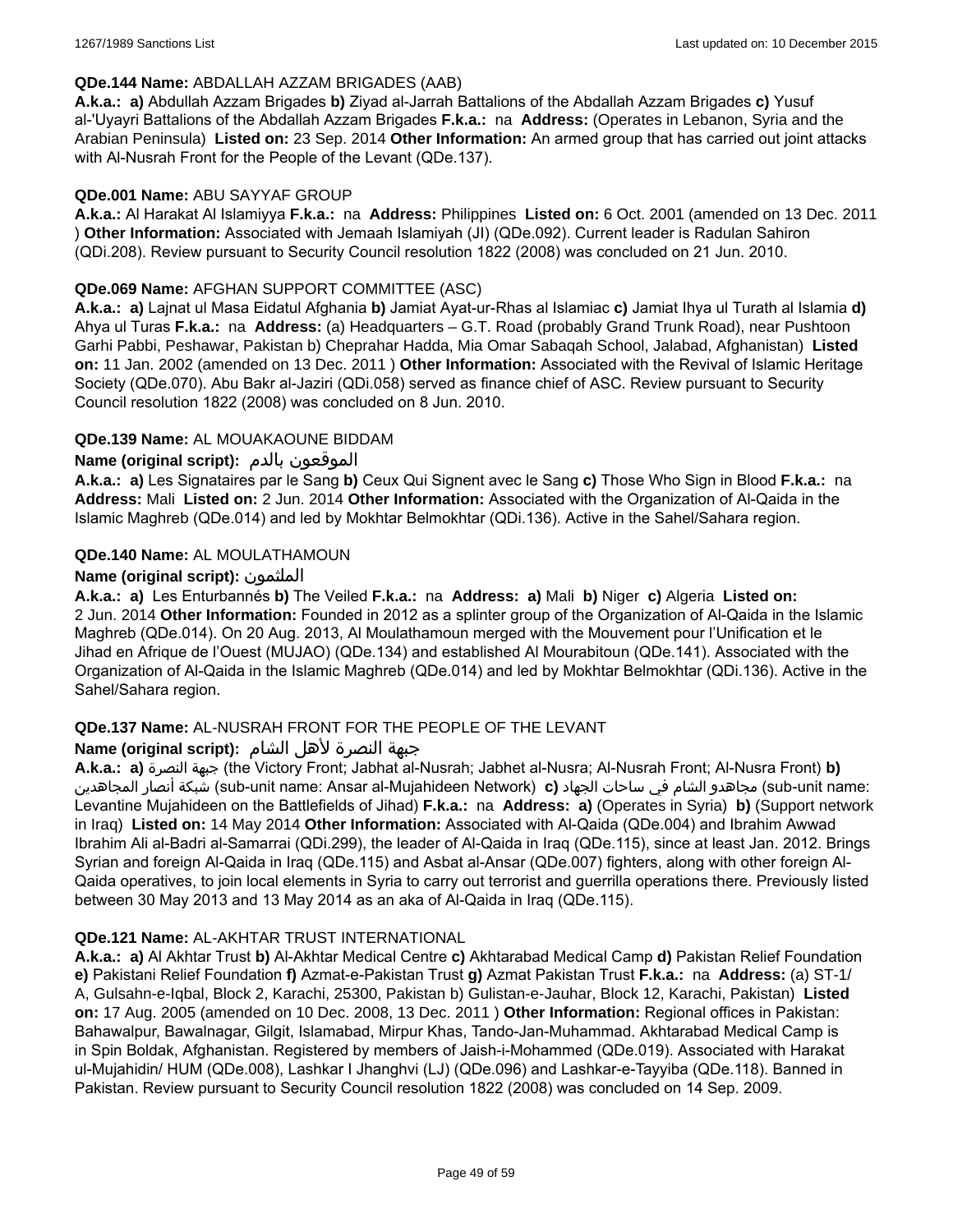#### **QDe.144 Name:** ABDALLAH AZZAM BRIGADES (AAB)

**A.k.a.: a)** Abdullah Azzam Brigades **b)** Ziyad al-Jarrah Battalions of the Abdallah Azzam Brigades **c)** Yusuf al-'Uyayri Battalions of the Abdallah Azzam Brigades **F.k.a.:** na **Address:** (Operates in Lebanon, Syria and the Arabian Peninsula) **Listed on:** 23 Sep. 2014 **Other Information:** An armed group that has carried out joint attacks with Al-Nusrah Front for the People of the Levant (QDe.137).

#### **QDe.001 Name:** ABU SAYYAF GROUP

**A.k.a.:** Al Harakat Al Islamiyya **F.k.a.:** na **Address:** Philippines **Listed on:** 6 Oct. 2001 (amended on 13 Dec. 2011 ) **Other Information:** Associated with Jemaah Islamiyah (JI) (QDe.092). Current leader is Radulan Sahiron (QDi.208). Review pursuant to Security Council resolution 1822 (2008) was concluded on 21 Jun. 2010.

### **QDe.069 Name:** AFGHAN SUPPORT COMMITTEE (ASC)

**A.k.a.: a)** Lajnat ul Masa Eidatul Afghania **b)** Jamiat Ayat-ur-Rhas al Islamiac **c)** Jamiat Ihya ul Turath al Islamia **d)** Ahya ul Turas **F.k.a.:** na **Address:** (a) Headquarters – G.T. Road (probably Grand Trunk Road), near Pushtoon Garhi Pabbi, Peshawar, Pakistan b) Cheprahar Hadda, Mia Omar Sabaqah School, Jalabad, Afghanistan) **Listed on:** 11 Jan. 2002 (amended on 13 Dec. 2011 ) **Other Information:** Associated with the Revival of Islamic Heritage Society (QDe.070). Abu Bakr al-Jaziri (QDi.058) served as finance chief of ASC. Review pursuant to Security Council resolution 1822 (2008) was concluded on 8 Jun. 2010.

### **QDe.139 Name:** AL MOUAKAOUNE BIDDAM

### **Name (original script):** بالدم الموقعون

**A.k.a.: a)** Les Signataires par le Sang **b)** Ceux Qui Signent avec le Sang **c)** Those Who Sign in Blood **F.k.a.:** na **Address:** Mali **Listed on:** 2 Jun. 2014 **Other Information:** Associated with the Organization of Al-Qaida in the Islamic Maghreb (QDe.014) and led by Mokhtar Belmokhtar (QDi.136). Active in the Sahel/Sahara region.

### **QDe.140 Name:** AL MOULATHAMOUN

### **Name (original script):** الملثمون

**A.k.a.: a)** Les Enturbannés **b)** The Veiled **F.k.a.:** na **Address: a)** Mali **b)** Niger **c)** Algeria **Listed on:** 2 Jun. 2014 **Other Information:** Founded in 2012 as a splinter group of the Organization of Al-Qaida in the Islamic Maghreb (QDe.014). On 20 Aug. 2013, Al Moulathamoun merged with the Mouvement pour l'Unification et le Jihad en Afrique de l'Ouest (MUJAO) (QDe.134) and established Al Mourabitoun (QDe.141). Associated with the Organization of Al-Qaida in the Islamic Maghreb (QDe.014) and led by Mokhtar Belmokhtar (QDi.136). Active in the Sahel/Sahara region.

### **QDe.137 Name:** AL-NUSRAH FRONT FOR THE PEOPLE OF THE LEVANT

### جبهة النصرة لأهل الشام **:(script original (Name**

**A.k.a.: a)** النصرة جبهة) the Victory Front; Jabhat al-Nusrah; Jabhet al-Nusra; Al-Nusrah Front; Al-Nusra Front) **b)**  المجاهدين أنصار شبكة) sub-unit name: Ansar al-Mujahideen Network) **c)** الجهاد ساحات في الشام مجاهدو) sub-unit name: Levantine Mujahideen on the Battlefields of Jihad) **F.k.a.:** na **Address: a)** (Operates in Syria) **b)** (Support network in Iraq) **Listed on:** 14 May 2014 **Other Information:** Associated with Al-Qaida (QDe.004) and Ibrahim Awwad Ibrahim Ali al-Badri al-Samarrai (QDi.299), the leader of Al-Qaida in Iraq (QDe.115), since at least Jan. 2012. Brings Syrian and foreign Al-Qaida in Iraq (QDe.115) and Asbat al-Ansar (QDe.007) fighters, along with other foreign Al-Qaida operatives, to join local elements in Syria to carry out terrorist and guerrilla operations there. Previously listed between 30 May 2013 and 13 May 2014 as an aka of Al-Qaida in Iraq (QDe.115).

#### **QDe.121 Name:** AL-AKHTAR TRUST INTERNATIONAL

**A.k.a.: a)** Al Akhtar Trust **b)** Al-Akhtar Medical Centre **c)** Akhtarabad Medical Camp **d)** Pakistan Relief Foundation **e)** Pakistani Relief Foundation **f)** Azmat-e-Pakistan Trust **g)** Azmat Pakistan Trust **F.k.a.:** na **Address:** (a) ST-1/ A, Gulsahn-e-Iqbal, Block 2, Karachi, 25300, Pakistan b) Gulistan-e-Jauhar, Block 12, Karachi, Pakistan) **Listed on:** 17 Aug. 2005 (amended on 10 Dec. 2008, 13 Dec. 2011 ) **Other Information:** Regional offices in Pakistan: Bahawalpur, Bawalnagar, Gilgit, Islamabad, Mirpur Khas, Tando-Jan-Muhammad. Akhtarabad Medical Camp is in Spin Boldak, Afghanistan. Registered by members of Jaish-i-Mohammed (QDe.019). Associated with Harakat ul-Mujahidin/ HUM (QDe.008), Lashkar I Jhanghvi (LJ) (QDe.096) and Lashkar-e-Tayyiba (QDe.118). Banned in Pakistan. Review pursuant to Security Council resolution 1822 (2008) was concluded on 14 Sep. 2009.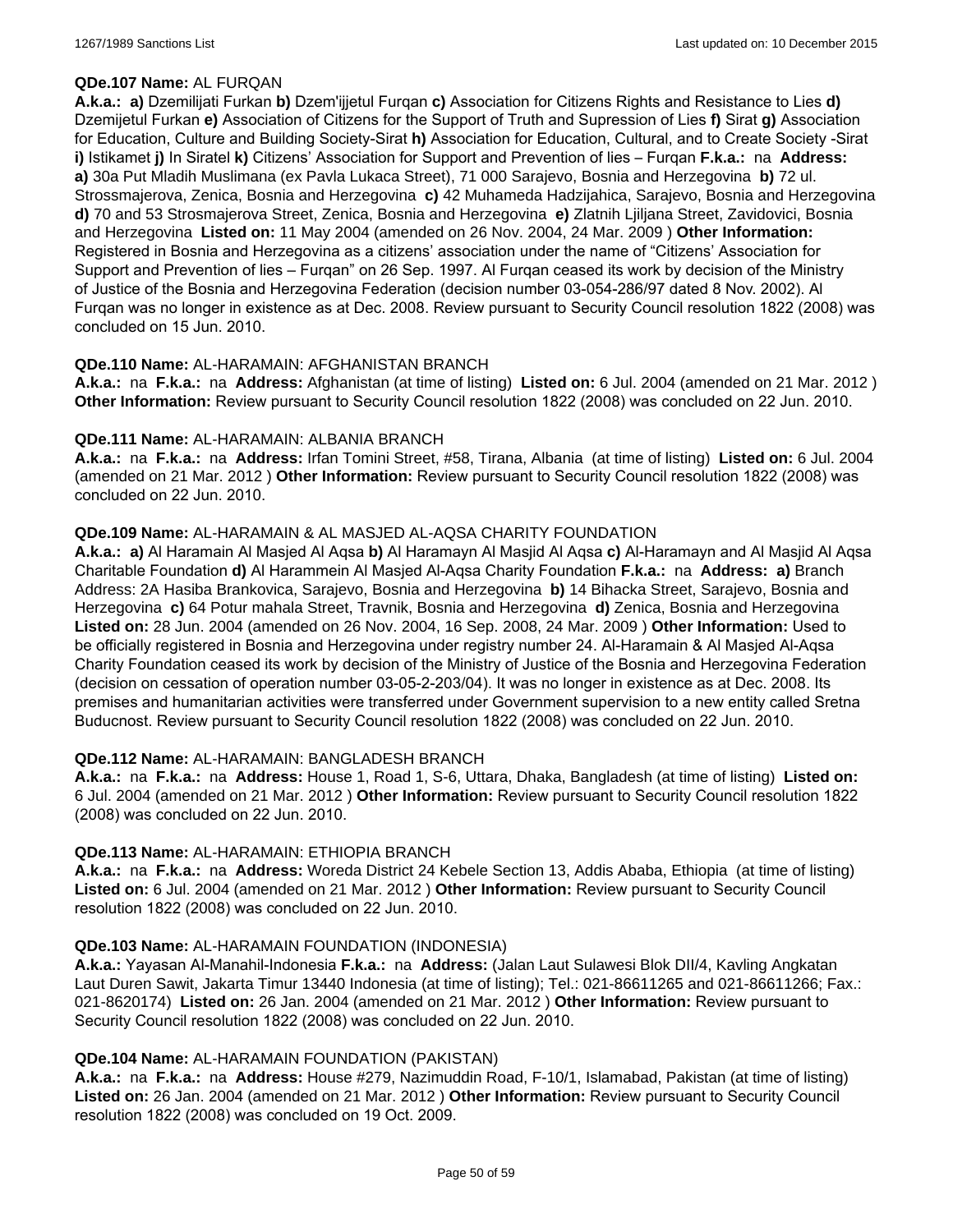### **QDe.107 Name:** AL FURQAN

**A.k.a.: a)** Dzemilijati Furkan **b)** Dzem'ijjetul Furqan **c)** Association for Citizens Rights and Resistance to Lies **d)** Dzemijetul Furkan **e)** Association of Citizens for the Support of Truth and Supression of Lies **f)** Sirat **g)** Association for Education, Culture and Building Society-Sirat **h)** Association for Education, Cultural, and to Create Society -Sirat **i)** Istikamet **j)** In Siratel **k)** Citizens' Association for Support and Prevention of lies – Furqan **F.k.a.:** na **Address: a)** 30a Put Mladih Muslimana (ex Pavla Lukaca Street), 71 000 Sarajevo, Bosnia and Herzegovina **b)** 72 ul. Strossmajerova, Zenica, Bosnia and Herzegovina **c)** 42 Muhameda Hadzijahica, Sarajevo, Bosnia and Herzegovina **d)** 70 and 53 Strosmajerova Street, Zenica, Bosnia and Herzegovina **e)** Zlatnih Ljiljana Street, Zavidovici, Bosnia and Herzegovina **Listed on:** 11 May 2004 (amended on 26 Nov. 2004, 24 Mar. 2009 ) **Other Information:** Registered in Bosnia and Herzegovina as a citizens' association under the name of "Citizens' Association for Support and Prevention of lies – Furqan" on 26 Sep. 1997. Al Furqan ceased its work by decision of the Ministry of Justice of the Bosnia and Herzegovina Federation (decision number 03-054-286/97 dated 8 Nov. 2002). Al Furqan was no longer in existence as at Dec. 2008. Review pursuant to Security Council resolution 1822 (2008) was concluded on 15 Jun. 2010.

### **QDe.110 Name:** AL-HARAMAIN: AFGHANISTAN BRANCH

**A.k.a.:** na **F.k.a.:** na **Address:** Afghanistan (at time of listing) **Listed on:** 6 Jul. 2004 (amended on 21 Mar. 2012 ) **Other Information:** Review pursuant to Security Council resolution 1822 (2008) was concluded on 22 Jun. 2010.

#### **QDe.111 Name:** AL-HARAMAIN: ALBANIA BRANCH

**A.k.a.:** na **F.k.a.:** na **Address:** Irfan Tomini Street, #58, Tirana, Albania (at time of listing) **Listed on:** 6 Jul. 2004 (amended on 21 Mar. 2012 ) **Other Information:** Review pursuant to Security Council resolution 1822 (2008) was concluded on 22 Jun. 2010.

### **QDe.109 Name:** AL-HARAMAIN & AL MASJED AL-AQSA CHARITY FOUNDATION

**A.k.a.: a)** Al Haramain Al Masjed Al Aqsa **b)** Al Haramayn Al Masjid Al Aqsa **c)** Al-Haramayn and Al Masjid Al Aqsa Charitable Foundation **d)** Al Harammein Al Masjed Al-Aqsa Charity Foundation **F.k.a.:** na **Address: a)** Branch Address: 2A Hasiba Brankovica, Sarajevo, Bosnia and Herzegovina **b)** 14 Bihacka Street, Sarajevo, Bosnia and Herzegovina **c)** 64 Potur mahala Street, Travnik, Bosnia and Herzegovina **d)** Zenica, Bosnia and Herzegovina **Listed on:** 28 Jun. 2004 (amended on 26 Nov. 2004, 16 Sep. 2008, 24 Mar. 2009 ) **Other Information:** Used to be officially registered in Bosnia and Herzegovina under registry number 24. Al-Haramain & Al Masjed Al-Aqsa Charity Foundation ceased its work by decision of the Ministry of Justice of the Bosnia and Herzegovina Federation (decision on cessation of operation number 03-05-2-203/04). It was no longer in existence as at Dec. 2008. Its premises and humanitarian activities were transferred under Government supervision to a new entity called Sretna Buducnost. Review pursuant to Security Council resolution 1822 (2008) was concluded on 22 Jun. 2010.

### **QDe.112 Name:** AL-HARAMAIN: BANGLADESH BRANCH

**A.k.a.:** na **F.k.a.:** na **Address:** House 1, Road 1, S-6, Uttara, Dhaka, Bangladesh (at time of listing) **Listed on:** 6 Jul. 2004 (amended on 21 Mar. 2012 ) **Other Information:** Review pursuant to Security Council resolution 1822 (2008) was concluded on 22 Jun. 2010.

#### **QDe.113 Name:** AL-HARAMAIN: ETHIOPIA BRANCH

**A.k.a.:** na **F.k.a.:** na **Address:** Woreda District 24 Kebele Section 13, Addis Ababa, Ethiopia (at time of listing) **Listed on:** 6 Jul. 2004 (amended on 21 Mar. 2012 ) **Other Information:** Review pursuant to Security Council resolution 1822 (2008) was concluded on 22 Jun. 2010.

### **QDe.103 Name:** AL-HARAMAIN FOUNDATION (INDONESIA)

**A.k.a.:** Yayasan Al-Manahil-Indonesia **F.k.a.:** na **Address:** (Jalan Laut Sulawesi Blok DII/4, Kavling Angkatan Laut Duren Sawit, Jakarta Timur 13440 Indonesia (at time of listing); Tel.: 021-86611265 and 021-86611266; Fax.: 021-8620174) **Listed on:** 26 Jan. 2004 (amended on 21 Mar. 2012 ) **Other Information:** Review pursuant to Security Council resolution 1822 (2008) was concluded on 22 Jun. 2010.

#### **QDe.104 Name:** AL-HARAMAIN FOUNDATION (PAKISTAN)

**A.k.a.:** na **F.k.a.:** na **Address:** House #279, Nazimuddin Road, F-10/1, Islamabad, Pakistan (at time of listing) **Listed on:** 26 Jan. 2004 (amended on 21 Mar. 2012 ) **Other Information:** Review pursuant to Security Council resolution 1822 (2008) was concluded on 19 Oct. 2009.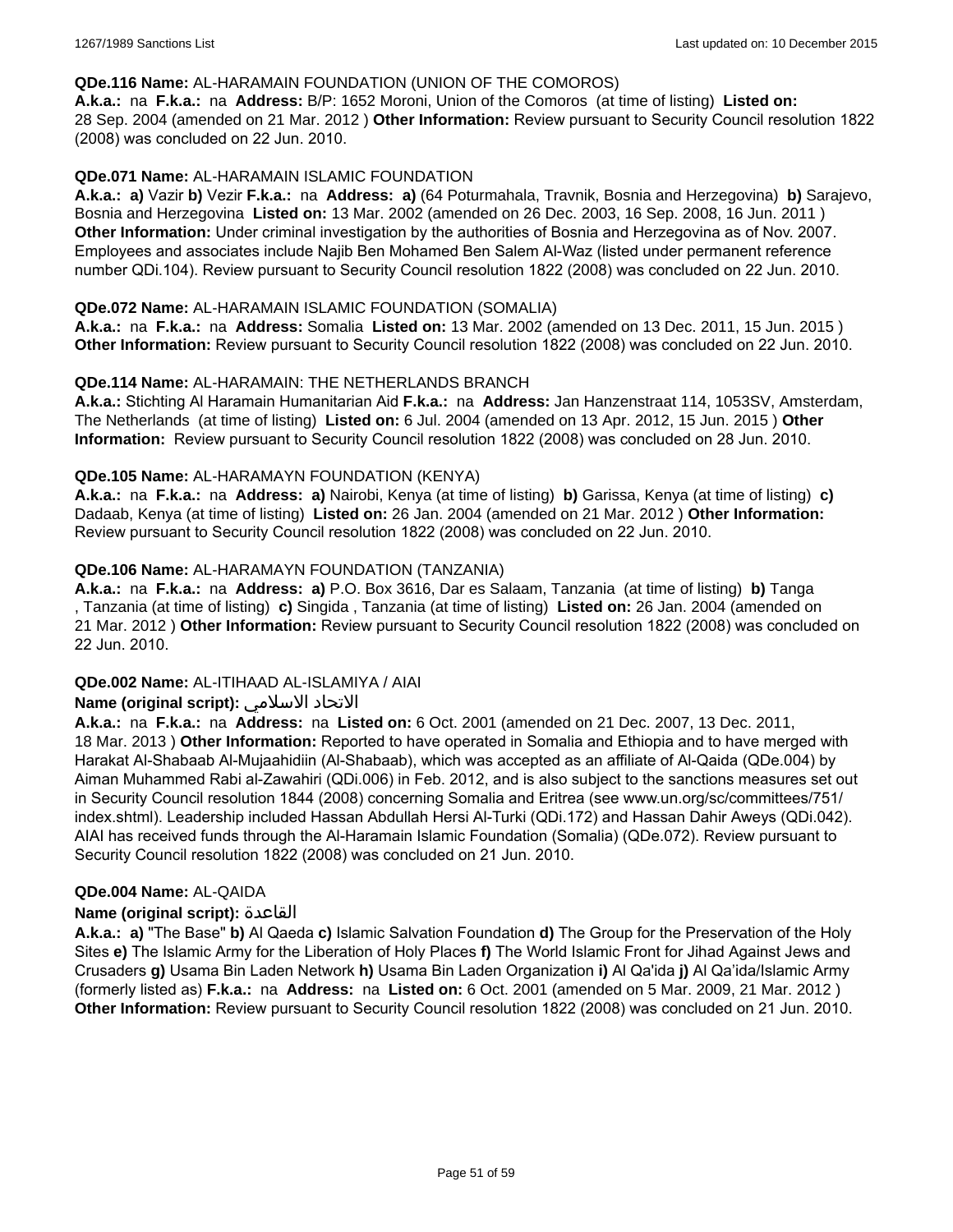#### **QDe.116 Name:** AL-HARAMAIN FOUNDATION (UNION OF THE COMOROS)

**A.k.a.:** na **F.k.a.:** na **Address:** B/P: 1652 Moroni, Union of the Comoros (at time of listing) **Listed on:** 28 Sep. 2004 (amended on 21 Mar. 2012 ) **Other Information:** Review pursuant to Security Council resolution 1822 (2008) was concluded on 22 Jun. 2010.

### **QDe.071 Name:** AL-HARAMAIN ISLAMIC FOUNDATION

**A.k.a.: a)** Vazir **b)** Vezir **F.k.a.:** na **Address: a)** (64 Poturmahala, Travnik, Bosnia and Herzegovina) **b)** Sarajevo, Bosnia and Herzegovina **Listed on:** 13 Mar. 2002 (amended on 26 Dec. 2003, 16 Sep. 2008, 16 Jun. 2011 ) **Other Information:** Under criminal investigation by the authorities of Bosnia and Herzegovina as of Nov. 2007. Employees and associates include Najib Ben Mohamed Ben Salem Al-Waz (listed under permanent reference number QDi.104). Review pursuant to Security Council resolution 1822 (2008) was concluded on 22 Jun. 2010.

#### **QDe.072 Name:** AL-HARAMAIN ISLAMIC FOUNDATION (SOMALIA)

**A.k.a.:** na **F.k.a.:** na **Address:** Somalia **Listed on:** 13 Mar. 2002 (amended on 13 Dec. 2011, 15 Jun. 2015 ) **Other Information:** Review pursuant to Security Council resolution 1822 (2008) was concluded on 22 Jun. 2010.

#### **QDe.114 Name:** AL-HARAMAIN: THE NETHERLANDS BRANCH

**A.k.a.:** Stichting Al Haramain Humanitarian Aid **F.k.a.:** na **Address:** Jan Hanzenstraat 114, 1053SV, Amsterdam, The Netherlands (at time of listing) **Listed on:** 6 Jul. 2004 (amended on 13 Apr. 2012, 15 Jun. 2015 ) **Other Information:** Review pursuant to Security Council resolution 1822 (2008) was concluded on 28 Jun. 2010.

### **QDe.105 Name:** AL-HARAMAYN FOUNDATION (KENYA)

**A.k.a.:** na **F.k.a.:** na **Address: a)** Nairobi, Kenya (at time of listing) **b)** Garissa, Kenya (at time of listing) **c)** Dadaab, Kenya (at time of listing) **Listed on:** 26 Jan. 2004 (amended on 21 Mar. 2012 ) **Other Information:** Review pursuant to Security Council resolution 1822 (2008) was concluded on 22 Jun. 2010.

### **QDe.106 Name:** AL-HARAMAYN FOUNDATION (TANZANIA)

**A.k.a.:** na **F.k.a.:** na **Address: a)** P.O. Box 3616, Dar es Salaam, Tanzania (at time of listing) **b)** Tanga , Tanzania (at time of listing) **c)** Singida , Tanzania (at time of listing) **Listed on:** 26 Jan. 2004 (amended on 21 Mar. 2012 ) **Other Information:** Review pursuant to Security Council resolution 1822 (2008) was concluded on 22 Jun. 2010.

#### **QDe.002 Name:** AL-ITIHAAD AL-ISLAMIYA / AIAI

### **Name (original script):** الاسلامي الاتحاد

**A.k.a.:** na **F.k.a.:** na **Address:** na **Listed on:** 6 Oct. 2001 (amended on 21 Dec. 2007, 13 Dec. 2011, 18 Mar. 2013 ) **Other Information:** Reported to have operated in Somalia and Ethiopia and to have merged with Harakat Al-Shabaab Al-Mujaahidiin (Al-Shabaab), which was accepted as an affiliate of Al-Qaida (QDe.004) by Aiman Muhammed Rabi al-Zawahiri (QDi.006) in Feb. 2012, and is also subject to the sanctions measures set out in Security Council resolution 1844 (2008) concerning Somalia and Eritrea (see www.un.org/sc/committees/751/ index.shtml). Leadership included Hassan Abdullah Hersi Al-Turki (QDi.172) and Hassan Dahir Aweys (QDi.042). AIAI has received funds through the Al-Haramain Islamic Foundation (Somalia) (QDe.072). Review pursuant to Security Council resolution 1822 (2008) was concluded on 21 Jun. 2010.

#### **QDe.004 Name:** AL-QAIDA

#### **Name (original script):** القاعدة

**A.k.a.: a)** "The Base" **b)** Al Qaeda **c)** Islamic Salvation Foundation **d)** The Group for the Preservation of the Holy Sites **e)** The Islamic Army for the Liberation of Holy Places **f)** The World Islamic Front for Jihad Against Jews and Crusaders **g)** Usama Bin Laden Network **h)** Usama Bin Laden Organization **i)** Al Qa'ida **j)** Al Qa'ida/Islamic Army (formerly listed as) **F.k.a.:** na **Address:** na **Listed on:** 6 Oct. 2001 (amended on 5 Mar. 2009, 21 Mar. 2012 ) **Other Information:** Review pursuant to Security Council resolution 1822 (2008) was concluded on 21 Jun. 2010.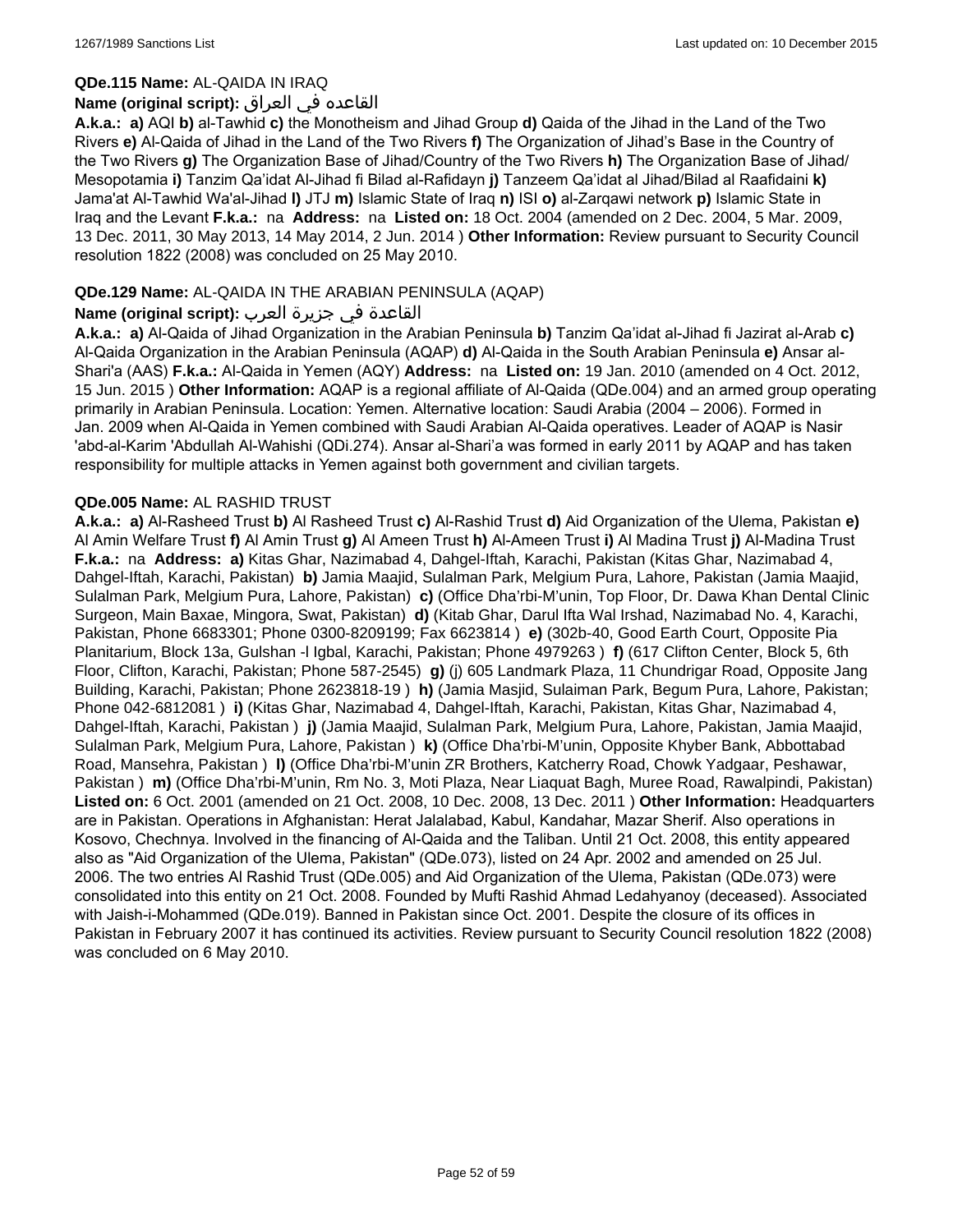#### **QDe.115 Name:** AL-QAIDA IN IRAQ

### القاعده في العراق **:(script original (Name**

**A.k.a.: a)** AQI **b)** al-Tawhid **c)** the Monotheism and Jihad Group **d)** Qaida of the Jihad in the Land of the Two Rivers **e)** Al-Qaida of Jihad in the Land of the Two Rivers **f)** The Organization of Jihad's Base in the Country of the Two Rivers **g)** The Organization Base of Jihad/Country of the Two Rivers **h)** The Organization Base of Jihad/ Mesopotamia **i)** Tanzim Qa'idat Al-Jihad fi Bilad al-Rafidayn **j)** Tanzeem Qa'idat al Jihad/Bilad al Raafidaini **k)** Jama'at Al-Tawhid Wa'al-Jihad **l)** JTJ **m)** Islamic State of Iraq **n)** ISI **o)** al-Zarqawi network **p)** Islamic State in Iraq and the Levant **F.k.a.:** na **Address:** na **Listed on:** 18 Oct. 2004 (amended on 2 Dec. 2004, 5 Mar. 2009, 13 Dec. 2011, 30 May 2013, 14 May 2014, 2 Jun. 2014 ) **Other Information:** Review pursuant to Security Council resolution 1822 (2008) was concluded on 25 May 2010.

### **QDe.129 Name:** AL-QAIDA IN THE ARABIAN PENINSULA (AQAP)

### القاعدة في جزيرة العرب **:(script original (Name**

**A.k.a.: a)** Al-Qaida of Jihad Organization in the Arabian Peninsula **b)** Tanzim Qa'idat al-Jihad fi Jazirat al-Arab **c)** Al-Qaida Organization in the Arabian Peninsula (AQAP) **d)** Al-Qaida in the South Arabian Peninsula **e)** Ansar al-Shari'a (AAS) **F.k.a.:** Al-Qaida in Yemen (AQY) **Address:** na **Listed on:** 19 Jan. 2010 (amended on 4 Oct. 2012, 15 Jun. 2015 ) **Other Information:** AQAP is a regional affiliate of Al-Qaida (QDe.004) and an armed group operating primarily in Arabian Peninsula. Location: Yemen. Alternative location: Saudi Arabia (2004 – 2006). Formed in Jan. 2009 when Al-Qaida in Yemen combined with Saudi Arabian Al-Qaida operatives. Leader of AQAP is Nasir 'abd-al-Karim 'Abdullah Al-Wahishi (QDi.274). Ansar al-Shari'a was formed in early 2011 by AQAP and has taken responsibility for multiple attacks in Yemen against both government and civilian targets.

### **QDe.005 Name:** AL RASHID TRUST

**A.k.a.: a)** Al-Rasheed Trust **b)** Al Rasheed Trust **c)** Al-Rashid Trust **d)** Aid Organization of the Ulema, Pakistan **e)** Al Amin Welfare Trust **f)** Al Amin Trust **g)** Al Ameen Trust **h)** Al-Ameen Trust **i)** Al Madina Trust **j)** Al-Madina Trust **F.k.a.:** na **Address: a)** Kitas Ghar, Nazimabad 4, Dahgel-Iftah, Karachi, Pakistan (Kitas Ghar, Nazimabad 4, Dahgel-Iftah, Karachi, Pakistan) **b)** Jamia Maajid, Sulalman Park, Melgium Pura, Lahore, Pakistan (Jamia Maajid, Sulalman Park, Melgium Pura, Lahore, Pakistan) **c)** (Office Dha'rbi-M'unin, Top Floor, Dr. Dawa Khan Dental Clinic Surgeon, Main Baxae, Mingora, Swat, Pakistan) **d)** (Kitab Ghar, Darul Ifta Wal Irshad, Nazimabad No. 4, Karachi, Pakistan, Phone 6683301; Phone 0300-8209199; Fax 6623814 ) **e)** (302b-40, Good Earth Court, Opposite Pia Planitarium, Block 13a, Gulshan -l Igbal, Karachi, Pakistan; Phone 4979263 ) **f)** (617 Clifton Center, Block 5, 6th Floor, Clifton, Karachi, Pakistan; Phone 587-2545) **g)** (j) 605 Landmark Plaza, 11 Chundrigar Road, Opposite Jang Building, Karachi, Pakistan; Phone 2623818-19 ) **h)** (Jamia Masjid, Sulaiman Park, Begum Pura, Lahore, Pakistan; Phone 042-6812081 ) **i)** (Kitas Ghar, Nazimabad 4, Dahgel-Iftah, Karachi, Pakistan, Kitas Ghar, Nazimabad 4, Dahgel-Iftah, Karachi, Pakistan ) **j)** (Jamia Maajid, Sulalman Park, Melgium Pura, Lahore, Pakistan, Jamia Maajid, Sulalman Park, Melgium Pura, Lahore, Pakistan ) **k)** (Office Dha'rbi-M'unin, Opposite Khyber Bank, Abbottabad Road, Mansehra, Pakistan ) **l)** (Office Dha'rbi-M'unin ZR Brothers, Katcherry Road, Chowk Yadgaar, Peshawar, Pakistan ) **m)** (Office Dha'rbi-M'unin, Rm No. 3, Moti Plaza, Near Liaquat Bagh, Muree Road, Rawalpindi, Pakistan) **Listed on:** 6 Oct. 2001 (amended on 21 Oct. 2008, 10 Dec. 2008, 13 Dec. 2011 ) **Other Information:** Headquarters are in Pakistan. Operations in Afghanistan: Herat Jalalabad, Kabul, Kandahar, Mazar Sherif. Also operations in Kosovo, Chechnya. Involved in the financing of Al-Qaida and the Taliban. Until 21 Oct. 2008, this entity appeared also as "Aid Organization of the Ulema, Pakistan" (QDe.073), listed on 24 Apr. 2002 and amended on 25 Jul. 2006. The two entries Al Rashid Trust (QDe.005) and Aid Organization of the Ulema, Pakistan (QDe.073) were consolidated into this entity on 21 Oct. 2008. Founded by Mufti Rashid Ahmad Ledahyanoy (deceased). Associated with Jaish-i-Mohammed (QDe.019). Banned in Pakistan since Oct. 2001. Despite the closure of its offices in Pakistan in February 2007 it has continued its activities. Review pursuant to Security Council resolution 1822 (2008) was concluded on 6 May 2010.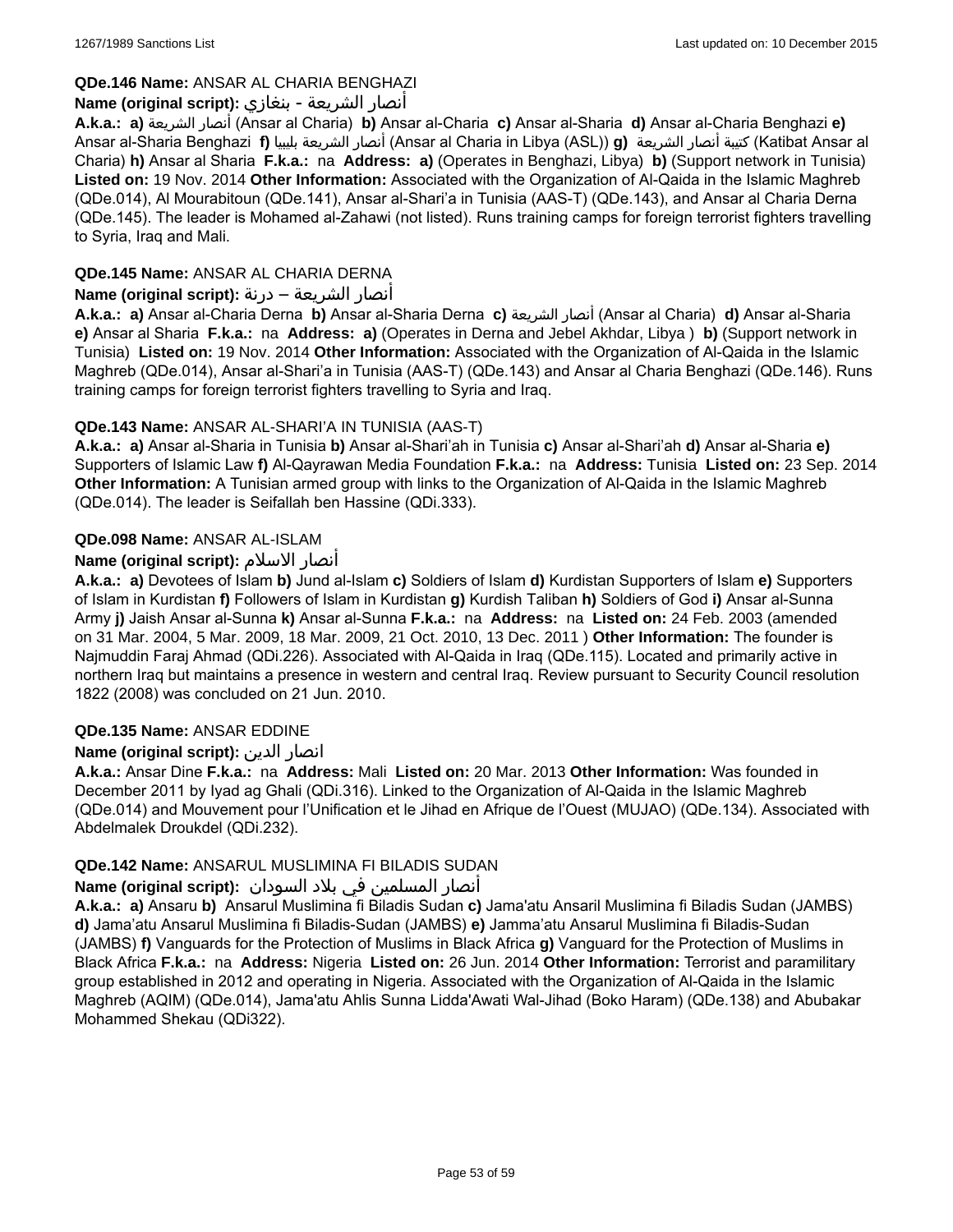### **QDe.146 Name:** ANSAR AL CHARIA BENGHAZI

### أنصار الشريعة - بنغازي **:(script original (Name**

**A.k.a.: a)** الشريعة أنصار) Ansar al Charia) **b)** Ansar al-Charia **c)** Ansar al-Sharia **d)** Ansar al-Charia Benghazi **e)** Ansar al-Sharia Benghazi **f)** بليبيا الشريعة أنصار) Ansar al Charia in Libya (ASL)) **g)** الشريعة أنصار كتيبة) Katibat Ansar al Charia) **h)** Ansar al Sharia **F.k.a.:** na **Address: a)** (Operates in Benghazi, Libya) **b)** (Support network in Tunisia) **Listed on:** 19 Nov. 2014 **Other Information:** Associated with the Organization of Al-Qaida in the Islamic Maghreb (QDe.014), Al Mourabitoun (QDe.141), Ansar al-Shari'a in Tunisia (AAS-T) (QDe.143), and Ansar al Charia Derna (QDe.145). The leader is Mohamed al-Zahawi (not listed). Runs training camps for foreign terrorist fighters travelling to Syria, Iraq and Mali.

# **QDe.145 Name:** ANSAR AL CHARIA DERNA

### أنصار الشريعة – درنة **:(script original (Name**

**A.k.a.: a)** Ansar al-Charia Derna **b)** Ansar al-Sharia Derna **c)** الشريعة أنصار) Ansar al Charia) **d)** Ansar al-Sharia **e)** Ansar al Sharia **F.k.a.:** na **Address: a)** (Operates in Derna and Jebel Akhdar, Libya ) **b)** (Support network in Tunisia) **Listed on:** 19 Nov. 2014 **Other Information:** Associated with the Organization of Al-Qaida in the Islamic Maghreb (QDe.014), Ansar al-Shari'a in Tunisia (AAS-T) (QDe.143) and Ansar al Charia Benghazi (QDe.146). Runs training camps for foreign terrorist fighters travelling to Syria and Iraq.

# **QDe.143 Name:** ANSAR AL-SHARI'A IN TUNISIA (AAS-T)

**A.k.a.: a)** Ansar al-Sharia in Tunisia **b)** Ansar al-Shari'ah in Tunisia **c)** Ansar al-Shari'ah **d)** Ansar al-Sharia **e)** Supporters of Islamic Law **f)** Al-Qayrawan Media Foundation **F.k.a.:** na **Address:** Tunisia **Listed on:** 23 Sep. 2014 **Other Information:** A Tunisian armed group with links to the Organization of Al-Qaida in the Islamic Maghreb (QDe.014). The leader is Seifallah ben Hassine (QDi.333).

# **QDe.098 Name:** ANSAR AL-ISLAM

# **Name (original script):** الاسلام أنصار

**A.k.a.: a)** Devotees of Islam **b)** Jund al-Islam **c)** Soldiers of Islam **d)** Kurdistan Supporters of Islam **e)** Supporters of Islam in Kurdistan **f)** Followers of Islam in Kurdistan **g)** Kurdish Taliban **h)** Soldiers of God **i)** Ansar al-Sunna Army **j)** Jaish Ansar al-Sunna **k)** Ansar al-Sunna **F.k.a.:** na **Address:** na **Listed on:** 24 Feb. 2003 (amended on 31 Mar. 2004, 5 Mar. 2009, 18 Mar. 2009, 21 Oct. 2010, 13 Dec. 2011 ) **Other Information:** The founder is Najmuddin Faraj Ahmad (QDi.226). Associated with Al-Qaida in Iraq (QDe.115). Located and primarily active in northern Iraq but maintains a presence in western and central Iraq. Review pursuant to Security Council resolution 1822 (2008) was concluded on 21 Jun. 2010.

### **QDe.135 Name:** ANSAR EDDINE

### **Name (original script):** الدين انصار

**A.k.a.:** Ansar Dine **F.k.a.:** na **Address:** Mali **Listed on:** 20 Mar. 2013 **Other Information:** Was founded in December 2011 by Iyad ag Ghali (QDi.316). Linked to the Organization of Al-Qaida in the Islamic Maghreb (QDe.014) and Mouvement pour l'Unification et le Jihad en Afrique de l'Ouest (MUJAO) (QDe.134). Associated with Abdelmalek Droukdel (QDi.232).

### **QDe.142 Name:** ANSARUL MUSLIMINA FI BILADIS SUDAN

### أنصار المسلمین في بلاد السودان **:(script original (Name**

**A.k.a.: a)** Ansaru **b)** Ansarul Muslimina fi Biladis Sudan **c)** Jama'atu Ansaril Muslimina fi Biladis Sudan (JAMBS) **d)** Jama'atu Ansarul Muslimina fi Biladis-Sudan (JAMBS) **e)** Jamma'atu Ansarul Muslimina fi Biladis-Sudan (JAMBS) **f)** Vanguards for the Protection of Muslims in Black Africa **g)** Vanguard for the Protection of Muslims in Black Africa **F.k.a.:** na **Address:** Nigeria **Listed on:** 26 Jun. 2014 **Other Information:** Terrorist and paramilitary group established in 2012 and operating in Nigeria. Associated with the Organization of Al-Qaida in the Islamic Maghreb (AQIM) (QDe.014), Jama'atu Ahlis Sunna Lidda'Awati Wal-Jihad (Boko Haram) (QDe.138) and Abubakar Mohammed Shekau (QDi322).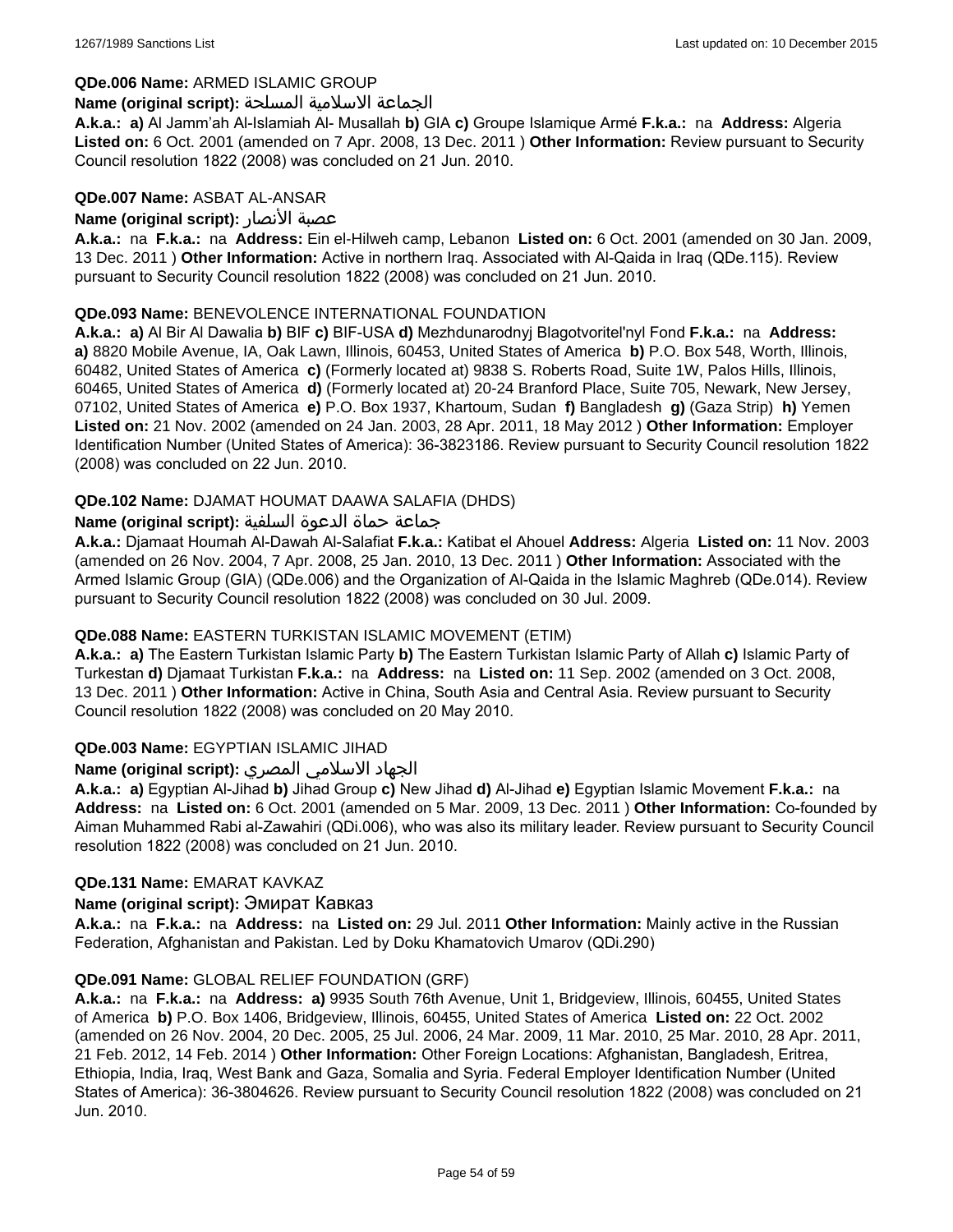### **QDe.006 Name:** ARMED ISLAMIC GROUP

#### الجماعة الاسلامية المسلحة **:(script original (Name**

**A.k.a.: a)** Al Jamm'ah Al-Islamiah Al- Musallah **b)** GIA **c)** Groupe Islamique Armé **F.k.a.:** na **Address:** Algeria **Listed on:** 6 Oct. 2001 (amended on 7 Apr. 2008, 13 Dec. 2011 ) **Other Information:** Review pursuant to Security Council resolution 1822 (2008) was concluded on 21 Jun. 2010.

### **QDe.007 Name:** ASBAT AL-ANSAR

### **Name (original script):** الأنصار عصبة

**A.k.a.:** na **F.k.a.:** na **Address:** Ein el-Hilweh camp, Lebanon **Listed on:** 6 Oct. 2001 (amended on 30 Jan. 2009, 13 Dec. 2011 ) **Other Information:** Active in northern Iraq. Associated with Al-Qaida in Iraq (QDe.115). Review pursuant to Security Council resolution 1822 (2008) was concluded on 21 Jun. 2010.

### **QDe.093 Name:** BENEVOLENCE INTERNATIONAL FOUNDATION

**A.k.a.: a)** Al Bir Al Dawalia **b)** BIF **c)** BIF-USA **d)** Mezhdunarodnyj Blagotvoritel'nyl Fond **F.k.a.:** na **Address: a)** 8820 Mobile Avenue, IA, Oak Lawn, Illinois, 60453, United States of America **b)** P.O. Box 548, Worth, Illinois, 60482, United States of America **c)** (Formerly located at) 9838 S. Roberts Road, Suite 1W, Palos Hills, Illinois, 60465, United States of America **d)** (Formerly located at) 20-24 Branford Place, Suite 705, Newark, New Jersey, 07102, United States of America **e)** P.O. Box 1937, Khartoum, Sudan **f)** Bangladesh **g)** (Gaza Strip) **h)** Yemen **Listed on:** 21 Nov. 2002 (amended on 24 Jan. 2003, 28 Apr. 2011, 18 May 2012 ) **Other Information:** Employer Identification Number (United States of America): 36-3823186. Review pursuant to Security Council resolution 1822 (2008) was concluded on 22 Jun. 2010.

### **QDe.102 Name:** DJAMAT HOUMAT DAAWA SALAFIA (DHDS)

### جماعة حماة الدعوة السلفية **:(script original (Name**

**A.k.a.:** Djamaat Houmah Al-Dawah Al-Salafiat **F.k.a.:** Katibat el Ahouel **Address:** Algeria **Listed on:** 11 Nov. 2003 (amended on 26 Nov. 2004, 7 Apr. 2008, 25 Jan. 2010, 13 Dec. 2011 ) **Other Information:** Associated with the Armed Islamic Group (GIA) (QDe.006) and the Organization of Al-Qaida in the Islamic Maghreb (QDe.014). Review pursuant to Security Council resolution 1822 (2008) was concluded on 30 Jul. 2009.

### **QDe.088 Name:** EASTERN TURKISTAN ISLAMIC MOVEMENT (ETIM)

**A.k.a.: a)** The Eastern Turkistan Islamic Party **b)** The Eastern Turkistan Islamic Party of Allah **c)** Islamic Party of Turkestan **d)** Djamaat Turkistan **F.k.a.:** na **Address:** na **Listed on:** 11 Sep. 2002 (amended on 3 Oct. 2008, 13 Dec. 2011 ) **Other Information:** Active in China, South Asia and Central Asia. Review pursuant to Security Council resolution 1822 (2008) was concluded on 20 May 2010.

### **QDe.003 Name:** EGYPTIAN ISLAMIC JIHAD

### الجهاد الاسلامي المصري **:(script original (Name**

**A.k.a.: a)** Egyptian Al-Jihad **b)** Jihad Group **c)** New Jihad **d)** Al-Jihad **e)** Egyptian Islamic Movement **F.k.a.:** na **Address:** na **Listed on:** 6 Oct. 2001 (amended on 5 Mar. 2009, 13 Dec. 2011 ) **Other Information:** Co-founded by Aiman Muhammed Rabi al-Zawahiri (QDi.006), who was also its military leader. Review pursuant to Security Council resolution 1822 (2008) was concluded on 21 Jun. 2010.

#### **QDe.131 Name:** EMARAT KAVKAZ

#### **Name (original script):** Эмират Кавказ

**A.k.a.:** na **F.k.a.:** na **Address:** na **Listed on:** 29 Jul. 2011 **Other Information:** Mainly active in the Russian Federation, Afghanistan and Pakistan. Led by Doku Khamatovich Umarov (QDi.290)

#### **QDe.091 Name:** GLOBAL RELIEF FOUNDATION (GRF)

**A.k.a.:** na **F.k.a.:** na **Address: a)** 9935 South 76th Avenue, Unit 1, Bridgeview, Illinois, 60455, United States of America **b)** P.O. Box 1406, Bridgeview, Illinois, 60455, United States of America **Listed on:** 22 Oct. 2002 (amended on 26 Nov. 2004, 20 Dec. 2005, 25 Jul. 2006, 24 Mar. 2009, 11 Mar. 2010, 25 Mar. 2010, 28 Apr. 2011, 21 Feb. 2012, 14 Feb. 2014 ) **Other Information:** Other Foreign Locations: Afghanistan, Bangladesh, Eritrea, Ethiopia, India, Iraq, West Bank and Gaza, Somalia and Syria. Federal Employer Identification Number (United States of America): 36-3804626. Review pursuant to Security Council resolution 1822 (2008) was concluded on 21 Jun. 2010.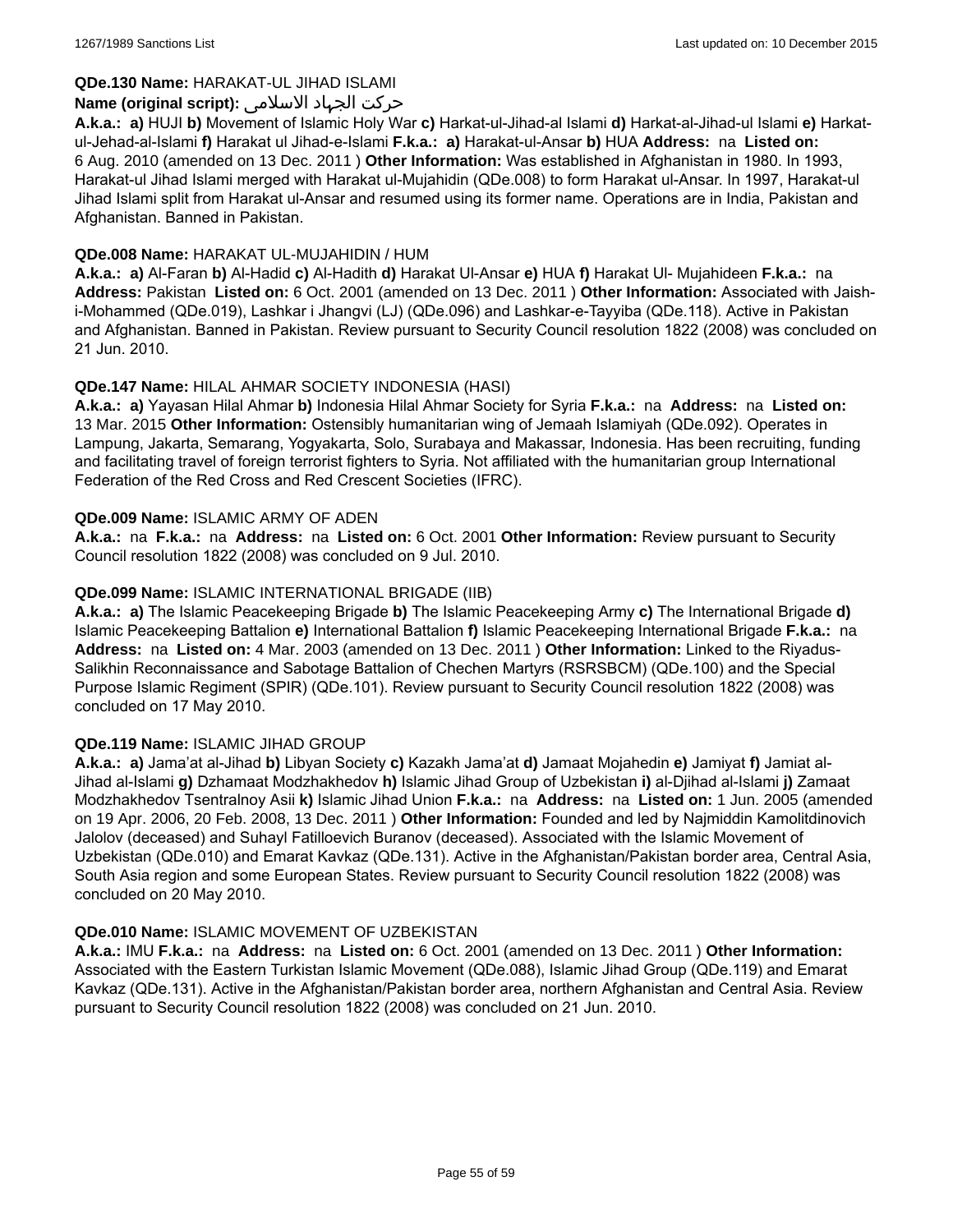### **QDe.130 Name:** HARAKAT-UL JIHAD ISLAMI

### حرکت الجہاد الاسلامی **:(script original (Name**

**A.k.a.: a)** HUJI **b)** Movement of Islamic Holy War **c)** Harkat-ul-Jihad-al Islami **d)** Harkat-al-Jihad-ul Islami **e)** Harkatul-Jehad-al-Islami **f)** Harakat ul Jihad-e-Islami **F.k.a.: a)** Harakat-ul-Ansar **b)** HUA **Address:** na **Listed on:** 6 Aug. 2010 (amended on 13 Dec. 2011 ) **Other Information:** Was established in Afghanistan in 1980. In 1993, Harakat-ul Jihad Islami merged with Harakat ul-Mujahidin (QDe.008) to form Harakat ul-Ansar. In 1997, Harakat-ul Jihad Islami split from Harakat ul-Ansar and resumed using its former name. Operations are in India, Pakistan and Afghanistan. Banned in Pakistan.

### **QDe.008 Name:** HARAKAT UL-MUJAHIDIN / HUM

**A.k.a.: a)** Al-Faran **b)** Al-Hadid **c)** Al-Hadith **d)** Harakat Ul-Ansar **e)** HUA **f)** Harakat Ul- Mujahideen **F.k.a.:** na **Address:** Pakistan **Listed on:** 6 Oct. 2001 (amended on 13 Dec. 2011 ) **Other Information:** Associated with Jaishi-Mohammed (QDe.019), Lashkar i Jhangvi (LJ) (QDe.096) and Lashkar-e-Tayyiba (QDe.118). Active in Pakistan and Afghanistan. Banned in Pakistan. Review pursuant to Security Council resolution 1822 (2008) was concluded on 21 Jun. 2010.

### **QDe.147 Name:** HILAL AHMAR SOCIETY INDONESIA (HASI)

**A.k.a.: a)** Yayasan Hilal Ahmar **b)** Indonesia Hilal Ahmar Society for Syria **F.k.a.:** na **Address:** na **Listed on:** 13 Mar. 2015 **Other Information:** Ostensibly humanitarian wing of Jemaah Islamiyah (QDe.092). Operates in Lampung, Jakarta, Semarang, Yogyakarta, Solo, Surabaya and Makassar, Indonesia. Has been recruiting, funding and facilitating travel of foreign terrorist fighters to Syria. Not affiliated with the humanitarian group International Federation of the Red Cross and Red Crescent Societies (IFRC).

#### **QDe.009 Name:** ISLAMIC ARMY OF ADEN

**A.k.a.:** na **F.k.a.:** na **Address:** na **Listed on:** 6 Oct. 2001 **Other Information:** Review pursuant to Security Council resolution 1822 (2008) was concluded on 9 Jul. 2010.

### **QDe.099 Name:** ISLAMIC INTERNATIONAL BRIGADE (IIB)

**A.k.a.: a)** The Islamic Peacekeeping Brigade **b)** The Islamic Peacekeeping Army **c)** The International Brigade **d)** Islamic Peacekeeping Battalion **e)** International Battalion **f)** Islamic Peacekeeping International Brigade **F.k.a.:** na **Address:** na **Listed on:** 4 Mar. 2003 (amended on 13 Dec. 2011 ) **Other Information:** Linked to the Riyadus-Salikhin Reconnaissance and Sabotage Battalion of Chechen Martyrs (RSRSBCM) (QDe.100) and the Special Purpose Islamic Regiment (SPIR) (QDe.101). Review pursuant to Security Council resolution 1822 (2008) was concluded on 17 May 2010.

#### **QDe.119 Name:** ISLAMIC JIHAD GROUP

**A.k.a.: a)** Jama'at al-Jihad **b)** Libyan Society **c)** Kazakh Jama'at **d)** Jamaat Mojahedin **e)** Jamiyat **f)** Jamiat al-Jihad al-Islami **g)** Dzhamaat Modzhakhedov **h)** Islamic Jihad Group of Uzbekistan **i)** al-Djihad al-Islami **j)** Zamaat Modzhakhedov Tsentralnoy Asii **k)** Islamic Jihad Union **F.k.a.:** na **Address:** na **Listed on:** 1 Jun. 2005 (amended on 19 Apr. 2006, 20 Feb. 2008, 13 Dec. 2011 ) **Other Information:** Founded and led by Najmiddin Kamolitdinovich Jalolov (deceased) and Suhayl Fatilloevich Buranov (deceased). Associated with the Islamic Movement of Uzbekistan (QDe.010) and Emarat Kavkaz (QDe.131). Active in the Afghanistan/Pakistan border area, Central Asia, South Asia region and some European States. Review pursuant to Security Council resolution 1822 (2008) was concluded on 20 May 2010.

#### **QDe.010 Name:** ISLAMIC MOVEMENT OF UZBEKISTAN

**A.k.a.:** IMU **F.k.a.:** na **Address:** na **Listed on:** 6 Oct. 2001 (amended on 13 Dec. 2011 ) **Other Information:** Associated with the Eastern Turkistan Islamic Movement (QDe.088), Islamic Jihad Group (QDe.119) and Emarat Kavkaz (QDe.131). Active in the Afghanistan/Pakistan border area, northern Afghanistan and Central Asia. Review pursuant to Security Council resolution 1822 (2008) was concluded on 21 Jun. 2010.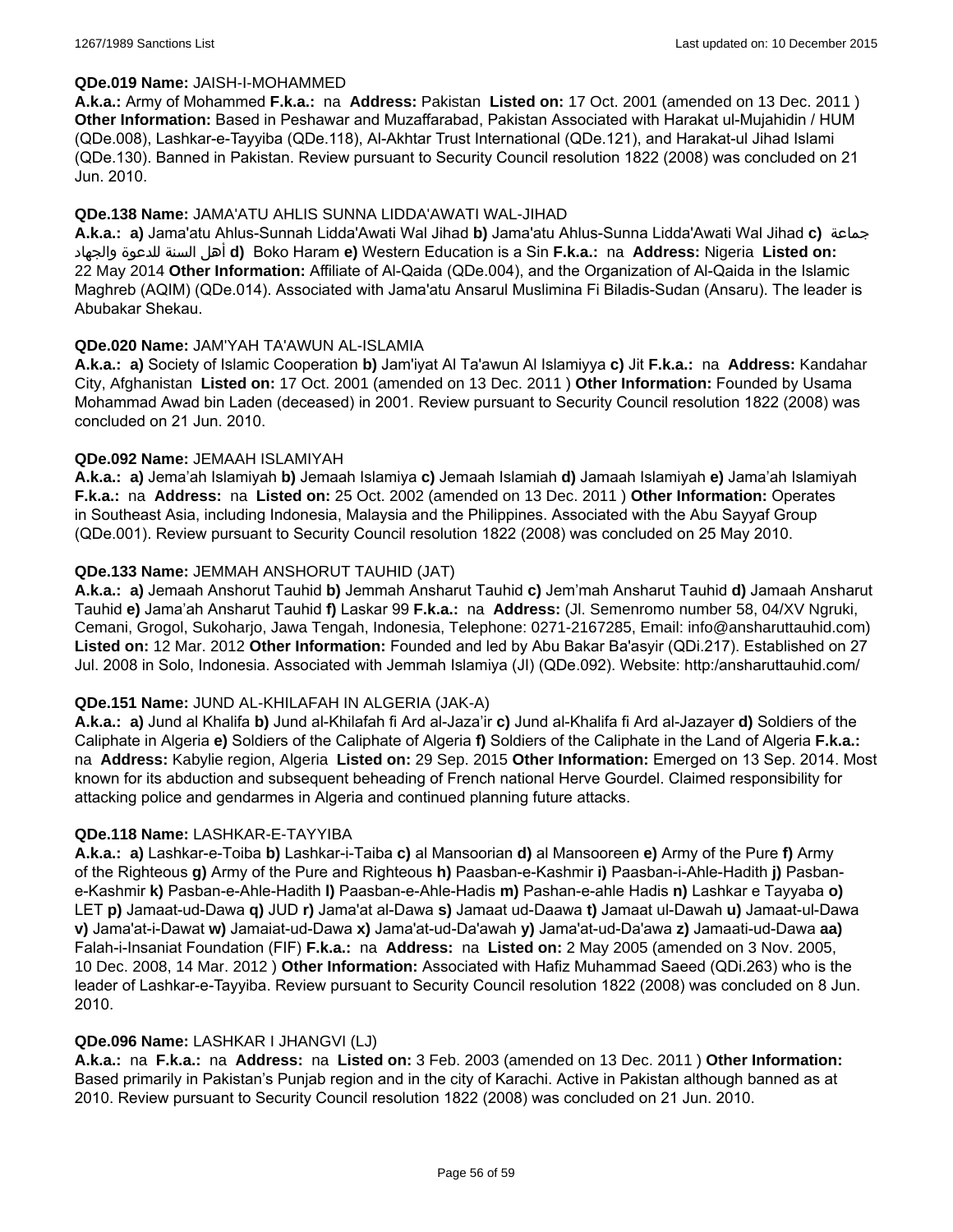#### **QDe.019 Name:** JAISH-I-MOHAMMED

**A.k.a.:** Army of Mohammed **F.k.a.:** na **Address:** Pakistan **Listed on:** 17 Oct. 2001 (amended on 13 Dec. 2011 ) **Other Information:** Based in Peshawar and Muzaffarabad, Pakistan Associated with Harakat ul-Mujahidin / HUM (QDe.008), Lashkar-e-Tayyiba (QDe.118), Al-Akhtar Trust International (QDe.121), and Harakat-ul Jihad Islami (QDe.130). Banned in Pakistan. Review pursuant to Security Council resolution 1822 (2008) was concluded on 21 Jun. 2010.

### **QDe.138 Name:** JAMA'ATU AHLIS SUNNA LIDDA'AWATI WAL-JIHAD

**A.k.a.: a)** Jama'atu Ahlus-Sunnah Lidda'Awati Wal Jihad **b)** Jama'atu Ahlus-Sunna Lidda'Awati Wal Jihad **c)** جماعة والجهاد للدعوة السنة أهل **d)** Boko Haram **e)** Western Education is a Sin **F.k.a.:** na **Address:** Nigeria **Listed on:** 22 May 2014 **Other Information:** Affiliate of Al-Qaida (QDe.004), and the Organization of Al-Qaida in the Islamic Maghreb (AQIM) (QDe.014). Associated with Jama'atu Ansarul Muslimina Fi Biladis-Sudan (Ansaru). The leader is Abubakar Shekau.

### **QDe.020 Name:** JAM'YAH TA'AWUN AL-ISLAMIA

**A.k.a.: a)** Society of Islamic Cooperation **b)** Jam'iyat Al Ta'awun Al Islamiyya **c)** Jit **F.k.a.:** na **Address:** Kandahar City, Afghanistan **Listed on:** 17 Oct. 2001 (amended on 13 Dec. 2011 ) **Other Information:** Founded by Usama Mohammad Awad bin Laden (deceased) in 2001. Review pursuant to Security Council resolution 1822 (2008) was concluded on 21 Jun. 2010.

### **QDe.092 Name:** JEMAAH ISLAMIYAH

**A.k.a.: a)** Jema'ah Islamiyah **b)** Jemaah Islamiya **c)** Jemaah Islamiah **d)** Jamaah Islamiyah **e)** Jama'ah Islamiyah **F.k.a.:** na **Address:** na **Listed on:** 25 Oct. 2002 (amended on 13 Dec. 2011 ) **Other Information:** Operates in Southeast Asia, including Indonesia, Malaysia and the Philippines. Associated with the Abu Sayyaf Group (QDe.001). Review pursuant to Security Council resolution 1822 (2008) was concluded on 25 May 2010.

### **QDe.133 Name:** JEMMAH ANSHORUT TAUHID (JAT)

**A.k.a.: a)** Jemaah Anshorut Tauhid **b)** Jemmah Ansharut Tauhid **c)** Jem'mah Ansharut Tauhid **d)** Jamaah Ansharut Tauhid **e)** Jama'ah Ansharut Tauhid **f)** Laskar 99 **F.k.a.:** na **Address:** (Jl. Semenromo number 58, 04/XV Ngruki, Cemani, Grogol, Sukoharjo, Jawa Tengah, Indonesia, Telephone: 0271-2167285, Email: info@ansharuttauhid.com) **Listed on:** 12 Mar. 2012 **Other Information:** Founded and led by Abu Bakar Ba'asyir (QDi.217). Established on 27 Jul. 2008 in Solo, Indonesia. Associated with Jemmah Islamiya (JI) (QDe.092). Website: http:/ansharuttauhid.com/

#### **QDe.151 Name:** JUND AL-KHILAFAH IN ALGERIA (JAK-A)

**A.k.a.: a)** Jund al Khalifa **b)** Jund al-Khilafah fi Ard al-Jaza'ir **c)** Jund al-Khalifa fi Ard al-Jazayer **d)** Soldiers of the Caliphate in Algeria **e)** Soldiers of the Caliphate of Algeria **f)** Soldiers of the Caliphate in the Land of Algeria **F.k.a.:**  na **Address:** Kabylie region, Algeria **Listed on:** 29 Sep. 2015 **Other Information:** Emerged on 13 Sep. 2014. Most known for its abduction and subsequent beheading of French national Herve Gourdel. Claimed responsibility for attacking police and gendarmes in Algeria and continued planning future attacks.

#### **QDe.118 Name:** LASHKAR-E-TAYYIBA

**A.k.a.: a)** Lashkar-e-Toiba **b)** Lashkar-i-Taiba **c)** al Mansoorian **d)** al Mansooreen **e)** Army of the Pure **f)** Army of the Righteous **g)** Army of the Pure and Righteous **h)** Paasban-e-Kashmir **i)** Paasban-i-Ahle-Hadith **j)** Pasbane-Kashmir **k)** Pasban-e-Ahle-Hadith **l)** Paasban-e-Ahle-Hadis **m)** Pashan-e-ahle Hadis **n)** Lashkar e Tayyaba **o)** LET **p)** Jamaat-ud-Dawa **q)** JUD **r)** Jama'at al-Dawa **s)** Jamaat ud-Daawa **t)** Jamaat ul-Dawah **u)** Jamaat-ul-Dawa **v)** Jama'at-i-Dawat **w)** Jamaiat-ud-Dawa **x)** Jama'at-ud-Da'awah **y)** Jama'at-ud-Da'awa **z)** Jamaati-ud-Dawa **aa)** Falah-i-Insaniat Foundation (FIF) **F.k.a.:** na **Address:** na **Listed on:** 2 May 2005 (amended on 3 Nov. 2005, 10 Dec. 2008, 14 Mar. 2012 ) **Other Information:** Associated with Hafiz Muhammad Saeed (QDi.263) who is the leader of Lashkar-e-Tayyiba. Review pursuant to Security Council resolution 1822 (2008) was concluded on 8 Jun. 2010.

#### **QDe.096 Name:** LASHKAR I JHANGVI (LJ)

**A.k.a.:** na **F.k.a.:** na **Address:** na **Listed on:** 3 Feb. 2003 (amended on 13 Dec. 2011 ) **Other Information:** Based primarily in Pakistan's Punjab region and in the city of Karachi. Active in Pakistan although banned as at 2010. Review pursuant to Security Council resolution 1822 (2008) was concluded on 21 Jun. 2010.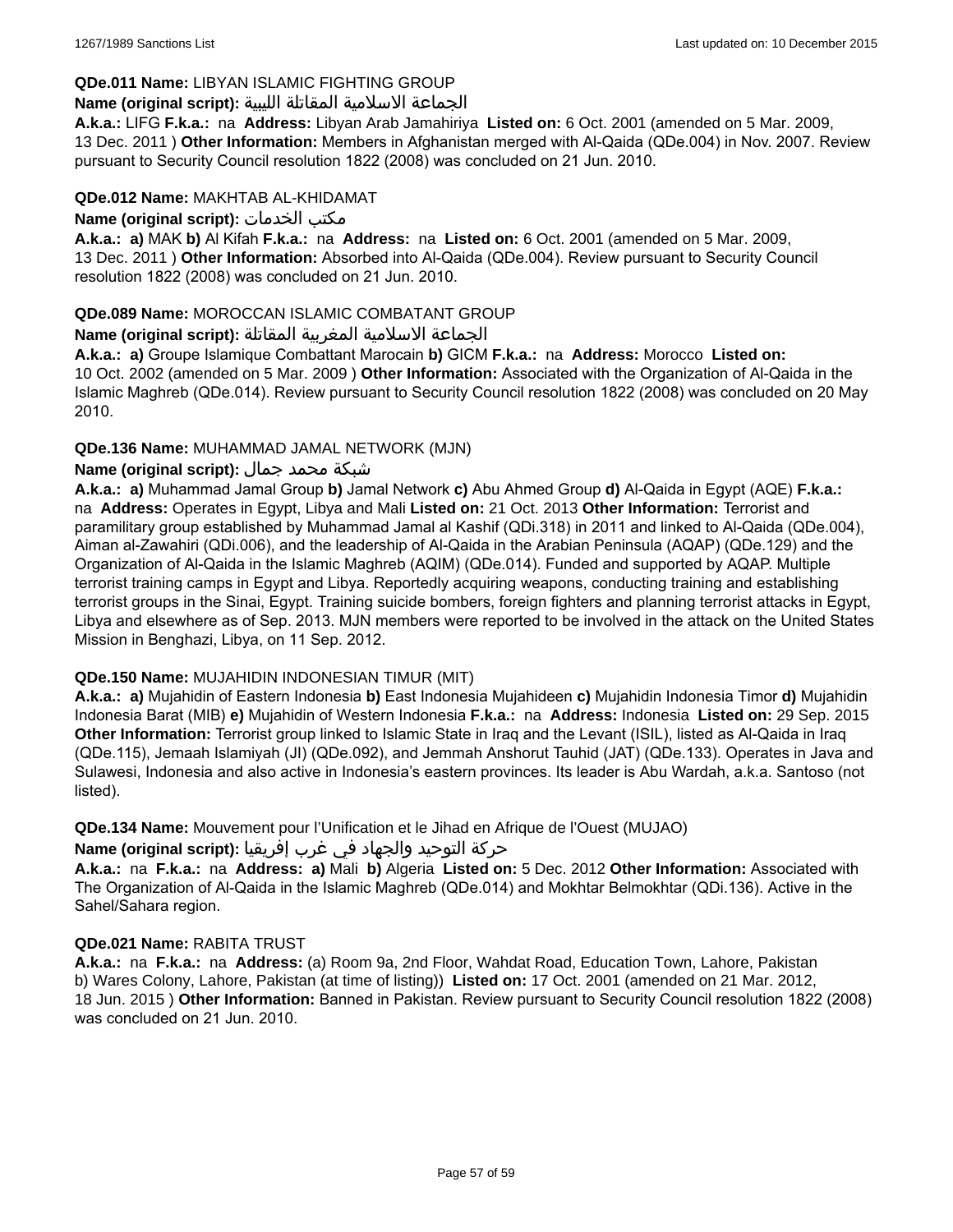### **QDe.011 Name:** LIBYAN ISLAMIC FIGHTING GROUP

### الجماعة الاسلامية المقاتلة الليبية **:(script original (Name**

**A.k.a.:** LIFG **F.k.a.:** na **Address:** Libyan Arab Jamahiriya **Listed on:** 6 Oct. 2001 (amended on 5 Mar. 2009, 13 Dec. 2011 ) **Other Information:** Members in Afghanistan merged with Al-Qaida (QDe.004) in Nov. 2007. Review pursuant to Security Council resolution 1822 (2008) was concluded on 21 Jun. 2010.

### **QDe.012 Name:** MAKHTAB AL-KHIDAMAT

**Name (original script):** الخدمات مكتب

**A.k.a.: a)** MAK **b)** Al Kifah **F.k.a.:** na **Address:** na **Listed on:** 6 Oct. 2001 (amended on 5 Mar. 2009, 13 Dec. 2011 ) **Other Information:** Absorbed into Al-Qaida (QDe.004). Review pursuant to Security Council resolution 1822 (2008) was concluded on 21 Jun. 2010.

### **QDe.089 Name:** MOROCCAN ISLAMIC COMBATANT GROUP

### الجماعة الاسلامية المغربية المقاتلة **:(script original (Name**

**A.k.a.: a)** Groupe Islamique Combattant Marocain **b)** GICM **F.k.a.:** na **Address:** Morocco **Listed on:** 10 Oct. 2002 (amended on 5 Mar. 2009 ) **Other Information:** Associated with the Organization of Al-Qaida in the Islamic Maghreb (QDe.014). Review pursuant to Security Council resolution 1822 (2008) was concluded on 20 May 2010.

### **QDe.136 Name:** MUHAMMAD JAMAL NETWORK (MJN)

# شبكة محمد جمال **:(script original (Name**

**A.k.a.: a)** Muhammad Jamal Group **b)** Jamal Network **c)** Abu Ahmed Group **d)** Al-Qaida in Egypt (AQE) **F.k.a.:**  na **Address:** Operates in Egypt, Libya and Mali **Listed on:** 21 Oct. 2013 **Other Information:** Terrorist and paramilitary group established by Muhammad Jamal al Kashif (QDi.318) in 2011 and linked to Al-Qaida (QDe.004), Aiman al-Zawahiri (QDi.006), and the leadership of Al-Qaida in the Arabian Peninsula (AQAP) (QDe.129) and the Organization of Al-Qaida in the Islamic Maghreb (AQIM) (QDe.014). Funded and supported by AQAP. Multiple terrorist training camps in Egypt and Libya. Reportedly acquiring weapons, conducting training and establishing terrorist groups in the Sinai, Egypt. Training suicide bombers, foreign fighters and planning terrorist attacks in Egypt, Libya and elsewhere as of Sep. 2013. MJN members were reported to be involved in the attack on the United States Mission in Benghazi, Libya, on 11 Sep. 2012.

### **QDe.150 Name:** MUJAHIDIN INDONESIAN TIMUR (MIT)

**A.k.a.: a)** Mujahidin of Eastern Indonesia **b)** East Indonesia Mujahideen **c)** Mujahidin Indonesia Timor **d)** Mujahidin Indonesia Barat (MIB) **e)** Mujahidin of Western Indonesia **F.k.a.:** na **Address:** Indonesia **Listed on:** 29 Sep. 2015 **Other Information:** Terrorist group linked to Islamic State in Iraq and the Levant (ISIL), listed as Al-Qaida in Iraq (QDe.115), Jemaah Islamiyah (JI) (QDe.092), and Jemmah Anshorut Tauhid (JAT) (QDe.133). Operates in Java and Sulawesi, Indonesia and also active in Indonesia's eastern provinces. Its leader is Abu Wardah, a.k.a. Santoso (not listed).

**QDe.134 Name:** Mouvement pour l'Unification et le Jihad en Afrique de l'Ouest (MUJAO)

### حركة التوحيد والجهاد في غرب إفريقيا **:Name (original script)**

**A.k.a.:** na **F.k.a.:** na **Address: a)** Mali **b)** Algeria **Listed on:** 5 Dec. 2012 **Other Information:** Associated with The Organization of Al-Qaida in the Islamic Maghreb (QDe.014) and Mokhtar Belmokhtar (QDi.136). Active in the Sahel/Sahara region.

### **QDe.021 Name:** RABITA TRUST

**A.k.a.:** na **F.k.a.:** na **Address:** (a) Room 9a, 2nd Floor, Wahdat Road, Education Town, Lahore, Pakistan b) Wares Colony, Lahore, Pakistan (at time of listing)) **Listed on:** 17 Oct. 2001 (amended on 21 Mar. 2012, 18 Jun. 2015 ) **Other Information:** Banned in Pakistan. Review pursuant to Security Council resolution 1822 (2008) was concluded on 21 Jun. 2010.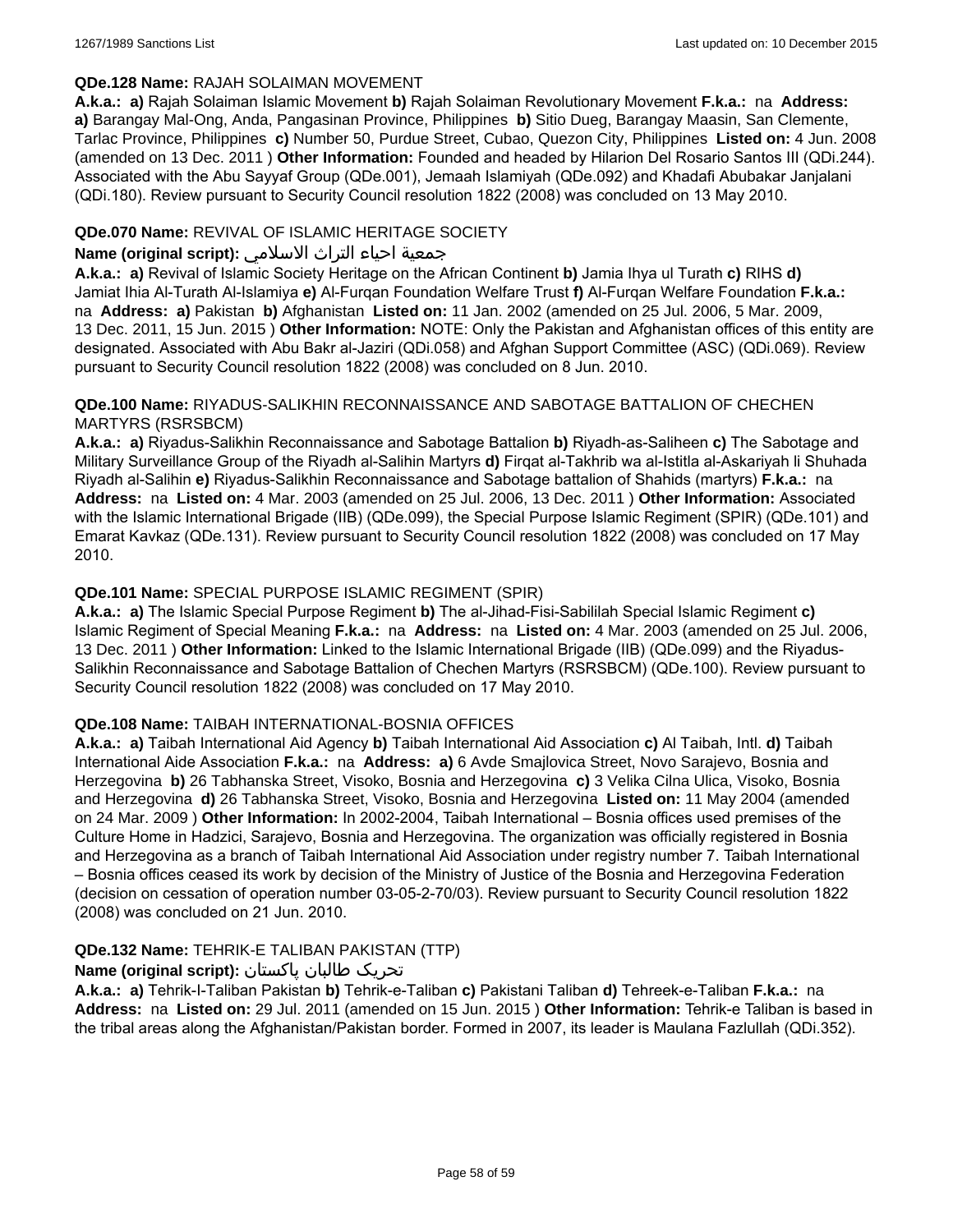### **QDe.128 Name:** RAJAH SOLAIMAN MOVEMENT

**A.k.a.: a)** Rajah Solaiman Islamic Movement **b)** Rajah Solaiman Revolutionary Movement **F.k.a.:** na **Address: a)** Barangay Mal-Ong, Anda, Pangasinan Province, Philippines **b)** Sitio Dueg, Barangay Maasin, San Clemente, Tarlac Province, Philippines **c)** Number 50, Purdue Street, Cubao, Quezon City, Philippines **Listed on:** 4 Jun. 2008 (amended on 13 Dec. 2011 ) **Other Information:** Founded and headed by Hilarion Del Rosario Santos III (QDi.244). Associated with the Abu Sayyaf Group (QDe.001), Jemaah Islamiyah (QDe.092) and Khadafi Abubakar Janjalani (QDi.180). Review pursuant to Security Council resolution 1822 (2008) was concluded on 13 May 2010.

### **QDe.070 Name:** REVIVAL OF ISLAMIC HERITAGE SOCIETY

### جمعية احياء التراث الاسلامي **:(script original (Name**

**A.k.a.: a)** Revival of Islamic Society Heritage on the African Continent **b)** Jamia Ihya ul Turath **c)** RIHS **d)** Jamiat Ihia Al-Turath Al-Islamiya **e)** Al-Furqan Foundation Welfare Trust **f)** Al-Furqan Welfare Foundation **F.k.a.:**  na **Address: a)** Pakistan **b)** Afghanistan **Listed on:** 11 Jan. 2002 (amended on 25 Jul. 2006, 5 Mar. 2009, 13 Dec. 2011, 15 Jun. 2015 ) **Other Information:** NOTE: Only the Pakistan and Afghanistan offices of this entity are designated. Associated with Abu Bakr al-Jaziri (QDi.058) and Afghan Support Committee (ASC) (QDi.069). Review pursuant to Security Council resolution 1822 (2008) was concluded on 8 Jun. 2010.

### **QDe.100 Name:** RIYADUS-SALIKHIN RECONNAISSANCE AND SABOTAGE BATTALION OF CHECHEN MARTYRS (RSRSBCM)

**A.k.a.: a)** Riyadus-Salikhin Reconnaissance and Sabotage Battalion **b)** Riyadh-as-Saliheen **c)** The Sabotage and Military Surveillance Group of the Riyadh al-Salihin Martyrs **d)** Firqat al-Takhrib wa al-Istitla al-Askariyah li Shuhada Riyadh al-Salihin **e)** Riyadus-Salikhin Reconnaissance and Sabotage battalion of Shahids (martyrs) **F.k.a.:** na **Address:** na **Listed on:** 4 Mar. 2003 (amended on 25 Jul. 2006, 13 Dec. 2011 ) **Other Information:** Associated with the Islamic International Brigade (IIB) (QDe.099), the Special Purpose Islamic Regiment (SPIR) (QDe.101) and Emarat Kavkaz (QDe.131). Review pursuant to Security Council resolution 1822 (2008) was concluded on 17 May 2010.

# **QDe.101 Name:** SPECIAL PURPOSE ISLAMIC REGIMENT (SPIR)

**A.k.a.: a)** The Islamic Special Purpose Regiment **b)** The al-Jihad-Fisi-Sabililah Special Islamic Regiment **c)** Islamic Regiment of Special Meaning **F.k.a.:** na **Address:** na **Listed on:** 4 Mar. 2003 (amended on 25 Jul. 2006, 13 Dec. 2011 ) **Other Information:** Linked to the Islamic International Brigade (IIB) (QDe.099) and the Riyadus-Salikhin Reconnaissance and Sabotage Battalion of Chechen Martyrs (RSRSBCM) (QDe.100). Review pursuant to Security Council resolution 1822 (2008) was concluded on 17 May 2010.

### **QDe.108 Name:** TAIBAH INTERNATIONAL-BOSNIA OFFICES

**A.k.a.: a)** Taibah International Aid Agency **b)** Taibah International Aid Association **c)** Al Taibah, Intl. **d)** Taibah International Aide Association **F.k.a.:** na **Address: a)** 6 Avde Smajlovica Street, Novo Sarajevo, Bosnia and Herzegovina **b)** 26 Tabhanska Street, Visoko, Bosnia and Herzegovina **c)** 3 Velika Cilna Ulica, Visoko, Bosnia and Herzegovina **d)** 26 Tabhanska Street, Visoko, Bosnia and Herzegovina **Listed on:** 11 May 2004 (amended on 24 Mar. 2009 ) **Other Information:** In 2002-2004, Taibah International – Bosnia offices used premises of the Culture Home in Hadzici, Sarajevo, Bosnia and Herzegovina. The organization was officially registered in Bosnia and Herzegovina as a branch of Taibah International Aid Association under registry number 7. Taibah International – Bosnia offices ceased its work by decision of the Ministry of Justice of the Bosnia and Herzegovina Federation (decision on cessation of operation number 03-05-2-70/03). Review pursuant to Security Council resolution 1822 (2008) was concluded on 21 Jun. 2010.

### **QDe.132 Name:** TEHRIK-E TALIBAN PAKISTAN (TTP)

# تحریک طالبان پاکستان **:(script original (Name**

**A.k.a.: a)** Tehrik-I-Taliban Pakistan **b)** Tehrik-e-Taliban **c)** Pakistani Taliban **d)** Tehreek-e-Taliban **F.k.a.:** na **Address:** na **Listed on:** 29 Jul. 2011 (amended on 15 Jun. 2015 ) **Other Information:** Tehrik-e Taliban is based in the tribal areas along the Afghanistan/Pakistan border. Formed in 2007, its leader is Maulana Fazlullah (QDi.352).